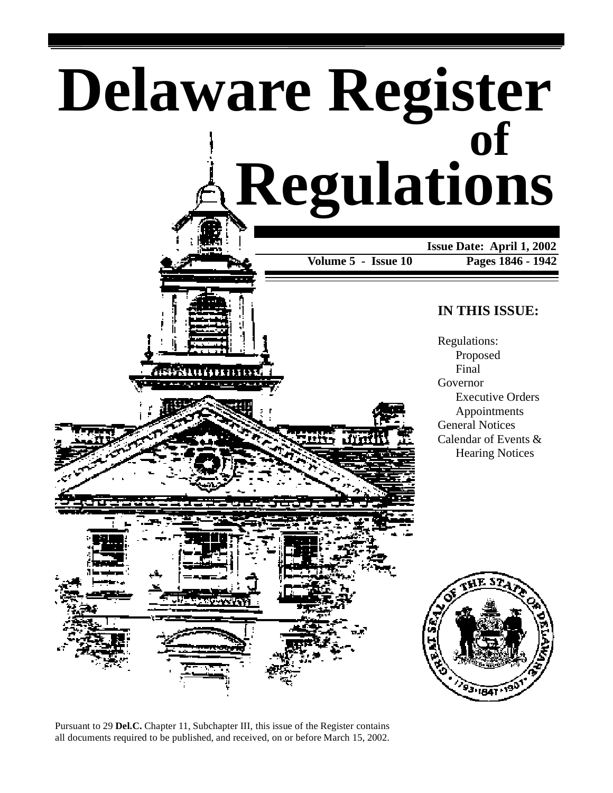







Pursuant to 29 **Del.C.** Chapter 11, Subchapter III, this issue of the Register contains all documents required to be published, and received, on or before March 15, 2002.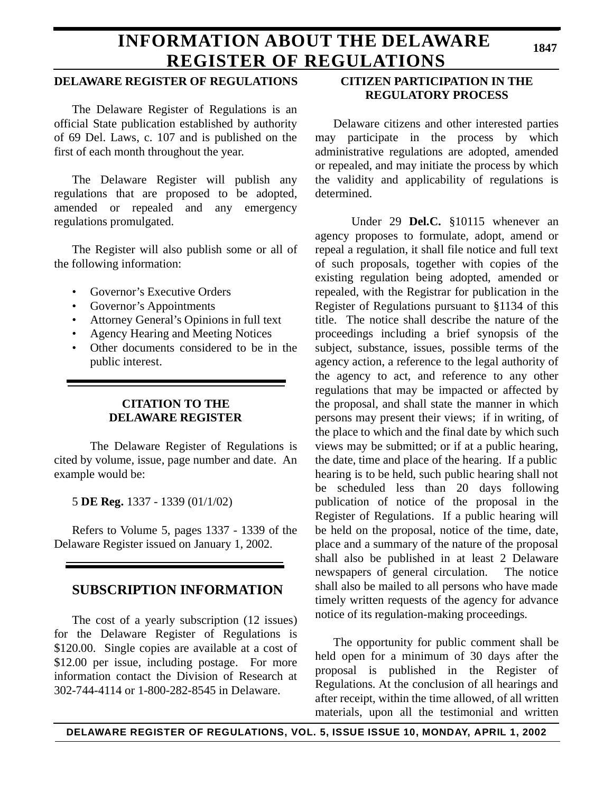# **INFORMATION ABOUT THE DELAWARE REGISTER OF REGULATIONS**

# **DELAWARE REGISTER OF REGULATIONS**

The Delaware Register of Regulations is an official State publication established by authority of 69 Del. Laws, c. 107 and is published on the first of each month throughout the year.

The Delaware Register will publish any regulations that are proposed to be adopted, amended or repealed and any emergency regulations promulgated.

The Register will also publish some or all of the following information:

- Governor's Executive Orders
- Governor's Appointments
- Attorney General's Opinions in full text
- Agency Hearing and Meeting Notices
- Other documents considered to be in the public interest.

# **CITATION TO THE DELAWARE REGISTER**

The Delaware Register of Regulations is cited by volume, issue, page number and date. An example would be:

5 **DE Reg.** 1337 - 1339 (01/1/02)

Refers to Volume 5, pages 1337 - 1339 of the Delaware Register issued on January 1, 2002.

# **SUBSCRIPTION INFORMATION**

The cost of a yearly subscription (12 issues) for the Delaware Register of Regulations is \$120.00. Single copies are available at a cost of \$12.00 per issue, including postage. For more information contact the Division of Research at 302-744-4114 or 1-800-282-8545 in Delaware.

# **CITIZEN PARTICIPATION IN THE REGULATORY PROCESS**

Delaware citizens and other interested parties may participate in the process by which administrative regulations are adopted, amended or repealed, and may initiate the process by which the validity and applicability of regulations is determined.

Under 29 **Del.C.** §10115 whenever an agency proposes to formulate, adopt, amend or repeal a regulation, it shall file notice and full text of such proposals, together with copies of the existing regulation being adopted, amended or repealed, with the Registrar for publication in the Register of Regulations pursuant to §1134 of this title. The notice shall describe the nature of the proceedings including a brief synopsis of the subject, substance, issues, possible terms of the agency action, a reference to the legal authority of the agency to act, and reference to any other regulations that may be impacted or affected by the proposal, and shall state the manner in which persons may present their views; if in writing, of the place to which and the final date by which such views may be submitted; or if at a public hearing, the date, time and place of the hearing. If a public hearing is to be held, such public hearing shall not be scheduled less than 20 days following publication of notice of the proposal in the Register of Regulations. If a public hearing will be held on the proposal, notice of the time, date, place and a summary of the nature of the proposal shall also be published in at least 2 Delaware newspapers of general circulation. The notice shall also be mailed to all persons who have made timely written requests of the agency for advance notice of its regulation-making proceedings.

The opportunity for public comment shall be held open for a minimum of 30 days after the proposal is published in the Register of Regulations. At the conclusion of all hearings and after receipt, within the time allowed, of all written materials, upon all the testimonial and written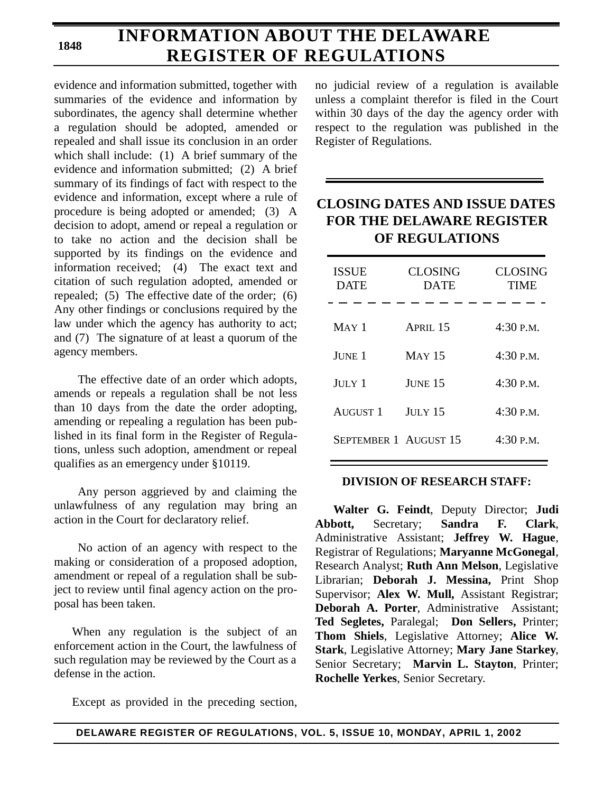# **INFORMATION ABOUT THE DELAWARE REGISTER OF REGULATIONS**

evidence and information submitted, together with summaries of the evidence and information by subordinates, the agency shall determine whether a regulation should be adopted, amended or repealed and shall issue its conclusion in an order which shall include: (1) A brief summary of the evidence and information submitted; (2) A brief summary of its findings of fact with respect to the evidence and information, except where a rule of procedure is being adopted or amended; (3) A decision to adopt, amend or repeal a regulation or to take no action and the decision shall be supported by its findings on the evidence and information received; (4) The exact text and citation of such regulation adopted, amended or repealed; (5) The effective date of the order; (6) Any other findings or conclusions required by the law under which the agency has authority to act; and (7) The signature of at least a quorum of the agency members.

The effective date of an order which adopts, amends or repeals a regulation shall be not less than 10 days from the date the order adopting, amending or repealing a regulation has been published in its final form in the Register of Regulations, unless such adoption, amendment or repeal qualifies as an emergency under §10119.

Any person aggrieved by and claiming the unlawfulness of any regulation may bring an action in the Court for declaratory relief.

No action of an agency with respect to the making or consideration of a proposed adoption, amendment or repeal of a regulation shall be subject to review until final agency action on the proposal has been taken.

When any regulation is the subject of an enforcement action in the Court, the lawfulness of such regulation may be reviewed by the Court as a defense in the action.

Except as provided in the preceding section,

no judicial review of a regulation is available unless a complaint therefor is filed in the Court within 30 days of the day the agency order with respect to the regulation was published in the Register of Regulations.

# **CLOSING DATES AND ISSUE DATES FOR THE DELAWARE REGISTER OF REGULATIONS**

| <b>ISSUE</b><br><b>DATE</b>  | <b>CLOSING</b><br><b>DATE</b> | <b>CLOSING</b><br>TIME |
|------------------------------|-------------------------------|------------------------|
| $MAY$ 1                      | APRIL <sub>15</sub>           | $4:30$ P.M.            |
| JUNE 1                       | <b>MAY 15</b>                 | 4:30 P.M.              |
| $JULY$ 1                     | JUNE 15                       | $4:30$ P.M.            |
| <b>AUGUST 1</b>              | <b>JULY 15</b>                | $4:30$ P.M.            |
| <b>SEPTEMBER 1 AUGUST 15</b> |                               | $4:30$ P.M.            |

# **DIVISION OF RESEARCH STAFF:**

**Walter G. Feindt**, Deputy Director; **Judi Abbott,** Secretary; **Sandra F. Clark**, Administrative Assistant; **Jeffrey W. Hague**, Registrar of Regulations; **Maryanne McGonegal**, Research Analyst; **Ruth Ann Melson**, Legislative Librarian; **Deborah J. Messina,** Print Shop Supervisor; **Alex W. Mull,** Assistant Registrar; **Deborah A. Porter**, Administrative Assistant; **Ted Segletes,** Paralegal; **Don Sellers,** Printer; **Thom Shiels**, Legislative Attorney; **Alice W. Stark**, Legislative Attorney; **Mary Jane Starkey**, Senior Secretary; **Marvin L. Stayton**, Printer; **Rochelle Yerkes**, Senior Secretary.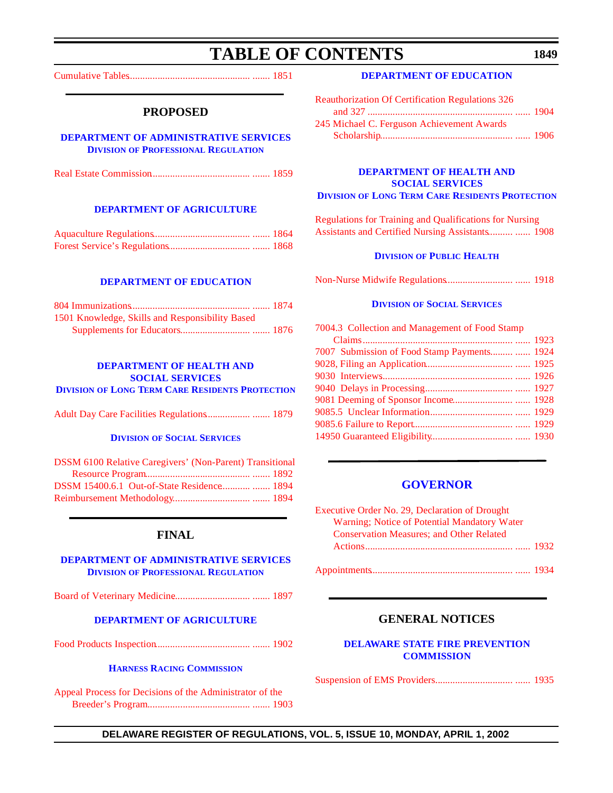# **TABLE OF CONTENTS**

<span id="page-3-0"></span>[Cumulative Tables................................................. ....... 1851](#page-5-0)

# **PROPOSED**

#### **[DEPARTMENT OF ADMINISTRATIVE SERVICES](http://professionallicensing.state.de.us/index.shtml) DIVISION OF PROFESSIONAL REGULATION**

|--|--|--|--|

#### **[DEPARTMENT OF AGRICULTURE](http://www.state.de.us/deptagri/index.htm)**

### **[DEPARTMENT OF EDUCATION](http://www.doe.state.de.us/)**

| 1501 Knowledge, Skills and Responsibility Based |  |
|-------------------------------------------------|--|
|                                                 |  |

## **DEPARTMENT OF HEALTH AND SOCIAL SERVICES**

**DIVISION [OF LONG TERM CARE RESIDENTS PROTECTION](http://www.state.de.us/dhss/dltc/dltchome.htm)**

[Adult Day Care Facilities Regulations.................. ....... 1879](#page-33-0)

#### **DIVISION OF SOCIAL SERVICES**

| <b>DSSM 6100 Relative Caregivers' (Non-Parent) Transitional</b> |  |
|-----------------------------------------------------------------|--|
|                                                                 |  |
| DSSM 15400.6.1 Out-of-State Residence  1894                     |  |
|                                                                 |  |

# **FINAL**

### **[DEPARTMENT OF ADMINISTRATIVE SERVICES](http://professionallicensing.state.de.us/index.shtml) DIVISION OF PROFESSIONAL REGULATION**

[Board of Veterinary Medicine............................... ....... 1897](#page-51-0)

### **[DEPARTMENT OF AGRICULTURE](http://www.state.de.us/deptagri/index.htm)**

[Food Products Inspection...................................... ....... 1902](#page-56-0)

#### **[HARNESS RACING COMMISSION](http://www.state.de.us/deptagri/About_Us/harness.htm)**

[Appeal Process for Decisions of the Administrator of the](#page-57-0) Breeder's Program......................................... ....... 1903

### **[DEPARTMENT OF EDUCATION](http://www.doe.state.de.us/)**

| <b>Reauthorization Of Certification Regulations 326</b> |  |
|---------------------------------------------------------|--|
|                                                         |  |
| 245 Michael C. Ferguson Achievement Awards              |  |
|                                                         |  |

#### **DEPARTMENT OF HEALTH AND SOCIAL SERVICES DIVISION [OF LONG TERM CARE RESIDENTS PROTECTION](http://www.state.de.us/dhss/dltc/dltchome.htm)**

Regulations for Training and Qualifications for Nursing [Assistants and Certified Nursing Assistants.......... ...... 1908](#page-62-0)

#### **DIVISION [OF PUBLIC HEALTH](http://www.state.de.us/dhss/dph/index.htm)**

[Non-Nurse Midwife Regulations........................... ...... 1918](#page-72-0)

#### **DIVISION [OF SOCIAL SERVICES](http://www.state.de.us/dhss/dss/dsshome.html)**

| 7004.3 Collection and Management of Food Stamp |  |
|------------------------------------------------|--|
|                                                |  |
| 7007 Submission of Food Stamp Payments  1924   |  |
|                                                |  |
|                                                |  |
|                                                |  |
|                                                |  |
|                                                |  |
|                                                |  |
|                                                |  |
|                                                |  |

### **[GOVERNOR](http://www.state.de.us/governor/index.htm)**

| <b>Executive Order No. 29, Declaration of Drought</b> |  |
|-------------------------------------------------------|--|
| Warning; Notice of Potential Mandatory Water          |  |
| <b>Conservation Measures; and Other Related</b>       |  |
|                                                       |  |
|                                                       |  |

|--|--|--|--|

# **GENERAL NOTICES**

## **[DELAWARE STATE FIRE PREVENTION](http://www.state.de.us/sfmo/commis.htm)  COMMISSION**

[Suspension of EMS Providers............................... ...... 1935](#page-89-0)

## **DELAWARE REGISTER OF REGULATIONS, VOL. 5, ISSUE 10, MONDAY, APRIL 1, 2002**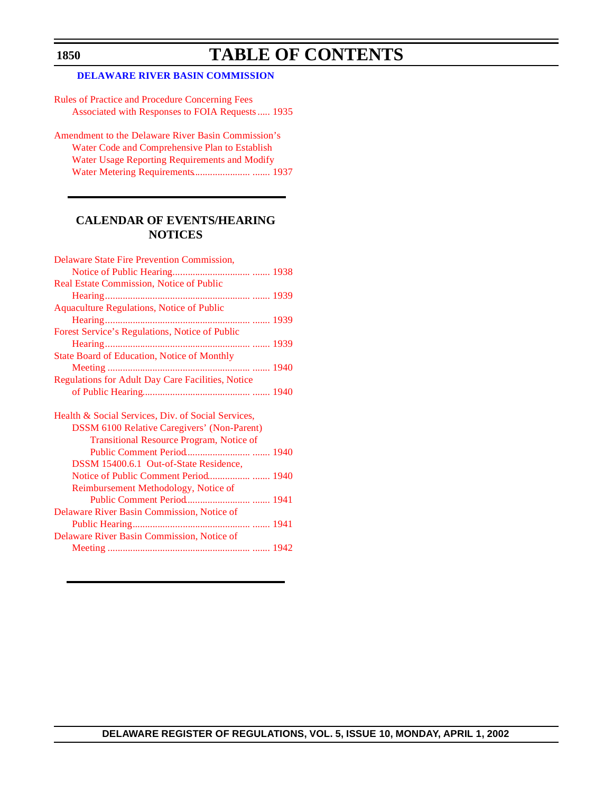# **TABLE OF CONTENTS**

# **[DELAWARE RIVER BASIN COMMISSION](http://www.state.nj.us/drbc/drbc.htm)**

Rules of Practice and Procedure Concerning Fees [Associated with Responses to FOIA Requests ..... 1935](#page-89-0)

[Amendment to the Delaware River Basin Commission's](#page-91-0) Water Code and Comprehensive Plan to Establish Water Usage Reporting Requirements and Modify Water Metering Requirements....................... ....... 1937

# **CALENDAR OF EVENTS/HEARING NOTICES**

| Delaware State Fire Prevention Commission,               |  |
|----------------------------------------------------------|--|
|                                                          |  |
| Real Estate Commission, Notice of Public                 |  |
|                                                          |  |
| <b>Aquaculture Regulations, Notice of Public</b>         |  |
|                                                          |  |
| Forest Service's Regulations, Notice of Public           |  |
|                                                          |  |
| <b>State Board of Education, Notice of Monthly</b>       |  |
|                                                          |  |
| <b>Regulations for Adult Day Care Facilities, Notice</b> |  |
|                                                          |  |
|                                                          |  |
|                                                          |  |
| Health & Social Services, Div. of Social Services,       |  |
| <b>DSSM 6100 Relative Caregivers' (Non-Parent)</b>       |  |
| <b>Transitional Resource Program, Notice of</b>          |  |
|                                                          |  |
| DSSM 15400.6.1 Out-of-State Residence,                   |  |
| Notice of Public Comment Period 1940                     |  |
| Reimbursement Methodology, Notice of                     |  |
|                                                          |  |
| Delaware River Basin Commission, Notice of               |  |
|                                                          |  |
| Delaware River Basin Commission, Notice of               |  |
|                                                          |  |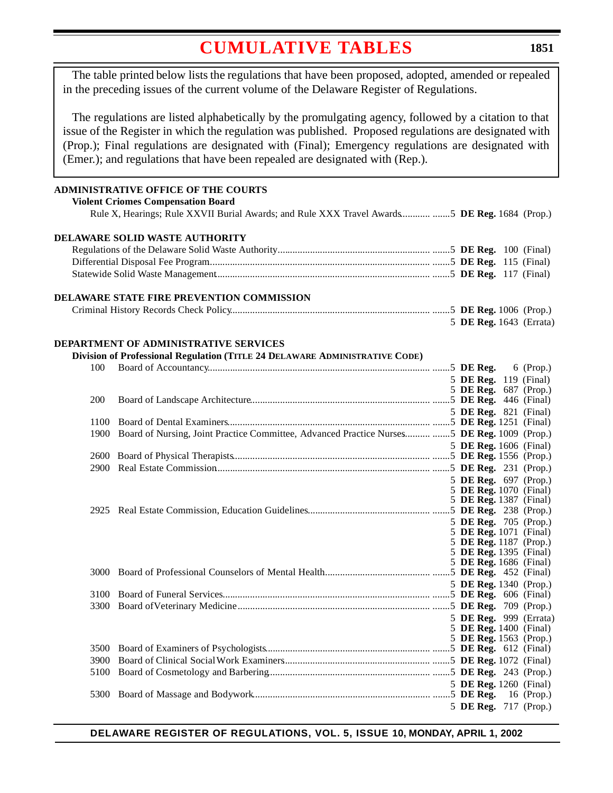<span id="page-5-0"></span>The table printed below lists the regulations that have been proposed, adopted, amended or repealed in the preceding issues of the current volume of the Delaware Register of Regulations.

The regulations are listed alphabetically by the promulgating agency, followed by a citation to that issue of the Register in which the regulation was published. Proposed regulations are designated with (Prop.); Final regulations are designated with (Final); Emergency regulations are designated with (Emer.); and regulations that have been repealed are designated with (Rep.).

## **ADMINISTRATIVE OFFICE OF THE COURTS**

**Violent Criomes Compensation Board**

Rule X, Hearings; Rule XXVII Burial Awards; and Rule XXX Travel Awards............ .......5 **DE Reg.** 1684 (Prop.)

#### **DELAWARE SOLID WASTE AUTHORITY**

### **DELAWARE STATE FIRE PREVENTION COMMISSION**

| 5 DE Reg. 1643 (Errata) |  |
|-------------------------|--|

### **DEPARTMENT OF ADMINISTRATIVE SERVICES**

### **Division of Professional Regulation (TITLE 24 DELAWARE ADMINISTRATIVE CODE)**

| 100        |                                                                                              |  |                              |
|------------|----------------------------------------------------------------------------------------------|--|------------------------------|
|            |                                                                                              |  | 5 DE Reg. 119 (Final)        |
|            |                                                                                              |  | 5 DE Reg. 687 (Prop.)        |
| <b>200</b> |                                                                                              |  |                              |
|            |                                                                                              |  | 5 <b>DE Reg.</b> 821 (Final) |
| 1100       |                                                                                              |  |                              |
| 1900       | Board of Nursing, Joint Practice Committee, Advanced Practice Nurses  5 DE Reg. 1009 (Prop.) |  |                              |
|            |                                                                                              |  | 5 DE Reg. 1606 (Final)       |
|            |                                                                                              |  |                              |
| 2900       |                                                                                              |  |                              |
|            |                                                                                              |  | 5 DE Reg. 697 (Prop.)        |
|            |                                                                                              |  | 5 DE Reg. 1070 (Final)       |
|            |                                                                                              |  | 5 DE Reg. 1387 (Final)       |
|            |                                                                                              |  |                              |
|            |                                                                                              |  | 5 DE Reg. 705 (Prop.)        |
|            |                                                                                              |  | 5 DE Reg. 1071 (Final)       |
|            |                                                                                              |  | 5 DE Reg. 1187 (Prop.)       |
|            |                                                                                              |  | 5 DE Reg. 1395 (Final)       |
|            |                                                                                              |  | 5 DE Reg. 1686 (Final)       |
|            |                                                                                              |  |                              |
|            |                                                                                              |  | 5 DE Reg. 1340 (Prop.)       |
| 3100       |                                                                                              |  |                              |
| 3300       |                                                                                              |  |                              |
|            |                                                                                              |  | 5 DE Reg. 999 (Errata)       |
|            |                                                                                              |  | 5 DE Reg. 1400 (Final)       |
|            |                                                                                              |  | 5 DE Reg. 1563 (Prop.)       |
|            |                                                                                              |  |                              |
| 3900       |                                                                                              |  |                              |
| 5100       |                                                                                              |  |                              |
|            |                                                                                              |  | 5 DE Reg. 1260 (Final)       |
|            |                                                                                              |  |                              |
|            |                                                                                              |  | 5 DE Reg. 717 (Prop.)        |
|            |                                                                                              |  |                              |

#### **DELAWARE REGISTER OF REGULATIONS, VOL. 5, ISSUE 10, MONDAY, APRIL 1, 2002**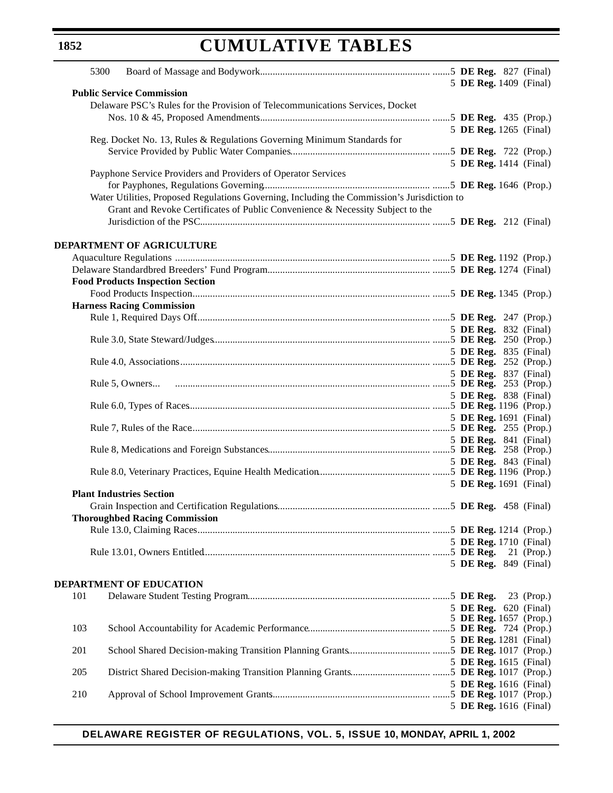| 5300                                                                                        |                        |
|---------------------------------------------------------------------------------------------|------------------------|
| <b>Public Service Commission</b>                                                            | 5 DE Reg. 1409 (Final) |
| Delaware PSC's Rules for the Provision of Telecommunications Services, Docket               |                        |
|                                                                                             |                        |
|                                                                                             | 5 DE Reg. 1265 (Final) |
| Reg. Docket No. 13, Rules & Regulations Governing Minimum Standards for                     |                        |
|                                                                                             |                        |
|                                                                                             | 5 DE Reg. 1414 (Final) |
| Payphone Service Providers and Providers of Operator Services                               |                        |
|                                                                                             |                        |
| Water Utilities, Proposed Regulations Governing, Including the Commission's Jurisdiction to |                        |
| Grant and Revoke Certificates of Public Convenience & Necessity Subject to the              |                        |
|                                                                                             |                        |
| <b>DEPARTMENT OF AGRICULTURE</b>                                                            |                        |
|                                                                                             |                        |
|                                                                                             |                        |
| <b>Food Products Inspection Section</b>                                                     |                        |
|                                                                                             |                        |
| <b>Harness Racing Commission</b>                                                            |                        |
|                                                                                             |                        |
|                                                                                             | 5 DE Reg. 832 (Final)  |
|                                                                                             |                        |
|                                                                                             | 5 DE Reg. 835 (Final)  |
|                                                                                             |                        |
|                                                                                             | 5 DE Reg. 837 (Final)  |
|                                                                                             | 5 DE Reg. 838 (Final)  |
|                                                                                             |                        |
|                                                                                             | 5 DE Reg. 1691 (Final) |
|                                                                                             |                        |
|                                                                                             | 5 DE Reg. 841 (Final)  |
|                                                                                             |                        |
|                                                                                             | 5 DE Reg. 843 (Final)  |
|                                                                                             | 5 DE Reg. 1691 (Final) |
| <b>Plant Industries Section</b>                                                             |                        |
|                                                                                             |                        |
| <b>Thoroughbed Racing Commission</b>                                                        |                        |
|                                                                                             |                        |
|                                                                                             | 5 DE Reg. 1710 (Final) |
|                                                                                             | $21$ (Prop.)           |
|                                                                                             | 5 DE Reg. 849 (Final)  |
| <b>DEPARTMENT OF EDUCATION</b>                                                              |                        |
| 101                                                                                         | 23 (Prop.)             |
|                                                                                             | 5 DE Reg. 620 (Final)  |
|                                                                                             | 5 DE Reg. 1657 (Prop.) |
| 103                                                                                         |                        |
| 201                                                                                         | 5 DE Reg. 1281 (Final) |
|                                                                                             | 5 DE Reg. 1615 (Final) |
| 205                                                                                         |                        |
|                                                                                             | 5 DE Reg. 1616 (Final) |
| 210                                                                                         |                        |
|                                                                                             | 5 DE Reg. 1616 (Final) |

# **DELAWARE REGISTER OF REGULATIONS, VOL. 5, ISSUE 10, MONDAY, APRIL 1, 2002**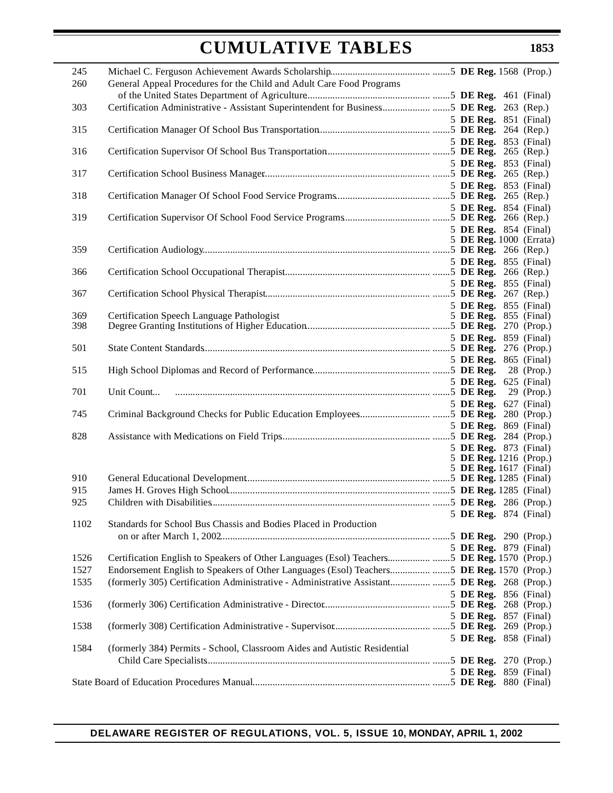| 245        |                                                                                             |  |  |                                                  |
|------------|---------------------------------------------------------------------------------------------|--|--|--------------------------------------------------|
| 260        | General Appeal Procedures for the Child and Adult Care Food Programs                        |  |  |                                                  |
| 303        | Certification Administrative - Assistant Superintendent for Business5 DE Reg. 263 (Rep.)    |  |  |                                                  |
|            |                                                                                             |  |  | 5 DE Reg. 851 (Final)                            |
| 315        |                                                                                             |  |  | 5 DE Reg. 853 (Final)                            |
| 316        |                                                                                             |  |  |                                                  |
| 317        |                                                                                             |  |  | 5 DE Reg. 853 (Final)                            |
| 318        |                                                                                             |  |  | 5 DE Reg. 853 (Final)                            |
|            |                                                                                             |  |  | 5 DE Reg. 854 (Final)                            |
| 319        |                                                                                             |  |  |                                                  |
|            |                                                                                             |  |  | 5 DE Reg. 854 (Final)<br>5 DE Reg. 1000 (Errata) |
| 359        |                                                                                             |  |  |                                                  |
| 366        |                                                                                             |  |  | 5 DE Reg. 855 (Final)                            |
|            |                                                                                             |  |  | 5 DE Reg. 855 (Final)                            |
| 367        |                                                                                             |  |  |                                                  |
| 369        | Certification Speech Language Pathologist                                                   |  |  | 5 DE Reg. 855 (Final)<br>5 DE Reg. 855 (Final)   |
| 398        |                                                                                             |  |  |                                                  |
|            |                                                                                             |  |  | 5 DE Reg. 859 (Final)                            |
| 501        |                                                                                             |  |  | 5 DE Reg. 865 (Final)                            |
| 515        |                                                                                             |  |  |                                                  |
| 701        |                                                                                             |  |  | 5 DE Reg. 625 (Final)                            |
| 745        |                                                                                             |  |  | 5 DE Reg. 627 (Final)                            |
|            |                                                                                             |  |  | 5 DE Reg. 869 (Final)                            |
| 828        |                                                                                             |  |  |                                                  |
|            |                                                                                             |  |  | 5 DE Reg. 873 (Final)<br>5 DE Reg. 1216 (Prop.)  |
|            |                                                                                             |  |  | 5 DE Reg. 1617 (Final)                           |
| 910        |                                                                                             |  |  |                                                  |
| 915<br>925 |                                                                                             |  |  |                                                  |
|            |                                                                                             |  |  | 5 DE Reg. 874 (Final)                            |
| 1102       | Standards for School Bus Chassis and Bodies Placed in Production                            |  |  |                                                  |
|            |                                                                                             |  |  |                                                  |
| 1526       | Certification English to Speakers of Other Languages (Esol) Teachers5 DE Reg. 1570 (Prop.)  |  |  | 5 DE Reg. 879 (Final)                            |
| 1527       | Endorsement English to Speakers of Other Languages (Esol) Teachers5 DE Reg. 1570 (Prop.)    |  |  |                                                  |
| 1535       | (formerly 305) Certification Administrative - Administrative Assistant5 DE Reg. 268 (Prop.) |  |  |                                                  |
| 1536       |                                                                                             |  |  | 5 DE Reg. 856 (Final)                            |
|            |                                                                                             |  |  | 5 DE Reg. 857 (Final)                            |
| 1538       |                                                                                             |  |  |                                                  |
| 1584       | (formerly 384) Permits - School, Classroom Aides and Autistic Residential                   |  |  | 5 DE Reg. 858 (Final)                            |
|            |                                                                                             |  |  |                                                  |
|            |                                                                                             |  |  | 5 DE Reg. 859 (Final)                            |
|            |                                                                                             |  |  |                                                  |

# **DELAWARE REGISTER OF REGULATIONS, VOL. 5, ISSUE 10, MONDAY, APRIL 1, 2002**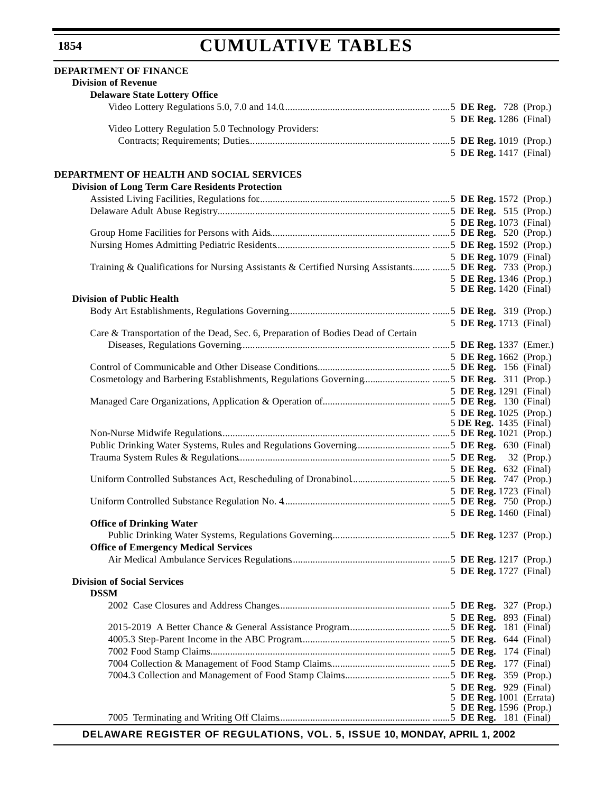### **DEPARTMENT OF FINANCE Division of Revenue Delaware State Lottery Office** Video Lottery Regulations 5.0, 7.0 and 14.0........................................................... .......5 **DE Reg.** 728 (Prop.) 5 **DE Reg.** 1286 (Final) Video Lottery Regulation 5.0 Technology Providers: Contracts; Requirements; Duties......................................................................... .......5 **DE Reg.** 1019 (Prop.) 5 **DE Reg.** 1417 (Final) **DEPARTMENT OF HEALTH AND SOCIAL SERVICES Division of Long Term Care Residents Protection** Assisted Living Facilities, Regulations for..................................................................... .......5 **DE Reg.** 1572 (Prop.) Delaware Adult Abuse Registry..................................................................................... .......5 **DE Reg.** 515 (Prop.) 5 **DE Reg.** 1073 (Final) Group Home Facilities for Persons with Aids................................................................ .......5 **DE Reg.** 520 (Prop.) Nursing Homes Admitting Pediatric Residents.............................................................. .......5 **DE Reg.** 1592 (Prop.) 5 **DE Reg.** 1079 (Final) Training & Qualifications for Nursing Assistants & Certified Nursing Assistants........ .......5 **DE Reg.** 733 (Prop.) 5 **DE Reg.** 1346 (Prop.) 5 **DE Reg.** 1420 (Final) **Division of Public Health** Body Art Establishments, Regulations Governing......................................................... .......5 **DE Reg.** 319 (Prop.) 5 **DE Reg.** 1713 (Final) Care & Transportation of the Dead, Sec. 6, Preparation of Bodies Dead of Certain Diseases, Regulations Governing............................................................................ .......5 **DE Reg.** 1337 (Emer.) 5 **DE Reg.** 1662 (Prop.) Control of Communicable and Other Disease Conditions.............................................. .......5 **DE Reg.** 156 (Final) Cosmetology and Barbering Establishments, Regulations Governing........................... .......5 **DE Reg.** 311 (Prop.) 5 **DE Reg.** 1291 (Final) Managed Care Organizations, Application & Operation of........................................... .......5 **DE Reg.** 130 (Final) 5 **DE Reg.** 1025 (Prop.) 5 **DE Reg.** 1435(Final) Non-Nurse Midwife Regulations.................................................................................... .......5 **DE Reg.** 1021 (Prop.) Public Drinking Water Systems, Rules and Regulations Governing.............................. .......5 **DE Reg.** 630 (Final) Trauma System Rules & Regulations............................................................................. .......5 **DE Reg.** 32 (Prop.) 5 **DE Reg.** 632 (Final) Uniform Controlled Substances Act, Rescheduling of Dronabinol................................ .......5 **DE Reg.** 747 (Prop.) 5 **DE Reg.** 1723 (Final) Uniform Controlled Substance Regulation No. 4........................................................... .......5 **DE Reg.** 750 (Prop.) 5 **DE Reg.** 1460 (Final) **Office of Drinking Water** Public Drinking Water Systems, Regulations Governing........................................ .......5 **DE Reg.** 1237 (Prop.) **Office of Emergency Medical Services** Air Medical Ambulance Services Regulations........................................................ .......5 **DE Reg.** 1217 (Prop.) 5 **DE Reg.** 1727 (Final) **Division of Social Services DSSM**  2002 Case Closures and Address Changes............................................................. .......5 **DE Reg.** 327 (Prop.) 5 **DE Reg.** 893 (Final) 2015-2019 A Better Chance & General Assistance Program................................. .......5 **DE Reg.** 181 (Final) 4005.3 Step-Parent Income in the ABC Program.................................................... .......5 **DE Reg.** 644 (Final) 7002 Food Stamp Claims........................................................................................ .......5 **DE Reg.** 174 (Final) 7004 Collection & Management of Food Stamp Claims........................................ .......5 **DE Reg.** 177 (Final) 7004.3 Collection and Management of Food Stamp Claims................................... .......5 **DE Reg.** 359 (Prop.) 5 **DE Reg.** 929 (Final) 5 **DE Reg.** 1001 (Errata) 5 **DE Reg.** 1596 (Prop.) 7005 Terminating and Writing Off Claims............................................................. .......5 **DE Reg.** 181 (Final)

**DELAWARE REGISTER OF REGULATIONS, VOL. 5, ISSUE 10, MONDAY, APRIL 1, 2002**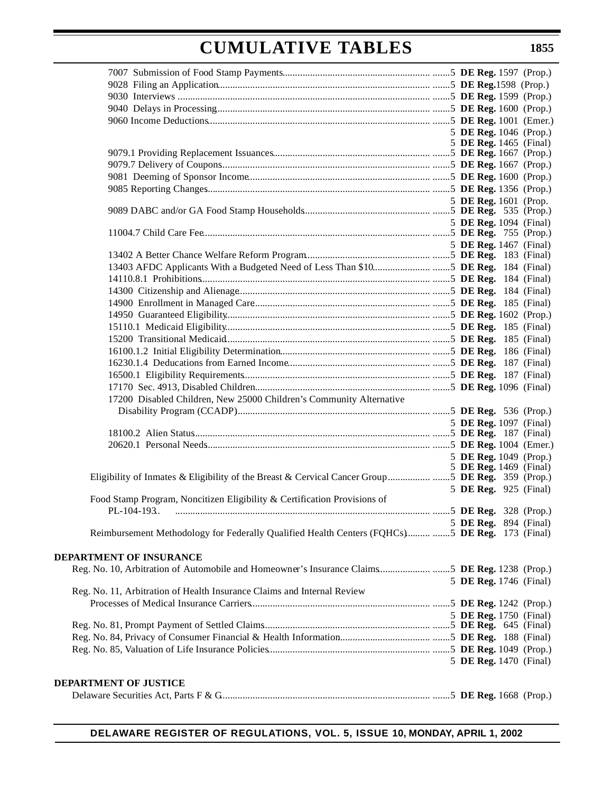|                                                                                                 | 5 DE Reg. 1046 (Prop.) |  |
|-------------------------------------------------------------------------------------------------|------------------------|--|
|                                                                                                 | 5 DE Reg. 1465 (Final) |  |
|                                                                                                 |                        |  |
|                                                                                                 |                        |  |
|                                                                                                 |                        |  |
|                                                                                                 |                        |  |
|                                                                                                 | 5 DE Reg. 1601 (Prop.  |  |
|                                                                                                 | 5 DE Reg. 1094 (Final) |  |
|                                                                                                 |                        |  |
|                                                                                                 | 5 DE Reg. 1467 (Final) |  |
|                                                                                                 |                        |  |
|                                                                                                 |                        |  |
|                                                                                                 |                        |  |
|                                                                                                 |                        |  |
|                                                                                                 |                        |  |
|                                                                                                 |                        |  |
|                                                                                                 |                        |  |
|                                                                                                 |                        |  |
|                                                                                                 |                        |  |
|                                                                                                 |                        |  |
|                                                                                                 |                        |  |
|                                                                                                 |                        |  |
| 17200 Disabled Children, New 25000 Children's Community Alternative                             |                        |  |
|                                                                                                 |                        |  |
|                                                                                                 | 5 DE Reg. 1097 (Final) |  |
|                                                                                                 |                        |  |
|                                                                                                 | 5 DE Reg. 1049 (Prop.) |  |
|                                                                                                 | 5 DE Reg. 1469 (Final) |  |
| Eligibility of Inmates & Eligibility of the Breast & Cervical Cancer Group5 DE Reg. 359 (Prop.) |                        |  |
|                                                                                                 | 5 DE Reg. 925 (Final)  |  |
| Food Stamp Program, Noncitizen Eligibility & Certification Provisions of                        |                        |  |
|                                                                                                 | 5 DE Reg. 894 (Final)  |  |
| Reimbursement Methodology for Federally Qualified Health Centers (FQHCs) 5 DE Reg. 173 (Final)  |                        |  |
|                                                                                                 |                        |  |
| <b>DEPARTMENT OF INSURANCE</b>                                                                  |                        |  |
| Reg. No. 10, Arbitration of Automobile and Homeowner's Insurance Claims5 DE Reg. 1238 (Prop.)   |                        |  |
|                                                                                                 | 5 DE Reg. 1746 (Final) |  |
| Reg. No. 11, Arbitration of Health Insurance Claims and Internal Review                         |                        |  |
|                                                                                                 |                        |  |
|                                                                                                 | 5 DE Reg. 1750 (Final) |  |
|                                                                                                 |                        |  |
|                                                                                                 |                        |  |
|                                                                                                 | 5 DE Reg. 1470 (Final) |  |
|                                                                                                 |                        |  |
| <b>DEPARTMENT OF JUSTICE</b>                                                                    |                        |  |
|                                                                                                 |                        |  |
|                                                                                                 |                        |  |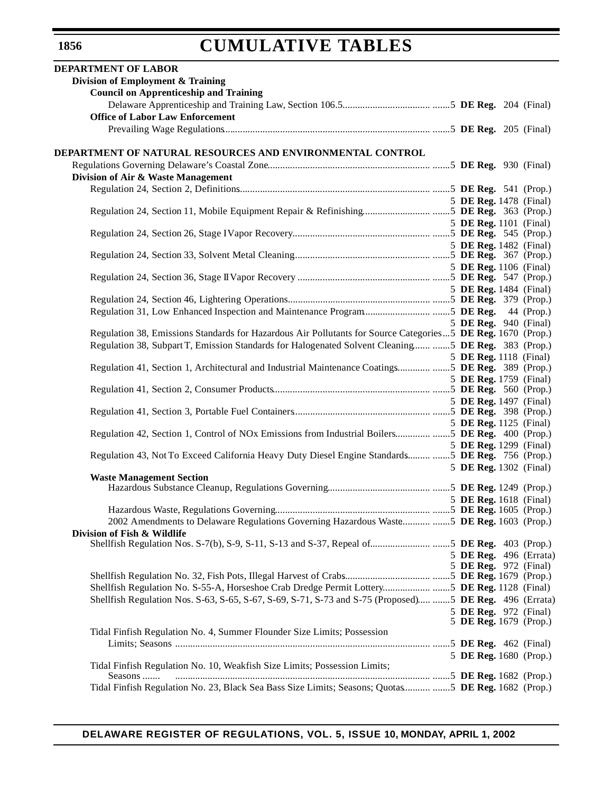| DEPARTMENT OF LABOR                                                                                          |  |                                                 |
|--------------------------------------------------------------------------------------------------------------|--|-------------------------------------------------|
| Division of Employment & Training                                                                            |  |                                                 |
| <b>Council on Apprenticeship and Training</b>                                                                |  |                                                 |
|                                                                                                              |  |                                                 |
| <b>Office of Labor Law Enforcement</b>                                                                       |  |                                                 |
|                                                                                                              |  |                                                 |
|                                                                                                              |  |                                                 |
| DEPARTMENT OF NATURAL RESOURCES AND ENVIRONMENTAL CONTROL                                                    |  |                                                 |
| Division of Air & Waste Management                                                                           |  |                                                 |
|                                                                                                              |  |                                                 |
|                                                                                                              |  | 5 DE Reg. 1478 (Final)                          |
|                                                                                                              |  |                                                 |
|                                                                                                              |  | 5 DE Reg. 1101 (Final)                          |
|                                                                                                              |  |                                                 |
|                                                                                                              |  | 5 DE Reg. 1482 (Final)                          |
|                                                                                                              |  |                                                 |
|                                                                                                              |  | 5 DE Reg. 1106 (Final)                          |
|                                                                                                              |  | 5 DE Reg. 1484 (Final)                          |
|                                                                                                              |  |                                                 |
|                                                                                                              |  |                                                 |
|                                                                                                              |  | 5 DE Reg. 940 (Final)                           |
| Regulation 38, Emissions Standards for Hazardous Air Pollutants for Source Categories 5 DE Reg. 1670 (Prop.) |  |                                                 |
| Regulation 38, Subpart T, Emission Standards for Halogenated Solvent Cleaning  5 DE Reg. 383 (Prop.)         |  |                                                 |
|                                                                                                              |  | 5 DE Reg. 1118 (Final)                          |
| Regulation 41, Section 1, Architectural and Industrial Maintenance Coatings5 DE Reg. 389 (Prop.)             |  |                                                 |
|                                                                                                              |  | 5 DE Reg. 1759 (Final)                          |
|                                                                                                              |  | 5 DE Reg. 1497 (Final)                          |
|                                                                                                              |  |                                                 |
|                                                                                                              |  | 5 DE Reg. 1125 (Final)                          |
|                                                                                                              |  |                                                 |
|                                                                                                              |  | 5 DE Reg. 1299 (Final)                          |
| Regulation 43, Not To Exceed California Heavy Duty Diesel Engine Standards  5 DE Reg. 756 (Prop.)            |  |                                                 |
| <b>Waste Management Section</b>                                                                              |  | 5 DE Reg. 1302 (Final)                          |
|                                                                                                              |  |                                                 |
|                                                                                                              |  | 5 DE Reg. 1618 (Final)                          |
|                                                                                                              |  |                                                 |
| 2002 Amendments to Delaware Regulations Governing Hazardous Waste  5 DE Reg. 1603 (Prop.)                    |  |                                                 |
| Division of Fish & Wildlife                                                                                  |  |                                                 |
|                                                                                                              |  |                                                 |
|                                                                                                              |  | 5 DE Reg. 496 (Errata)<br>5 DE Reg. 972 (Final) |
|                                                                                                              |  |                                                 |
| Shellfish Regulation No. S-55-A, Horseshoe Crab Dredge Permit Lottery5 DE Reg. 1128 (Final)                  |  |                                                 |
| Shellfish Regulation Nos. S-63, S-65, S-67, S-69, S-71, S-73 and S-75 (Proposed) 5 DE Reg. 496 (Errata)      |  |                                                 |
|                                                                                                              |  | 5 DE Reg. 972 (Final)                           |
|                                                                                                              |  | 5 DE Reg. 1679 (Prop.)                          |
| Tidal Finfish Regulation No. 4, Summer Flounder Size Limits; Possession                                      |  |                                                 |
|                                                                                                              |  |                                                 |
| Tidal Finfish Regulation No. 10, Weakfish Size Limits; Possession Limits;                                    |  | 5 DE Reg. 1680 (Prop.)                          |
| Seasons                                                                                                      |  |                                                 |
| Tidal Finfish Regulation No. 23, Black Sea Bass Size Limits; Seasons; Quotas  5 DE Reg. 1682 (Prop.)         |  |                                                 |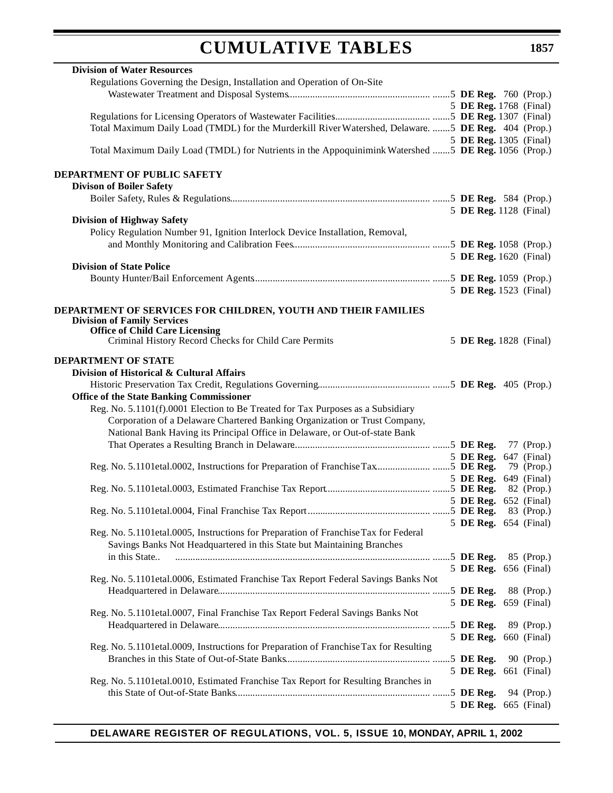| <b>Division of Water Resources</b>                                                                   |  |           |                        |
|------------------------------------------------------------------------------------------------------|--|-----------|------------------------|
| Regulations Governing the Design, Installation and Operation of On-Site                              |  |           |                        |
|                                                                                                      |  |           |                        |
|                                                                                                      |  |           | 5 DE Reg. 1768 (Final) |
|                                                                                                      |  |           |                        |
| Total Maximum Daily Load (TMDL) for the Murderkill River Watershed, Delaware.  5 DE Reg. 404 (Prop.) |  |           |                        |
|                                                                                                      |  |           | 5 DE Reg. 1305 (Final) |
| Total Maximum Daily Load (TMDL) for Nutrients in the Appoquinimink Watershed  5 DE Reg. 1056 (Prop.) |  |           |                        |
|                                                                                                      |  |           |                        |
| DEPARTMENT OF PUBLIC SAFETY                                                                          |  |           |                        |
| <b>Divison of Boiler Safety</b>                                                                      |  |           |                        |
|                                                                                                      |  |           |                        |
|                                                                                                      |  |           | 5 DE Reg. 1128 (Final) |
| <b>Division of Highway Safety</b>                                                                    |  |           |                        |
| Policy Regulation Number 91, Ignition Interlock Device Installation, Removal,                        |  |           |                        |
|                                                                                                      |  |           |                        |
|                                                                                                      |  |           | 5 DE Reg. 1620 (Final) |
| <b>Division of State Police</b>                                                                      |  |           |                        |
|                                                                                                      |  |           |                        |
|                                                                                                      |  |           | 5 DE Reg. 1523 (Final) |
|                                                                                                      |  |           |                        |
| DEPARTMENT OF SERVICES FOR CHILDREN, YOUTH AND THEIR FAMILIES                                        |  |           |                        |
| <b>Division of Family Services</b>                                                                   |  |           |                        |
| <b>Office of Child Care Licensing</b>                                                                |  |           |                        |
| Criminal History Record Checks for Child Care Permits                                                |  |           | 5 DE Reg. 1828 (Final) |
| <b>DEPARTMENT OF STATE</b>                                                                           |  |           |                        |
| Division of Historical & Cultural Affairs                                                            |  |           |                        |
|                                                                                                      |  |           |                        |
|                                                                                                      |  |           |                        |
| <b>Office of the State Banking Commissioner</b>                                                      |  |           |                        |
| Reg. No. 5.1101(f).0001 Election to Be Treated for Tax Purposes as a Subsidiary                      |  |           |                        |
| Corporation of a Delaware Chartered Banking Organization or Trust Company,                           |  |           |                        |
| National Bank Having its Principal Office in Delaware, or Out-of-state Bank                          |  |           |                        |
|                                                                                                      |  |           | 77 (Prop.)             |
|                                                                                                      |  |           | 5 DE Reg. 647 (Final)  |
|                                                                                                      |  |           | 79 (Prop.)             |
|                                                                                                      |  |           | 5 DE Reg. 649 (Final)  |
|                                                                                                      |  |           | 82 (Prop.)             |
|                                                                                                      |  |           | 5 DE Reg. 652 (Final)  |
|                                                                                                      |  |           | 83 (Prop.)             |
|                                                                                                      |  |           | 5 DE Reg. 654 (Final)  |
| Reg. No. 5.1101etal.0005, Instructions for Preparation of Franchise Tax for Federal                  |  |           |                        |
| Savings Banks Not Headquartered in this State but Maintaining Branches                               |  |           |                        |
| in this State                                                                                        |  |           | 85 (Prop.)             |
|                                                                                                      |  |           | 5 DE Reg. 656 (Final)  |
| Reg. No. 5.1101etal.0006, Estimated Franchise Tax Report Federal Savings Banks Not                   |  |           |                        |
|                                                                                                      |  |           | 88 (Prop.)             |
|                                                                                                      |  |           | 5 DE Reg. 659 (Final)  |
| Reg. No. 5.1101etal.0007, Final Franchise Tax Report Federal Savings Banks Not                       |  |           |                        |
|                                                                                                      |  |           | 89 (Prop.)             |
|                                                                                                      |  |           | 5 DE Reg. 660 (Final)  |
| Reg. No. 5.1101etal.0009, Instructions for Preparation of Franchise Tax for Resulting                |  |           |                        |
|                                                                                                      |  |           | 90 (Prop.)             |
|                                                                                                      |  |           | 5 DE Reg. 661 (Final)  |
| Reg. No. 5.1101etal.0010, Estimated Franchise Tax Report for Resulting Branches in                   |  |           |                        |
|                                                                                                      |  | 5 DE Reg. | 94 (Prop.)             |
|                                                                                                      |  | 5 DE Reg. | 665 (Final)            |

# **DELAWARE REGISTER OF REGULATIONS, VOL. 5, ISSUE 10, MONDAY, APRIL 1, 2002**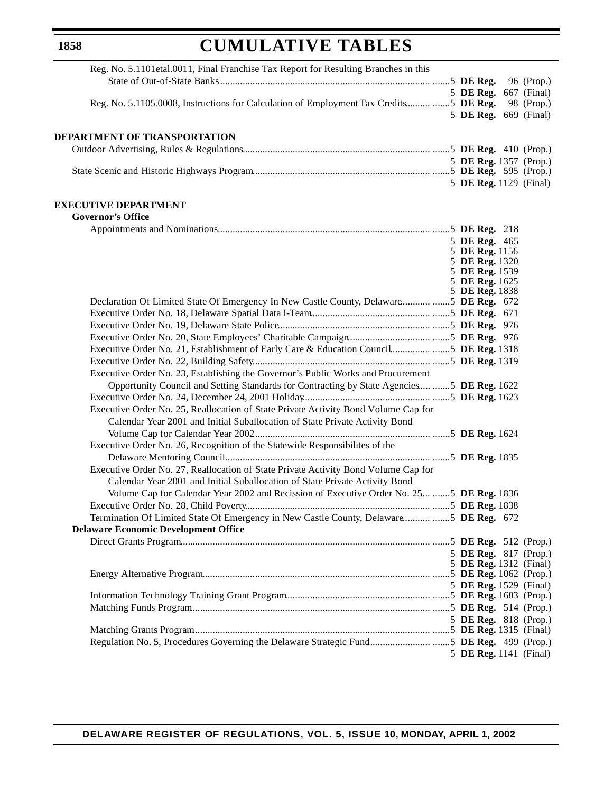# **CUMULATIVE TABLES**

| Reg. No. 5.1101etal.0011, Final Franchise Tax Report for Resulting Branches in this         |                                  |            |
|---------------------------------------------------------------------------------------------|----------------------------------|------------|
|                                                                                             |                                  |            |
|                                                                                             | 5 DE Reg. 667 (Final)            |            |
| Reg. No. 5.1105.0008, Instructions for Calculation of Employment Tax Credits  5 DE Reg.     |                                  | 98 (Prop.) |
|                                                                                             | 5 DE Reg. 669 (Final)            |            |
|                                                                                             |                                  |            |
| DEPARTMENT OF TRANSPORTATION                                                                |                                  |            |
|                                                                                             |                                  |            |
|                                                                                             | 5 DE Reg. 1357 (Prop.)           |            |
|                                                                                             | 5 DE Reg. 1129 (Final)           |            |
|                                                                                             |                                  |            |
| <b>EXECUTIVE DEPARTMENT</b>                                                                 |                                  |            |
| <b>Governor's Office</b>                                                                    |                                  |            |
|                                                                                             |                                  |            |
|                                                                                             | 5 DE Reg. 465                    |            |
|                                                                                             | 5 DE Reg. 1156                   |            |
|                                                                                             | 5 DE Reg. 1320                   |            |
|                                                                                             | 5 DE Reg. 1539<br>5 DE Reg. 1625 |            |
|                                                                                             | 5 DE Reg. 1838                   |            |
| Declaration Of Limited State Of Emergency In New Castle County, Delaware5 DE Reg. 672       |                                  |            |
|                                                                                             |                                  |            |
|                                                                                             |                                  |            |
|                                                                                             |                                  |            |
| Executive Order No. 21, Establishment of Early Care & Education Council5 DE Reg. 1318       |                                  |            |
|                                                                                             |                                  |            |
| Executive Order No. 23, Establishing the Governor's Public Works and Procurement            |                                  |            |
| Opportunity Council and Setting Standards for Contracting by State Agencies  5 DE Reg. 1622 |                                  |            |
|                                                                                             |                                  |            |
| Executive Order No. 25, Reallocation of State Private Activity Bond Volume Cap for          |                                  |            |
| Calendar Year 2001 and Initial Suballocation of State Private Activity Bond                 |                                  |            |
|                                                                                             |                                  |            |
| Executive Order No. 26, Recognition of the Statewide Responsibilites of the                 |                                  |            |
|                                                                                             |                                  |            |
| Executive Order No. 27, Reallocation of State Private Activity Bond Volume Cap for          |                                  |            |
| Calendar Year 2001 and Initial Suballocation of State Private Activity Bond                 |                                  |            |
| Volume Cap for Calendar Year 2002 and Recission of Executive Order No. 25  5 DE Reg. 1836   |                                  |            |
|                                                                                             |                                  |            |
| Termination Of Limited State Of Emergency in New Castle County, Delaware 5 DE Reg. 672      |                                  |            |
| <b>Delaware Economic Development Office</b>                                                 |                                  |            |
|                                                                                             |                                  |            |
|                                                                                             | 5 DE Reg. 817 (Prop.)            |            |
|                                                                                             | 5 DE Reg. 1312 (Final)           |            |
|                                                                                             | 5 DE Reg. 1529 (Final)           |            |
|                                                                                             |                                  |            |
|                                                                                             |                                  |            |
|                                                                                             | 5 DE Reg. 818 (Prop.)            |            |
|                                                                                             |                                  |            |
|                                                                                             |                                  |            |
|                                                                                             | 5 DE Reg. 1141 (Final)           |            |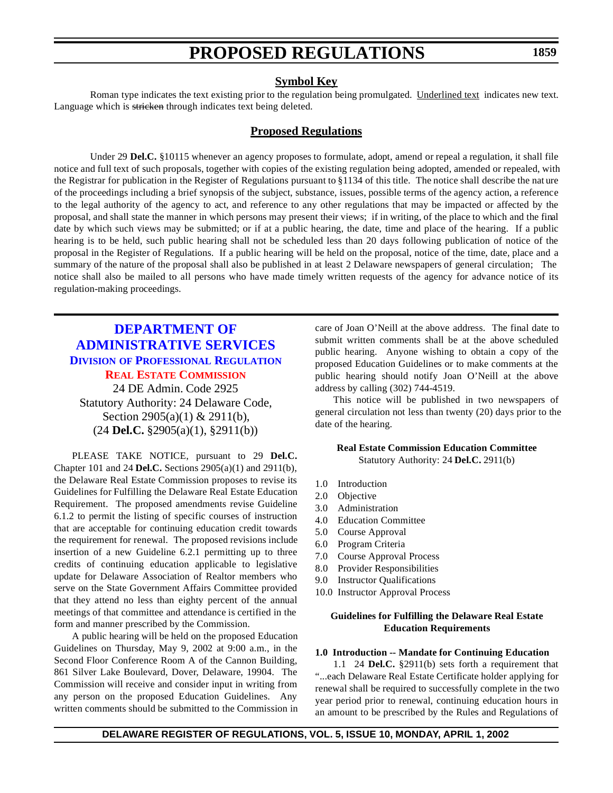## **Symbol Key**

<span id="page-13-0"></span>Roman type indicates the text existing prior to the regulation being promulgated. Underlined text indicates new text. Language which is stricken through indicates text being deleted.

# **Proposed Regulations**

Under 29 **Del.C.** §10115 whenever an agency proposes to formulate, adopt, amend or repeal a regulation, it shall file notice and full text of such proposals, together with copies of the existing regulation being adopted, amended or repealed, with the Registrar for publication in the Register of Regulations pursuant to §1134 of this title. The notice shall describe the nat ure of the proceedings including a brief synopsis of the subject, substance, issues, possible terms of the agency action, a reference to the legal authority of the agency to act, and reference to any other regulations that may be impacted or affected by the proposal, and shall state the manner in which persons may present their views; if in writing, of the place to which and the final date by which such views may be submitted; or if at a public hearing, the date, time and place of the hearing. If a public hearing is to be held, such public hearing shall not be scheduled less than 20 days following publication of notice of the proposal in the Register of Regulations. If a public hearing will be held on the proposal, notice of the time, date, place and a summary of the nature of the proposal shall also be published in at least 2 Delaware newspapers of general circulation; The notice shall also be mailed to all persons who have made timely written requests of the agency for advance notice of its regulation-making proceedings.

# **DEPARTMENT OF [ADMINISTRATIVE SERVICES](http://professionallicensing.state.de.us/index.shtml) DIVISION OF PROFESSIONAL REGULATION REAL ESTATE [COMMISSION](#page-3-0)** 24 DE Admin. Code 2925

Statutory Authority: 24 Delaware Code, Section 2905(a)(1) & 2911(b), (24 **Del.C.** §2905(a)(1), §2911(b))

PLEASE TAKE NOTICE, pursuant to 29 **Del.C.** Chapter 101 and 24 **Del.C.** Sections 2905(a)(1) and 2911(b), the Delaware Real Estate Commission proposes to revise its Guidelines for Fulfilling the Delaware Real Estate Education Requirement. The proposed amendments revise Guideline 6.1.2 to permit the listing of specific courses of instruction that are acceptable for continuing education credit towards the requirement for renewal. The proposed revisions include insertion of a new Guideline 6.2.1 permitting up to three credits of continuing education applicable to legislative update for Delaware Association of Realtor members who serve on the State Government Affairs Committee provided that they attend no less than eighty percent of the annual meetings of that committee and attendance is certified in the form and manner prescribed by the Commission.

A public hearing will be held on the proposed Education Guidelines on Thursday, May 9, 2002 at 9:00 a.m., in the Second Floor Conference Room A of the Cannon Building, 861 Silver Lake Boulevard, Dover, Delaware, 19904. The Commission will receive and consider input in writing from any person on the proposed Education Guidelines. Any written comments should be submitted to the Commission in

care of Joan O'Neill at the above address. The final date to submit written comments shall be at the above scheduled public hearing. Anyone wishing to obtain a copy of the proposed Education Guidelines or to make comments at the public hearing should notify Joan O'Neill at the above address by calling (302) 744-4519.

This notice will be published in two newspapers of general circulation not less than twenty (20) days prior to the date of the hearing.

#### **Real Estate Commission Education Committee** Statutory Authority: 24 **Del.C.** 2911(b)

- 1.0 Introduction
- 2.0 Objective
- 3.0 Administration
- 4.0 Education Committee
- 5.0 Course Approval
- 6.0 Program Criteria
- 7.0 Course Approval Process
- 8.0 Provider Responsibilities
- 9.0 Instructor Qualifications
- 10.0 Instructor Approval Process

### **Guidelines for Fulfilling the Delaware Real Estate Education Requirements**

#### **1.0 Introduction -- Mandate for Continuing Education**

1.1 24 **Del.C.** §2911(b) sets forth a requirement that "...each Delaware Real Estate Certificate holder applying for renewal shall be required to successfully complete in the two year period prior to renewal, continuing education hours in an amount to be prescribed by the Rules and Regulations of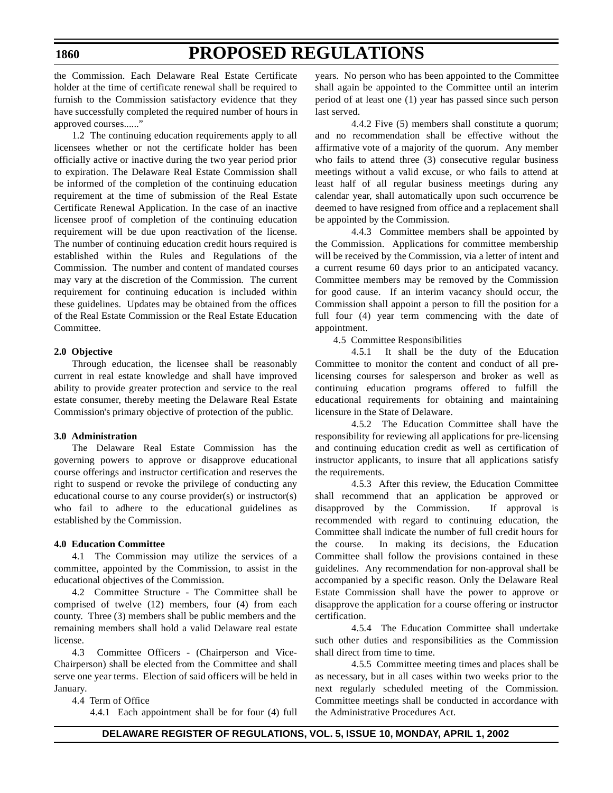# **PROPOSED REGULATIONS**

the Commission. Each Delaware Real Estate Certificate holder at the time of certificate renewal shall be required to furnish to the Commission satisfactory evidence that they have successfully completed the required number of hours in approved courses......"

1.2 The continuing education requirements apply to all licensees whether or not the certificate holder has been officially active or inactive during the two year period prior to expiration. The Delaware Real Estate Commission shall be informed of the completion of the continuing education requirement at the time of submission of the Real Estate Certificate Renewal Application. In the case of an inactive licensee proof of completion of the continuing education requirement will be due upon reactivation of the license. The number of continuing education credit hours required is established within the Rules and Regulations of the Commission. The number and content of mandated courses may vary at the discretion of the Commission. The current requirement for continuing education is included within these guidelines. Updates may be obtained from the offices of the Real Estate Commission or the Real Estate Education Committee.

### **2.0 Objective**

Through education, the licensee shall be reasonably current in real estate knowledge and shall have improved ability to provide greater protection and service to the real estate consumer, thereby meeting the Delaware Real Estate Commission's primary objective of protection of the public.

#### **3.0 Administration**

The Delaware Real Estate Commission has the governing powers to approve or disapprove educational course offerings and instructor certification and reserves the right to suspend or revoke the privilege of conducting any educational course to any course provider(s) or instructor(s) who fail to adhere to the educational guidelines as established by the Commission.

#### **4.0 Education Committee**

4.1 The Commission may utilize the services of a committee, appointed by the Commission, to assist in the educational objectives of the Commission.

4.2 Committee Structure - The Committee shall be comprised of twelve (12) members, four (4) from each county. Three (3) members shall be public members and the remaining members shall hold a valid Delaware real estate license.

4.3 Committee Officers - (Chairperson and Vice-Chairperson) shall be elected from the Committee and shall serve one year terms. Election of said officers will be held in January.

#### 4.4 Term of Office

4.4.1 Each appointment shall be for four (4) full

years. No person who has been appointed to the Committee shall again be appointed to the Committee until an interim period of at least one (1) year has passed since such person last served.

4.4.2 Five (5) members shall constitute a quorum; and no recommendation shall be effective without the affirmative vote of a majority of the quorum. Any member who fails to attend three (3) consecutive regular business meetings without a valid excuse, or who fails to attend at least half of all regular business meetings during any calendar year, shall automatically upon such occurrence be deemed to have resigned from office and a replacement shall be appointed by the Commission.

4.4.3 Committee members shall be appointed by the Commission. Applications for committee membership will be received by the Commission, via a letter of intent and a current resume 60 days prior to an anticipated vacancy. Committee members may be removed by the Commission for good cause. If an interim vacancy should occur, the Commission shall appoint a person to fill the position for a full four (4) year term commencing with the date of appointment.

4.5 Committee Responsibilities

4.5.1 It shall be the duty of the Education Committee to monitor the content and conduct of all prelicensing courses for salesperson and broker as well as continuing education programs offered to fulfill the educational requirements for obtaining and maintaining licensure in the State of Delaware.

4.5.2 The Education Committee shall have the responsibility for reviewing all applications for pre-licensing and continuing education credit as well as certification of instructor applicants, to insure that all applications satisfy the requirements.

4.5.3 After this review, the Education Committee shall recommend that an application be approved or disapproved by the Commission. If approval is recommended with regard to continuing education, the Committee shall indicate the number of full credit hours for the course. In making its decisions, the Education Committee shall follow the provisions contained in these guidelines. Any recommendation for non-approval shall be accompanied by a specific reason. Only the Delaware Real Estate Commission shall have the power to approve or disapprove the application for a course offering or instructor certification.

4.5.4 The Education Committee shall undertake such other duties and responsibilities as the Commission shall direct from time to time.

4.5.5 Committee meeting times and places shall be as necessary, but in all cases within two weeks prior to the next regularly scheduled meeting of the Commission. Committee meetings shall be conducted in accordance with the Administrative Procedures Act.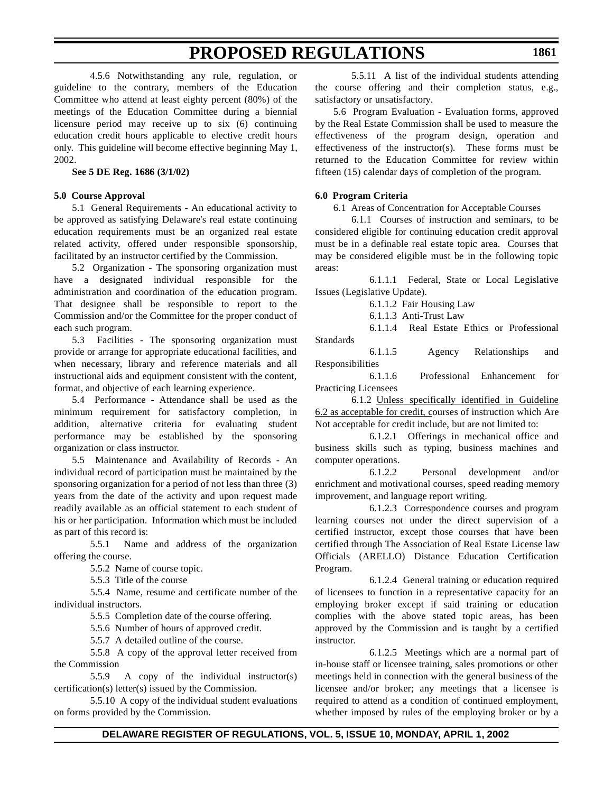4.5.6 Notwithstanding any rule, regulation, or guideline to the contrary, members of the Education Committee who attend at least eighty percent (80%) of the meetings of the Education Committee during a biennial licensure period may receive up to six (6) continuing education credit hours applicable to elective credit hours only. This guideline will become effective beginning May 1, 2002.

**See 5 DE Reg. 1686 (3/1/02)**

#### **5.0 Course Approval**

5.1 General Requirements - An educational activity to be approved as satisfying Delaware's real estate continuing education requirements must be an organized real estate related activity, offered under responsible sponsorship, facilitated by an instructor certified by the Commission.

5.2 Organization - The sponsoring organization must have a designated individual responsible for the administration and coordination of the education program. That designee shall be responsible to report to the Commission and/or the Committee for the proper conduct of each such program.

5.3 Facilities - The sponsoring organization must provide or arrange for appropriate educational facilities, and when necessary, library and reference materials and all instructional aids and equipment consistent with the content, format, and objective of each learning experience.

5.4 Performance - Attendance shall be used as the minimum requirement for satisfactory completion, in addition, alternative criteria for evaluating student performance may be established by the sponsoring organization or class instructor.

5.5 Maintenance and Availability of Records - An individual record of participation must be maintained by the sponsoring organization for a period of not less than three (3) years from the date of the activity and upon request made readily available as an official statement to each student of his or her participation. Information which must be included as part of this record is:

5.5.1 Name and address of the organization offering the course.

5.5.2 Name of course topic.

5.5.3 Title of the course

5.5.4 Name, resume and certificate number of the individual instructors.

5.5.5 Completion date of the course offering.

5.5.6 Number of hours of approved credit.

5.5.7 A detailed outline of the course.

5.5.8 A copy of the approval letter received from the Commission

5.5.9 A copy of the individual instructor(s) certification(s) letter(s) issued by the Commission.

5.5.10 A copy of the individual student evaluations on forms provided by the Commission.

5.5.11 A list of the individual students attending the course offering and their completion status, e.g., satisfactory or unsatisfactory.

5.6 Program Evaluation - Evaluation forms, approved by the Real Estate Commission shall be used to measure the effectiveness of the program design, operation and effectiveness of the instructor(s). These forms must be returned to the Education Committee for review within fifteen (15) calendar days of completion of the program.

#### **6.0 Program Criteria**

6.1 Areas of Concentration for Acceptable Courses

6.1.1 Courses of instruction and seminars, to be considered eligible for continuing education credit approval must be in a definable real estate topic area. Courses that may be considered eligible must be in the following topic areas:

6.1.1.1 Federal, State or Local Legislative Issues (Legislative Update).

6.1.1.2 Fair Housing Law

6.1.1.3 Anti-Trust Law

6.1.1.4 Real Estate Ethics or Professional Standards

6.1.1.5 Agency Relationships and Responsibilities

6.1.1.6 Professional Enhancement for Practicing Licensees

6.1.2 Unless specifically identified in Guideline 6.2 as acceptable for credit, courses of instruction which Are Not acceptable for credit include, but are not limited to:

6.1.2.1 Offerings in mechanical office and business skills such as typing, business machines and computer operations.

6.1.2.2 Personal development and/or enrichment and motivational courses, speed reading memory improvement, and language report writing.

6.1.2.3 Correspondence courses and program learning courses not under the direct supervision of a certified instructor, except those courses that have been certified through The Association of Real Estate License law Officials (ARELLO) Distance Education Certification Program.

6.1.2.4 General training or education required of licensees to function in a representative capacity for an employing broker except if said training or education complies with the above stated topic areas, has been approved by the Commission and is taught by a certified instructor.

6.1.2.5 Meetings which are a normal part of in-house staff or licensee training, sales promotions or other meetings held in connection with the general business of the licensee and/or broker; any meetings that a licensee is required to attend as a condition of continued employment, whether imposed by rules of the employing broker or by a

## **DELAWARE REGISTER OF REGULATIONS, VOL. 5, ISSUE 10, MONDAY, APRIL 1, 2002**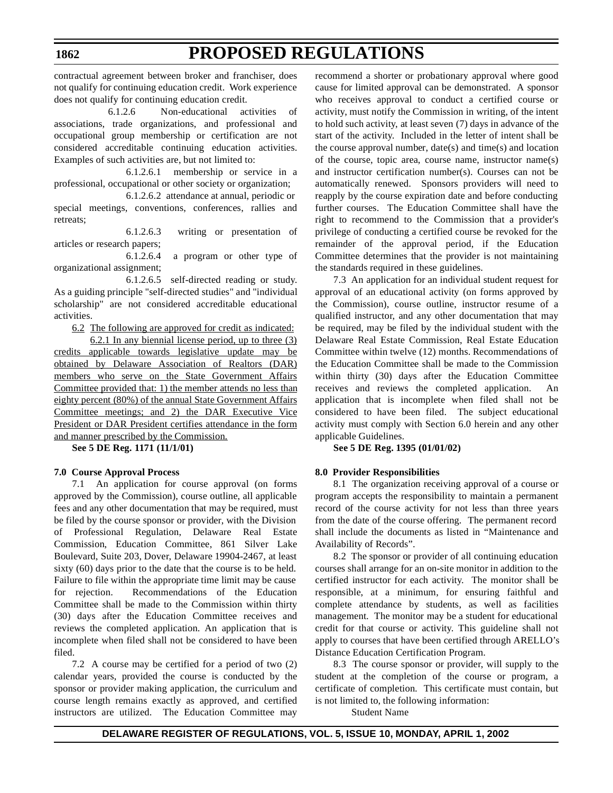# **PROPOSED REGULATIONS**

contractual agreement between broker and franchiser, does not qualify for continuing education credit. Work experience does not qualify for continuing education credit.

6.1.2.6 Non-educational activities of associations, trade organizations, and professional and occupational group membership or certification are not considered accreditable continuing education activities. Examples of such activities are, but not limited to:

6.1.2.6.1 membership or service in a professional, occupational or other society or organization;

6.1.2.6.2 attendance at annual, periodic or special meetings, conventions, conferences, rallies and retreats;

6.1.2.6.3 writing or presentation of articles or research papers;

6.1.2.6.4 a program or other type of organizational assignment;

6.1.2.6.5 self-directed reading or study. As a guiding principle "self-directed studies" and "individual scholarship" are not considered accreditable educational activities.

6.2 The following are approved for credit as indicated:

6.2.1 In any biennial license period, up to three (3) credits applicable towards legislative update may be obtained by Delaware Association of Realtors (DAR) members who serve on the State Government Affairs Committee provided that: 1) the member attends no less than eighty percent (80%) of the annual State Government Affairs Committee meetings; and 2) the DAR Executive Vice President or DAR President certifies attendance in the form and manner prescribed by the Commission.

**See 5 DE Reg. 1171 (11/1/01)**

#### **7.0 Course Approval Process**

7.1 An application for course approval (on forms approved by the Commission), course outline, all applicable fees and any other documentation that may be required, must be filed by the course sponsor or provider, with the Division of Professional Regulation, Delaware Real Estate Commission, Education Committee, 861 Silver Lake Boulevard, Suite 203, Dover, Delaware 19904-2467, at least sixty (60) days prior to the date that the course is to be held. Failure to file within the appropriate time limit may be cause for rejection. Recommendations of the Education Committee shall be made to the Commission within thirty (30) days after the Education Committee receives and reviews the completed application. An application that is incomplete when filed shall not be considered to have been filed.

7.2 A course may be certified for a period of two (2) calendar years, provided the course is conducted by the sponsor or provider making application, the curriculum and course length remains exactly as approved, and certified instructors are utilized. The Education Committee may recommend a shorter or probationary approval where good cause for limited approval can be demonstrated. A sponsor who receives approval to conduct a certified course or activity, must notify the Commission in writing, of the intent to hold such activity, at least seven (7) days in advance of the start of the activity. Included in the letter of intent shall be the course approval number,  $date(s)$  and time(s) and location of the course, topic area, course name, instructor name(s) and instructor certification number(s). Courses can not be automatically renewed. Sponsors providers will need to reapply by the course expiration date and before conducting further courses. The Education Committee shall have the right to recommend to the Commission that a provider's privilege of conducting a certified course be revoked for the remainder of the approval period, if the Education Committee determines that the provider is not maintaining the standards required in these guidelines.

7.3 An application for an individual student request for approval of an educational activity (on forms approved by the Commission), course outline, instructor resume of a qualified instructor, and any other documentation that may be required, may be filed by the individual student with the Delaware Real Estate Commission, Real Estate Education Committee within twelve (12) months. Recommendations of the Education Committee shall be made to the Commission within thirty (30) days after the Education Committee receives and reviews the completed application. application that is incomplete when filed shall not be considered to have been filed. The subject educational activity must comply with Section 6.0 herein and any other applicable Guidelines.

**See 5 DE Reg. 1395 (01/01/02)**

### **8.0 Provider Responsibilities**

8.1 The organization receiving approval of a course or program accepts the responsibility to maintain a permanent record of the course activity for not less than three years from the date of the course offering. The permanent record shall include the documents as listed in "Maintenance and Availability of Records".

8.2 The sponsor or provider of all continuing education courses shall arrange for an on-site monitor in addition to the certified instructor for each activity. The monitor shall be responsible, at a minimum, for ensuring faithful and complete attendance by students, as well as facilities management. The monitor may be a student for educational credit for that course or activity. This guideline shall not apply to courses that have been certified through ARELLO's Distance Education Certification Program.

8.3 The course sponsor or provider, will supply to the student at the completion of the course or program, a certificate of completion. This certificate must contain, but is not limited to, the following information:

Student Name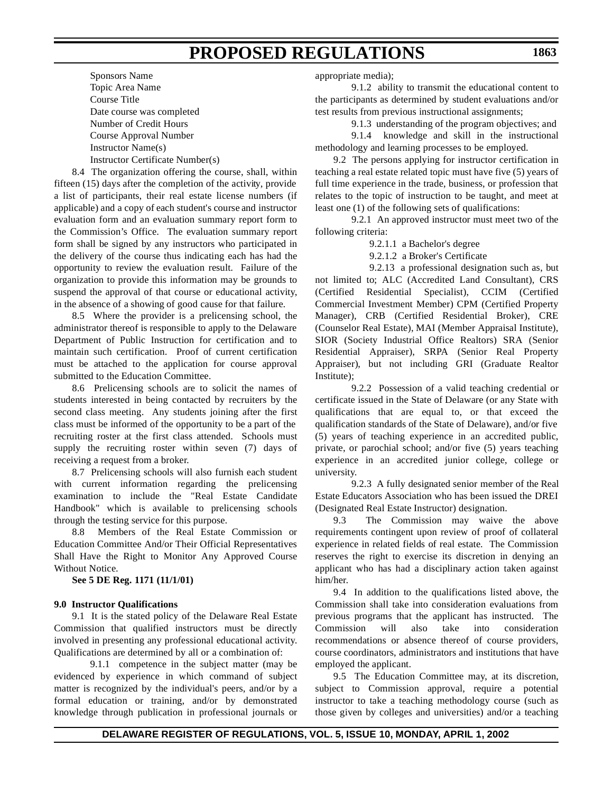Sponsors Name Topic Area Name Course Title Date course was completed Number of Credit Hours Course Approval Number Instructor Name(s) Instructor Certificate Number(s)

8.4 The organization offering the course, shall, within fifteen (15) days after the completion of the activity, provide a list of participants, their real estate license numbers (if applicable) and a copy of each student's course and instructor evaluation form and an evaluation summary report form to the Commission's Office. The evaluation summary report form shall be signed by any instructors who participated in the delivery of the course thus indicating each has had the opportunity to review the evaluation result. Failure of the organization to provide this information may be grounds to suspend the approval of that course or educational activity, in the absence of a showing of good cause for that failure.

8.5 Where the provider is a prelicensing school, the administrator thereof is responsible to apply to the Delaware Department of Public Instruction for certification and to maintain such certification. Proof of current certification must be attached to the application for course approval submitted to the Education Committee.

8.6 Prelicensing schools are to solicit the names of students interested in being contacted by recruiters by the second class meeting. Any students joining after the first class must be informed of the opportunity to be a part of the recruiting roster at the first class attended. Schools must supply the recruiting roster within seven (7) days of receiving a request from a broker.

8.7 Prelicensing schools will also furnish each student with current information regarding the prelicensing examination to include the "Real Estate Candidate Handbook" which is available to prelicensing schools through the testing service for this purpose.

8.8 Members of the Real Estate Commission or Education Committee And/or Their Official Representatives Shall Have the Right to Monitor Any Approved Course Without Notice.

**See 5 DE Reg. 1171 (11/1/01)**

#### **9.0 Instructor Qualifications**

9.1 It is the stated policy of the Delaware Real Estate Commission that qualified instructors must be directly involved in presenting any professional educational activity. Qualifications are determined by all or a combination of:

9.1.1 competence in the subject matter (may be evidenced by experience in which command of subject matter is recognized by the individual's peers, and/or by a formal education or training, and/or by demonstrated knowledge through publication in professional journals or

appropriate media);

9.1.2 ability to transmit the educational content to the participants as determined by student evaluations and/or test results from previous instructional assignments;

9.1.3 understanding of the program objectives; and

9.1.4 knowledge and skill in the instructional methodology and learning processes to be employed.

9.2 The persons applying for instructor certification in teaching a real estate related topic must have five (5) years of full time experience in the trade, business, or profession that relates to the topic of instruction to be taught, and meet at least one (1) of the following sets of qualifications:

9.2.1 An approved instructor must meet two of the following criteria:

9.2.1.1 a Bachelor's degree

9.2.1.2 a Broker's Certificate

9.2.13 a professional designation such as, but not limited to; ALC (Accredited Land Consultant), CRS (Certified Residential Specialist), CCIM (Certified Commercial Investment Member) CPM (Certified Property Manager), CRB (Certified Residential Broker), CRE (Counselor Real Estate), MAI (Member Appraisal Institute), SIOR (Society Industrial Office Realtors) SRA (Senior Residential Appraiser), SRPA (Senior Real Property Appraiser), but not including GRI (Graduate Realtor Institute);

9.2.2 Possession of a valid teaching credential or certificate issued in the State of Delaware (or any State with qualifications that are equal to, or that exceed the qualification standards of the State of Delaware), and/or five (5) years of teaching experience in an accredited public, private, or parochial school; and/or five (5) years teaching experience in an accredited junior college, college or university.

9.2.3 A fully designated senior member of the Real Estate Educators Association who has been issued the DREI (Designated Real Estate Instructor) designation.

9.3 The Commission may waive the above requirements contingent upon review of proof of collateral experience in related fields of real estate. The Commission reserves the right to exercise its discretion in denying an applicant who has had a disciplinary action taken against him/her.

9.4 In addition to the qualifications listed above, the Commission shall take into consideration evaluations from previous programs that the applicant has instructed. The Commission will also take into consideration recommendations or absence thereof of course providers, course coordinators, administrators and institutions that have employed the applicant.

9.5 The Education Committee may, at its discretion, subject to Commission approval, require a potential instructor to take a teaching methodology course (such as those given by colleges and universities) and/or a teaching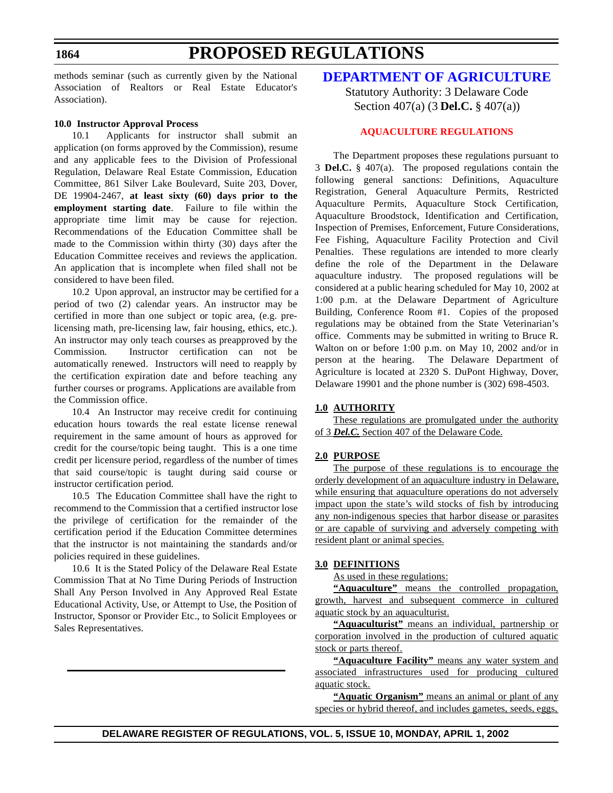# **PROPOSED REGULATIONS**

<span id="page-18-0"></span>methods seminar (such as currently given by the National Association of Realtors or Real Estate Educator's Association).

#### **10.0 Instructor Approval Process**

10.1 Applicants for instructor shall submit an application (on forms approved by the Commission), resume and any applicable fees to the Division of Professional Regulation, Delaware Real Estate Commission, Education Committee, 861 Silver Lake Boulevard, Suite 203, Dover, DE 19904-2467, **at least sixty (60) days prior to the employment starting date**. Failure to file within the appropriate time limit may be cause for rejection. Recommendations of the Education Committee shall be made to the Commission within thirty (30) days after the Education Committee receives and reviews the application. An application that is incomplete when filed shall not be considered to have been filed.

10.2 Upon approval, an instructor may be certified for a period of two (2) calendar years. An instructor may be certified in more than one subject or topic area, (e.g. prelicensing math, pre-licensing law, fair housing, ethics, etc.). An instructor may only teach courses as preapproved by the Commission. Instructor certification can not be automatically renewed. Instructors will need to reapply by the certification expiration date and before teaching any further courses or programs. Applications are available from the Commission office.

10.4 An Instructor may receive credit for continuing education hours towards the real estate license renewal requirement in the same amount of hours as approved for credit for the course/topic being taught. This is a one time credit per licensure period, regardless of the number of times that said course/topic is taught during said course or instructor certification period.

10.5 The Education Committee shall have the right to recommend to the Commission that a certified instructor lose the privilege of certification for the remainder of the certification period if the Education Committee determines that the instructor is not maintaining the standards and/or policies required in these guidelines.

10.6 It is the Stated Policy of the Delaware Real Estate Commission That at No Time During Periods of Instruction Shall Any Person Involved in Any Approved Real Estate Educational Activity, Use, or Attempt to Use, the Position of Instructor, Sponsor or Provider Etc., to Solicit Employees or Sales Representatives.

# **[DEPARTMENT OF](http://www.state.de.us/deptagri/index.htm) AGRICULTURE**

Statutory Authority: 3 Delaware Code Section 407(a) (3 **Del.C.** § 407(a))

#### **[AQUACULTURE](#page-3-0) REGULATIONS**

The Department proposes these regulations pursuant to 3 **Del.C.** § 407(a). The proposed regulations contain the following general sanctions: Definitions, Aquaculture Registration, General Aquaculture Permits, Restricted Aquaculture Permits, Aquaculture Stock Certification, Aquaculture Broodstock, Identification and Certification, Inspection of Premises, Enforcement, Future Considerations, Fee Fishing, Aquaculture Facility Protection and Civil Penalties. These regulations are intended to more clearly define the role of the Department in the Delaware aquaculture industry. The proposed regulations will be considered at a public hearing scheduled for May 10, 2002 at 1:00 p.m. at the Delaware Department of Agriculture Building, Conference Room #1. Copies of the proposed regulations may be obtained from the State Veterinarian's office. Comments may be submitted in writing to Bruce R. Walton on or before 1:00 p.m. on May 10, 2002 and/or in person at the hearing. The Delaware Department of Agriculture is located at 2320 S. DuPont Highway, Dover, Delaware 19901 and the phone number is (302) 698-4503.

### **1.0 AUTHORITY**

These regulations are promulgated under the authority of 3 *Del.C.* Section 407 of the Delaware Code.

#### **2.0 PURPOSE**

The purpose of these regulations is to encourage the orderly development of an aquaculture industry in Delaware, while ensuring that aquaculture operations do not adversely impact upon the state's wild stocks of fish by introducing any non-indigenous species that harbor disease or parasites or are capable of surviving and adversely competing with resident plant or animal species.

#### **3.0 DEFINITIONS**

As used in these regulations:

**"Aquaculture"** means the controlled propagation, growth, harvest and subsequent commerce in cultured aquatic stock by an aquaculturist.

**"Aquaculturist"** means an individual, partnership or corporation involved in the production of cultured aquatic stock or parts thereof.

**"Aquaculture Facility"** means any water system and associated infrastructures used for producing cultured aquatic stock.

**"Aquatic Organism"** means an animal or plant of any species or hybrid thereof, and includes gametes, seeds, eggs,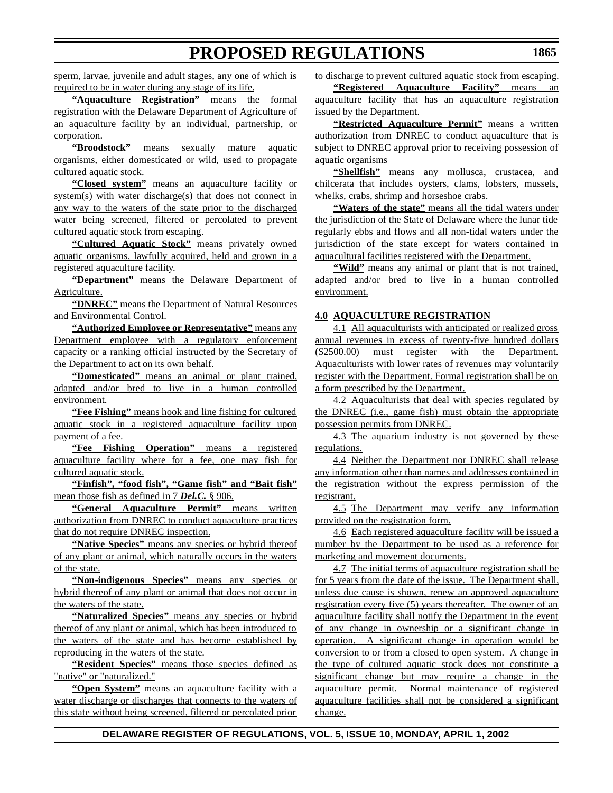sperm, larvae, juvenile and adult stages, any one of which is required to be in water during any stage of its life.

**"Aquaculture Registration"** means the formal registration with the Delaware Department of Agriculture of an aquaculture facility by an individual, partnership, or corporation.

**"Broodstock"** means sexually mature aquatic organisms, either domesticated or wild, used to propagate cultured aquatic stock.

**"Closed system"** means an aquaculture facility or system(s) with water discharge(s) that does not connect in any way to the waters of the state prior to the discharged water being screened, filtered or percolated to prevent cultured aquatic stock from escaping.

**"Cultured Aquatic Stock"** means privately owned aquatic organisms, lawfully acquired, held and grown in a registered aquaculture facility.

**"Department"** means the Delaware Department of Agriculture.

**"DNREC"** means the Department of Natural Resources and Environmental Control.

**"Authorized Employee or Representative"** means any Department employee with a regulatory enforcement capacity or a ranking official instructed by the Secretary of the Department to act on its own behalf.

**"Domesticated"** means an animal or plant trained, adapted and/or bred to live in a human controlled environment.

**"Fee Fishing"** means hook and line fishing for cultured aquatic stock in a registered aquaculture facility upon payment of a fee.

**"Fee Fishing Operation"** means a registered aquaculture facility where for a fee, one may fish for cultured aquatic stock.

**"Finfish", "food fish", "Game fish" and "Bait fish"** mean those fish as defined in 7 *Del.C.* § 906.

**"General Aquaculture Permit"** means written authorization from DNREC to conduct aquaculture practices that do not require DNREC inspection.

**"Native Species"** means any species or hybrid thereof of any plant or animal, which naturally occurs in the waters of the state.

**"Non-indigenous Species"** means any species or hybrid thereof of any plant or animal that does not occur in the waters of the state.

**"Naturalized Species"** means any species or hybrid thereof of any plant or animal, which has been introduced to the waters of the state and has become established by reproducing in the waters of the state.

**"Resident Species"** means those species defined as "native" or "naturalized."

**"Open System"** means an aquaculture facility with a water discharge or discharges that connects to the waters of this state without being screened, filtered or percolated prior to discharge to prevent cultured aquatic stock from escaping.

**"Registered Aquaculture Facility"** means an aquaculture facility that has an aquaculture registration issued by the Department.

**"Restricted Aquaculture Permit"** means a written authorization from DNREC to conduct aquaculture that is subject to DNREC approval prior to receiving possession of aquatic organisms

**"Shellfish"** means any mollusca, crustacea, and chilcerata that includes oysters, clams, lobsters, mussels, whelks, crabs, shrimp and horseshoe crabs.

**"Waters of the state"** means all the tidal waters under the jurisdiction of the State of Delaware where the lunar tide regularly ebbs and flows and all non-tidal waters under the jurisdiction of the state except for waters contained in aquacultural facilities registered with the Department.

"Wild" means any animal or plant that is not trained, adapted and/or bred to live in a human controlled environment.

### **4.0 AQUACULTURE REGISTRATION**

4.1 All aquaculturists with anticipated or realized gross annual revenues in excess of twenty-five hundred dollars (\$2500.00) must register with the Department. Aquaculturists with lower rates of revenues may voluntarily register with the Department. Formal registration shall be on a form prescribed by the Department.

4.2 Aquaculturists that deal with species regulated by the DNREC (i.e., game fish) must obtain the appropriate possession permits from DNREC.

4.3 The aquarium industry is not governed by these regulations.

4.4 Neither the Department nor DNREC shall release any information other than names and addresses contained in the registration without the express permission of the registrant.

4.5 The Department may verify any information provided on the registration form.

4.6 Each registered aquaculture facility will be issued a number by the Department to be used as a reference for marketing and movement documents.

4.7 The initial terms of aquaculture registration shall be for 5 years from the date of the issue. The Department shall, unless due cause is shown, renew an approved aquaculture registration every five (5) years thereafter. The owner of an aquaculture facility shall notify the Department in the event of any change in ownership or a significant change in operation. A significant change in operation would be conversion to or from a closed to open system. A change in the type of cultured aquatic stock does not constitute a significant change but may require a change in the aquaculture permit. Normal maintenance of registered aquaculture facilities shall not be considered a significant change.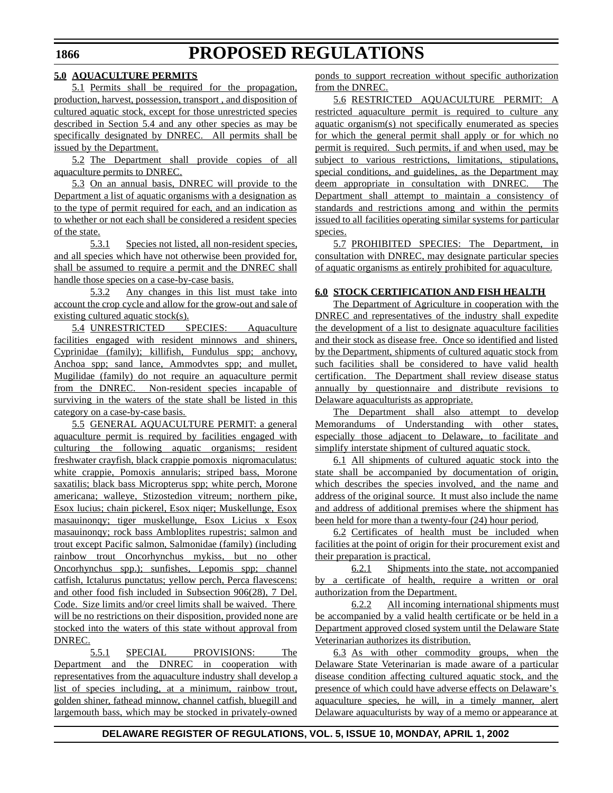### **5.0 AQUACULTURE PERMITS**

5.1 Permits shall be required for the propagation, production, harvest, possession, transport , and disposition of cultured aquatic stock, except for those unrestricted species described in Section 5.4 and any other species as may be specifically designated by DNREC. All permits shall be issued by the Department.

5.2 The Department shall provide copies of all aquaculture permits to DNREC.

5.3 On an annual basis, DNREC will provide to the Department a list of aquatic organisms with a designation as to the type of permit required for each, and an indication as to whether or not each shall be considered a resident species of the state.

5.3.1 Species not listed, all non-resident species, and all species which have not otherwise been provided for, shall be assumed to require a permit and the DNREC shall handle those species on a case-by-case basis.

5.3.2 Any changes in this list must take into account the crop cycle and allow for the grow-out and sale of existing cultured aquatic stock(s).

5.4 UNRESTRICTED SPECIES: Aquaculture facilities engaged with resident minnows and shiners, Cyprinidae (family); killifish, Fundulus spp; anchovy, Anchoa spp; sand lance, Ammodvtes spp; and mullet, Mugilidae (family) do not require an aquaculture permit from the DNREC. Non-resident species incapable of surviving in the waters of the state shall be listed in this category on a case-by-case basis.

5.5 GENERAL AQUACULTURE PERMIT: a general aquaculture permit is required by facilities engaged with culturing the following aquatic organisms; resident freshwater crayfish, black crappie pomoxis niqromaculatus: white crappie, Pomoxis annularis; striped bass, Morone saxatilis; black bass Micropterus spp; white perch, Morone americana; walleye, Stizostedion vitreum; northern pike, Esox lucius; chain pickerel, Esox niqer; Muskellunge, Esox masauinonqy; tiger muskellunge, Esox Licius x Esox masauinonqy; rock bass Ambloplites rupestris; salmon and trout except Pacific salmon, Salmonidae (family) (including rainbow trout Oncorhynchus mykiss, but no other Oncorhynchus spp.); sunfishes, Lepomis spp; channel catfish, Ictalurus punctatus; yellow perch, Perca flavescens: and other food fish included in Subsection 906(28), 7 Del. Code. Size limits and/or creel limits shall be waived. There will be no restrictions on their disposition, provided none are stocked into the waters of this state without approval from DNREC.

5.5.1 SPECIAL PROVISIONS: The Department and the DNREC in cooperation with representatives from the aquaculture industry shall develop a list of species including, at a minimum, rainbow trout, golden shiner, fathead minnow, channel catfish, bluegill and largemouth bass, which may be stocked in privately-owned ponds to support recreation without specific authorization from the DNREC.

5.6 RESTRICTED AQUACULTURE PERMIT: A restricted aquaculture permit is required to culture any aquatic organism(s) not specifically enumerated as species for which the general permit shall apply or for which no permit is required. Such permits, if and when used, may be subject to various restrictions, limitations, stipulations, special conditions, and guidelines, as the Department may deem appropriate in consultation with DNREC. The Department shall attempt to maintain a consistency of standards and restrictions among and within the permits issued to all facilities operating similar systems for particular species.

5.7 PROHIBITED SPECIES: The Department, in consultation with DNREC, may designate particular species of aquatic organisms as entirely prohibited for aquaculture.

### **6.0 STOCK CERTIFICATION AND FISH HEALTH**

The Department of Agriculture in cooperation with the DNREC and representatives of the industry shall expedite the development of a list to designate aquaculture facilities and their stock as disease free. Once so identified and listed by the Department, shipments of cultured aquatic stock from such facilities shall be considered to have valid health certification. The Department shall review disease status annually by questionnaire and distribute revisions to Delaware aquaculturists as appropriate.

The Department shall also attempt to develop Memorandums of Understanding with other states, especially those adjacent to Delaware, to facilitate and simplify interstate shipment of cultured aquatic stock.

6.1 All shipments of cultured aquatic stock into the state shall be accompanied by documentation of origin, which describes the species involved, and the name and address of the original source. It must also include the name and address of additional premises where the shipment has been held for more than a twenty-four (24) hour period.

6.2 Certificates of health must be included when facilities at the point of origin for their procurement exist and their preparation is practical.

6.2.1 Shipments into the state, not accompanied by a certificate of health, require a written or oral authorization from the Department.

6.2.2 All incoming international shipments must be accompanied by a valid health certificate or be held in a Department approved closed system until the Delaware State Veterinarian authorizes its distribution.

6.3 As with other commodity groups, when the Delaware State Veterinarian is made aware of a particular disease condition affecting cultured aquatic stock, and the presence of which could have adverse effects on Delaware's aquaculture species, he will, in a timely manner, alert Delaware aquaculturists by way of a memo or appearance at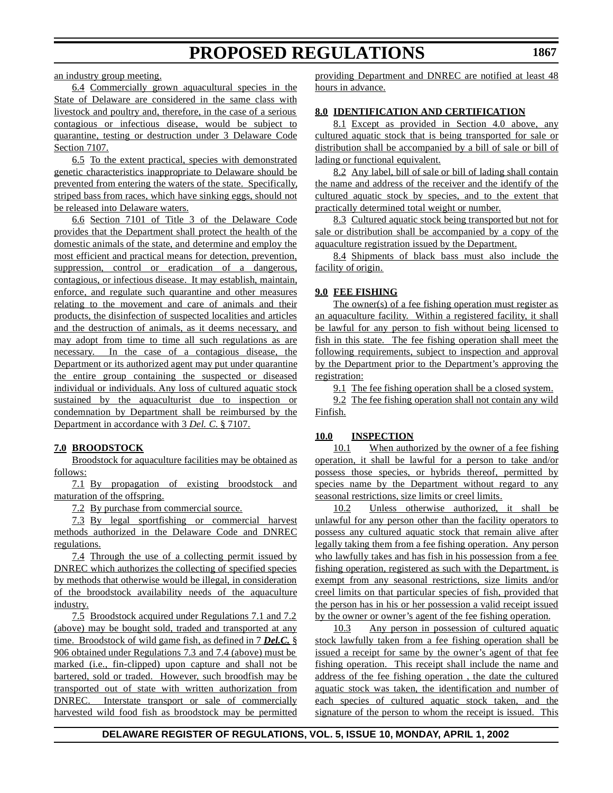an industry group meeting.

6.4 Commercially grown aquacultural species in the State of Delaware are considered in the same class with livestock and poultry and, therefore, in the case of a serious contagious or infectious disease, would be subject to quarantine, testing or destruction under 3 Delaware Code Section 7107.

6.5 To the extent practical, species with demonstrated genetic characteristics inappropriate to Delaware should be prevented from entering the waters of the state. Specifically, striped bass from races, which have sinking eggs, should not be released into Delaware waters.

6.6 Section 7101 of Title 3 of the Delaware Code provides that the Department shall protect the health of the domestic animals of the state, and determine and employ the most efficient and practical means for detection, prevention, suppression, control or eradication of a dangerous, contagious, or infectious disease. It may establish, maintain, enforce, and regulate such quarantine and other measures relating to the movement and care of animals and their products, the disinfection of suspected localities and articles and the destruction of animals, as it deems necessary, and may adopt from time to time all such regulations as are necessary. In the case of a contagious disease, the Department or its authorized agent may put under quarantine the entire group containing the suspected or diseased individual or individuals. Any loss of cultured aquatic stock sustained by the aquaculturist due to inspection or condemnation by Department shall be reimbursed by the Department in accordance with 3 *Del. C.* § 7107.

### **7.0 BROODSTOCK**

Broodstock for aquaculture facilities may be obtained as follows:

7.1 By propagation of existing broodstock and maturation of the offspring.

7.2 By purchase from commercial source.

7.3 By legal sportfishing or commercial harvest methods authorized in the Delaware Code and DNREC regulations.

7.4 Through the use of a collecting permit issued by DNREC which authorizes the collecting of specified species by methods that otherwise would be illegal, in consideration of the broodstock availability needs of the aquaculture industry.

7.5 Broodstock acquired under Regulations 7.1 and 7.2 (above) may be bought sold, traded and transported at any time. Broodstock of wild game fish, as defined in 7 *Del.C.* § 906 obtained under Regulations 7.3 and 7.4 (above) must be marked (i.e., fin-clipped) upon capture and shall not be bartered, sold or traded. However, such broodfish may be transported out of state with written authorization from DNREC. Interstate transport or sale of commercially harvested wild food fish as broodstock may be permitted providing Department and DNREC are notified at least 48 hours in advance.

## **8.0 IDENTIFICATION AND CERTIFICATION**

8.1 Except as provided in Section 4.0 above, any cultured aquatic stock that is being transported for sale or distribution shall be accompanied by a bill of sale or bill of lading or functional equivalent.

8.2 Any label, bill of sale or bill of lading shall contain the name and address of the receiver and the identify of the cultured aquatic stock by species, and to the extent that practically determined total weight or number.

8.3 Cultured aquatic stock being transported but not for sale or distribution shall be accompanied by a copy of the aquaculture registration issued by the Department.

8.4 Shipments of black bass must also include the facility of origin.

## **9.0 FEE FISHING**

The owner(s) of a fee fishing operation must register as an aquaculture facility. Within a registered facility, it shall be lawful for any person to fish without being licensed to fish in this state. The fee fishing operation shall meet the following requirements, subject to inspection and approval by the Department prior to the Department's approving the registration:

9.1 The fee fishing operation shall be a closed system.

9.2 The fee fishing operation shall not contain any wild Finfish.

### **10.0 INSPECTION**

10.1 When authorized by the owner of a fee fishing operation, it shall be lawful for a person to take and/or possess those species, or hybrids thereof, permitted by species name by the Department without regard to any seasonal restrictions, size limits or creel limits.

10.2 Unless otherwise authorized, it shall be unlawful for any person other than the facility operators to possess any cultured aquatic stock that remain alive after legally taking them from a fee fishing operation. Any person who lawfully takes and has fish in his possession from a fee fishing operation, registered as such with the Department, is exempt from any seasonal restrictions, size limits and/or creel limits on that particular species of fish, provided that the person has in his or her possession a valid receipt issued by the owner or owner's agent of the fee fishing operation.

10.3 Any person in possession of cultured aquatic stock lawfully taken from a fee fishing operation shall be issued a receipt for same by the owner's agent of that fee fishing operation. This receipt shall include the name and address of the fee fishing operation , the date the cultured aquatic stock was taken, the identification and number of each species of cultured aquatic stock taken, and the signature of the person to whom the receipt is issued. This

## **DELAWARE REGISTER OF REGULATIONS, VOL. 5, ISSUE 10, MONDAY, APRIL 1, 2002**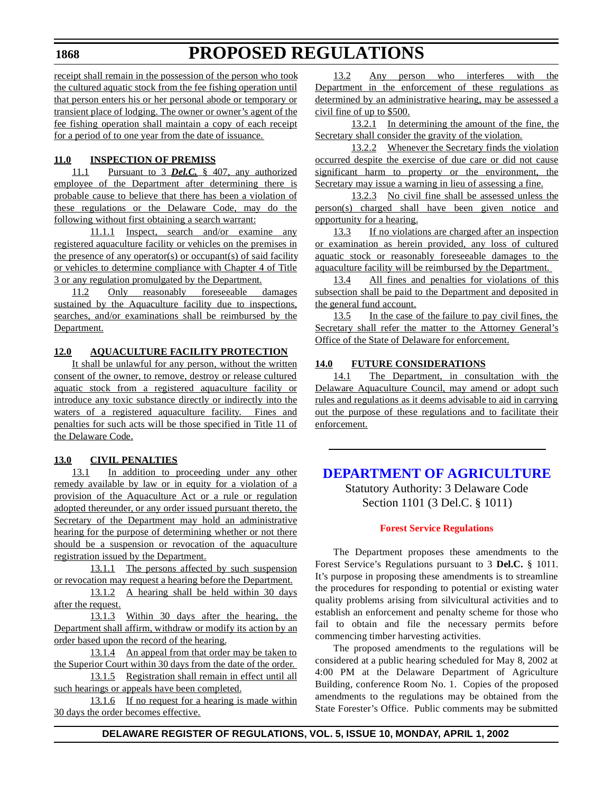# **PROPOSED REGULATIONS**

<span id="page-22-0"></span>receipt shall remain in the possession of the person who took the cultured aquatic stock from the fee fishing operation until that person enters his or her personal abode or temporary or transient place of lodging. The owner or owner's agent of the fee fishing operation shall maintain a copy of each receipt for a period of to one year from the date of issuance.

## **11.0 INSPECTION OF PREMISS**

11.1 Pursuant to 3 *Del.C.* § 407, any authorized employee of the Department after determining there is probable cause to believe that there has been a violation of these regulations or the Delaware Code, may do the following without first obtaining a search warrant:

11.1.1 Inspect, search and/or examine any registered aquaculture facility or vehicles on the premises in the presence of any operator(s) or occupant(s) of said facility or vehicles to determine compliance with Chapter 4 of Title 3 or any regulation promulgated by the Department.

11.2 Only reasonably foreseeable damages sustained by the Aquaculture facility due to inspections, searches, and/or examinations shall be reimbursed by the Department.

## **12.0 AQUACULTURE FACILITY PROTECTION**

It shall be unlawful for any person, without the written consent of the owner, to remove, destroy or release cultured aquatic stock from a registered aquaculture facility or introduce any toxic substance directly or indirectly into the waters of a registered aquaculture facility. Fines and penalties for such acts will be those specified in Title 11 of the Delaware Code.

## **13.0 CIVIL PENALTIES**

13.1 In addition to proceeding under any other remedy available by law or in equity for a violation of a provision of the Aquaculture Act or a rule or regulation adopted thereunder, or any order issued pursuant thereto, the Secretary of the Department may hold an administrative hearing for the purpose of determining whether or not there should be a suspension or revocation of the aquaculture registration issued by the Department.

13.1.1 The persons affected by such suspension or revocation may request a hearing before the Department.

13.1.2 A hearing shall be held within 30 days after the request.

13.1.3 Within 30 days after the hearing, the Department shall affirm, withdraw or modify its action by an order based upon the record of the hearing.

13.1.4 An appeal from that order may be taken to the Superior Court within 30 days from the date of the order.

13.1.5 Registration shall remain in effect until all such hearings or appeals have been completed.

13.1.6 If no request for a hearing is made within 30 days the order becomes effective.

13.2 Any person who interferes with the Department in the enforcement of these regulations as determined by an administrative hearing, may be assessed a civil fine of up to \$500.

13.2.1 In determining the amount of the fine, the Secretary shall consider the gravity of the violation.

13.2.2 Whenever the Secretary finds the violation occurred despite the exercise of due care or did not cause significant harm to property or the environment, the Secretary may issue a warning in lieu of assessing a fine.

13.2.3 No civil fine shall be assessed unless the person(s) charged shall have been given notice and opportunity for a hearing.

13.3 If no violations are charged after an inspection or examination as herein provided, any loss of cultured aquatic stock or reasonably foreseeable damages to the aquaculture facility will be reimbursed by the Department.

13.4 All fines and penalties for violations of this subsection shall be paid to the Department and deposited in the general fund account.

13.5 In the case of the failure to pay civil fines, the Secretary shall refer the matter to the Attorney General's Office of the State of Delaware for enforcement.

### **14.0 FUTURE CONSIDERATIONS**

14.1 The Department, in consultation with the Delaware Aquaculture Council, may amend or adopt such rules and regulations as it deems advisable to aid in carrying out the purpose of these regulations and to facilitate their enforcement.

# **[DEPARTMENT OF](http://www.state.de.us/deptagri/index.htm) AGRICULTURE**

Statutory Authority: 3 Delaware Code Section 1101 (3 Del.C. § 1011)

### **Forest [Service Regulations](#page-3-0)**

The Department proposes these amendments to the Forest Service's Regulations pursuant to 3 **Del.C.** § 1011. It's purpose in proposing these amendments is to streamline the procedures for responding to potential or existing water quality problems arising from silvicultural activities and to establish an enforcement and penalty scheme for those who fail to obtain and file the necessary permits before commencing timber harvesting activities.

The proposed amendments to the regulations will be considered at a public hearing scheduled for May 8, 2002 at 4:00 PM at the Delaware Department of Agriculture Building, conference Room No. 1. Copies of the proposed amendments to the regulations may be obtained from the State Forester's Office. Public comments may be submitted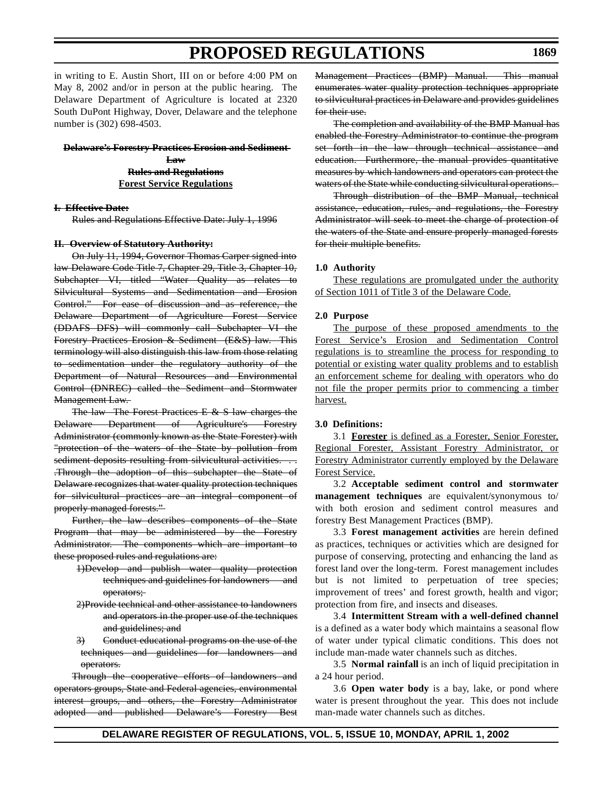in writing to E. Austin Short, III on or before 4:00 PM on May 8, 2002 and/or in person at the public hearing. The Delaware Department of Agriculture is located at 2320 South DuPont Highway, Dover, Delaware and the telephone number is (302) 698-4503.

**Delaware's Forestry Practices Erosion and Sediment Law Rules and Regulations Forest Service Regulations**

#### **I. Effective Date:**

Rules and Regulations Effective Date: July 1, 1996

#### **II. Overview of Statutory Authority:**

On July 11, 1994, Governor Thomas Carper signed into law Delaware Code Title 7, Chapter 29, Title 3, Chapter 10, Subchapter VI, titled "Water Quality as relates to Silvicultural Systems and Sedimentation and Erosion Control." For ease of discussion and as reference, the Delaware Department of Agriculture Forest Service (DDAFS DFS) will commonly call Subchapter VI the Forestry Practices Erosion & Sediment (E&S) law. This terminology will also distinguish this law from those relating to sedimentation under the regulatory authority of the Department of Natural Resources and Environmental Control (DNREC) called the Sediment and Stormwater Management Law.

The law The Forest Practices E & S law charges the Delaware Department of Agriculture's Forestry Administrator (commonly known as the State Forester) with "protection of the waters of the State by pollution from sediment deposits resulting from silvicultural activities. . . .Through the adoption of this subchapter the State of Delaware recognizes that water quality protection techniques for silvicultural practices are an integral component of properly managed forests."

Further, the law describes components of the State Program that may be administered by the Forestry Administrator. The components which are important to these proposed rules and regulations are:

- 1)Develop and publish water quality protection techniques and guidelines for landowners and operators;
- 2)Provide technical and other assistance to landowners and operators in the proper use of the techniques and guidelines; and
- 3) Conduct educational programs on the use of the techniques and guidelines for landowners and operators.

Through the cooperative efforts of landowners and operators groups, State and Federal agencies, environmental interest groups, and others, the Forestry Administrator adopted and published Delaware's Forestry Best Management Practices (BMP) Manual. This manual enumerates water quality protection techniques appropriate to silvicultural practices in Delaware and provides guidelines for their use.

The completion and availability of the BMP Manual has enabled the Forestry Administrator to continue the program set forth in the law through technical assistance and education. Furthermore, the manual provides quantitative measures by which landowners and operators can protect the waters of the State while conducting silvicultural operations.

Through distribution of the BMP Manual, technical assistance, education, rules, and regulations, the Forestry Administrator will seek to meet the charge of protection of the waters of the State and ensure properly managed forests for their multiple benefits.

#### **1.0 Authority**

These regulations are promulgated under the authority of Section 1011 of Title 3 of the Delaware Code.

#### **2.0 Purpose**

The purpose of these proposed amendments to the Forest Service's Erosion and Sedimentation Control regulations is to streamline the process for responding to potential or existing water quality problems and to establish an enforcement scheme for dealing with operators who do not file the proper permits prior to commencing a timber harvest.

#### **3.0 Definitions:**

3.1 **Forester** is defined as a Forester, Senior Forester, Regional Forester, Assistant Forestry Administrator, or Forestry Administrator currently employed by the Delaware Forest Service.

3.2 **Acceptable sediment control and stormwater management techniques** are equivalent/synonymous to/ with both erosion and sediment control measures and forestry Best Management Practices (BMP).

3.3 **Forest management activities** are herein defined as practices, techniques or activities which are designed for purpose of conserving, protecting and enhancing the land as forest land over the long-term. Forest management includes but is not limited to perpetuation of tree species; improvement of trees' and forest growth, health and vigor; protection from fire, and insects and diseases.

3.4 **Intermittent Stream with a well-defined channel** is a defined as a water body which maintains a seasonal flow of water under typical climatic conditions. This does not include man-made water channels such as ditches.

3.5 **Normal rainfall** is an inch of liquid precipitation in a 24 hour period.

3.6 **Open water body** is a bay, lake, or pond where water is present throughout the year. This does not include man-made water channels such as ditches.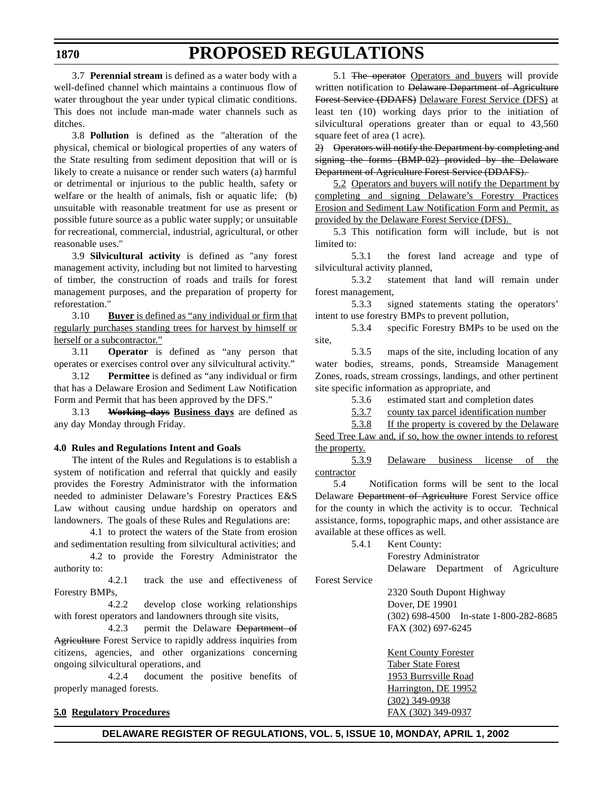3.7 **Perennial stream** is defined as a water body with a well-defined channel which maintains a continuous flow of water throughout the year under typical climatic conditions. This does not include man-made water channels such as ditches.

3.8 **Pollution** is defined as the "alteration of the physical, chemical or biological properties of any waters of the State resulting from sediment deposition that will or is likely to create a nuisance or render such waters (a) harmful or detrimental or injurious to the public health, safety or welfare or the health of animals, fish or aquatic life; (b) unsuitable with reasonable treatment for use as present or possible future source as a public water supply; or unsuitable for recreational, commercial, industrial, agricultural, or other reasonable uses."

3.9 **Silvicultural activity** is defined as "any forest management activity, including but not limited to harvesting of timber, the construction of roads and trails for forest management purposes, and the preparation of property for reforestation."

3.10 **Buyer** is defined as "any individual or firm that regularly purchases standing trees for harvest by himself or herself or a subcontractor."

3.11 **Operator** is defined as "any person that operates or exercises control over any silvicultural activity."

3.12 **Permittee** is defined as "any individual or firm that has a Delaware Erosion and Sediment Law Notification Form and Permit that has been approved by the DFS."

3.13 **Working days Business days** are defined as any day Monday through Friday.

#### **4.0 Rules and Regulations Intent and Goals**

The intent of the Rules and Regulations is to establish a system of notification and referral that quickly and easily provides the Forestry Administrator with the information needed to administer Delaware's Forestry Practices E&S Law without causing undue hardship on operators and landowners. The goals of these Rules and Regulations are:

4.1 to protect the waters of the State from erosion and sedimentation resulting from silvicultural activities; and

4.2 to provide the Forestry Administrator the authority to:

4.2.1 track the use and effectiveness of Forestry BMPs,

4.2.2 develop close working relationships with forest operators and landowners through site visits,

4.2.3 permit the Delaware Department of Agriculture Forest Service to rapidly address inquiries from citizens, agencies, and other organizations concerning ongoing silvicultural operations, and

4.2.4 document the positive benefits of properly managed forests.

### **5.0 Regulatory Procedures**

5.1 The operator Operators and buyers will provide written notification to <del>Delaware Department of Agriculture</del> Forest Service (DDAFS) Delaware Forest Service (DFS) at least ten (10) working days prior to the initiation of silvicultural operations greater than or equal to 43,560 square feet of area (1 acre).

2) Operators will notify the Department by completing and signing the forms (BMP-02) provided by the Delaware Department of Agriculture Forest Service (DDAFS).

5.2 Operators and buyers will notify the Department by completing and signing Delaware's Forestry Practices Erosion and Sediment Law Notification Form and Permit, as provided by the Delaware Forest Service (DFS).

5.3 This notification form will include, but is not limited to:

5.3.1 the forest land acreage and type of silvicultural activity planned,

5.3.2 statement that land will remain under forest management,

5.3.3 signed statements stating the operators' intent to use forestry BMPs to prevent pollution,

5.3.4 specific Forestry BMPs to be used on the site,

5.3.5 maps of the site, including location of any water bodies, streams, ponds, Streamside Management Zones, roads, stream crossings, landings, and other pertinent site specific information as appropriate, and

5.3.6 estimated start and completion dates

5.3.7 county tax parcel identification number

5.3.8 If the property is covered by the Delaware

Seed Tree Law and, if so, how the owner intends to reforest the property.

5.3.9 Delaware business license of the contractor

5.4 Notification forms will be sent to the local Delaware Department of Agriculture Forest Service office for the county in which the activity is to occur. Technical assistance, forms, topographic maps, and other assistance are available at these offices as well.

5.4.1 Kent County:

Forestry Administrator

Delaware Department of Agriculture

Forest Service

2320 South Dupont Highway Dover, DE 19901 (302) 698-4500 In-state 1-800-282-8685 FAX (302) 697-6245

Kent County Forester Taber State Forest 1953 Burrsville Road Harrington, DE 19952 (302) 349-0938 FAX (302) 349-0937

### **DELAWARE REGISTER OF REGULATIONS, VOL. 5, ISSUE 10, MONDAY, APRIL 1, 2002**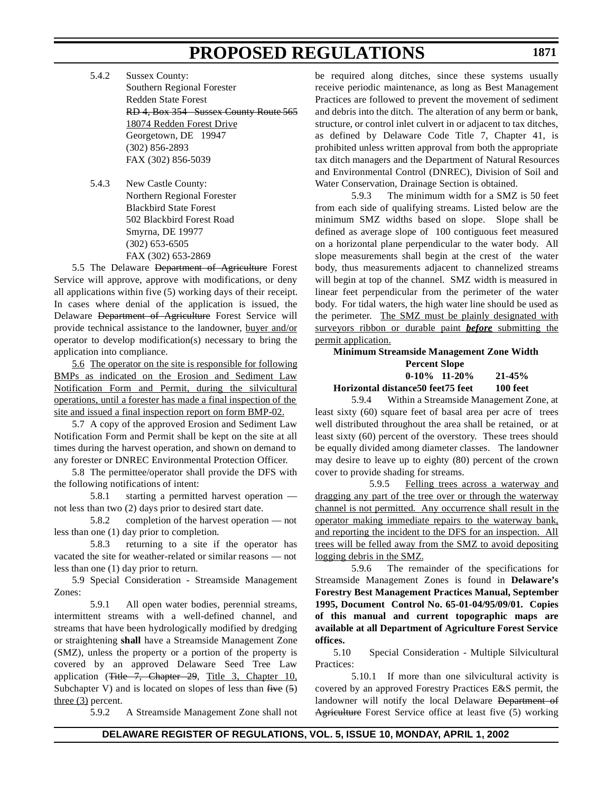5.4.2 Sussex County: Southern Regional Forester Redden State Forest RD 4, Box 354 Sussex County Route 565 18074 Redden Forest Drive Georgetown, DE 19947 (302) 856-2893 FAX (302) 856-5039

5.4.3 New Castle County: Northern Regional Forester Blackbird State Forest 502 Blackbird Forest Road Smyrna, DE 19977 (302) 653-6505 FAX (302) 653-2869

5.5 The Delaware <del>Department of Agriculture</del> Forest Service will approve, approve with modifications, or deny all applications within five (5) working days of their receipt. In cases where denial of the application is issued, the Delaware Department of Agriculture Forest Service will provide technical assistance to the landowner, buyer and/or operator to develop modification(s) necessary to bring the application into compliance.

5.6 The operator on the site is responsible for following BMPs as indicated on the Erosion and Sediment Law Notification Form and Permit, during the silvicultural operations, until a forester has made a final inspection of the site and issued a final inspection report on form BMP-02.

5.7 A copy of the approved Erosion and Sediment Law Notification Form and Permit shall be kept on the site at all times during the harvest operation, and shown on demand to any forester or DNREC Environmental Protection Officer.

5.8 The permittee/operator shall provide the DFS with the following notifications of intent:

5.8.1 starting a permitted harvest operation not less than two (2) days prior to desired start date.

5.8.2 completion of the harvest operation — not less than one (1) day prior to completion.

5.8.3 returning to a site if the operator has vacated the site for weather-related or similar reasons — not less than one (1) day prior to return.

5.9 Special Consideration - Streamside Management Zones:

5.9.1 All open water bodies, perennial streams, intermittent streams with a well-defined channel, and streams that have been hydrologically modified by dredging or straightening **shall** have a Streamside Management Zone (SMZ), unless the property or a portion of the property is covered by an approved Delaware Seed Tree Law application (Title 7, Chapter 29, Title 3, Chapter 10, Subchapter V) and is located on slopes of less than  $five(5)$ three (3) percent.

5.9.2 A Streamside Management Zone shall not

be required along ditches, since these systems usually receive periodic maintenance, as long as Best Management Practices are followed to prevent the movement of sediment and debris into the ditch. The alteration of any berm or bank, structure, or control inlet culvert in or adjacent to tax ditches, as defined by Delaware Code Title 7, Chapter 41, is prohibited unless written approval from both the appropriate tax ditch managers and the Department of Natural Resources and Environmental Control (DNREC), Division of Soil and Water Conservation, Drainage Section is obtained.

5.9.3 The minimum width for a SMZ is 50 feet from each side of qualifying streams. Listed below are the minimum SMZ widths based on slope. Slope shall be defined as average slope of 100 contiguous feet measured on a horizontal plane perpendicular to the water body. All slope measurements shall begin at the crest of the water body, thus measurements adjacent to channelized streams will begin at top of the channel. SMZ width is measured in linear feet perpendicular from the perimeter of the water body. For tidal waters, the high water line should be used as the perimeter. The SMZ must be plainly designated with surveyors ribbon or durable paint *before* submitting the permit application.

# **Minimum Streamside Management Zone Width Percent Slope 0-10% 11-20% 21-45%**

**Horizontal distance50 feet75 feet 100 feet**

5.9.4 Within a Streamside Management Zone, at least sixty (60) square feet of basal area per acre of trees well distributed throughout the area shall be retained, or at least sixty (60) percent of the overstory. These trees should be equally divided among diameter classes. The landowner may desire to leave up to eighty (80) percent of the crown cover to provide shading for streams.

5.9.5 Felling trees across a waterway and dragging any part of the tree over or through the waterway channel is not permitted. Any occurrence shall result in the operator making immediate repairs to the waterway bank, and reporting the incident to the DFS for an inspection. All trees will be felled away from the SMZ to avoid depositing logging debris in the SMZ.

5.9.6 The remainder of the specifications for Streamside Management Zones is found in **Delaware's Forestry Best Management Practices Manual, September 1995, Document Control No. 65-01-04/95/09/01. Copies of this manual and current topographic maps are available at all Department of Agriculture Forest Service offices.** 

5.10 Special Consideration - Multiple Silvicultural Practices:

5.10.1 If more than one silvicultural activity is covered by an approved Forestry Practices E&S permit, the landowner will notify the local Delaware Department of Agriculture Forest Service office at least five (5) working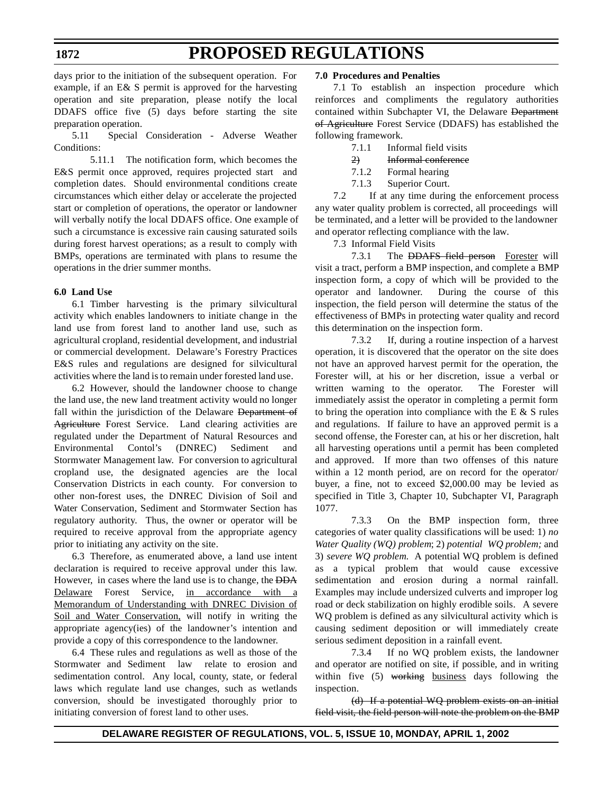days prior to the initiation of the subsequent operation. For example, if an E& S permit is approved for the harvesting operation and site preparation, please notify the local DDAFS office five (5) days before starting the site preparation operation.

5.11 Special Consideration - Adverse Weather Conditions:

5.11.1 The notification form, which becomes the E&S permit once approved, requires projected start and completion dates. Should environmental conditions create circumstances which either delay or accelerate the projected start or completion of operations, the operator or landowner will verbally notify the local DDAFS office. One example of such a circumstance is excessive rain causing saturated soils during forest harvest operations; as a result to comply with BMPs, operations are terminated with plans to resume the operations in the drier summer months.

### **6.0 Land Use**

6.1 Timber harvesting is the primary silvicultural activity which enables landowners to initiate change in the land use from forest land to another land use, such as agricultural cropland, residential development, and industrial or commercial development. Delaware's Forestry Practices E&S rules and regulations are designed for silvicultural activities where the land is to remain under forested land use.

6.2 However, should the landowner choose to change the land use, the new land treatment activity would no longer fall within the jurisdiction of the Delaware Department of Agriculture Forest Service. Land clearing activities are regulated under the Department of Natural Resources and Environmental Contol's (DNREC) Sediment and Stormwater Management law. For conversion to agricultural cropland use, the designated agencies are the local Conservation Districts in each county. For conversion to other non-forest uses, the DNREC Division of Soil and Water Conservation, Sediment and Stormwater Section has regulatory authority. Thus, the owner or operator will be required to receive approval from the appropriate agency prior to initiating any activity on the site.

6.3 Therefore, as enumerated above, a land use intent declaration is required to receive approval under this law. However, in cases where the land use is to change, the DDA Delaware Forest Service, in accordance with a Memorandum of Understanding with DNREC Division of Soil and Water Conservation, will notify in writing the appropriate agency(ies) of the landowner's intention and provide a copy of this correspondence to the landowner.

6.4 These rules and regulations as well as those of the Stormwater and Sediment law relate to erosion and sedimentation control. Any local, county, state, or federal laws which regulate land use changes, such as wetlands conversion, should be investigated thoroughly prior to initiating conversion of forest land to other uses.

#### **7.0 Procedures and Penalties**

7.1 To establish an inspection procedure which reinforces and compliments the regulatory authorities contained within Subchapter VI, the Delaware Department of Agriculture Forest Service (DDAFS) has established the following framework.

- 7.1.1 Informal field visits
- 2) Informal conference
- 7.1.2 Formal hearing
- 7.1.3 Superior Court.

7.2 If at any time during the enforcement process any water quality problem is corrected, all proceedings will be terminated, and a letter will be provided to the landowner and operator reflecting compliance with the law.

7.3 Informal Field Visits

7.3.1 The **DDAFS** field person Forester will visit a tract, perform a BMP inspection, and complete a BMP inspection form, a copy of which will be provided to the operator and landowner. During the course of this inspection, the field person will determine the status of the effectiveness of BMPs in protecting water quality and record this determination on the inspection form.

7.3.2 If, during a routine inspection of a harvest operation, it is discovered that the operator on the site does not have an approved harvest permit for the operation, the Forester will, at his or her discretion, issue a verbal or written warning to the operator. The Forester will immediately assist the operator in completing a permit form to bring the operation into compliance with the E  $\&$  S rules and regulations. If failure to have an approved permit is a second offense, the Forester can, at his or her discretion, halt all harvesting operations until a permit has been completed and approved. If more than two offenses of this nature within a 12 month period, are on record for the operator/ buyer, a fine, not to exceed \$2,000.00 may be levied as specified in Title 3, Chapter 10, Subchapter VI, Paragraph 1077.

7.3.3 On the BMP inspection form, three categories of water quality classifications will be used: 1) *no Water Quality (WQ) problem*; 2) *potential WQ problem;* and 3) *severe WQ problem.* A potential WQ problem is defined as a typical problem that would cause excessive sedimentation and erosion during a normal rainfall. Examples may include undersized culverts and improper log road or deck stabilization on highly erodible soils. A severe WQ problem is defined as any silvicultural activity which is causing sediment deposition or will immediately create serious sediment deposition in a rainfall event.

7.3.4 If no WQ problem exists, the landowner and operator are notified on site, if possible, and in writing within five (5) working business days following the inspection.

(d) If a potential WQ problem exists on an initial field visit, the field person will note the problem on the BMP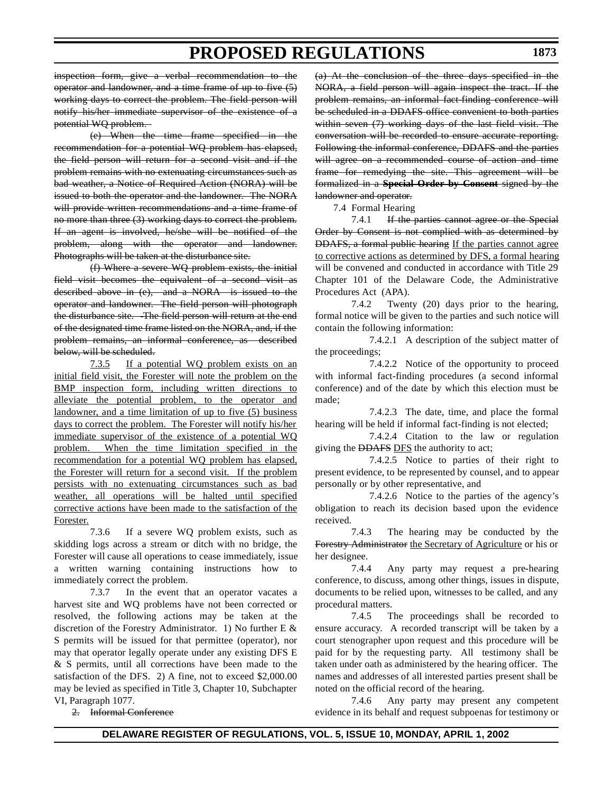inspection form, give a verbal recommendation to the operator and landowner, and a time frame of up to five (5) working days to correct the problem. The field person will notify his/her immediate supervisor of the existence of a potential WQ problem.

(e) When the time frame specified in the recommendation for a potential WQ problem has elapsed, the field person will return for a second visit and if the problem remains with no extenuating circumstances such as bad weather, a Notice of Required Action (NORA) will be issued to both the operator and the landowner. The NORA will provide written recommendations and a time frame of no more than three (3) working days to correct the problem. If an agent is involved, he/she will be notified of the problem, along with the operator and landowner. Photographs will be taken at the disturbance site.

(f) Where a severe WQ problem exists, the initial field visit becomes the equivalent of a second visit as described above in (e), and a NORA is issued to the operator and landowner. The field person will photograph the disturbance site. -The field person will return at the end of the designated time frame listed on the NORA, and, if the problem remains, an informal conference, as described below, will be scheduled.

7.3.5 If a potential WQ problem exists on an initial field visit, the Forester will note the problem on the BMP inspection form, including written directions to alleviate the potential problem, to the operator and landowner, and a time limitation of up to five (5) business days to correct the problem. The Forester will notify his/her immediate supervisor of the existence of a potential WQ problem. When the time limitation specified in the recommendation for a potential WQ problem has elapsed, the Forester will return for a second visit. If the problem persists with no extenuating circumstances such as bad weather, all operations will be halted until specified corrective actions have been made to the satisfaction of the Forester.

7.3.6 If a severe WQ problem exists, such as skidding logs across a stream or ditch with no bridge, the Forester will cause all operations to cease immediately, issue a written warning containing instructions how to immediately correct the problem.

7.3.7 In the event that an operator vacates a harvest site and WQ problems have not been corrected or resolved, the following actions may be taken at the discretion of the Forestry Administrator. 1) No further E & S permits will be issued for that permittee (operator), nor may that operator legally operate under any existing DFS E & S permits, until all corrections have been made to the satisfaction of the DFS. 2) A fine, not to exceed \$2,000.00 may be levied as specified in Title 3, Chapter 10, Subchapter VI, Paragraph 1077.

2. Informal Conference

(a) At the conclusion of the three days specified in the NORA, a field person will again inspect the tract. If the problem remains, an informal fact-finding conference will be scheduled in a DDAFS office convenient to both parties within seven (7) working days of the last field visit. The conversation will be recorded to ensure accurate reporting. Following the informal conference, DDAFS and the parties will agree on a recommended course of action and time frame for remedying the site. This agreement will be formalized in a **Special Order by Consent** signed by the landowner and operator.

7.4 Formal Hearing

7.4.1 If the parties cannot agree or the Special Order by Consent is not complied with as determined by DDAFS, a formal public hearing If the parties cannot agree to corrective actions as determined by DFS, a formal hearing will be convened and conducted in accordance with Title 29 Chapter 101 of the Delaware Code, the Administrative Procedures Act (APA).

7.4.2 Twenty (20) days prior to the hearing, formal notice will be given to the parties and such notice will contain the following information:

7.4.2.1 A description of the subject matter of the proceedings;

7.4.2.2 Notice of the opportunity to proceed with informal fact-finding procedures (a second informal conference) and of the date by which this election must be made;

7.4.2.3 The date, time, and place the formal hearing will be held if informal fact-finding is not elected;

7.4.2.4 Citation to the law or regulation giving the DDAFS DFS the authority to act;

7.4.2.5 Notice to parties of their right to present evidence, to be represented by counsel, and to appear personally or by other representative, and

7.4.2.6 Notice to the parties of the agency's obligation to reach its decision based upon the evidence received.

7.4.3 The hearing may be conducted by the Forestry Administrator the Secretary of Agriculture or his or her designee.

7.4.4 Any party may request a pre-hearing conference, to discuss, among other things, issues in dispute, documents to be relied upon, witnesses to be called, and any procedural matters.

7.4.5 The proceedings shall be recorded to ensure accuracy. A recorded transcript will be taken by a court stenographer upon request and this procedure will be paid for by the requesting party. All testimony shall be taken under oath as administered by the hearing officer. The names and addresses of all interested parties present shall be noted on the official record of the hearing.

7.4.6 Any party may present any competent evidence in its behalf and request subpoenas for testimony or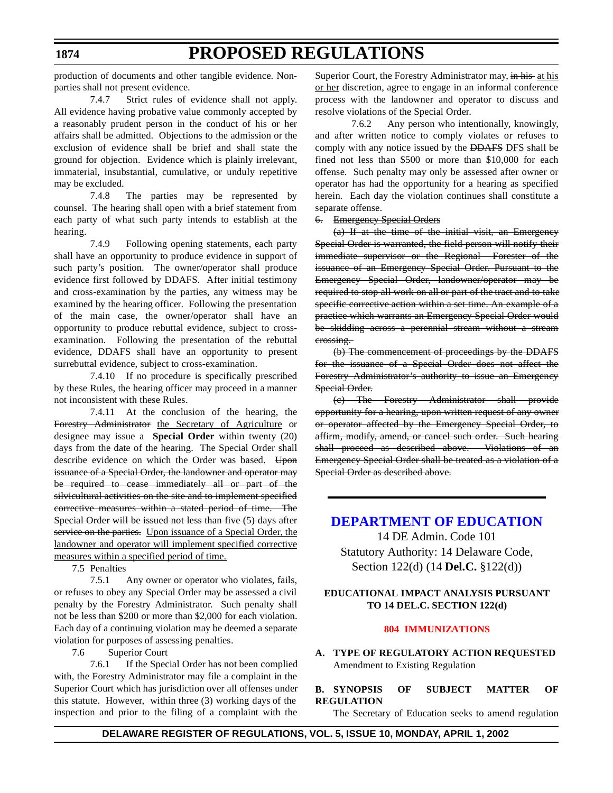# **PROPOSED REGULATIONS**

<span id="page-28-0"></span>production of documents and other tangible evidence. Nonparties shall not present evidence.

7.4.7 Strict rules of evidence shall not apply. All evidence having probative value commonly accepted by a reasonably prudent person in the conduct of his or her affairs shall be admitted. Objections to the admission or the exclusion of evidence shall be brief and shall state the ground for objection. Evidence which is plainly irrelevant, immaterial, insubstantial, cumulative, or unduly repetitive may be excluded.

7.4.8 The parties may be represented by counsel. The hearing shall open with a brief statement from each party of what such party intends to establish at the hearing.

7.4.9 Following opening statements, each party shall have an opportunity to produce evidence in support of such party's position. The owner/operator shall produce evidence first followed by DDAFS. After initial testimony and cross-examination by the parties, any witness may be examined by the hearing officer. Following the presentation of the main case, the owner/operator shall have an opportunity to produce rebuttal evidence, subject to crossexamination. Following the presentation of the rebuttal evidence, DDAFS shall have an opportunity to present surrebuttal evidence, subject to cross-examination.

7.4.10 If no procedure is specifically prescribed by these Rules, the hearing officer may proceed in a manner not inconsistent with these Rules.

7.4.11 At the conclusion of the hearing, the Forestry Administrator the Secretary of Agriculture or designee may issue a **Special Order** within twenty (20) days from the date of the hearing. The Special Order shall describe evidence on which the Order was based. Upon issuance of a Special Order, the landowner and operator may be required to cease immediately all or part of the silvicultural activities on the site and to implement specified corrective measures within a stated period of time. The Special Order will be issued not less than five (5) days after service on the parties. Upon issuance of a Special Order, the landowner and operator will implement specified corrective measures within a specified period of time.

7.5 Penalties

7.5.1 Any owner or operator who violates, fails, or refuses to obey any Special Order may be assessed a civil penalty by the Forestry Administrator. Such penalty shall not be less than \$200 or more than \$2,000 for each violation. Each day of a continuing violation may be deemed a separate violation for purposes of assessing penalties.

7.6 Superior Court

7.6.1 If the Special Order has not been complied with, the Forestry Administrator may file a complaint in the Superior Court which has jurisdiction over all offenses under this statute. However, within three (3) working days of the inspection and prior to the filing of a complaint with the

Superior Court, the Forestry Administrator may, in his at his or her discretion, agree to engage in an informal conference process with the landowner and operator to discuss and resolve violations of the Special Order.

7.6.2 Any person who intentionally, knowingly, and after written notice to comply violates or refuses to comply with any notice issued by the DDAFS DFS shall be fined not less than \$500 or more than \$10,000 for each offense. Such penalty may only be assessed after owner or operator has had the opportunity for a hearing as specified herein. Each day the violation continues shall constitute a separate offense.

### 6. Emergency Special Orders

(a) If at the time of the initial visit, an Emergency Special Order is warranted, the field person will notify their immediate supervisor or the Regional Forester of the issuance of an Emergency Special Order. Pursuant to the Emergency Special Order, landowner/operator may be required to stop all work on all or part of the tract and to take specific corrective action within a set time. An example of a practice which warrants an Emergency Special Order would be skidding across a perennial stream without a stream crossing.

(b) The commencement of proceedings by the DDAFS for the issuance of a Special Order does not affect the Forestry Administrator's authority to issue an Emergency Special Order.

(c) The Forestry Administrator shall provide opportunity for a hearing, upon written request of any owner or operator affected by the Emergency Special Order, to affirm, modify, amend, or cancel such order. Such hearing shall proceed as described above. Violations of an Emergency Special Order shall be treated as a violation of a Special Order as described above.

# **[DEPARTMENT OF](http://www.doe.state.de.us/) EDUCATION**

14 DE Admin. Code 101 Statutory Authority: 14 Delaware Code, Section 122(d) (14 **Del.C.** §122(d))

### **EDUCATIONAL IMPACT ANALYSIS PURSUANT TO 14 DEL.C. SECTION 122(d)**

#### **[804 IMMUNIZATIONS](#page-3-0)**

**A. TYPE OF REGULATORY ACTION REQUESTED** Amendment to Existing Regulation

### **B. SYNOPSIS OF SUBJECT MATTER OF REGULATION**

The Secretary of Education seeks to amend regulation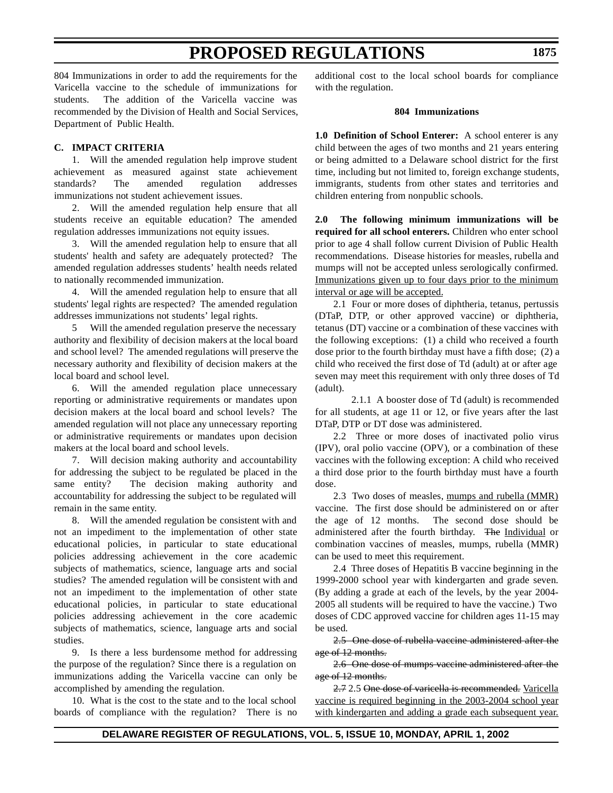804 Immunizations in order to add the requirements for the Varicella vaccine to the schedule of immunizations for students. The addition of the Varicella vaccine was recommended by the Division of Health and Social Services, Department of Public Health.

### **C. IMPACT CRITERIA**

1. Will the amended regulation help improve student achievement as measured against state achievement standards? The amended regulation addresses immunizations not student achievement issues.

2. Will the amended regulation help ensure that all students receive an equitable education? The amended regulation addresses immunizations not equity issues.

3. Will the amended regulation help to ensure that all students' health and safety are adequately protected? The amended regulation addresses students' health needs related to nationally recommended immunization.

4. Will the amended regulation help to ensure that all students' legal rights are respected? The amended regulation addresses immunizations not students' legal rights.

5 Will the amended regulation preserve the necessary authority and flexibility of decision makers at the local board and school level? The amended regulations will preserve the necessary authority and flexibility of decision makers at the local board and school level.

6. Will the amended regulation place unnecessary reporting or administrative requirements or mandates upon decision makers at the local board and school levels? The amended regulation will not place any unnecessary reporting or administrative requirements or mandates upon decision makers at the local board and school levels.

7. Will decision making authority and accountability for addressing the subject to be regulated be placed in the same entity? The decision making authority and accountability for addressing the subject to be regulated will remain in the same entity.

8. Will the amended regulation be consistent with and not an impediment to the implementation of other state educational policies, in particular to state educational policies addressing achievement in the core academic subjects of mathematics, science, language arts and social studies? The amended regulation will be consistent with and not an impediment to the implementation of other state educational policies, in particular to state educational policies addressing achievement in the core academic subjects of mathematics, science, language arts and social studies.

9. Is there a less burdensome method for addressing the purpose of the regulation? Since there is a regulation on immunizations adding the Varicella vaccine can only be accomplished by amending the regulation.

10. What is the cost to the state and to the local school boards of compliance with the regulation? There is no additional cost to the local school boards for compliance with the regulation.

#### **804 Immunizations**

**1.0 Definition of School Enterer:** A school enterer is any child between the ages of two months and 21 years entering or being admitted to a Delaware school district for the first time, including but not limited to, foreign exchange students, immigrants, students from other states and territories and children entering from nonpublic schools.

**2.0 The following minimum immunizations will be required for all school enterers.** Children who enter school prior to age 4 shall follow current Division of Public Health recommendations. Disease histories for measles, rubella and mumps will not be accepted unless serologically confirmed. Immunizations given up to four days prior to the minimum interval or age will be accepted.

2.1 Four or more doses of diphtheria, tetanus, pertussis (DTaP, DTP, or other approved vaccine) or diphtheria, tetanus (DT) vaccine or a combination of these vaccines with the following exceptions: (1) a child who received a fourth dose prior to the fourth birthday must have a fifth dose; (2) a child who received the first dose of Td (adult) at or after age seven may meet this requirement with only three doses of Td (adult).

2.1.1 A booster dose of Td (adult) is recommended for all students, at age 11 or 12, or five years after the last DTaP, DTP or DT dose was administered.

2.2 Three or more doses of inactivated polio virus (IPV), oral polio vaccine (OPV), or a combination of these vaccines with the following exception: A child who received a third dose prior to the fourth birthday must have a fourth dose.

2.3 Two doses of measles, mumps and rubella (MMR) vaccine. The first dose should be administered on or after the age of 12 months. The second dose should be administered after the fourth birthday. The Individual or combination vaccines of measles, mumps, rubella (MMR) can be used to meet this requirement.

2.4 Three doses of Hepatitis B vaccine beginning in the 1999-2000 school year with kindergarten and grade seven. (By adding a grade at each of the levels, by the year 2004- 2005 all students will be required to have the vaccine.) Two doses of CDC approved vaccine for children ages 11-15 may be used.

2.5 One dose of rubella vaccine administered after the age of 12 months.

2.6 One dose of mumps vaccine administered after the age of 12 months.

2.7 2.5 One dose of varicella is recommended. Varicella vaccine is required beginning in the 2003-2004 school year with kindergarten and adding a grade each subsequent year.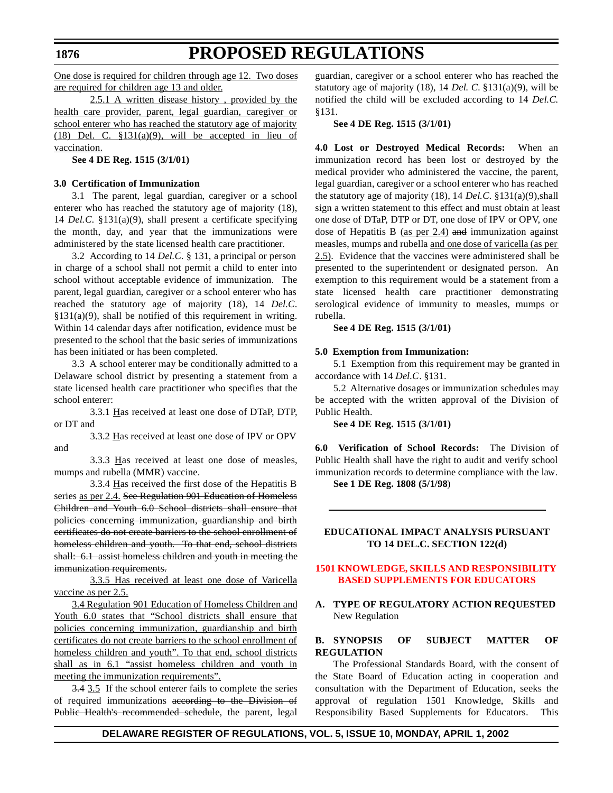# **PROPOSED REGULATIONS**

<span id="page-30-0"></span>One dose is required for children through age 12. Two doses are required for children age 13 and older.

2.5.1 A written disease history , provided by the health care provider, parent, legal guardian, caregiver or school enterer who has reached the statutory age of majority (18) Del. C.  $$131(a)(9)$ , will be accepted in lieu of vaccination.

**See 4 DE Reg. 1515 (3/1/01)**

#### **3.0 Certification of Immunization**

3.1 The parent, legal guardian, caregiver or a school enterer who has reached the statutory age of majority (18), 14 *Del.C*. §131(a)(9), shall present a certificate specifying the month, day, and year that the immunizations were administered by the state licensed health care practitioner.

3.2 According to 14 *Del.C.* § 131, a principal or person in charge of a school shall not permit a child to enter into school without acceptable evidence of immunization. The parent, legal guardian, caregiver or a school enterer who has reached the statutory age of majority (18), 14 *Del.C*.  $§131(a)(9)$ , shall be notified of this requirement in writing. Within 14 calendar days after notification, evidence must be presented to the school that the basic series of immunizations has been initiated or has been completed.

3.3 A school enterer may be conditionally admitted to a Delaware school district by presenting a statement from a state licensed health care practitioner who specifies that the school enterer:

3.3.1 Has received at least one dose of DTaP, DTP, or DT and

3.3.2 Has received at least one dose of IPV or OPV and

3.3.3 Has received at least one dose of measles, mumps and rubella (MMR) vaccine.

3.3.4 Has received the first dose of the Hepatitis B series as per 2.4. See Regulation 901 Education of Homeless Children and Youth 6.0 School districts shall ensure that policies concerning immunization, guardianship and birth certificates do not create barriers to the school enrollment of homeless children and youth. To that end, school districts shall: 6.1 assist homeless children and youth in meeting the immunization requirements.

3.3.5 Has received at least one dose of Varicella vaccine as per 2.5.

3.4 Regulation 901 Education of Homeless Children and Youth 6.0 states that "School districts shall ensure that policies concerning immunization, guardianship and birth certificates do not create barriers to the school enrollment of homeless children and youth". To that end, school districts shall as in 6.1 "assist homeless children and youth in meeting the immunization requirements".

3.4 3.5 If the school enterer fails to complete the series of required immunizations according to the Division of Public Health's recommended schedule, the parent, legal guardian, caregiver or a school enterer who has reached the statutory age of majority (18), 14 *Del. C.* §131(a)(9), will be notified the child will be excluded according to 14 *Del.C.* §131.

#### **See 4 DE Reg. 1515 (3/1/01)**

**4.0 Lost or Destroyed Medical Records:** When an immunization record has been lost or destroyed by the medical provider who administered the vaccine, the parent, legal guardian, caregiver or a school enterer who has reached the statutory age of majority (18), 14 *Del.C.* §131(a)(9),shall sign a written statement to this effect and must obtain at least one dose of DTaP, DTP or DT, one dose of IPV or OPV, one dose of Hepatitis B  $(as per 2.4)$  and immunization against measles, mumps and rubella and one dose of varicella (as per 2.5). Evidence that the vaccines were administered shall be presented to the superintendent or designated person. An exemption to this requirement would be a statement from a state licensed health care practitioner demonstrating serological evidence of immunity to measles, mumps or rubella.

**See 4 DE Reg. 1515 (3/1/01)**

#### **5.0 Exemption from Immunization:**

5.1 Exemption from this requirement may be granted in accordance with 14 *Del.C*. §131.

5.2 Alternative dosages or immunization schedules may be accepted with the written approval of the Division of Public Health.

**See 4 DE Reg. 1515 (3/1/01)**

**6.0 Verification of School Records:** The Division of Public Health shall have the right to audit and verify school immunization records to determine compliance with the law.

**See 1 DE Reg. 1808 (5/1/98**)

#### **EDUCATIONAL IMPACT ANALYSIS PURSUANT TO 14 DEL.C. SECTION 122(d)**

#### **1501 KNOWLEDGE, SKILLS [AND RESPONSIBILITY](#page-3-0) BASED SUPPLEMENTS FOR EDUCATORS**

#### **A. TYPE OF REGULATORY ACTION REQUESTED** New Regulation

### **B. SYNOPSIS OF SUBJECT MATTER OF REGULATION**

The Professional Standards Board, with the consent of the State Board of Education acting in cooperation and consultation with the Department of Education, seeks the approval of regulation 1501 Knowledge, Skills and Responsibility Based Supplements for Educators. This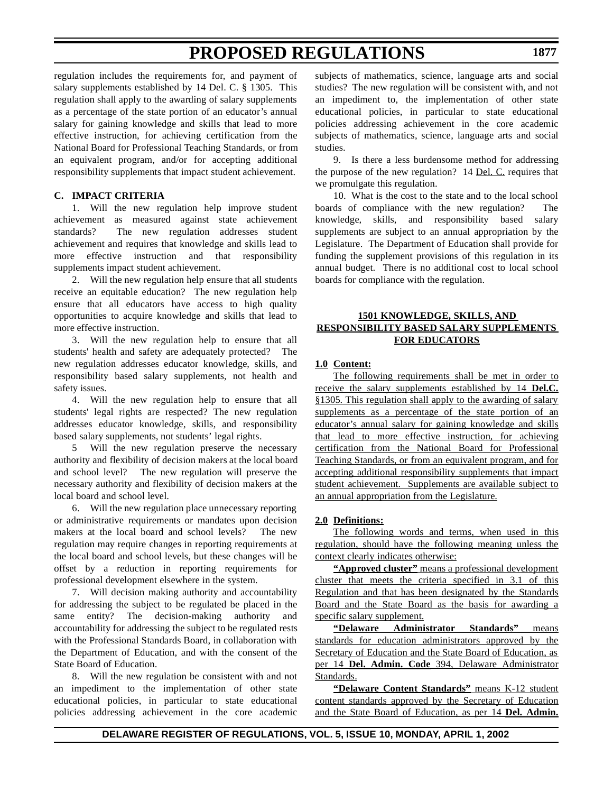regulation includes the requirements for, and payment of salary supplements established by 14 Del. C. § 1305. This regulation shall apply to the awarding of salary supplements as a percentage of the state portion of an educator's annual salary for gaining knowledge and skills that lead to more effective instruction, for achieving certification from the National Board for Professional Teaching Standards, or from an equivalent program, and/or for accepting additional responsibility supplements that impact student achievement.

### **C. IMPACT CRITERIA**

1. Will the new regulation help improve student achievement as measured against state achievement standards? The new regulation addresses student achievement and requires that knowledge and skills lead to more effective instruction and that responsibility supplements impact student achievement.

2. Will the new regulation help ensure that all students receive an equitable education? The new regulation help ensure that all educators have access to high quality opportunities to acquire knowledge and skills that lead to more effective instruction.

3. Will the new regulation help to ensure that all students' health and safety are adequately protected? The new regulation addresses educator knowledge, skills, and responsibility based salary supplements, not health and safety issues.

4. Will the new regulation help to ensure that all students' legal rights are respected? The new regulation addresses educator knowledge, skills, and responsibility based salary supplements, not students' legal rights.

5 Will the new regulation preserve the necessary authority and flexibility of decision makers at the local board and school level? The new regulation will preserve the necessary authority and flexibility of decision makers at the local board and school level.

6. Will the new regulation place unnecessary reporting or administrative requirements or mandates upon decision makers at the local board and school levels? The new regulation may require changes in reporting requirements at the local board and school levels, but these changes will be offset by a reduction in reporting requirements for professional development elsewhere in the system.

7. Will decision making authority and accountability for addressing the subject to be regulated be placed in the same entity? The decision-making authority and accountability for addressing the subject to be regulated rests with the Professional Standards Board, in collaboration with the Department of Education, and with the consent of the State Board of Education.

8. Will the new regulation be consistent with and not an impediment to the implementation of other state educational policies, in particular to state educational policies addressing achievement in the core academic subjects of mathematics, science, language arts and social studies? The new regulation will be consistent with, and not an impediment to, the implementation of other state educational policies, in particular to state educational policies addressing achievement in the core academic subjects of mathematics, science, language arts and social studies.

9. Is there a less burdensome method for addressing the purpose of the new regulation? 14 Del. C. requires that we promulgate this regulation.

10. What is the cost to the state and to the local school boards of compliance with the new regulation? The knowledge, skills, and responsibility based salary supplements are subject to an annual appropriation by the Legislature. The Department of Education shall provide for funding the supplement provisions of this regulation in its annual budget. There is no additional cost to local school boards for compliance with the regulation.

### **1501 KNOWLEDGE, SKILLS, AND RESPONSIBILITY BASED SALARY SUPPLEMENTS FOR EDUCATORS**

#### **1.0 Content:**

The following requirements shall be met in order to receive the salary supplements established by 14 **Del.C.** §1305. This regulation shall apply to the awarding of salary supplements as a percentage of the state portion of an educator's annual salary for gaining knowledge and skills that lead to more effective instruction, for achieving certification from the National Board for Professional Teaching Standards, or from an equivalent program, and for accepting additional responsibility supplements that impact student achievement. Supplements are available subject to an annual appropriation from the Legislature.

#### **2.0 Definitions:**

The following words and terms, when used in this regulation, should have the following meaning unless the context clearly indicates otherwise:

**"Approved cluster"** means a professional development cluster that meets the criteria specified in 3.1 of this Regulation and that has been designated by the Standards Board and the State Board as the basis for awarding a specific salary supplement.

**"Delaware Administrator Standards"** means standards for education administrators approved by the Secretary of Education and the State Board of Education, as per 14 **Del. Admin. Code** 394, Delaware Administrator Standards.

**"Delaware Content Standards"** means K-12 student content standards approved by the Secretary of Education and the State Board of Education, as per 14 **Del. Admin.**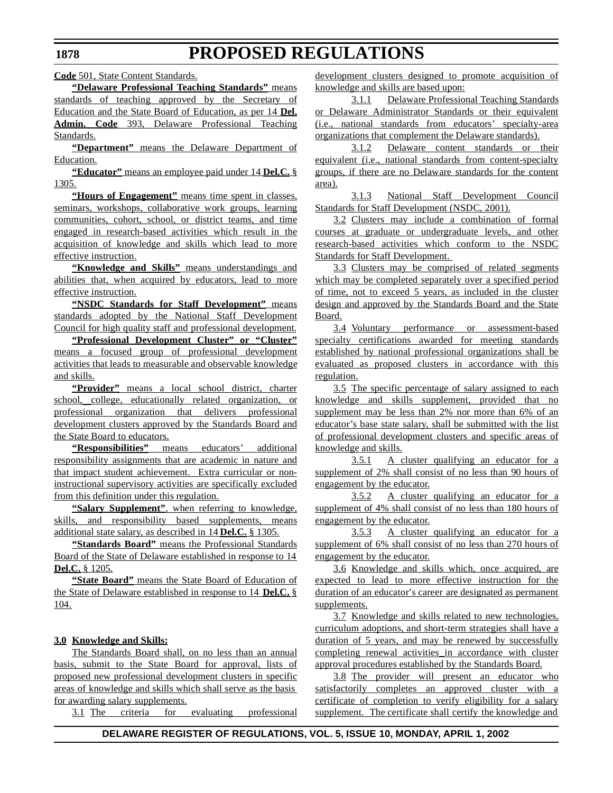**Code** 501, State Content Standards.

**"Delaware Professional Teaching Standards"** means standards of teaching approved by the Secretary of Education and the State Board of Education, as per 14 **Del. Admin. Code** 393, Delaware Professional Teaching Standards.

**"Department"** means the Delaware Department of Education.

**"Educator"** means an employee paid under 14 **Del.C.** § 1305.

**"Hours of Engagement"** means time spent in classes, seminars, workshops, collaborative work groups, learning communities, cohort, school, or district teams, and time engaged in research-based activities which result in the acquisition of knowledge and skills which lead to more effective instruction.

**"Knowledge and Skills"** means understandings and abilities that, when acquired by educators, lead to more effective instruction.

**"NSDC Standards for Staff Development"** means standards adopted by the National Staff Development Council for high quality staff and professional development.

**"Professional Development Cluster" or "Cluster"** means a focused group of professional development activities that leads to measurable and observable knowledge and skills.

**"Provider"** means a local school district, charter school, college, educationally related organization, or professional organization that delivers professional development clusters approved by the Standards Board and the State Board to educators.

**"Responsibilities"** means educators' additional responsibility assignments that are academic in nature and that impact student achievement. Extra curricular or noninstructional supervisory activities are specifically excluded from this definition under this regulation.

**"Salary Supplement"**, when referring to knowledge, skills, and responsibility based supplements, means additional state salary, as described in 14 **Del.C.** § 1305.

**"Standards Board"** means the Professional Standards Board of the State of Delaware established in response to 14 **Del.C.** § 1205.

**"State Board"** means the State Board of Education of the State of Delaware established in response to 14 **Del.C.** § 104.

### **3.0 Knowledge and Skills:**

The Standards Board shall, on no less than an annual basis, submit to the State Board for approval, lists of proposed new professional development clusters in specific areas of knowledge and skills which shall serve as the basis for awarding salary supplements.

3.1 The criteria for evaluating professional

development clusters designed to promote acquisition of knowledge and skills are based upon:

3.1.1 Delaware Professional Teaching Standards or Delaware Administrator Standards or their equivalent (i.e., national standards from educators' specialty-area organizations that complement the Delaware standards).

3.1.2 Delaware content standards or their equivalent (i.e., national standards from content-specialty groups, if there are no Delaware standards for the content area).

3.1.3 National Staff Development Council Standards for Staff Development (NSDC, 2001).

3.2 Clusters may include a combination of formal courses at graduate or undergraduate levels, and other research-based activities which conform to the NSDC Standards for Staff Development.

3.3 Clusters may be comprised of related segments which may be completed separately over a specified period of time, not to exceed 5 years, as included in the cluster design and approved by the Standards Board and the State Board.

3.4 Voluntary performance or assessment-based specialty certifications awarded for meeting standards established by national professional organizations shall be evaluated as proposed clusters in accordance with this regulation.

3.5 The specific percentage of salary assigned to each knowledge and skills supplement, provided that no supplement may be less than 2% nor more than 6% of an educator's base state salary, shall be submitted with the list of professional development clusters and specific areas of knowledge and skills.

3.5.1 A cluster qualifying an educator for a supplement of 2% shall consist of no less than 90 hours of engagement by the educator.

3.5.2 A cluster qualifying an educator for a supplement of 4% shall consist of no less than 180 hours of engagement by the educator.

3.5.3 A cluster qualifying an educator for a supplement of 6% shall consist of no less than 270 hours of engagement by the educator.

3.6 Knowledge and skills which, once acquired, are expected to lead to more effective instruction for the duration of an educator's career are designated as permanent supplements.

3.7 Knowledge and skills related to new technologies, curriculum adoptions, and short-term strategies shall have a duration of 5 years, and may be renewed by successfully completing renewal activities in accordance with cluster approval procedures established by the Standards Board.

3.8 The provider will present an educator who satisfactorily completes an approved cluster with a certificate of completion to verify eligibility for a salary supplement. The certificate shall certify the knowledge and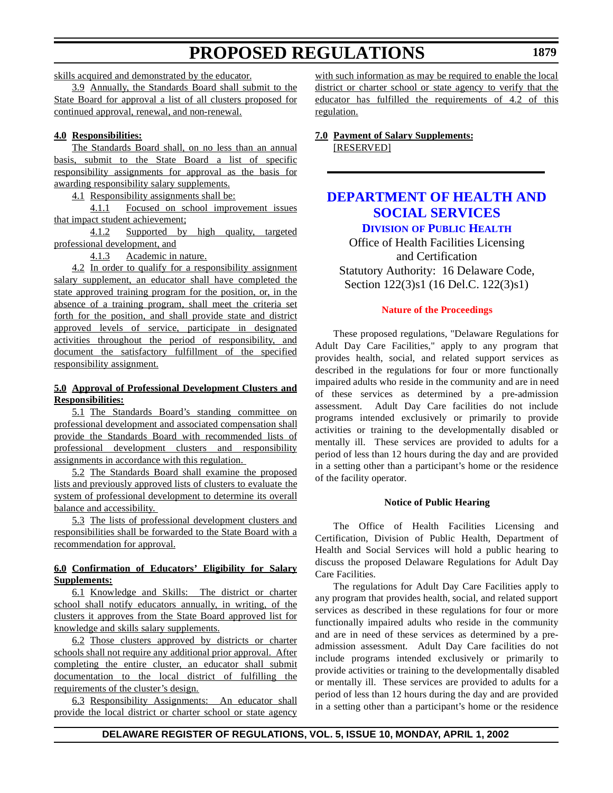<span id="page-33-0"></span>skills acquired and demonstrated by the educator.

3.9 Annually, the Standards Board shall submit to the State Board for approval a list of all clusters proposed for continued approval, renewal, and non-renewal.

### **4.0 Responsibilities:**

The Standards Board shall, on no less than an annual basis, submit to the State Board a list of specific responsibility assignments for approval as the basis for awarding responsibility salary supplements.

4.1 Responsibility assignments shall be:

4.1.1 Focused on school improvement issues that impact student achievement;

4.1.2 Supported by high quality, targeted professional development, and

4.1.3 Academic in nature.

4.2 In order to qualify for a responsibility assignment salary supplement, an educator shall have completed the state approved training program for the position, or, in the absence of a training program, shall meet the criteria set forth for the position, and shall provide state and district approved levels of service, participate in designated activities throughout the period of responsibility, and document the satisfactory fulfillment of the specified responsibility assignment.

### **5.0 Approval of Professional Development Clusters and Responsibilities:**

5.1 The Standards Board's standing committee on professional development and associated compensation shall provide the Standards Board with recommended lists of professional development clusters and responsibility assignments in accordance with this regulation.

5.2 The Standards Board shall examine the proposed lists and previously approved lists of clusters to evaluate the system of professional development to determine its overall balance and accessibility.

5.3 The lists of professional development clusters and responsibilities shall be forwarded to the State Board with a recommendation for approval.

### **6.0 Confirmation of Educators' Eligibility for Salary Supplements:**

6.1 Knowledge and Skills: The district or charter school shall notify educators annually, in writing, of the clusters it approves from the State Board approved list for knowledge and skills salary supplements.

6.2 Those clusters approved by districts or charter schools shall not require any additional prior approval. After completing the entire cluster, an educator shall submit documentation to the local district of fulfilling the requirements of the cluster's design.

6.3 Responsibility Assignments: An educator shall provide the local district or charter school or state agency with such information as may be required to enable the local district or charter school or state agency to verify that the educator has fulfilled the requirements of 4.2 of this regulation.

**7.0 Payment of Salary Supplements:** [RESERVED]

# **DEPARTMENT OF HEALTH AND [SOCIAL SERVICES](http://www.state.de.us/dhss/dph/index.htm)**

**DIVISION OF PUBLIC HEALTH**

Office of Health Facilities Licensing and Certification Statutory Authority: 16 Delaware Code, Section 122(3)s1 (16 Del.C. 122(3)s1)

#### **Nature of [the Proceedings](#page-3-0)**

These proposed regulations, "Delaware Regulations for Adult Day Care Facilities," apply to any program that provides health, social, and related support services as described in the regulations for four or more functionally impaired adults who reside in the community and are in need of these services as determined by a pre-admission assessment. Adult Day Care facilities do not include programs intended exclusively or primarily to provide activities or training to the developmentally disabled or mentally ill. These services are provided to adults for a period of less than 12 hours during the day and are provided in a setting other than a participant's home or the residence of the facility operator.

#### **Notice of Public Hearing**

The Office of Health Facilities Licensing and Certification, Division of Public Health, Department of Health and Social Services will hold a public hearing to discuss the proposed Delaware Regulations for Adult Day Care Facilities.

The regulations for Adult Day Care Facilities apply to any program that provides health, social, and related support services as described in these regulations for four or more functionally impaired adults who reside in the community and are in need of these services as determined by a preadmission assessment. Adult Day Care facilities do not include programs intended exclusively or primarily to provide activities or training to the developmentally disabled or mentally ill. These services are provided to adults for a period of less than 12 hours during the day and are provided in a setting other than a participant's home or the residence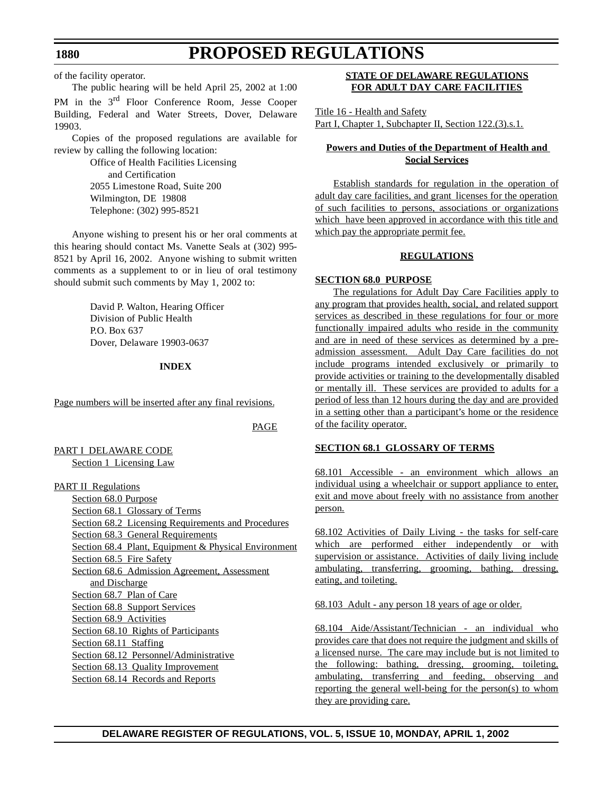of the facility operator.

The public hearing will be held April 25, 2002 at 1:00

PM in the 3<sup>rd</sup> Floor Conference Room, Jesse Cooper Building, Federal and Water Streets, Dover, Delaware 19903.

Copies of the proposed regulations are available for review by calling the following location:

> Office of Health Facilities Licensing and Certification 2055 Limestone Road, Suite 200 Wilmington, DE 19808 Telephone: (302) 995-8521

Anyone wishing to present his or her oral comments at this hearing should contact Ms. Vanette Seals at (302) 995- 8521 by April 16, 2002. Anyone wishing to submit written comments as a supplement to or in lieu of oral testimony should submit such comments by May 1, 2002 to:

> David P. Walton, Hearing Officer Division of Public Health P.O. Box 637 Dover, Delaware 19903-0637

#### **INDEX**

Page numbers will be inserted after any final revisions.

PAGE

PART I DELAWARE CODE Section 1 Licensing Law

PART II Regulations

Section 68.0 Purpose Section 68.1 Glossary of Terms Section 68.2 Licensing Requirements and Procedures Section 68.3 General Requirements Section 68.4 Plant, Equipment & Physical Environment Section 68.5 Fire Safety Section 68.6 Admission Agreement, Assessment and Discharge Section 68.7 Plan of Care Section 68.8 Support Services Section 68.9 Activities Section 68.10 Rights of Participants Section 68.11 Staffing Section 68.12 Personnel/Administrative Section 68.13 Quality Improvement Section 68.14 Records and Reports

## **STATE OF DELAWARE REGULATIONS FOR ADULT DAY CARE FACILITIES**

Title 16 - Health and Safety Part I, Chapter 1, Subchapter II, Section 122.(3).s.1.

## **Powers and Duties of the Department of Health and Social Services**

Establish standards for regulation in the operation of adult day care facilities, and grant licenses for the operation of such facilities to persons, associations or organizations which have been approved in accordance with this title and which pay the appropriate permit fee.

### **REGULATIONS**

#### **SECTION 68.0 PURPOSE**

The regulations for Adult Day Care Facilities apply to any program that provides health, social, and related support services as described in these regulations for four or more functionally impaired adults who reside in the community and are in need of these services as determined by a preadmission assessment. Adult Day Care facilities do not include programs intended exclusively or primarily to provide activities or training to the developmentally disabled or mentally ill. These services are provided to adults for a period of less than 12 hours during the day and are provided in a setting other than a participant's home or the residence of the facility operator.

### **SECTION 68.1 GLOSSARY OF TERMS**

68.101 Accessible - an environment which allows an individual using a wheelchair or support appliance to enter, exit and move about freely with no assistance from another person.

68.102 Activities of Daily Living - the tasks for self-care which are performed either independently or with supervision or assistance. Activities of daily living include ambulating, transferring, grooming, bathing, dressing, eating, and toileting.

68.103 Adult - any person 18 years of age or older.

68.104 Aide/Assistant/Technician - an individual who provides care that does not require the judgment and skills of a licensed nurse. The care may include but is not limited to the following: bathing, dressing, grooming, toileting, ambulating, transferring and feeding, observing and reporting the general well-being for the person(s) to whom they are providing care.

## **DELAWARE REGISTER OF REGULATIONS, VOL. 5, ISSUE 10, MONDAY, APRIL 1, 2002**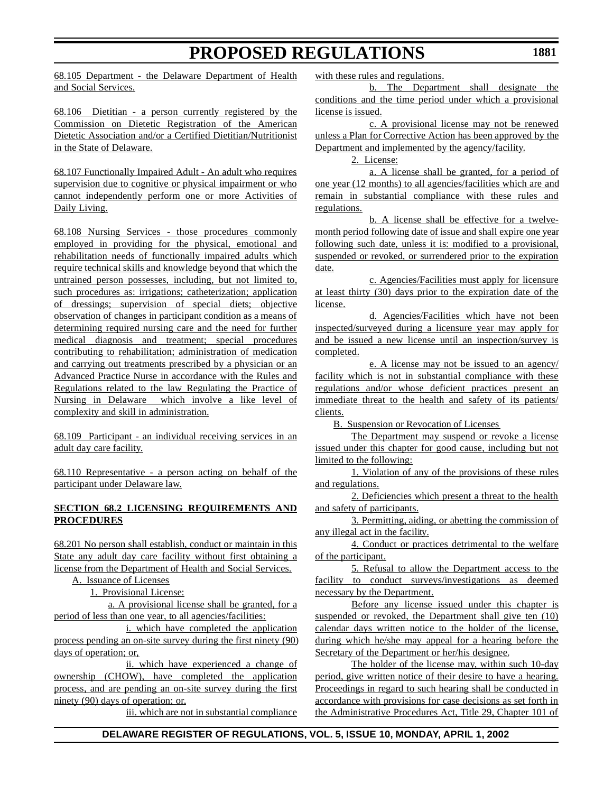68.105 Department - the Delaware Department of Health and Social Services.

68.106 Dietitian - a person currently registered by the Commission on Dietetic Registration of the American Dietetic Association and/or a Certified Dietitian/Nutritionist in the State of Delaware.

68.107 Functionally Impaired Adult - An adult who requires supervision due to cognitive or physical impairment or who cannot independently perform one or more Activities of Daily Living.

68.108 Nursing Services - those procedures commonly employed in providing for the physical, emotional and rehabilitation needs of functionally impaired adults which require technical skills and knowledge beyond that which the untrained person possesses, including, but not limited to, such procedures as: irrigations; catheterization; application of dressings; supervision of special diets; objective observation of changes in participant condition as a means of determining required nursing care and the need for further medical diagnosis and treatment; special procedures contributing to rehabilitation; administration of medication and carrying out treatments prescribed by a physician or an Advanced Practice Nurse in accordance with the Rules and Regulations related to the law Regulating the Practice of Nursing in Delaware which involve a like level of complexity and skill in administration.

68.109 Participant - an individual receiving services in an adult day care facility.

68.110 Representative - a person acting on behalf of the participant under Delaware law.

### **SECTION 68.2 LICENSING REQUIREMENTS AND PROCEDURES**

68.201 No person shall establish, conduct or maintain in this State any adult day care facility without first obtaining a license from the Department of Health and Social Services.

A. Issuance of Licenses

1. Provisional License:

a. A provisional license shall be granted, for a period of less than one year, to all agencies/facilities:

i. which have completed the application process pending an on-site survey during the first ninety (90) days of operation; or,

ii. which have experienced a change of ownership (CHOW), have completed the application process, and are pending an on-site survey during the first ninety (90) days of operation; or,

iii. which are not in substantial compliance

with these rules and regulations.

b. The Department shall designate the conditions and the time period under which a provisional license is issued.

c. A provisional license may not be renewed unless a Plan for Corrective Action has been approved by the Department and implemented by the agency/facility.

2. License:

a. A license shall be granted, for a period of one year (12 months) to all agencies/facilities which are and remain in substantial compliance with these rules and regulations.

b. A license shall be effective for a twelvemonth period following date of issue and shall expire one year following such date, unless it is: modified to a provisional, suspended or revoked, or surrendered prior to the expiration date.

c. Agencies/Facilities must apply for licensure at least thirty (30) days prior to the expiration date of the license.

d. Agencies/Facilities which have not been inspected/surveyed during a licensure year may apply for and be issued a new license until an inspection/survey is completed.

e. A license may not be issued to an agency/ facility which is not in substantial compliance with these regulations and/or whose deficient practices present an immediate threat to the health and safety of its patients/ clients.

B. Suspension or Revocation of Licenses

The Department may suspend or revoke a license issued under this chapter for good cause, including but not limited to the following:

1. Violation of any of the provisions of these rules and regulations.

2. Deficiencies which present a threat to the health and safety of participants.

3. Permitting, aiding, or abetting the commission of any illegal act in the facility.

4. Conduct or practices detrimental to the welfare of the participant.

5. Refusal to allow the Department access to the facility to conduct surveys/investigations as deemed necessary by the Department.

Before any license issued under this chapter is suspended or revoked, the Department shall give ten  $(10)$ calendar days written notice to the holder of the license, during which he/she may appeal for a hearing before the Secretary of the Department or her/his designee.

The holder of the license may, within such 10-day period, give written notice of their desire to have a hearing. Proceedings in regard to such hearing shall be conducted in accordance with provisions for case decisions as set forth in the Administrative Procedures Act, Title 29, Chapter 101 of

# **DELAWARE REGISTER OF REGULATIONS, VOL. 5, ISSUE 10, MONDAY, APRIL 1, 2002**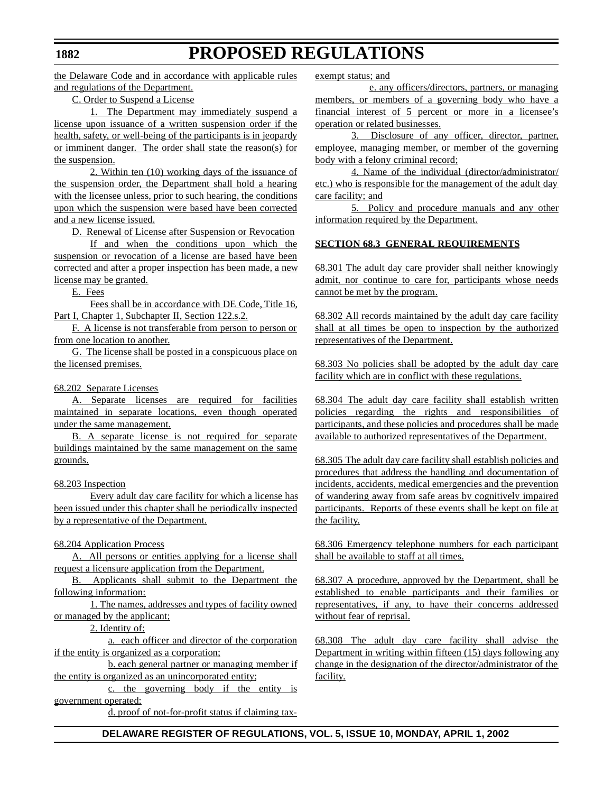the Delaware Code and in accordance with applicable rules and regulations of the Department.

### C. Order to Suspend a License

1. The Department may immediately suspend a license upon issuance of a written suspension order if the health, safety, or well-being of the participants is in jeopardy or imminent danger. The order shall state the reason(s) for the suspension.

2. Within ten (10) working days of the issuance of the suspension order, the Department shall hold a hearing with the licensee unless, prior to such hearing, the conditions upon which the suspension were based have been corrected and a new license issued.

D. Renewal of License after Suspension or Revocation

If and when the conditions upon which the suspension or revocation of a license are based have been corrected and after a proper inspection has been made, a new license may be granted.

E. Fees

Fees shall be in accordance with DE Code, Title 16, Part I, Chapter 1, Subchapter II, Section 122.s.2.

F. A license is not transferable from person to person or from one location to another.

G. The license shall be posted in a conspicuous place on the licensed premises.

### 68.202 Separate Licenses

A. Separate licenses are required for facilities maintained in separate locations, even though operated under the same management.

B. A separate license is not required for separate buildings maintained by the same management on the same grounds.

### 68.203 Inspection

Every adult day care facility for which a license has been issued under this chapter shall be periodically inspected by a representative of the Department.

### 68.204 Application Process

A. All persons or entities applying for a license shall request a licensure application from the Department.

B. Applicants shall submit to the Department the following information:

1. The names, addresses and types of facility owned or managed by the applicant;

# 2. Identity of:

a. each officer and director of the corporation if the entity is organized as a corporation;

b. each general partner or managing member if the entity is organized as an unincorporated entity;

c. the governing body if the entity is government operated;

d. proof of not-for-profit status if claiming tax-

exempt status; and

e. any officers/directors, partners, or managing members, or members of a governing body who have a financial interest of 5 percent or more in a licensee's operation or related businesses.

3. Disclosure of any officer, director, partner, employee, managing member, or member of the governing body with a felony criminal record;

4. Name of the individual (director/administrator/ etc.) who is responsible for the management of the adult day care facility; and

5. Policy and procedure manuals and any other information required by the Department.

# **SECTION 68.3 GENERAL REQUIREMENTS**

68.301 The adult day care provider shall neither knowingly admit, nor continue to care for, participants whose needs cannot be met by the program.

68.302 All records maintained by the adult day care facility shall at all times be open to inspection by the authorized representatives of the Department.

68.303 No policies shall be adopted by the adult day care facility which are in conflict with these regulations.

68.304 The adult day care facility shall establish written policies regarding the rights and responsibilities of participants, and these policies and procedures shall be made available to authorized representatives of the Department.

68.305 The adult day care facility shall establish policies and procedures that address the handling and documentation of incidents, accidents, medical emergencies and the prevention of wandering away from safe areas by cognitively impaired participants. Reports of these events shall be kept on file at the facility.

68.306 Emergency telephone numbers for each participant shall be available to staff at all times.

68.307 A procedure, approved by the Department, shall be established to enable participants and their families or representatives, if any, to have their concerns addressed without fear of reprisal.

68.308 The adult day care facility shall advise the Department in writing within fifteen (15) days following any change in the designation of the director/administrator of the facility.

### **1882**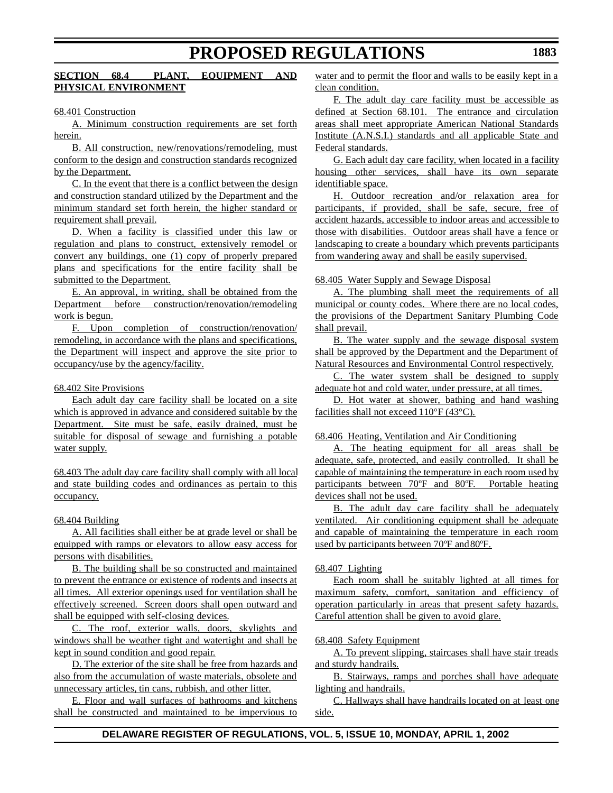# **SECTION 68.4 PLANT, EQUIPMENT AND PHYSICAL ENVIRONMENT**

68.401 Construction

A. Minimum construction requirements are set forth herein.

B. All construction, new/renovations/remodeling, must conform to the design and construction standards recognized by the Department.

C. In the event that there is a conflict between the design and construction standard utilized by the Department and the minimum standard set forth herein, the higher standard or requirement shall prevail.

D. When a facility is classified under this law or regulation and plans to construct, extensively remodel or convert any buildings, one (1) copy of properly prepared plans and specifications for the entire facility shall be submitted to the Department.

E. An approval, in writing, shall be obtained from the Department before construction/renovation/remodeling work is begun.

F. Upon completion of construction/renovation/ remodeling, in accordance with the plans and specifications, the Department will inspect and approve the site prior to occupancy/use by the agency/facility.

### 68.402 Site Provisions

Each adult day care facility shall be located on a site which is approved in advance and considered suitable by the Department. Site must be safe, easily drained, must be suitable for disposal of sewage and furnishing a potable water supply.

68.403 The adult day care facility shall comply with all local and state building codes and ordinances as pertain to this occupancy.

### 68.404 Building

A. All facilities shall either be at grade level or shall be equipped with ramps or elevators to allow easy access for persons with disabilities.

B. The building shall be so constructed and maintained to prevent the entrance or existence of rodents and insects at all times. All exterior openings used for ventilation shall be effectively screened. Screen doors shall open outward and shall be equipped with self-closing devices.

C. The roof, exterior walls, doors, skylights and windows shall be weather tight and watertight and shall be kept in sound condition and good repair.

D. The exterior of the site shall be free from hazards and also from the accumulation of waste materials, obsolete and unnecessary articles, tin cans, rubbish, and other litter.

E. Floor and wall surfaces of bathrooms and kitchens shall be constructed and maintained to be impervious to water and to permit the floor and walls to be easily kept in a clean condition.

F. The adult day care facility must be accessible as defined at Section 68.101. The entrance and circulation areas shall meet appropriate American National Standards Institute (A.N.S.I.) standards and all applicable State and Federal standards.

G. Each adult day care facility, when located in a facility housing other services, shall have its own separate identifiable space.

H. Outdoor recreation and/or relaxation area for participants, if provided, shall be safe, secure, free of accident hazards, accessible to indoor areas and accessible to those with disabilities. Outdoor areas shall have a fence or landscaping to create a boundary which prevents participants from wandering away and shall be easily supervised.

### 68.405 Water Supply and Sewage Disposal

A. The plumbing shall meet the requirements of all municipal or county codes. Where there are no local codes, the provisions of the Department Sanitary Plumbing Code shall prevail.

B. The water supply and the sewage disposal system shall be approved by the Department and the Department of Natural Resources and Environmental Control respectively.

C. The water system shall be designed to supply adequate hot and cold water, under pressure, at all times.

D. Hot water at shower, bathing and hand washing facilities shall not exceed 110°F (43°C).

### 68.406 Heating, Ventilation and Air Conditioning

A. The heating equipment for all areas shall be adequate, safe, protected, and easily controlled. It shall be capable of maintaining the temperature in each room used by participants between 70ºF and 80ºF. Portable heating devices shall not be used.

B. The adult day care facility shall be adequately ventilated. Air conditioning equipment shall be adequate and capable of maintaining the temperature in each room used by participants between 70ºF and 80ºF.

### 68.407 Lighting

Each room shall be suitably lighted at all times for maximum safety, comfort, sanitation and efficiency of operation particularly in areas that present safety hazards. Careful attention shall be given to avoid glare.

### 68.408 Safety Equipment

A. To prevent slipping, staircases shall have stair treads and sturdy handrails.

B. Stairways, ramps and porches shall have adequate lighting and handrails.

C. Hallways shall have handrails located on at least one side.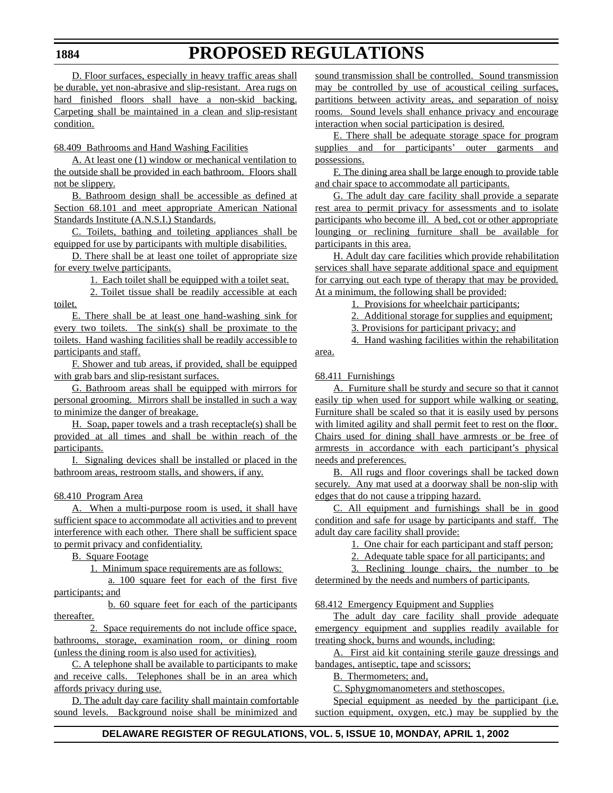D. Floor surfaces, especially in heavy traffic areas shall be durable, yet non-abrasive and slip-resistant. Area rugs on hard finished floors shall have a non-skid backing. Carpeting shall be maintained in a clean and slip-resistant condition.

68.409 Bathrooms and Hand Washing Facilities

A. At least one (1) window or mechanical ventilation to the outside shall be provided in each bathroom. Floors shall not be slippery.

B. Bathroom design shall be accessible as defined at Section 68.101 and meet appropriate American National Standards Institute (A.N.S.I.) Standards.

C. Toilets, bathing and toileting appliances shall be equipped for use by participants with multiple disabilities.

D. There shall be at least one toilet of appropriate size for every twelve participants.

1. Each toilet shall be equipped with a toilet seat.

2. Toilet tissue shall be readily accessible at each toilet.

E. There shall be at least one hand-washing sink for every two toilets. The sink(s) shall be proximate to the toilets. Hand washing facilities shall be readily accessible to participants and staff.

F. Shower and tub areas, if provided, shall be equipped with grab bars and slip-resistant surfaces.

G. Bathroom areas shall be equipped with mirrors for personal grooming. Mirrors shall be installed in such a way to minimize the danger of breakage.

H. Soap, paper towels and a trash receptacle(s) shall be provided at all times and shall be within reach of the participants.

I. Signaling devices shall be installed or placed in the bathroom areas, restroom stalls, and showers, if any.

68.410 Program Area

A. When a multi-purpose room is used, it shall have sufficient space to accommodate all activities and to prevent interference with each other. There shall be sufficient space to permit privacy and confidentiality.

B. Square Footage

1. Minimum space requirements are as follows:

a. 100 square feet for each of the first five participants; and

b. 60 square feet for each of the participants thereafter.

2. Space requirements do not include office space, bathrooms, storage, examination room, or dining room (unless the dining room is also used for activities).

C. A telephone shall be available to participants to make and receive calls. Telephones shall be in an area which affords privacy during use.

D. The adult day care facility shall maintain comfortable sound levels. Background noise shall be minimized and

sound transmission shall be controlled. Sound transmission may be controlled by use of acoustical ceiling surfaces, partitions between activity areas, and separation of noisy rooms. Sound levels shall enhance privacy and encourage interaction when social participation is desired.

E. There shall be adequate storage space for program supplies and for participants' outer garments and possessions.

F. The dining area shall be large enough to provide table and chair space to accommodate all participants.

G. The adult day care facility shall provide a separate rest area to permit privacy for assessments and to isolate participants who become ill. A bed, cot or other appropriate lounging or reclining furniture shall be available for participants in this area.

H. Adult day care facilities which provide rehabilitation services shall have separate additional space and equipment for carrying out each type of therapy that may be provided. At a minimum, the following shall be provided:

1. Provisions for wheelchair participants;

2. Additional storage for supplies and equipment;

3. Provisions for participant privacy; and

4. Hand washing facilities within the rehabilitation

area.

68.411 Furnishings

A. Furniture shall be sturdy and secure so that it cannot easily tip when used for support while walking or seating. Furniture shall be scaled so that it is easily used by persons with limited agility and shall permit feet to rest on the floor. Chairs used for dining shall have armrests or be free of armrests in accordance with each participant's physical needs and preferences.

B. All rugs and floor coverings shall be tacked down securely. Any mat used at a doorway shall be non-slip with edges that do not cause a tripping hazard.

C. All equipment and furnishings shall be in good condition and safe for usage by participants and staff. The adult day care facility shall provide:

1. One chair for each participant and staff person;

2. Adequate table space for all participants; and

3. Reclining lounge chairs, the number to be determined by the needs and numbers of participants.

### 68.412 Emergency Equipment and Supplies

The adult day care facility shall provide adequate emergency equipment and supplies readily available for treating shock, burns and wounds, including:

A. First aid kit containing sterile gauze dressings and bandages, antiseptic, tape and scissors;

B. Thermometers; and,

C. Sphygmomanometers and stethoscopes.

Special equipment as needed by the participant (i.e. suction equipment, oxygen, etc.) may be supplied by the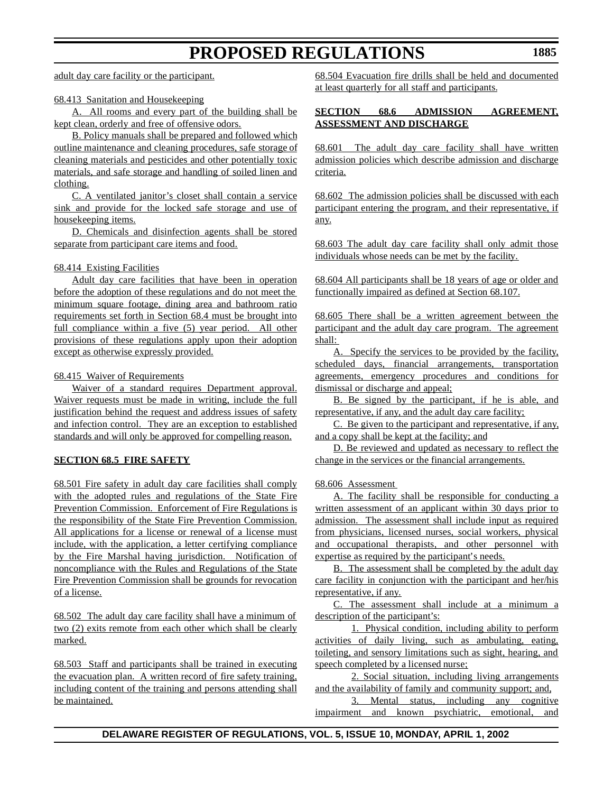adult day care facility or the participant.

### 68.413 Sanitation and Housekeeping

A. All rooms and every part of the building shall be kept clean, orderly and free of offensive odors.

B. Policy manuals shall be prepared and followed which outline maintenance and cleaning procedures, safe storage of cleaning materials and pesticides and other potentially toxic materials, and safe storage and handling of soiled linen and clothing.

C. A ventilated janitor's closet shall contain a service sink and provide for the locked safe storage and use of housekeeping items.

D. Chemicals and disinfection agents shall be stored separate from participant care items and food.

### 68.414 Existing Facilities

Adult day care facilities that have been in operation before the adoption of these regulations and do not meet the minimum square footage, dining area and bathroom ratio requirements set forth in Section 68.4 must be brought into full compliance within a five (5) year period. All other provisions of these regulations apply upon their adoption except as otherwise expressly provided.

### 68.415 Waiver of Requirements

Waiver of a standard requires Department approval. Waiver requests must be made in writing, include the full justification behind the request and address issues of safety and infection control. They are an exception to established standards and will only be approved for compelling reason.

### **SECTION 68.5 FIRE SAFETY**

68.501 Fire safety in adult day care facilities shall comply with the adopted rules and regulations of the State Fire Prevention Commission. Enforcement of Fire Regulations is the responsibility of the State Fire Prevention Commission. All applications for a license or renewal of a license must include, with the application, a letter certifying compliance by the Fire Marshal having jurisdiction. Notification of noncompliance with the Rules and Regulations of the State Fire Prevention Commission shall be grounds for revocation of a license.

68.502 The adult day care facility shall have a minimum of two (2) exits remote from each other which shall be clearly marked.

68.503 Staff and participants shall be trained in executing the evacuation plan. A written record of fire safety training, including content of the training and persons attending shall be maintained.

68.504 Evacuation fire drills shall be held and documented at least quarterly for all staff and participants.

# **SECTION 68.6 ADMISSION AGREEMENT, ASSESSMENT AND DISCHARGE**

68.601 The adult day care facility shall have written admission policies which describe admission and discharge criteria.

68.602 The admission policies shall be discussed with each participant entering the program, and their representative, if any.

68.603 The adult day care facility shall only admit those individuals whose needs can be met by the facility.

68.604 All participants shall be 18 years of age or older and functionally impaired as defined at Section 68.107.

68.605 There shall be a written agreement between the participant and the adult day care program. The agreement shall:

A. Specify the services to be provided by the facility, scheduled days, financial arrangements, transportation agreements, emergency procedures and conditions for dismissal or discharge and appeal;

B. Be signed by the participant, if he is able, and representative, if any, and the adult day care facility;

C. Be given to the participant and representative, if any, and a copy shall be kept at the facility; and

D. Be reviewed and updated as necessary to reflect the change in the services or the financial arrangements.

68.606 Assessment

A. The facility shall be responsible for conducting a written assessment of an applicant within 30 days prior to admission. The assessment shall include input as required from physicians, licensed nurses, social workers, physical and occupational therapists, and other personnel with expertise as required by the participant's needs.

B. The assessment shall be completed by the adult day care facility in conjunction with the participant and her/his representative, if any.

C. The assessment shall include at a minimum a description of the participant's:

1. Physical condition, including ability to perform activities of daily living, such as ambulating, eating, toileting, and sensory limitations such as sight, hearing, and speech completed by a licensed nurse;

2. Social situation, including living arrangements and the availability of family and community support; and,

3. Mental status, including any cognitive impairment and known psychiatric, emotional, and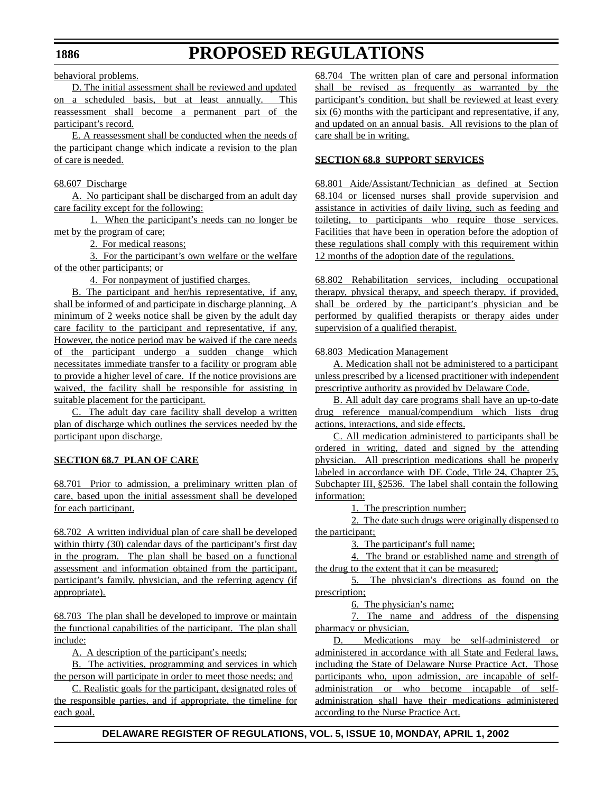behavioral problems.

D. The initial assessment shall be reviewed and updated on a scheduled basis, but at least annually. This reassessment shall become a permanent part of the participant's record.

E. A reassessment shall be conducted when the needs of the participant change which indicate a revision to the plan of care is needed.

# 68.607 Discharge

A. No participant shall be discharged from an adult day care facility except for the following:

1. When the participant's needs can no longer be met by the program of care;

2. For medical reasons;

3. For the participant's own welfare or the welfare of the other participants; or

4. For nonpayment of justified charges.

B. The participant and her/his representative, if any, shall be informed of and participate in discharge planning. A minimum of 2 weeks notice shall be given by the adult day care facility to the participant and representative, if any. However, the notice period may be waived if the care needs of the participant undergo a sudden change which necessitates immediate transfer to a facility or program able to provide a higher level of care. If the notice provisions are waived, the facility shall be responsible for assisting in suitable placement for the participant.

C. The adult day care facility shall develop a written plan of discharge which outlines the services needed by the participant upon discharge.

### **SECTION 68.7 PLAN OF CARE**

68.701 Prior to admission, a preliminary written plan of care, based upon the initial assessment shall be developed for each participant.

68.702 A written individual plan of care shall be developed within thirty (30) calendar days of the participant's first day in the program. The plan shall be based on a functional assessment and information obtained from the participant, participant's family, physician, and the referring agency (if appropriate).

68.703 The plan shall be developed to improve or maintain the functional capabilities of the participant. The plan shall include:

A. A description of the participant's needs;

B. The activities, programming and services in which the person will participate in order to meet those needs; and

C. Realistic goals for the participant, designated roles of the responsible parties, and if appropriate, the timeline for each goal.

68.704 The written plan of care and personal information shall be revised as frequently as warranted by the participant's condition, but shall be reviewed at least every six (6) months with the participant and representative, if any, and updated on an annual basis. All revisions to the plan of care shall be in writing.

# **SECTION 68.8 SUPPORT SERVICES**

68.801 Aide/Assistant/Technician as defined at Section 68.104 or licensed nurses shall provide supervision and assistance in activities of daily living, such as feeding and toileting, to participants who require those services. Facilities that have been in operation before the adoption of these regulations shall comply with this requirement within 12 months of the adoption date of the regulations.

68.802 Rehabilitation services, including occupational therapy, physical therapy, and speech therapy, if provided, shall be ordered by the participant's physician and be performed by qualified therapists or therapy aides under supervision of a qualified therapist.

### 68.803 Medication Management

A. Medication shall not be administered to a participant unless prescribed by a licensed practitioner with independent prescriptive authority as provided by Delaware Code.

B. All adult day care programs shall have an up-to-date drug reference manual/compendium which lists drug actions, interactions, and side effects.

C. All medication administered to participants shall be ordered in writing, dated and signed by the attending physician. All prescription medications shall be properly labeled in accordance with DE Code, Title 24, Chapter 25, Subchapter III, §2536. The label shall contain the following information:

1. The prescription number;

2. The date such drugs were originally dispensed to the participant;

3. The participant's full name;

4. The brand or established name and strength of the drug to the extent that it can be measured;

5. The physician's directions as found on the prescription;

6. The physician's name;

7. The name and address of the dispensing pharmacy or physician.

D. Medications may be self-administered or administered in accordance with all State and Federal laws, including the State of Delaware Nurse Practice Act. Those participants who, upon admission, are incapable of selfadministration or who become incapable of selfadministration shall have their medications administered according to the Nurse Practice Act.

### **DELAWARE REGISTER OF REGULATIONS, VOL. 5, ISSUE 10, MONDAY, APRIL 1, 2002**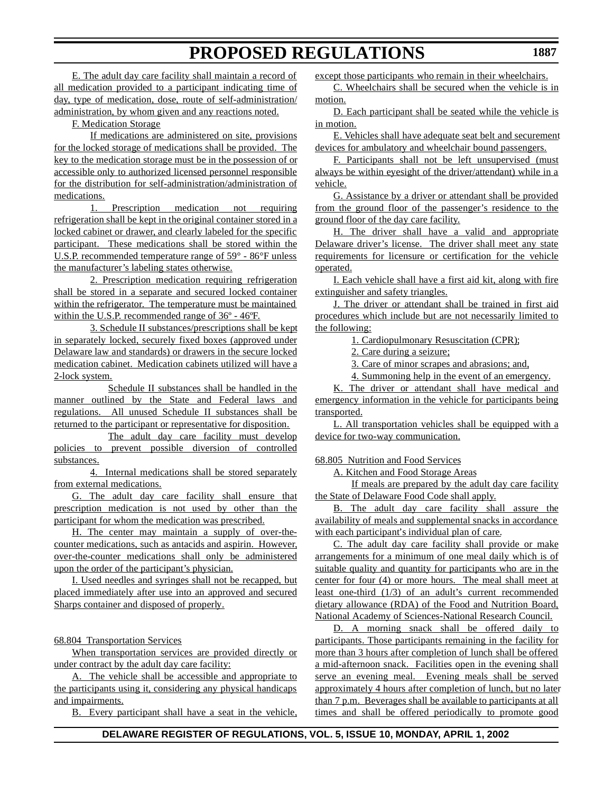E. The adult day care facility shall maintain a record of all medication provided to a participant indicating time of day, type of medication, dose, route of self-administration/ administration, by whom given and any reactions noted.

F. Medication Storage

If medications are administered on site, provisions for the locked storage of medications shall be provided. The key to the medication storage must be in the possession of or accessible only to authorized licensed personnel responsible for the distribution for self-administration/administration of medications.

1. Prescription medication not requiring refrigeration shall be kept in the original container stored in a locked cabinet or drawer, and clearly labeled for the specific participant. These medications shall be stored within the U.S.P. recommended temperature range of 59° - 86°F unless the manufacturer's labeling states otherwise.

2. Prescription medication requiring refrigeration shall be stored in a separate and secured locked container within the refrigerator. The temperature must be maintained within the U.S.P. recommended range of 36º - 46ºF.

3. Schedule II substances/prescriptions shall be kept in separately locked, securely fixed boxes (approved under Delaware law and standards) or drawers in the secure locked medication cabinet. Medication cabinets utilized will have a 2-lock system.

Schedule II substances shall be handled in the manner outlined by the State and Federal laws and regulations. All unused Schedule II substances shall be returned to the participant or representative for disposition.

The adult day care facility must develop policies to prevent possible diversion of controlled substances.

4. Internal medications shall be stored separately from external medications.

G. The adult day care facility shall ensure that prescription medication is not used by other than the participant for whom the medication was prescribed.

H. The center may maintain a supply of over-thecounter medications, such as antacids and aspirin. However, over-the-counter medications shall only be administered upon the order of the participant's physician.

I. Used needles and syringes shall not be recapped, but placed immediately after use into an approved and secured Sharps container and disposed of properly.

### 68.804 Transportation Services

When transportation services are provided directly or under contract by the adult day care facility:

A. The vehicle shall be accessible and appropriate to the participants using it, considering any physical handicaps and impairments.

B. Every participant shall have a seat in the vehicle,

except those participants who remain in their wheelchairs.

C. Wheelchairs shall be secured when the vehicle is in motion.

D. Each participant shall be seated while the vehicle is in motion.

E. Vehicles shall have adequate seat belt and securement devices for ambulatory and wheelchair bound passengers.

F. Participants shall not be left unsupervised (must always be within eyesight of the driver/attendant) while in a vehicle.

G. Assistance by a driver or attendant shall be provided from the ground floor of the passenger's residence to the ground floor of the day care facility.

H. The driver shall have a valid and appropriate Delaware driver's license. The driver shall meet any state requirements for licensure or certification for the vehicle operated.

I. Each vehicle shall have a first aid kit, along with fire extinguisher and safety triangles.

J. The driver or attendant shall be trained in first aid procedures which include but are not necessarily limited to the following:

1. Cardiopulmonary Resuscitation (CPR);

2. Care during a seizure;

3. Care of minor scrapes and abrasions; and,

4. Summoning help in the event of an emergency.

K. The driver or attendant shall have medical and emergency information in the vehicle for participants being transported.

L. All transportation vehicles shall be equipped with a device for two-way communication.

68.805 Nutrition and Food Services

A. Kitchen and Food Storage Areas

If meals are prepared by the adult day care facility the State of Delaware Food Code shall apply.

B. The adult day care facility shall assure the availability of meals and supplemental snacks in accordance with each participant's individual plan of care.

C. The adult day care facility shall provide or make arrangements for a minimum of one meal daily which is of suitable quality and quantity for participants who are in the center for four (4) or more hours. The meal shall meet at least one-third (1/3) of an adult's current recommended dietary allowance (RDA) of the Food and Nutrition Board, National Academy of Sciences-National Research Council.

D. A morning snack shall be offered daily to participants. Those participants remaining in the facility for more than 3 hours after completion of lunch shall be offered a mid-afternoon snack. Facilities open in the evening shall serve an evening meal. Evening meals shall be served approximately 4 hours after completion of lunch, but no later than 7 p.m. Beverages shall be available to participants at all times and shall be offered periodically to promote good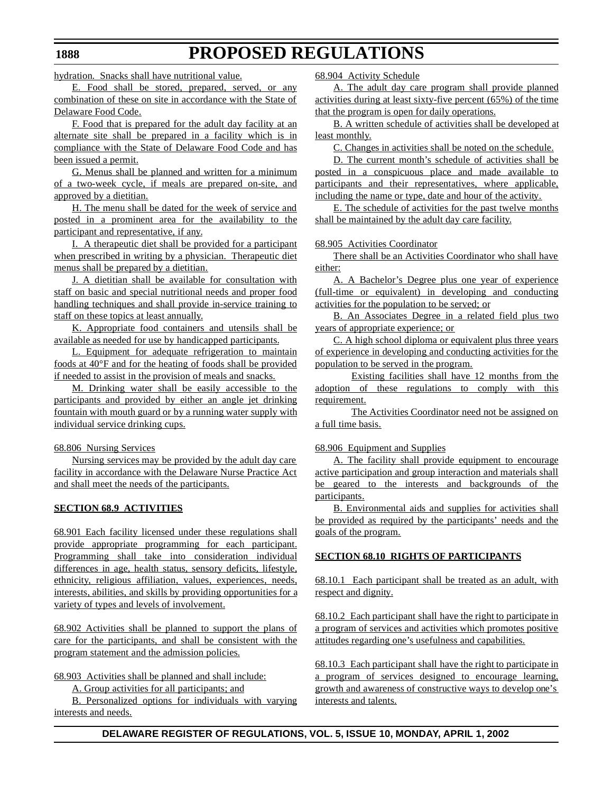hydration. Snacks shall have nutritional value.

E. Food shall be stored, prepared, served, or any combination of these on site in accordance with the State of Delaware Food Code.

F. Food that is prepared for the adult day facility at an alternate site shall be prepared in a facility which is in compliance with the State of Delaware Food Code and has been issued a permit.

G. Menus shall be planned and written for a minimum of a two-week cycle, if meals are prepared on-site, and approved by a dietitian.

H. The menu shall be dated for the week of service and posted in a prominent area for the availability to the participant and representative, if any.

I. A therapeutic diet shall be provided for a participant when prescribed in writing by a physician. Therapeutic diet menus shall be prepared by a dietitian.

J. A dietitian shall be available for consultation with staff on basic and special nutritional needs and proper food handling techniques and shall provide in-service training to staff on these topics at least annually.

K. Appropriate food containers and utensils shall be available as needed for use by handicapped participants.

L. Equipment for adequate refrigeration to maintain foods at 40°F and for the heating of foods shall be provided if needed to assist in the provision of meals and snacks.

M. Drinking water shall be easily accessible to the participants and provided by either an angle jet drinking fountain with mouth guard or by a running water supply with individual service drinking cups.

### 68.806 Nursing Services

Nursing services may be provided by the adult day care facility in accordance with the Delaware Nurse Practice Act and shall meet the needs of the participants.

### **SECTION 68.9 ACTIVITIES**

68.901 Each facility licensed under these regulations shall provide appropriate programming for each participant. Programming shall take into consideration individual differences in age, health status, sensory deficits, lifestyle, ethnicity, religious affiliation, values, experiences, needs, interests, abilities, and skills by providing opportunities for a variety of types and levels of involvement.

68.902 Activities shall be planned to support the plans of care for the participants, and shall be consistent with the program statement and the admission policies.

68.903 Activities shall be planned and shall include:

A. Group activities for all participants; and

B. Personalized options for individuals with varying interests and needs.

68.904 Activity Schedule

A. The adult day care program shall provide planned activities during at least sixty-five percent (65%) of the time that the program is open for daily operations.

B. A written schedule of activities shall be developed at least monthly.

C. Changes in activities shall be noted on the schedule.

D. The current month's schedule of activities shall be posted in a conspicuous place and made available to participants and their representatives, where applicable, including the name or type, date and hour of the activity.

E. The schedule of activities for the past twelve months shall be maintained by the adult day care facility.

### 68.905 Activities Coordinator

There shall be an Activities Coordinator who shall have either:

A. A Bachelor's Degree plus one year of experience (full-time or equivalent) in developing and conducting activities for the population to be served; or

B. An Associates Degree in a related field plus two years of appropriate experience; or

C. A high school diploma or equivalent plus three years of experience in developing and conducting activities for the population to be served in the program.

Existing facilities shall have 12 months from the adoption of these regulations to comply with this requirement.

The Activities Coordinator need not be assigned on a full time basis.

### 68.906 Equipment and Supplies

A. The facility shall provide equipment to encourage active participation and group interaction and materials shall be geared to the interests and backgrounds of the participants.

B. Environmental aids and supplies for activities shall be provided as required by the participants' needs and the goals of the program.

### **SECTION 68.10 RIGHTS OF PARTICIPANTS**

68.10.1 Each participant shall be treated as an adult, with respect and dignity.

68.10.2 Each participant shall have the right to participate in a program of services and activities which promotes positive attitudes regarding one's usefulness and capabilities.

68.10.3 Each participant shall have the right to participate in a program of services designed to encourage learning, growth and awareness of constructive ways to develop one's interests and talents.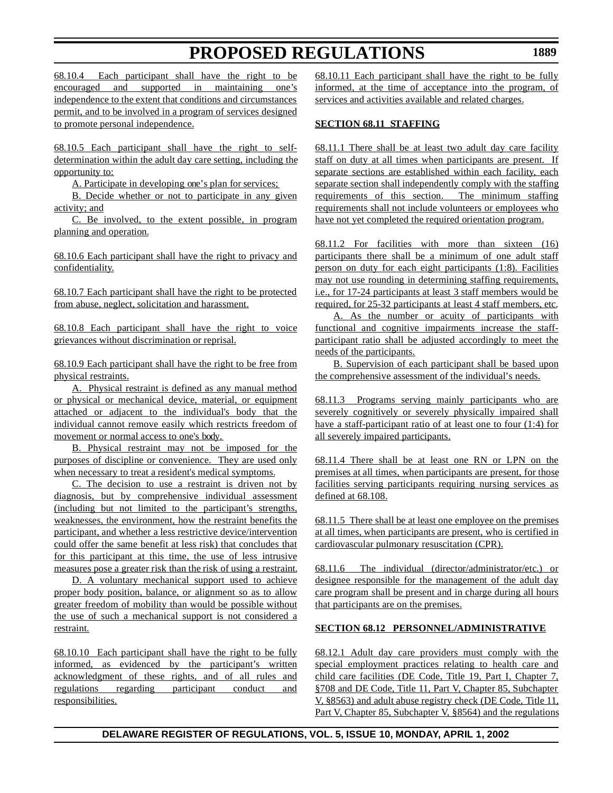68.10.4 Each participant shall have the right to be encouraged and supported in maintaining one's independence to the extent that conditions and circumstances permit, and to be involved in a program of services designed to promote personal independence.

68.10.5 Each participant shall have the right to selfdetermination within the adult day care setting, including the opportunity to:

A. Participate in developing one's plan for services;

B. Decide whether or not to participate in any given activity; and

C. Be involved, to the extent possible, in program planning and operation.

68.10.6 Each participant shall have the right to privacy and confidentiality.

68.10.7 Each participant shall have the right to be protected from abuse, neglect, solicitation and harassment.

68.10.8 Each participant shall have the right to voice grievances without discrimination or reprisal.

68.10.9 Each participant shall have the right to be free from physical restraints.

A. Physical restraint is defined as any manual method or physical or mechanical device, material, or equipment attached or adjacent to the individual's body that the individual cannot remove easily which restricts freedom of movement or normal access to one's body.

B. Physical restraint may not be imposed for the purposes of discipline or convenience. They are used only when necessary to treat a resident's medical symptoms.

C. The decision to use a restraint is driven not by diagnosis, but by comprehensive individual assessment (including but not limited to the participant's strengths, weaknesses, the environment, how the restraint benefits the participant, and whether a less restrictive device/intervention could offer the same benefit at less risk) that concludes that for this participant at this time, the use of less intrusive measures pose a greater risk than the risk of using a restraint.

D. A voluntary mechanical support used to achieve proper body position, balance, or alignment so as to allow greater freedom of mobility than would be possible without the use of such a mechanical support is not considered a restraint.

68.10.10 Each participant shall have the right to be fully informed, as evidenced by the participant's written acknowledgment of these rights, and of all rules and regulations regarding participant conduct and responsibilities.

68.10.11 Each participant shall have the right to be fully informed, at the time of acceptance into the program, of services and activities available and related charges.

# **SECTION 68.11 STAFFING**

68.11.1 There shall be at least two adult day care facility staff on duty at all times when participants are present. If separate sections are established within each facility, each separate section shall independently comply with the staffing requirements of this section. The minimum staffing requirements shall not include volunteers or employees who have not yet completed the required orientation program.

68.11.2 For facilities with more than sixteen (16) participants there shall be a minimum of one adult staff person on duty for each eight participants (1:8). Facilities may not use rounding in determining staffing requirements, i.e., for 17-24 participants at least 3 staff members would be required, for 25-32 participants at least 4 staff members, etc.

A. As the number or acuity of participants with functional and cognitive impairments increase the staffparticipant ratio shall be adjusted accordingly to meet the needs of the participants.

B. Supervision of each participant shall be based upon the comprehensive assessment of the individual's needs.

68.11.3 Programs serving mainly participants who are severely cognitively or severely physically impaired shall have a staff-participant ratio of at least one to four (1:4) for all severely impaired participants.

68.11.4 There shall be at least one RN or LPN on the premises at all times, when participants are present, for those facilities serving participants requiring nursing services as defined at 68.108.

68.11.5 There shall be at least one employee on the premises at all times, when participants are present, who is certified in cardiovascular pulmonary resuscitation (CPR).

68.11.6 The individual (director/administrator/etc.) or designee responsible for the management of the adult day care program shall be present and in charge during all hours that participants are on the premises.

# **SECTION 68.12 PERSONNEL/ADMINISTRATIVE**

68.12.1 Adult day care providers must comply with the special employment practices relating to health care and child care facilities (DE Code, Title 19, Part I, Chapter 7, §708 and DE Code, Title 11, Part V, Chapter 85, Subchapter V, §8563) and adult abuse registry check (DE Code, Title 11, Part V, Chapter 85, Subchapter V, §8564) and the regulations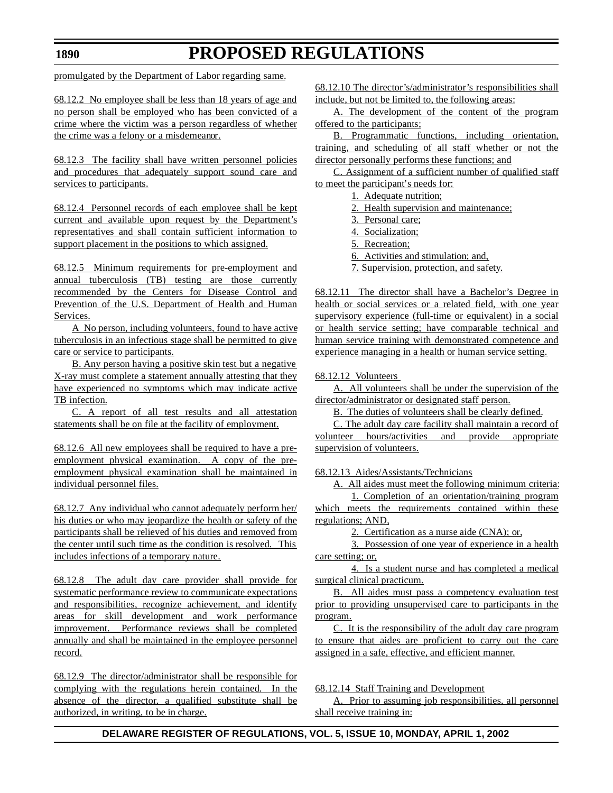### **1890**

# **PROPOSED REGULATIONS**

promulgated by the Department of Labor regarding same.

68.12.2 No employee shall be less than 18 years of age and no person shall be employed who has been convicted of a crime where the victim was a person regardless of whether the crime was a felony or a misdemeanor.

68.12.3 The facility shall have written personnel policies and procedures that adequately support sound care and services to participants.

68.12.4 Personnel records of each employee shall be kept current and available upon request by the Department's representatives and shall contain sufficient information to support placement in the positions to which assigned.

68.12.5 Minimum requirements for pre-employment and annual tuberculosis (TB) testing are those currently recommended by the Centers for Disease Control and Prevention of the U.S. Department of Health and Human Services.

A No person, including volunteers, found to have active tuberculosis in an infectious stage shall be permitted to give care or service to participants.

B. Any person having a positive skin test but a negative X-ray must complete a statement annually attesting that they have experienced no symptoms which may indicate active TB infection.

C. A report of all test results and all attestation statements shall be on file at the facility of employment.

68.12.6 All new employees shall be required to have a preemployment physical examination. A copy of the preemployment physical examination shall be maintained in individual personnel files.

68.12.7 Any individual who cannot adequately perform her/ his duties or who may jeopardize the health or safety of the participants shall be relieved of his duties and removed from the center until such time as the condition is resolved. This includes infections of a temporary nature.

68.12.8 The adult day care provider shall provide for systematic performance review to communicate expectations and responsibilities, recognize achievement, and identify areas for skill development and work performance improvement. Performance reviews shall be completed annually and shall be maintained in the employee personnel record.

68.12.9 The director/administrator shall be responsible for complying with the regulations herein contained. In the absence of the director, a qualified substitute shall be authorized, in writing, to be in charge.

68.12.10 The director's/administrator's responsibilities shall include, but not be limited to, the following areas:

A. The development of the content of the program offered to the participants;

B. Programmatic functions, including orientation, training, and scheduling of all staff whether or not the director personally performs these functions; and

C. Assignment of a sufficient number of qualified staff to meet the participant's needs for:

1. Adequate nutrition;

2. Health supervision and maintenance;

3. Personal care;

- 4. Socialization;
- 5. Recreation;

6. Activities and stimulation; and,

7. Supervision, protection, and safety.

68.12.11 The director shall have a Bachelor's Degree in health or social services or a related field, with one year supervisory experience (full-time or equivalent) in a social or health service setting; have comparable technical and human service training with demonstrated competence and experience managing in a health or human service setting.

68.12.12 Volunteers

A. All volunteers shall be under the supervision of the director/administrator or designated staff person.

B. The duties of volunteers shall be clearly defined.

C. The adult day care facility shall maintain a record of volunteer hours/activities and provide appropriate supervision of volunteers.

68.12.13 Aides/Assistants/Technicians

A. All aides must meet the following minimum criteria: 1. Completion of an orientation/training program

which meets the requirements contained within these regulations; AND,

2. Certification as a nurse aide (CNA); or,

3. Possession of one year of experience in a health care setting; or,

4. Is a student nurse and has completed a medical surgical clinical practicum.

B. All aides must pass a competency evaluation test prior to providing unsupervised care to participants in the program.

C. It is the responsibility of the adult day care program to ensure that aides are proficient to carry out the care assigned in a safe, effective, and efficient manner.

68.12.14 Staff Training and Development

A. Prior to assuming job responsibilities, all personnel shall receive training in: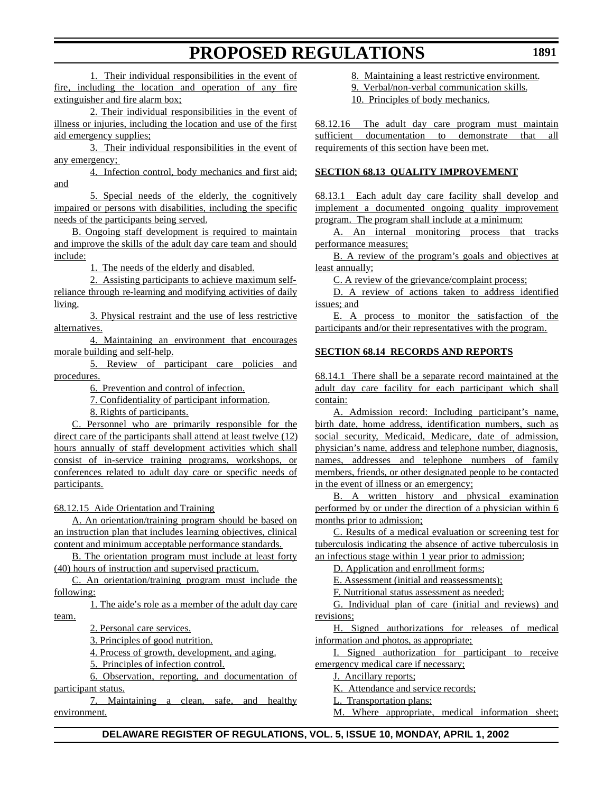1. Their individual responsibilities in the event of fire, including the location and operation of any fire extinguisher and fire alarm box;

2. Their individual responsibilities in the event of illness or injuries, including the location and use of the first aid emergency supplies;

3. Their individual responsibilities in the event of any emergency;

4. Infection control, body mechanics and first aid; and

5. Special needs of the elderly, the cognitively impaired or persons with disabilities, including the specific needs of the participants being served.

B. Ongoing staff development is required to maintain and improve the skills of the adult day care team and should include:

1. The needs of the elderly and disabled.

2. Assisting participants to achieve maximum selfreliance through re-learning and modifying activities of daily living.

3. Physical restraint and the use of less restrictive alternatives.

4. Maintaining an environment that encourages morale building and self-help.

5. Review of participant care policies and procedures.

6. Prevention and control of infection.

7. Confidentiality of participant information.

8. Rights of participants.

C. Personnel who are primarily responsible for the direct care of the participants shall attend at least twelve (12) hours annually of staff development activities which shall consist of in-service training programs, workshops, or conferences related to adult day care or specific needs of participants.

68.12.15 Aide Orientation and Training

A. An orientation/training program should be based on an instruction plan that includes learning objectives, clinical content and minimum acceptable performance standards.

B. The orientation program must include at least forty (40) hours of instruction and supervised practicum.

C. An orientation/training program must include the following:

1. The aide's role as a member of the adult day care team.

2. Personal care services.

3. Principles of good nutrition.

4. Process of growth, development, and aging.

5. Principles of infection control.

6. Observation, reporting, and documentation of participant status.

7. Maintaining a clean, safe, and healthy environment.

8. Maintaining a least restrictive environment.

9. Verbal/non-verbal communication skills.

10. Principles of body mechanics.

68.12.16 The adult day care program must maintain sufficient documentation to demonstrate that all requirements of this section have been met.

## **SECTION 68.13 QUALITY IMPROVEMENT**

68.13.1 Each adult day care facility shall develop and implement a documented ongoing quality improvement program. The program shall include at a minimum:

A. An internal monitoring process that tracks performance measures;

B. A review of the program's goals and objectives at least annually;

C. A review of the grievance/complaint process;

D. A review of actions taken to address identified issues; and

E. A process to monitor the satisfaction of the participants and/or their representatives with the program.

### **SECTION 68.14 RECORDS AND REPORTS**

68.14.1 There shall be a separate record maintained at the adult day care facility for each participant which shall contain:

A. Admission record: Including participant's name, birth date, home address, identification numbers, such as social security, Medicaid, Medicare, date of admission, physician's name, address and telephone number, diagnosis, names, addresses and telephone numbers of family members, friends, or other designated people to be contacted in the event of illness or an emergency;

B. A written history and physical examination performed by or under the direction of a physician within 6 months prior to admission;

C. Results of a medical evaluation or screening test for tuberculosis indicating the absence of active tuberculosis in an infectious stage within 1 year prior to admission;

D. Application and enrollment forms;

E. Assessment (initial and reassessments);

F. Nutritional status assessment as needed;

G. Individual plan of care (initial and reviews) and revisions;

H. Signed authorizations for releases of medical information and photos, as appropriate;

I. Signed authorization for participant to receive emergency medical care if necessary;

J. Ancillary reports;

K. Attendance and service records;

L. Transportation plans;

M. Where appropriate, medical information sheet;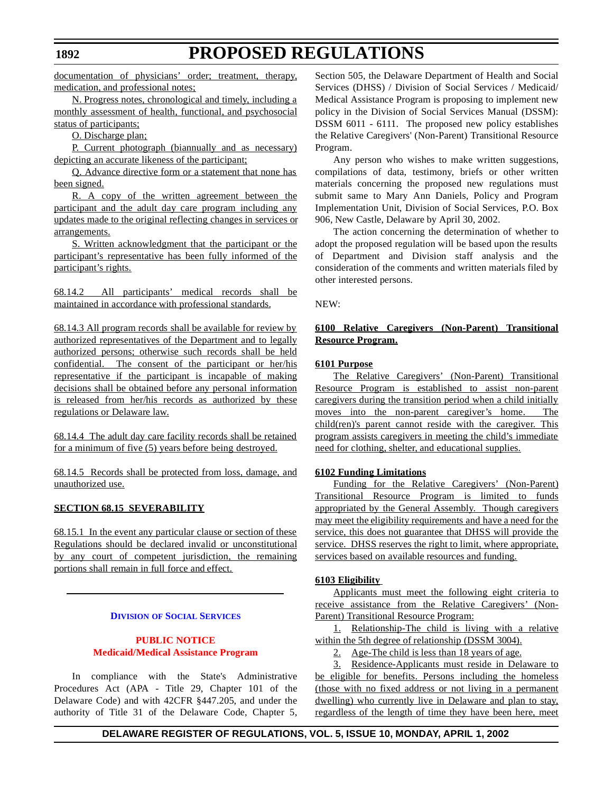documentation of physicians' order; treatment, therapy, medication, and professional notes;

N. Progress notes, chronological and timely, including a monthly assessment of health, functional, and psychosocial status of participants;

O. Discharge plan;

P. Current photograph (biannually and as necessary) depicting an accurate likeness of the participant;

Q. Advance directive form or a statement that none has been signed.

R. A copy of the written agreement between the participant and the adult day care program including any updates made to the original reflecting changes in services or arrangements.

S. Written acknowledgment that the participant or the participant's representative has been fully informed of the participant's rights.

68.14.2 All participants' medical records shall be maintained in accordance with professional standards.

68.14.3 All program records shall be available for review by authorized representatives of the Department and to legally authorized persons; otherwise such records shall be held confidential. The consent of the participant or her/his representative if the participant is incapable of making decisions shall be obtained before any personal information is released from her/his records as authorized by these regulations or Delaware law.

68.14.4 The adult day care facility records shall be retained for a minimum of five (5) years before being destroyed.

68.14.5 Records shall be protected from loss, damage, and unauthorized use.

### **SECTION 68.15 SEVERABILITY**

68.15.1 In the event any particular clause or section of these Regulations should be declared invalid or unconstitutional by any court of competent jurisdiction, the remaining portions shall remain in full force and effect.

### **DIVISION OF SOCIAL [SERVICES](http://www.state.de.us/dhss/dss/dsshome.html)**

# **PUBLIC NOTICE [Medicaid/Medical](#page-3-0) Assistance Program**

In compliance with the State's Administrative Procedures Act (APA - Title 29, Chapter 101 of the Delaware Code) and with 42CFR §447.205, and under the authority of Title 31 of the Delaware Code, Chapter 5,

Section 505, the Delaware Department of Health and Social Services (DHSS) / Division of Social Services / Medicaid/ Medical Assistance Program is proposing to implement new policy in the Division of Social Services Manual (DSSM): DSSM 6011 - 6111. The proposed new policy establishes the Relative Caregivers' (Non-Parent) Transitional Resource Program.

Any person who wishes to make written suggestions, compilations of data, testimony, briefs or other written materials concerning the proposed new regulations must submit same to Mary Ann Daniels, Policy and Program Implementation Unit, Division of Social Services, P.O. Box 906, New Castle, Delaware by April 30, 2002.

The action concerning the determination of whether to adopt the proposed regulation will be based upon the results of Department and Division staff analysis and the consideration of the comments and written materials filed by other interested persons.

NEW:

### **6100 Relative Caregivers (Non-Parent) Transitional Resource Program.**

### **6101 Purpose**

The Relative Caregivers' (Non-Parent) Transitional Resource Program is established to assist non-parent caregivers during the transition period when a child initially moves into the non-parent caregiver's home. The child(ren)'s parent cannot reside with the caregiver. This program assists caregivers in meeting the child's immediate need for clothing, shelter, and educational supplies.

### **6102 Funding Limitations**

Funding for the Relative Caregivers' (Non-Parent) Transitional Resource Program is limited to funds appropriated by the General Assembly. Though caregivers may meet the eligibility requirements and have a need for the service, this does not guarantee that DHSS will provide the service. DHSS reserves the right to limit, where appropriate, services based on available resources and funding.

### **6103 Eligibility**

Applicants must meet the following eight criteria to receive assistance from the Relative Caregivers' (Non-Parent) Transitional Resource Program:

1. Relationship-The child is living with a relative within the 5th degree of relationship (DSSM 3004).

2. Age-The child is less than 18 years of age.

3. Residence-Applicants must reside in Delaware to be eligible for benefits. Persons including the homeless (those with no fixed address or not living in a permanent dwelling) who currently live in Delaware and plan to stay, regardless of the length of time they have been here, meet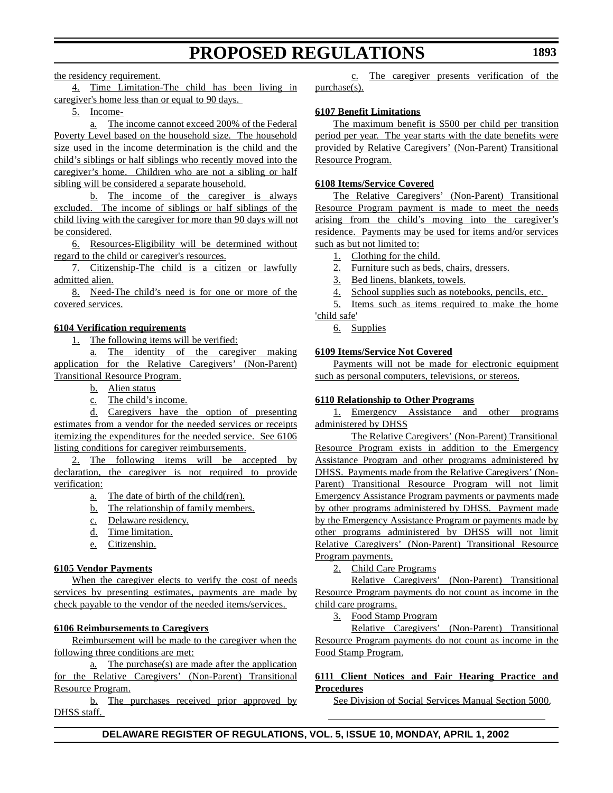the residency requirement.

4. Time Limitation-The child has been living in caregiver's home less than or equal to 90 days.

5. Income-

a. The income cannot exceed 200% of the Federal Poverty Level based on the household size. The household size used in the income determination is the child and the child's siblings or half siblings who recently moved into the caregiver's home. Children who are not a sibling or half sibling will be considered a separate household.

b. The income of the caregiver is always excluded. The income of siblings or half siblings of the child living with the caregiver for more than 90 days will not be considered.

6. Resources-Eligibility will be determined without regard to the child or caregiver's resources.

7. Citizenship-The child is a citizen or lawfully admitted alien.

8. Need-The child's need is for one or more of the covered services.

# **6104 Verification requirements**

1. The following items will be verified:

a. The identity of the caregiver making application for the Relative Caregivers' (Non-Parent) Transitional Resource Program.

- b. Alien status
- c. The child's income.

d. Caregivers have the option of presenting estimates from a vendor for the needed services or receipts itemizing the expenditures for the needed service. See 6106 listing conditions for caregiver reimbursements.

2. The following items will be accepted by declaration, the caregiver is not required to provide verification:

- a. The date of birth of the child(ren).
- b. The relationship of family members.
- c. Delaware residency.
- d. Time limitation.
- e. Citizenship.

### **6105 Vendor Payments**

When the caregiver elects to verify the cost of needs services by presenting estimates, payments are made by check payable to the vendor of the needed items/services.

### **6106 Reimbursements to Caregivers**

Reimbursement will be made to the caregiver when the following three conditions are met:

a. The purchase(s) are made after the application for the Relative Caregivers' (Non-Parent) Transitional Resource Program.

b. The purchases received prior approved by DHSS staff.

c. The caregiver presents verification of the purchase(s).

# **6107 Benefit Limitations**

The maximum benefit is \$500 per child per transition period per year. The year starts with the date benefits were provided by Relative Caregivers' (Non-Parent) Transitional Resource Program.

### **6108 Items/Service Covered**

The Relative Caregivers' (Non-Parent) Transitional Resource Program payment is made to meet the needs arising from the child's moving into the caregiver's residence. Payments may be used for items and/or services such as but not limited to:

1. Clothing for the child.

2. Furniture such as beds, chairs, dressers.

- 3. Bed linens, blankets, towels.
- 4. School supplies such as notebooks, pencils, etc.

5. Items such as items required to make the home

# 'child safe'

6. Supplies

### **6109 Items/Service Not Covered**

Payments will not be made for electronic equipment such as personal computers, televisions, or stereos.

### **6110 Relationship to Other Programs**

1. Emergency Assistance and other programs administered by DHSS

The Relative Caregivers' (Non-Parent) Transitional Resource Program exists in addition to the Emergency Assistance Program and other programs administered by DHSS. Payments made from the Relative Caregivers' (Non-Parent) Transitional Resource Program will not limit Emergency Assistance Program payments or payments made by other programs administered by DHSS. Payment made by the Emergency Assistance Program or payments made by other programs administered by DHSS will not limit Relative Caregivers' (Non-Parent) Transitional Resource Program payments.

2. Child Care Programs

Relative Caregivers' (Non-Parent) Transitional Resource Program payments do not count as income in the child care programs.

3. Food Stamp Program

Relative Caregivers' (Non-Parent) Transitional Resource Program payments do not count as income in the Food Stamp Program.

### **6111 Client Notices and Fair Hearing Practice and Procedures**

See Division of Social Services Manual Section 5000.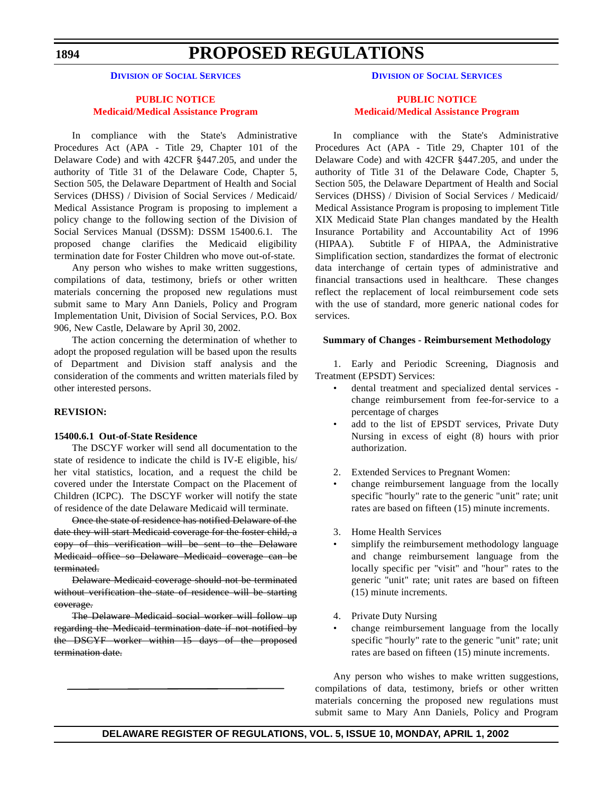**1894**

# **PROPOSED REGULATIONS**

**DIVISION OF SOCIAL [SERVICES](http://www.state.de.us/dhss/dss/dsshome.html)**

# **PUBLIC NOTICE [Medicaid/Medical](#page-3-0) Assistance Program**

In compliance with the State's Administrative Procedures Act (APA - Title 29, Chapter 101 of the Delaware Code) and with 42CFR §447.205, and under the authority of Title 31 of the Delaware Code, Chapter 5, Section 505, the Delaware Department of Health and Social Services (DHSS) / Division of Social Services / Medicaid/ Medical Assistance Program is proposing to implement a policy change to the following section of the Division of Social Services Manual (DSSM): DSSM 15400.6.1. The proposed change clarifies the Medicaid eligibility termination date for Foster Children who move out-of-state.

Any person who wishes to make written suggestions, compilations of data, testimony, briefs or other written materials concerning the proposed new regulations must submit same to Mary Ann Daniels, Policy and Program Implementation Unit, Division of Social Services, P.O. Box 906, New Castle, Delaware by April 30, 2002.

The action concerning the determination of whether to adopt the proposed regulation will be based upon the results of Department and Division staff analysis and the consideration of the comments and written materials filed by other interested persons.

### **REVISION:**

### **15400.6.1 Out-of-State Residence**

The DSCYF worker will send all documentation to the state of residence to indicate the child is IV-E eligible, his/ her vital statistics, location, and a request the child be covered under the Interstate Compact on the Placement of Children (ICPC). The DSCYF worker will notify the state of residence of the date Delaware Medicaid will terminate.

Once the state of residence has notified Delaware of the date they will start Medicaid coverage for the foster child, a copy of this verification will be sent to the Delaware Medicaid office so Delaware Medicaid coverage can be terminated.

Delaware Medicaid coverage should not be terminated without verification the state of residence will be starting coverage.

The Delaware Medicaid social worker will follow up regarding the Medicaid termination date if not notified by the DSCYF worker within 15 days of the proposed termination date.

**DIVISION OF SOCIAL [SERVICES](http://www.state.de.us/dhss/dss/dsshome.html)**

# **PUBLIC NOTICE Medicaid/Medical [Assistance Program](#page-3-0)**

In compliance with the State's Administrative Procedures Act (APA - Title 29, Chapter 101 of the Delaware Code) and with 42CFR §447.205, and under the authority of Title 31 of the Delaware Code, Chapter 5, Section 505, the Delaware Department of Health and Social Services (DHSS) / Division of Social Services / Medicaid/ Medical Assistance Program is proposing to implement Title XIX Medicaid State Plan changes mandated by the Health Insurance Portability and Accountability Act of 1996 (HIPAA). Subtitle F of HIPAA, the Administrative Simplification section, standardizes the format of electronic data interchange of certain types of administrative and financial transactions used in healthcare.These changes reflect the replacement of local reimbursement code sets with the use of standard, more generic national codes for services.

### **Summary of Changes - Reimbursement Methodology**

1. Early and Periodic Screening, Diagnosis and Treatment (EPSDT) Services:

- dental treatment and specialized dental services change reimbursement from fee-for-service to a percentage of charges
- add to the list of EPSDT services, Private Duty Nursing in excess of eight (8) hours with prior authorization.
- 2. Extended Services to Pregnant Women:
- change reimbursement language from the locally specific "hourly" rate to the generic "unit" rate; unit rates are based on fifteen (15) minute increments.
- 3. Home Health Services
- simplify the reimbursement methodology language and change reimbursement language from the locally specific per "visit" and "hour" rates to the generic "unit" rate; unit rates are based on fifteen (15) minute increments.
- 4. Private Duty Nursing
- change reimbursement language from the locally specific "hourly" rate to the generic "unit" rate; unit rates are based on fifteen (15) minute increments.

Any person who wishes to make written suggestions, compilations of data, testimony, briefs or other written materials concerning the proposed new regulations must submit same to Mary Ann Daniels, Policy and Program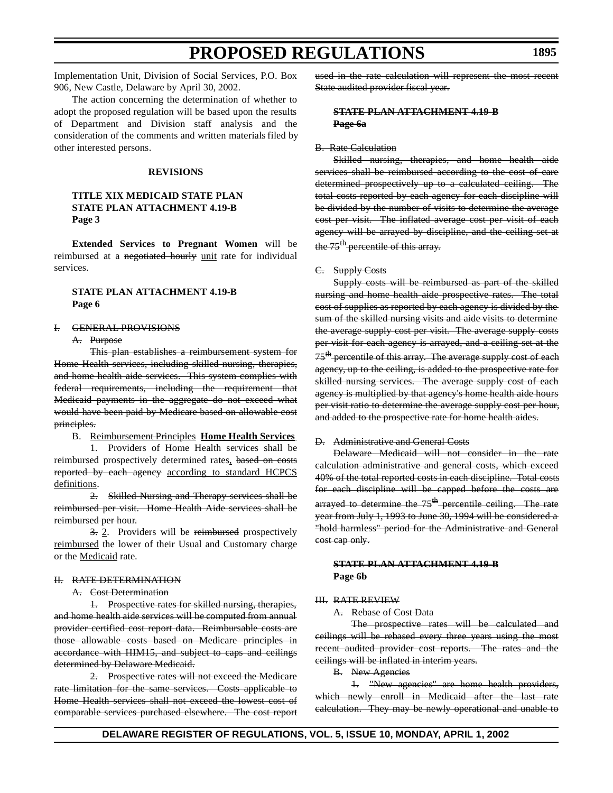Implementation Unit, Division of Social Services, P.O. Box 906, New Castle, Delaware by April 30, 2002.

The action concerning the determination of whether to adopt the proposed regulation will be based upon the results of Department and Division staff analysis and the consideration of the comments and written materials filed by other interested persons.

#### **REVISIONS**

### **TITLE XIX MEDICAID STATE PLAN STATE PLAN ATTACHMENT 4.19-B Page 3**

**Extended Services to Pregnant Women** will be reimbursed at a negotiated hourly unit rate for individual services.

# **STATE PLAN ATTACHMENT 4.19-B Page 6**

#### I. GENERAL PROVISIONS

#### A. Purpose

This plan establishes a reimbursement system for Home Health services, including skilled nursing, therapies, and home health aide services. This system complies with federal requirements, including the requirement that Medicaid payments in the aggregate do not exceed what would have been paid by Medicare based on allowable cost principles.

### B. Reimbursement Principles **Home Health Services**

1. Providers of Home Health services shall be reimbursed prospectively determined rates, based on costs reported by each agency according to standard HCPCS definitions.

2. Skilled Nursing and Therapy services shall be reimbursed per visit. Home Health Aide services shall be reimbursed per hour.

3. 2. Providers will be reimbursed prospectively reimbursed the lower of their Usual and Customary charge or the Medicaid rate.

### II. RATE DETERMINATION

### A. Cost Determination

1. Prospective rates for skilled nursing, therapies, and home health aide services will be computed from annual provider certified cost report data. Reimbursable costs are those allowable costs based on Medicare principles in accordance with HIM15, and subject to caps and ceilings determined by Delaware Medicaid.

2. Prospective rates will not exceed the Medicare rate limitation for the same services. Costs applicable to Home Health services shall not exceed the lowest cost of comparable services purchased elsewhere. The cost report used in the rate calculation will represent the most recent State audited provider fiscal year.

## **STATE PLAN ATTACHMENT 4.19-B Page 6a**

### B. Rate Calculation

Skilled nursing, therapies, and home health aide services shall be reimbursed according to the cost of care determined prospectively up to a calculated ceiling. The total costs reported by each agency for each discipline will be divided by the number of visits to determine the average cost per visit. The inflated average cost per visit of each agency will be arrayed by discipline, and the ceiling set at the 75<sup>th</sup> percentile of this array.

#### C. Supply Costs

Supply costs will be reimbursed as part of the skilled nursing and home health aide prospective rates. The total cost of supplies as reported by each agency is divided by the sum of the skilled nursing visits and aide visits to determine the average supply cost per visit. The average supply costs per visit for each agency is arrayed, and a ceiling set at the 75<sup>th</sup> percentile of this array. The average supply cost of each agency, up to the ceiling, is added to the prospective rate for skilled nursing services. The average supply cost of each agency is multiplied by that agency's home health aide hours per visit ratio to determine the average supply cost per hour, and added to the prospective rate for home health aides.

### D. Administrative and General Costs

Delaware Medicaid will not consider in the rate calculation administrative and general costs, which exceed 40% of the total reported costs in each discipline. Total costs for each discipline will be capped before the costs are arrayed to determine the  $75<sup>th</sup>$ -percentile ceiling. The rate year from July 1, 1993 to June 30, 1994 will be considered a "hold harmless" period for the Administrative and General cost cap only.

### **STATE PLAN ATTACHMENT 4.19-B Page 6b**

#### III. RATE REVIEW

A. Rebase of Cost Data

The prospective rates will be calculated and ceilings will be rebased every three years using the most recent audited provider cost reports. The rates and the ceilings will be inflated in interim years.

B. New Agencies

1. "New agencies" are home health providers, which newly enroll in Medicaid after the last rate calculation. They may be newly operational and unable to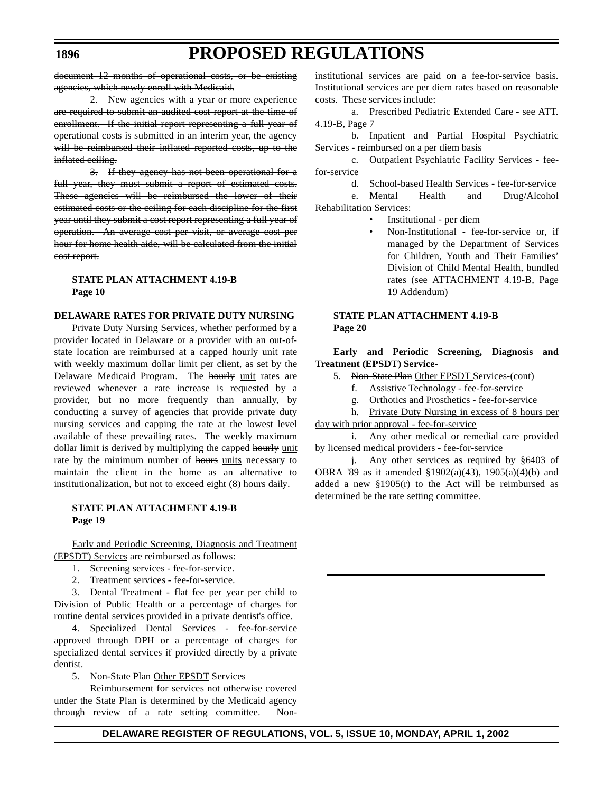document 12 months of operational costs, or be existing agencies, which newly enroll with Medicaid.

2. New agencies with a year or more experience are required to submit an audited cost report at the time of enrollment. If the initial report representing a full year of operational costs is submitted in an interim year, the agency will be reimbursed their inflated reported costs, up to the inflated ceiling.

3. If they agency has not been operational for a full year, they must submit a report of estimated costs. These agencies will be reimbursed the lower of their estimated costs or the ceiling for each discipline for the first year until they submit a cost report representing a full year of operation. An average cost per visit, or average cost per hour for home health aide, will be calculated from the initial cost report.

# **STATE PLAN ATTACHMENT 4.19-B Page 10**

### **DELAWARE RATES FOR PRIVATE DUTY NURSING**

Private Duty Nursing Services, whether performed by a provider located in Delaware or a provider with an out-ofstate location are reimbursed at a capped hourly unit rate with weekly maximum dollar limit per client, as set by the Delaware Medicaid Program. The hourly unit rates are reviewed whenever a rate increase is requested by a provider, but no more frequently than annually, by conducting a survey of agencies that provide private duty nursing services and capping the rate at the lowest level available of these prevailing rates. The weekly maximum dollar limit is derived by multiplying the capped hourly unit rate by the minimum number of hours units necessary to maintain the client in the home as an alternative to institutionalization, but not to exceed eight (8) hours daily.

### **STATE PLAN ATTACHMENT 4.19-B Page 19**

Early and Periodic Screening, Diagnosis and Treatment (EPSDT) Services are reimbursed as follows:

- 1. Screening services fee-for-service.
- 2. Treatment services fee-for-service.

3. Dental Treatment - flat fee per year per child to Division of Public Health or a percentage of charges for routine dental services provided in a private dentist's office.

4. Specialized Dental Services - fee-for-service approved through DPH or a percentage of charges for specialized dental services if provided directly by a private dentist.

5. Non-State Plan Other EPSDT Services

Reimbursement for services not otherwise covered under the State Plan is determined by the Medicaid agency through review of a rate setting committee. Noninstitutional services are paid on a fee-for-service basis. Institutional services are per diem rates based on reasonable costs. These services include:

a. Prescribed Pediatric Extended Care - see ATT. 4.19-B, Page 7

b. Inpatient and Partial Hospital Psychiatric Services - reimbursed on a per diem basis

c. Outpatient Psychiatric Facility Services - feefor-service

d. School-based Health Services - fee-for-service

Mental Health and Drug/Alcohol Rehabilitation Services:

- Institutional per diem
- Non-Institutional fee-for-service or, if managed by the Department of Services for Children, Youth and Their Families' Division of Child Mental Health, bundled rates (see ATTACHMENT 4.19-B, Page 19 Addendum)

### **STATE PLAN ATTACHMENT 4.19-B Page 20**

### **Early and Periodic Screening, Diagnosis and Treatment (EPSDT) Service-**

- 5. Non-State Plan Other EPSDT Services-(cont)
	- f. Assistive Technology fee-for-service
	- g. Orthotics and Prosthetics fee-for-service

h. Private Duty Nursing in excess of 8 hours per day with prior approval - fee-for-service

i. Any other medical or remedial care provided by licensed medical providers - fee-for-service

j. Any other services as required by §6403 of OBRA '89 as it amended §1902(a)(43), 1905(a)(4)(b) and added a new  $$1905(r)$  to the Act will be reimbursed as determined be the rate setting committee.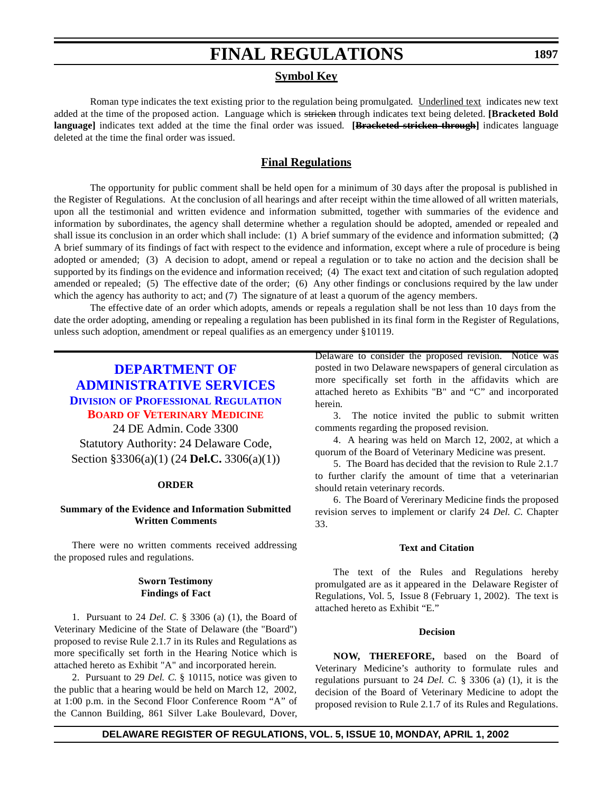# **Symbol Key**

Roman type indicates the text existing prior to the regulation being promulgated. Underlined text indicates new text added at the time of the proposed action. Language which is stricken through indicates text being deleted. **[Bracketed Bold language]** indicates text added at the time the final order was issued. **[Bracketed stricken through]** indicates language deleted at the time the final order was issued.

# **Final Regulations**

The opportunity for public comment shall be held open for a minimum of 30 days after the proposal is published in the Register of Regulations. At the conclusion of all hearings and after receipt within the time allowed of all written materials, upon all the testimonial and written evidence and information submitted, together with summaries of the evidence and information by subordinates, the agency shall determine whether a regulation should be adopted, amended or repealed and shall issue its conclusion in an order which shall include: (1) A brief summary of the evidence and information submitted; (2) A brief summary of its findings of fact with respect to the evidence and information, except where a rule of procedure is being adopted or amended; (3) A decision to adopt, amend or repeal a regulation or to take no action and the decision shall be supported by its findings on the evidence and information received; (4) The exact text and citation of such regulation adopted, amended or repealed; (5) The effective date of the order; (6) Any other findings or conclusions required by the law under which the agency has authority to act; and (7) The signature of at least a quorum of the agency members.

The effective date of an order which adopts, amends or repeals a regulation shall be not less than 10 days from the date the order adopting, amending or repealing a regulation has been published in its final form in the Register of Regulations, unless such adoption, amendment or repeal qualifies as an emergency under §10119.

# **DEPARTMENT OF [ADMINISTRATIVE SERVICES](http://professionallicensing.state.de.us/index.shtml) DIVISION OF PROFESSIONAL REGULATION BOARD OF [VETERINARY](#page-3-0) MEDICINE**

24 DE Admin. Code 3300 Statutory Authority: 24 Delaware Code, Section §3306(a)(1) (24 **Del.C.** 3306(a)(1))

#### **ORDER**

### **Summary of the Evidence and Information Submitted Written Comments**

There were no written comments received addressing the proposed rules and regulations.

#### **Sworn Testimony Findings of Fact**

1. Pursuant to 24 *Del. C.* § 3306 (a) (1), the Board of Veterinary Medicine of the State of Delaware (the "Board") proposed to revise Rule 2.1.7 in its Rules and Regulations as more specifically set forth in the Hearing Notice which is attached hereto as Exhibit "A" and incorporated herein.

2. Pursuant to 29 *Del. C.* § 10115, notice was given to the public that a hearing would be held on March 12, 2002, at 1:00 p.m. in the Second Floor Conference Room "A" of the Cannon Building, 861 Silver Lake Boulevard, Dover, Delaware to consider the proposed revision. Notice was posted in two Delaware newspapers of general circulation as more specifically set forth in the affidavits which are attached hereto as Exhibits "B" and "C" and incorporated herein.

3. The notice invited the public to submit written comments regarding the proposed revision.

4. A hearing was held on March 12, 2002, at which a quorum of the Board of Veterinary Medicine was present.

5. The Board has decided that the revision to Rule 2.1.7 to further clarify the amount of time that a veterinarian should retain veterinary records.

6. The Board of Vererinary Medicine finds the proposed revision serves to implement or clarify 24 *Del. C.* Chapter 33.

#### **Text and Citation**

The text of the Rules and Regulations hereby promulgated are as it appeared in the Delaware Register of Regulations, Vol. 5, Issue 8 (February 1, 2002). The text is attached hereto as Exhibit "E."

#### **Decision**

**NOW, THEREFORE,** based on the Board of Veterinary Medicine's authority to formulate rules and regulations pursuant to 24 *Del. C.* § 3306 (a) (1), it is the decision of the Board of Veterinary Medicine to adopt the proposed revision to Rule 2.1.7 of its Rules and Regulations.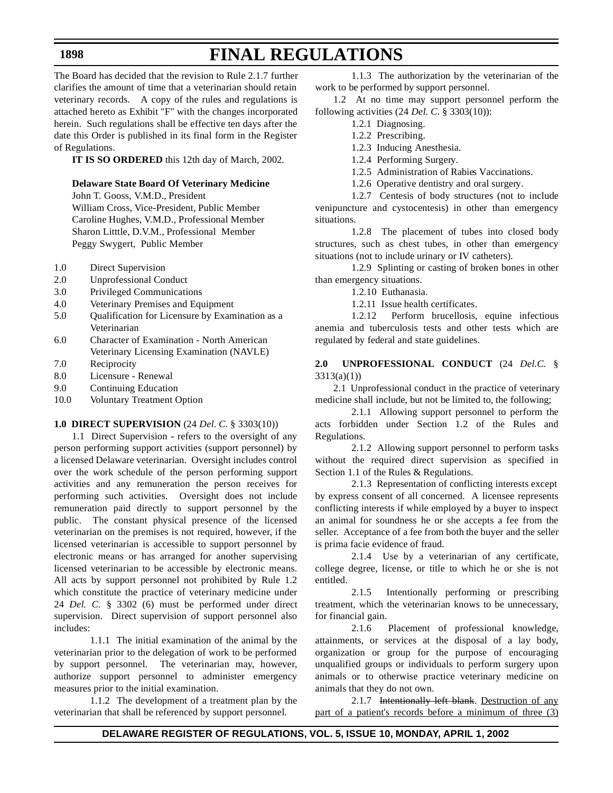The Board has decided that the revision to Rule 2.1.7 further clarifies the amount of time that a veterinarian should retain veterinary records. A copy of the rules and regulations is attached hereto as Exhibit "F" with the changes incorporated herein. Such regulations shall be effective ten days after the date this Order is published in its final form in the Register of Regulations.

**IT IS SO ORDERED** this 12th day of March, 2002.

# **Delaware State Board Of Veterinary Medicine**

John T. Gooss, V.M.D., President William Cross, Vice-President, Public Member Caroline Hughes, V.M.D., Professional Member Sharon Litttle, D.V.M., Professional Member Peggy Swygert, Public Member

- 1.0 Direct Supervision
- 2.0 Unprofessional Conduct
- 3.0 Privileged Communications
- 4.0 Veterinary Premises and Equipment
- 5.0 Qualification for Licensure by Examination as a Veterinarian
- 6.0 Character of Examination North American Veterinary Licensing Examination (NAVLE)
- 7.0 Reciprocity
- 8.0 Licensure Renewal
- 9.0 Continuing Education
- 10.0 Voluntary Treatment Option

### **1.0 DIRECT SUPERVISION** (24 *Del. C.* § 3303(10))

1.1 Direct Supervision **-** refers to the oversight of any person performing support activities (support personnel) by a licensed Delaware veterinarian. Oversight includes control over the work schedule of the person performing support activities and any remuneration the person receives for performing such activities. Oversight does not include remuneration paid directly to support personnel by the public. The constant physical presence of the licensed veterinarian on the premises is not required, however, if the licensed veterinarian is accessible to support personnel by electronic means or has arranged for another supervising licensed veterinarian to be accessible by electronic means. All acts by support personnel not prohibited by Rule 1.2 which constitute the practice of veterinary medicine under 24 *Del. C.* § 3302 (6) must be performed under direct supervision. Direct supervision of support personnel also includes:

1.1.1 The initial examination of the animal by the veterinarian prior to the delegation of work to be performed by support personnel. The veterinarian may, however, authorize support personnel to administer emergency measures prior to the initial examination.

1.1.2 The development of a treatment plan by the veterinarian that shall be referenced by support personnel.

1.1.3 The authorization by the veterinarian of the work to be performed by support personnel.

1.2 At no time may support personnel perform the following activities (24 *Del. C.* § 3303(10)):

- 1.2.1 Diagnosing.
	- 1.2.2 Prescribing.
	- 1.2.3 Inducing Anesthesia.
	- 1.2.4 Performing Surgery.
	- 1.2.5 Administration of Rabies Vaccinations.
	- 1.2.6 Operative dentistry and oral surgery.

1.2.7 Centesis of body structures (not to include venipuncture and cystocentesis) in other than emergency situations.

1.2.8 The placement of tubes into closed body structures, such as chest tubes, in other than emergency situations (not to include urinary or IV catheters).

1.2.9 Splinting or casting of broken bones in other than emergency situations.

1.2.10 Euthanasia.

1.2.11 Issue health certificates.

1.2.12 Perform brucellosis, equine infectious anemia and tuberculosis tests and other tests which are regulated by federal and state guidelines.

# **2.0 UNPROFESSIONAL CONDUCT** (24 *Del.C.* § 3313(a)(1))

2.1 Unprofessional conduct in the practice of veterinary medicine shall include, but not be limited to, the following;

2.1.1 Allowing support personnel to perform the acts forbidden under Section 1.2 of the Rules and Regulations.

2.1.2 Allowing support personnel to perform tasks without the required direct supervision as specified in Section 1.1 of the Rules & Regulations.

2.1.3 Representation of conflicting interests except by express consent of all concerned. A licensee represents conflicting interests if while employed by a buyer to inspect an animal for soundness he or she accepts a fee from the seller. Acceptance of a fee from both the buyer and the seller is prima facie evidence of fraud.

2.1.4 Use by a veterinarian of any certificate, college degree, license, or title to which he or she is not entitled.

2.1.5 Intentionally performing or prescribing treatment, which the veterinarian knows to be unnecessary, for financial gain.

2.1.6 Placement of professional knowledge, attainments, or services at the disposal of a lay body, organization or group for the purpose of encouraging unqualified groups or individuals to perform surgery upon animals or to otherwise practice veterinary medicine on animals that they do not own.

2.1.7 Intentionally left blank. Destruction of any part of a patient's records before a minimum of three (3)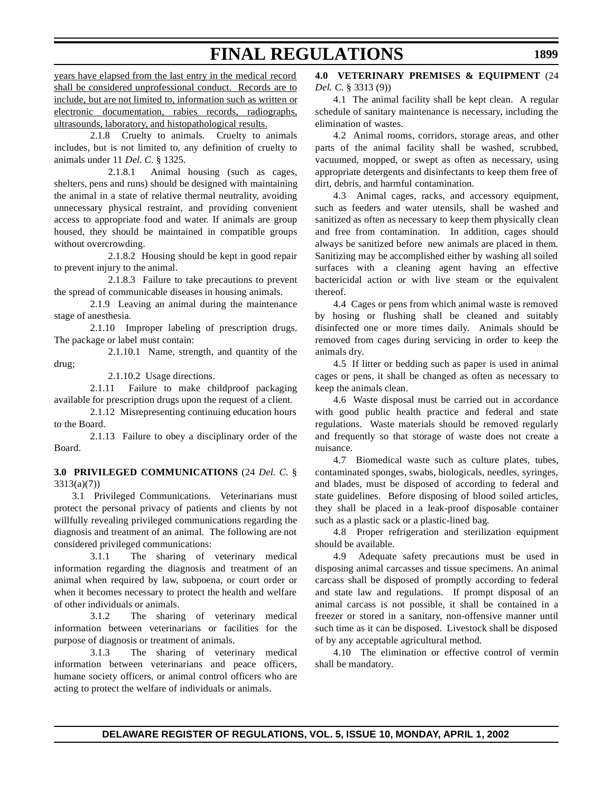years have elapsed from the last entry in the medical record shall be considered unprofessional conduct. Records are to include, but are not limited to, information such as written or electronic documentation, rabies records, radiographs, ultrasounds, laboratory, and histopathological results.

2.1.8 Cruelty to animals. Cruelty to animals includes, but is not limited to, any definition of cruelty to animals under 11 *Del. C.* § 1325.

2.1.8.1 Animal housing (such as cages, shelters, pens and runs) should be designed with maintaining the animal in a state of relative thermal neutrality, avoiding unnecessary physical restraint, and providing convenient access to appropriate food and water. If animals are group housed, they should be maintained in compatible groups without overcrowding.

2.1.8.2 Housing should be kept in good repair to prevent injury to the animal.

2.1.8.3 Failure to take precautions to prevent the spread of communicable diseases in housing animals.

2.1.9 Leaving an animal during the maintenance stage of anesthesia.

2.1.10 Improper labeling of prescription drugs. The package or label must contain:

2.1.10.1 Name, strength, and quantity of the drug;

2.1.10.2 Usage directions.

2.1.11 Failure to make childproof packaging available for prescription drugs upon the request of a client.

2.1.12 Misrepresenting continuing education hours to the Board.

2.1.13 Failure to obey a disciplinary order of the Board.

**3.0 PRIVILEGED COMMUNICATIONS** (24 *Del. C.* § 3313(a)(7))

3.1 Privileged Communications. Veterinarians must protect the personal privacy of patients and clients by not willfully revealing privileged communications regarding the diagnosis and treatment of an animal. The following are not considered privileged communications:

3.1.1 The sharing of veterinary medical information regarding the diagnosis and treatment of an animal when required by law, subpoena, or court order or when it becomes necessary to protect the health and welfare of other individuals or animals.

3.1.2 The sharing of veterinary medical information between veterinarians or facilities for the purpose of diagnosis or treatment of animals.

3.1.3 The sharing of veterinary medical information between veterinarians and peace officers, humane society officers, or animal control officers who are acting to protect the welfare of individuals or animals.

# **4.0 VETERINARY PREMISES & EQUIPMENT** (24 *Del. C.* § 3313 (9))

4.1 The animal facility shall be kept clean. A regular schedule of sanitary maintenance is necessary, including the elimination of wastes.

4.2 Animal rooms, corridors, storage areas, and other parts of the animal facility shall be washed, scrubbed, vacuumed, mopped, or swept as often as necessary, using appropriate detergents and disinfectants to keep them free of dirt, debris, and harmful contamination.

4.3 Animal cages, racks, and accessory equipment, such as feeders and water utensils, shall be washed and sanitized as often as necessary to keep them physically clean and free from contamination. In addition, cages should always be sanitized before new animals are placed in them. Sanitizing may be accomplished either by washing all soiled surfaces with a cleaning agent having an effective bactericidal action or with live steam or the equivalent thereof.

4.4 Cages or pens from which animal waste is removed by hosing or flushing shall be cleaned and suitably disinfected one or more times daily. Animals should be removed from cages during servicing in order to keep the animals dry.

4.5 If litter or bedding such as paper is used in animal cages or pens, it shall be changed as often as necessary to keep the animals clean.

4.6 Waste disposal must be carried out in accordance with good public health practice and federal and state regulations. Waste materials should be removed regularly and frequently so that storage of waste does not create a nuisance.

4.7 Biomedical waste such as culture plates, tubes, contaminated sponges, swabs, biologicals, needles, syringes, and blades, must be disposed of according to federal and state guidelines. Before disposing of blood soiled articles, they shall be placed in a leak-proof disposable container such as a plastic sack or a plastic-lined bag.

4.8 Proper refrigeration and sterilization equipment should be available.

4.9 Adequate safety precautions must be used in disposing animal carcasses and tissue specimens. An animal carcass shall be disposed of promptly according to federal and state law and regulations. If prompt disposal of an animal carcass is not possible, it shall be contained in a freezer or stored in a sanitary, non-offensive manner until such time as it can be disposed. Livestock shall be disposed of by any acceptable agricultural method.

4.10 The elimination or effective control of vermin shall be mandatory.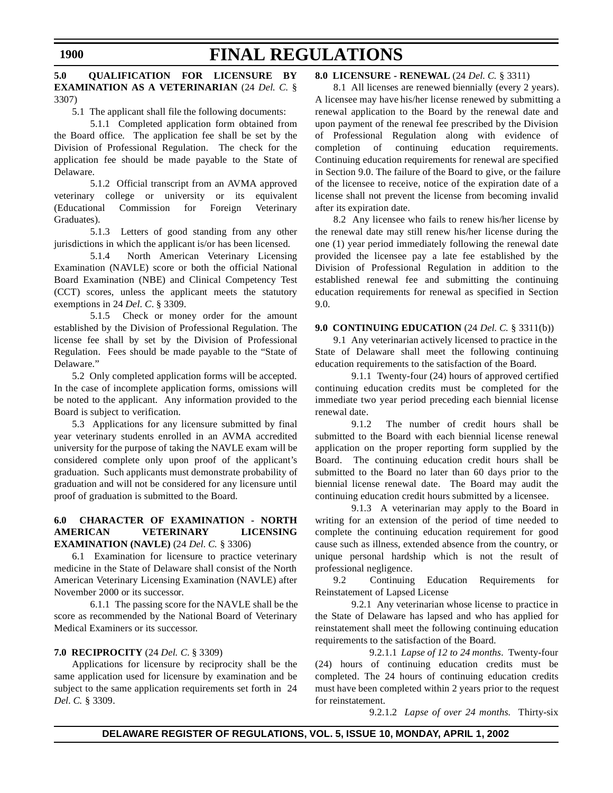### **5.0 QUALIFICATION FOR LICENSURE BY EXAMINATION AS A VETERINARIAN** (24 *Del. C.* § 3307)

5.1 The applicant shall file the following documents:

5.1.1 Completed application form obtained from the Board office. The application fee shall be set by the Division of Professional Regulation. The check for the application fee should be made payable to the State of Delaware.

5.1.2 Official transcript from an AVMA approved veterinary college or university or its equivalent (Educational Commission for Foreign Veterinary Graduates).

5.1.3 Letters of good standing from any other jurisdictions in which the applicant is/or has been licensed.

5.1.4 North American Veterinary Licensing Examination (NAVLE) score or both the official National Board Examination (NBE) and Clinical Competency Test (CCT) scores, unless the applicant meets the statutory exemptions in 24 *Del*. *C*. § 3309.

5.1.5 Check or money order for the amount established by the Division of Professional Regulation. The license fee shall by set by the Division of Professional Regulation. Fees should be made payable to the "State of Delaware."

5.2 Only completed application forms will be accepted. In the case of incomplete application forms, omissions will be noted to the applicant. Any information provided to the Board is subject to verification.

5.3 Applications for any licensure submitted by final year veterinary students enrolled in an AVMA accredited university for the purpose of taking the NAVLE exam will be considered complete only upon proof of the applicant's graduation. Such applicants must demonstrate probability of graduation and will not be considered for any licensure until proof of graduation is submitted to the Board.

### **6.0 CHARACTER OF EXAMINATION - NORTH AMERICAN VETERINARY LICENSING EXAMINATION (NAVLE)** (24 *Del. C.* § 3306)

6.1 Examination for licensure to practice veterinary medicine in the State of Delaware shall consist of the North American Veterinary Licensing Examination (NAVLE) after November 2000 or its successor.

6.1.1 The passing score for the NAVLE shall be the score as recommended by the National Board of Veterinary Medical Examiners or its successor.

### **7.0 RECIPROCITY** (24 *Del. C.* § 3309)

Applications for licensure by reciprocity shall be the same application used for licensure by examination and be subject to the same application requirements set forth in 24 *Del. C.* § 3309.

### **8.0 LICENSURE - RENEWAL** (24 *Del. C.* § 3311)

8.1 All licenses are renewed biennially (every 2 years). A licensee may have his/her license renewed by submitting a renewal application to the Board by the renewal date and upon payment of the renewal fee prescribed by the Division of Professional Regulation along with evidence of completion of continuing education requirements. Continuing education requirements for renewal are specified in Section 9.0. The failure of the Board to give, or the failure of the licensee to receive, notice of the expiration date of a license shall not prevent the license from becoming invalid after its expiration date.

8.2 Any licensee who fails to renew his/her license by the renewal date may still renew his/her license during the one (1) year period immediately following the renewal date provided the licensee pay a late fee established by the Division of Professional Regulation in addition to the established renewal fee and submitting the continuing education requirements for renewal as specified in Section 9.0.

### **9.0 CONTINUING EDUCATION** (24 *Del. C.* § 3311(b))

9.1 Any veterinarian actively licensed to practice in the State of Delaware shall meet the following continuing education requirements to the satisfaction of the Board.

9.1.1 Twenty-four (24) hours of approved certified continuing education credits must be completed for the immediate two year period preceding each biennial license renewal date.

9.1.2 The number of credit hours shall be submitted to the Board with each biennial license renewal application on the proper reporting form supplied by the Board. The continuing education credit hours shall be submitted to the Board no later than 60 days prior to the biennial license renewal date. The Board may audit the continuing education credit hours submitted by a licensee.

9.1.3 A veterinarian may apply to the Board in writing for an extension of the period of time needed to complete the continuing education requirement for good cause such as illness, extended absence from the country, or unique personal hardship which is not the result of professional negligence.

9.2 Continuing Education Requirements for Reinstatement of Lapsed License

9.2.1 Any veterinarian whose license to practice in the State of Delaware has lapsed and who has applied for reinstatement shall meet the following continuing education requirements to the satisfaction of the Board.

9.2.1.1 *Lapse of 12 to 24 months.* Twenty-four (24) hours of continuing education credits must be completed. The 24 hours of continuing education credits must have been completed within 2 years prior to the request for reinstatement.

9.2.1.2 *Lapse of over 24 months.* Thirty-six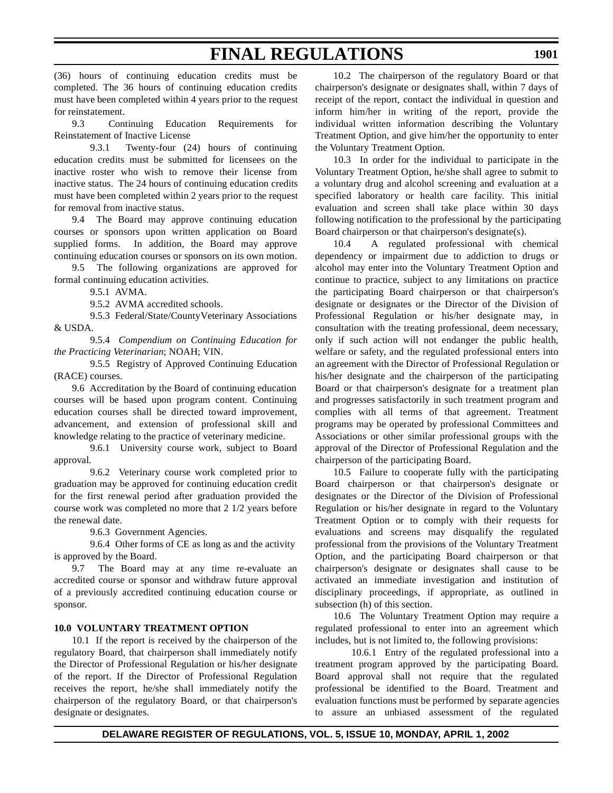(36) hours of continuing education credits must be completed. The 36 hours of continuing education credits must have been completed within 4 years prior to the request for reinstatement.

9.3 Continuing Education Requirements for Reinstatement of Inactive License

9.3.1 Twenty-four (24) hours of continuing education credits must be submitted for licensees on the inactive roster who wish to remove their license from inactive status. The 24 hours of continuing education credits must have been completed within 2 years prior to the request for removal from inactive status.

9.4 The Board may approve continuing education courses or sponsors upon written application on Board supplied forms. In addition, the Board may approve continuing education courses or sponsors on its own motion.

9.5 The following organizations are approved for formal continuing education activities.

9.5.1 AVMA.

9.5.2 AVMA accredited schools.

9.5.3 Federal/State/County Veterinary Associations & USDA.

9.5.4 *Compendium on Continuing Education for the Practicing Veterinarian*; NOAH; VIN.

9.5.5 Registry of Approved Continuing Education (RACE) courses.

9.6 Accreditation by the Board of continuing education courses will be based upon program content. Continuing education courses shall be directed toward improvement, advancement, and extension of professional skill and knowledge relating to the practice of veterinary medicine.

9.6.1 University course work, subject to Board approval.

9.6.2 Veterinary course work completed prior to graduation may be approved for continuing education credit for the first renewal period after graduation provided the course work was completed no more that 2 1/2 years before the renewal date.

9.6.3 Government Agencies.

9.6.4 Other forms of CE as long as and the activity is approved by the Board.

9.7 The Board may at any time re-evaluate an accredited course or sponsor and withdraw future approval of a previously accredited continuing education course or sponsor.

### **10.0 VOLUNTARY TREATMENT OPTION**

10.1 If the report is received by the chairperson of the regulatory Board, that chairperson shall immediately notify the Director of Professional Regulation or his/her designate of the report. If the Director of Professional Regulation receives the report, he/she shall immediately notify the chairperson of the regulatory Board, or that chairperson's designate or designates.

10.2 The chairperson of the regulatory Board or that chairperson's designate or designates shall, within 7 days of receipt of the report, contact the individual in question and inform him/her in writing of the report, provide the individual written information describing the Voluntary Treatment Option, and give him/her the opportunity to enter the Voluntary Treatment Option.

10.3 In order for the individual to participate in the Voluntary Treatment Option, he/she shall agree to submit to a voluntary drug and alcohol screening and evaluation at a specified laboratory or health care facility. This initial evaluation and screen shall take place within 30 days following notification to the professional by the participating Board chairperson or that chairperson's designate(s).

10.4 A regulated professional with chemical dependency or impairment due to addiction to drugs or alcohol may enter into the Voluntary Treatment Option and continue to practice, subject to any limitations on practice the participating Board chairperson or that chairperson's designate or designates or the Director of the Division of Professional Regulation or his/her designate may, in consultation with the treating professional, deem necessary, only if such action will not endanger the public health, welfare or safety, and the regulated professional enters into an agreement with the Director of Professional Regulation or his/her designate and the chairperson of the participating Board or that chairperson's designate for a treatment plan and progresses satisfactorily in such treatment program and complies with all terms of that agreement. Treatment programs may be operated by professional Committees and Associations or other similar professional groups with the approval of the Director of Professional Regulation and the chairperson of the participating Board.

10.5 Failure to cooperate fully with the participating Board chairperson or that chairperson's designate or designates or the Director of the Division of Professional Regulation or his/her designate in regard to the Voluntary Treatment Option or to comply with their requests for evaluations and screens may disqualify the regulated professional from the provisions of the Voluntary Treatment Option, and the participating Board chairperson or that chairperson's designate or designates shall cause to be activated an immediate investigation and institution of disciplinary proceedings, if appropriate, as outlined in subsection (h) of this section.

10.6 The Voluntary Treatment Option may require a regulated professional to enter into an agreement which includes, but is not limited to, the following provisions:

10.6.1 Entry of the regulated professional into a treatment program approved by the participating Board. Board approval shall not require that the regulated professional be identified to the Board. Treatment and evaluation functions must be performed by separate agencies to assure an unbiased assessment of the regulated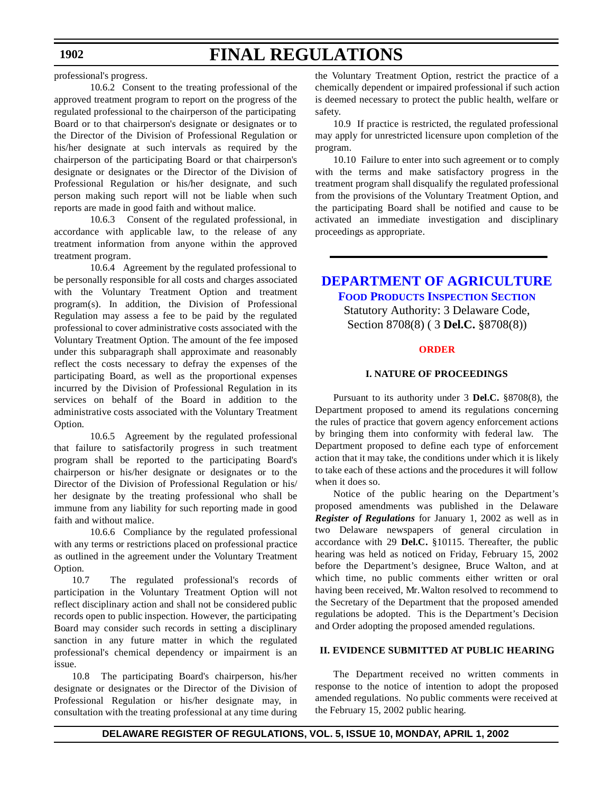professional's progress.

10.6.2 Consent to the treating professional of the approved treatment program to report on the progress of the regulated professional to the chairperson of the participating Board or to that chairperson's designate or designates or to the Director of the Division of Professional Regulation or his/her designate at such intervals as required by the chairperson of the participating Board or that chairperson's designate or designates or the Director of the Division of Professional Regulation or his/her designate, and such person making such report will not be liable when such reports are made in good faith and without malice.

10.6.3 Consent of the regulated professional, in accordance with applicable law, to the release of any treatment information from anyone within the approved treatment program.

10.6.4 Agreement by the regulated professional to be personally responsible for all costs and charges associated with the Voluntary Treatment Option and treatment program(s). In addition, the Division of Professional Regulation may assess a fee to be paid by the regulated professional to cover administrative costs associated with the Voluntary Treatment Option. The amount of the fee imposed under this subparagraph shall approximate and reasonably reflect the costs necessary to defray the expenses of the participating Board, as well as the proportional expenses incurred by the Division of Professional Regulation in its services on behalf of the Board in addition to the administrative costs associated with the Voluntary Treatment Option.

10.6.5 Agreement by the regulated professional that failure to satisfactorily progress in such treatment program shall be reported to the participating Board's chairperson or his/her designate or designates or to the Director of the Division of Professional Regulation or his/ her designate by the treating professional who shall be immune from any liability for such reporting made in good faith and without malice.

10.6.6 Compliance by the regulated professional with any terms or restrictions placed on professional practice as outlined in the agreement under the Voluntary Treatment Option.

10.7 The regulated professional's records of participation in the Voluntary Treatment Option will not reflect disciplinary action and shall not be considered public records open to public inspection. However, the participating Board may consider such records in setting a disciplinary sanction in any future matter in which the regulated professional's chemical dependency or impairment is an issue.

10.8 The participating Board's chairperson, his/her designate or designates or the Director of the Division of Professional Regulation or his/her designate may, in consultation with the treating professional at any time during

the Voluntary Treatment Option, restrict the practice of a chemically dependent or impaired professional if such action is deemed necessary to protect the public health, welfare or safety.

10.9 If practice is restricted, the regulated professional may apply for unrestricted licensure upon completion of the program.

10.10 Failure to enter into such agreement or to comply with the terms and make satisfactory progress in the treatment program shall disqualify the regulated professional from the provisions of the Voluntary Treatment Option, and the participating Board shall be notified and cause to be activated an immediate investigation and disciplinary proceedings as appropriate.

**[DEPARTMENT OF](http://www.state.de.us/deptagri/index.htm) AGRICULTURE FOOD PRODUCTS INSPECTION SECTION**

Statutory Authority: 3 Delaware Code, Section 8708(8) ( 3 **Del.C.** §8708(8))

### **[ORDER](#page-3-0)**

### **I. NATURE OF PROCEEDINGS**

Pursuant to its authority under 3 **Del.C.** §8708(8), the Department proposed to amend its regulations concerning the rules of practice that govern agency enforcement actions by bringing them into conformity with federal law. The Department proposed to define each type of enforcement action that it may take, the conditions under which it is likely to take each of these actions and the procedures it will follow when it does so.

Notice of the public hearing on the Department's proposed amendments was published in the Delaware *Register of Regulations* for January 1, 2002 as well as in two Delaware newspapers of general circulation in accordance with 29 **Del.C.** §10115. Thereafter, the public hearing was held as noticed on Friday, February 15, 2002 before the Department's designee, Bruce Walton, and at which time, no public comments either written or oral having been received, Mr. Walton resolved to recommend to the Secretary of the Department that the proposed amended regulations be adopted. This is the Department's Decision and Order adopting the proposed amended regulations.

### **II. EVIDENCE SUBMITTED AT PUBLIC HEARING**

The Department received no written comments in response to the notice of intention to adopt the proposed amended regulations. No public comments were received at the February 15, 2002 public hearing.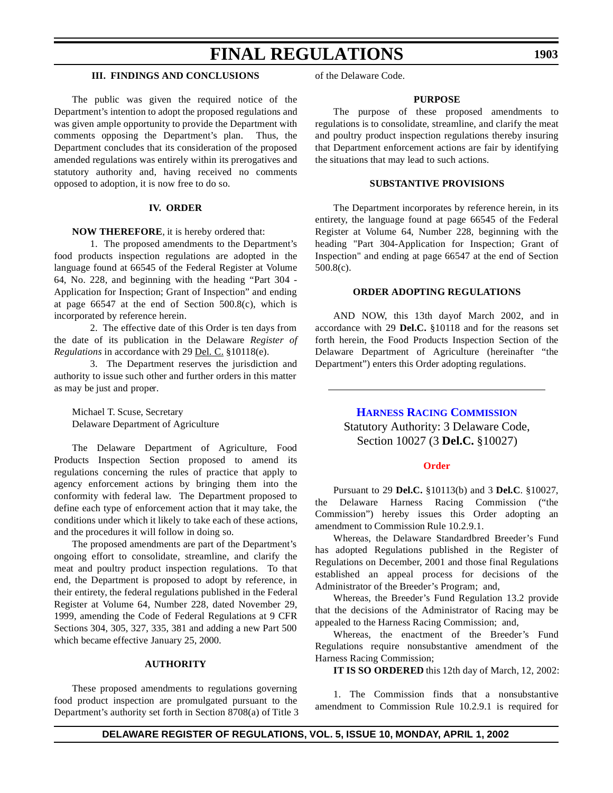### **III. FINDINGS AND CONCLUSIONS**

The public was given the required notice of the Department's intention to adopt the proposed regulations and was given ample opportunity to provide the Department with comments opposing the Department's plan. Thus, the Department concludes that its consideration of the proposed amended regulations was entirely within its prerogatives and statutory authority and, having received no comments opposed to adoption, it is now free to do so.

### **IV. ORDER**

#### **NOW THEREFORE**, it is hereby ordered that:

1. The proposed amendments to the Department's food products inspection regulations are adopted in the language found at 66545 of the Federal Register at Volume 64, No. 228, and beginning with the heading "Part 304 - Application for Inspection; Grant of Inspection" and ending at page 66547 at the end of Section 500.8(c), which is incorporated by reference herein.

2. The effective date of this Order is ten days from the date of its publication in the Delaware *Register of Regulations* in accordance with 29 Del. C. §10118(e).

3. The Department reserves the jurisdiction and authority to issue such other and further orders in this matter as may be just and proper.

Michael T. Scuse, Secretary Delaware Department of Agriculture

The Delaware Department of Agriculture, Food Products Inspection Section proposed to amend its regulations concerning the rules of practice that apply to agency enforcement actions by bringing them into the conformity with federal law. The Department proposed to define each type of enforcement action that it may take, the conditions under which it likely to take each of these actions, and the procedures it will follow in doing so.

The proposed amendments are part of the Department's ongoing effort to consolidate, streamline, and clarify the meat and poultry product inspection regulations. To that end, the Department is proposed to adopt by reference, in their entirety, the federal regulations published in the Federal Register at Volume 64, Number 228, dated November 29, 1999, amending the Code of Federal Regulations at 9 CFR Sections 304, 305, 327, 335, 381 and adding a new Part 500 which became effective January 25, 2000.

### **AUTHORITY**

These proposed amendments to regulations governing food product inspection are promulgated pursuant to the Department's authority set forth in Section 8708(a) of Title 3 of the Delaware Code.

### **PURPOSE**

The purpose of these proposed amendments to regulations is to consolidate, streamline, and clarify the meat and poultry product inspection regulations thereby insuring that Department enforcement actions are fair by identifying the situations that may lead to such actions.

### **SUBSTANTIVE PROVISIONS**

The Department incorporates by reference herein, in its entirety, the language found at page 66545 of the Federal Register at Volume 64, Number 228, beginning with the heading "Part 304-Application for Inspection; Grant of Inspection" and ending at page 66547 at the end of Section 500.8(c).

### **ORDER ADOPTING REGULATIONS**

AND NOW, this 13th dayof March 2002, and in accordance with 29 **Del.C.** §10118 and for the reasons set forth herein, the Food Products Inspection Section of the Delaware Department of Agriculture (hereinafter "the Department") enters this Order adopting regulations.

# **HARNESS RACING [COMMISSION](http://www.state.de.us/deptagri/About_Us/harness.htm)** Statutory Authority: 3 Delaware Code, Section 10027 (3 **Del.C.** §10027)

#### **[Order](#page-3-0)**

Pursuant to 29 **Del.C.** §10113(b) and 3 **Del.C**. §10027, the Delaware Harness Racing Commission ("the Commission") hereby issues this Order adopting an amendment to Commission Rule 10.2.9.1.

Whereas, the Delaware Standardbred Breeder's Fund has adopted Regulations published in the Register of Regulations on December, 2001 and those final Regulations established an appeal process for decisions of the Administrator of the Breeder's Program; and,

Whereas, the Breeder's Fund Regulation 13.2 provide that the decisions of the Administrator of Racing may be appealed to the Harness Racing Commission; and,

Whereas, the enactment of the Breeder's Fund Regulations require nonsubstantive amendment of the Harness Racing Commission;

**IT IS SO ORDERED** this 12th day of March, 12, 2002:

1. The Commission finds that a nonsubstantive amendment to Commission Rule 10.2.9.1 is required for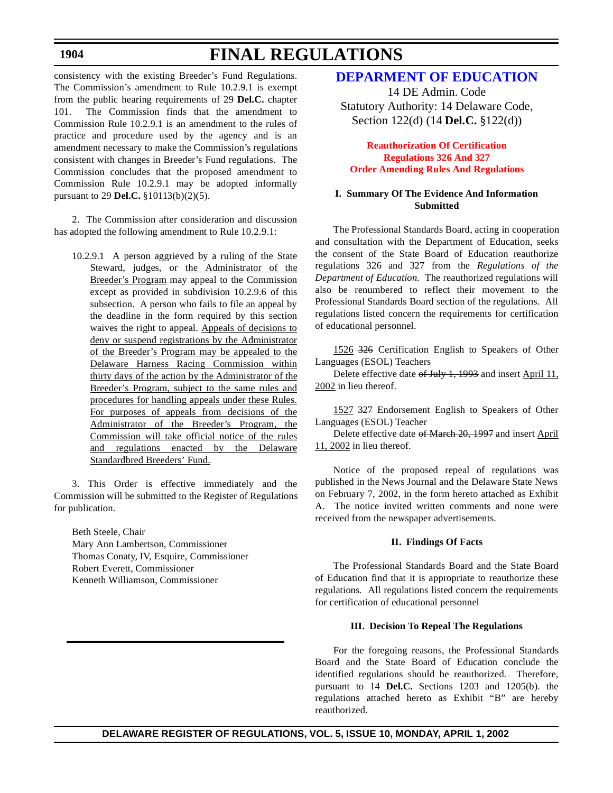### **1904**

# **FINAL REGULATIONS**

consistency with the existing Breeder's Fund Regulations. The Commission's amendment to Rule 10.2.9.1 is exempt from the public hearing requirements of 29 **Del.C.** chapter 101. The Commission finds that the amendment to Commission Rule 10.2.9.1 is an amendment to the rules of practice and procedure used by the agency and is an amendment necessary to make the Commission's regulations consistent with changes in Breeder's Fund regulations. The Commission concludes that the proposed amendment to Commission Rule 10.2.9.1 may be adopted informally pursuant to 29 **Del.C.** §10113(b)(2)(5).

2. The Commission after consideration and discussion has adopted the following amendment to Rule 10.2.9.1:

10.2.9.1 A person aggrieved by a ruling of the State Steward, judges, or the Administrator of the Breeder's Program may appeal to the Commission except as provided in subdivision 10.2.9.6 of this subsection. A person who fails to file an appeal by the deadline in the form required by this section waives the right to appeal. Appeals of decisions to deny or suspend registrations by the Administrator of the Breeder's Program may be appealed to the Delaware Harness Racing Commission within thirty days of the action by the Administrator of the Breeder's Program, subject to the same rules and procedures for handling appeals under these Rules. For purposes of appeals from decisions of the Administrator of the Breeder's Program, the Commission will take official notice of the rules and regulations enacted by the Delaware Standardbred Breeders' Fund.

3. This Order is effective immediately and the Commission will be submitted to the Register of Regulations for publication.

Beth Steele, Chair Mary Ann Lambertson, Commissioner Thomas Conaty, IV, Esquire, Commissioner Robert Everett, Commissioner Kenneth Williamson, Commissioner

# **[DEPARMENT OF](http://www.doe.state.de.us/) EDUCATION**

14 DE Admin. Code Statutory Authority: 14 Delaware Code, Section 122(d) (14 **Del.C.** §122(d))

### **Reauthorization Of Certification Regulations 326 And 327 Order Amending Rules [And Regulations](#page-3-0)**

### **I. Summary Of The Evidence And Information Submitted**

The Professional Standards Board, acting in cooperation and consultation with the Department of Education, seeks the consent of the State Board of Education reauthorize regulations 326 and 327 from the *Regulations of the Department of Education.* The reauthorized regulations will also be renumbered to reflect their movement to the Professional Standards Board section of the regulations. All regulations listed concern the requirements for certification of educational personnel.

1526 326 Certification English to Speakers of Other Languages (ESOL) Teachers

Delete effective date of July 1, 1993 and insert April 11, 2002 in lieu thereof.

1527 327 Endorsement English to Speakers of Other Languages (ESOL) Teacher

Delete effective date of March 20, 1997 and insert April 11, 2002 in lieu thereof.

Notice of the proposed repeal of regulations was published in the News Journal and the Delaware State News on February 7, 2002, in the form hereto attached as Exhibit A. The notice invited written comments and none were received from the newspaper advertisements.

### **II. Findings Of Facts**

The Professional Standards Board and the State Board of Education find that it is appropriate to reauthorize these regulations. All regulations listed concern the requirements for certification of educational personnel

#### **III. Decision To Repeal The Regulations**

For the foregoing reasons, the Professional Standards Board and the State Board of Education conclude the identified regulations should be reauthorized. Therefore, pursuant to 14 **Del.C.** Sections 1203 and 1205(b). the regulations attached hereto as Exhibit "B" are hereby reauthorized.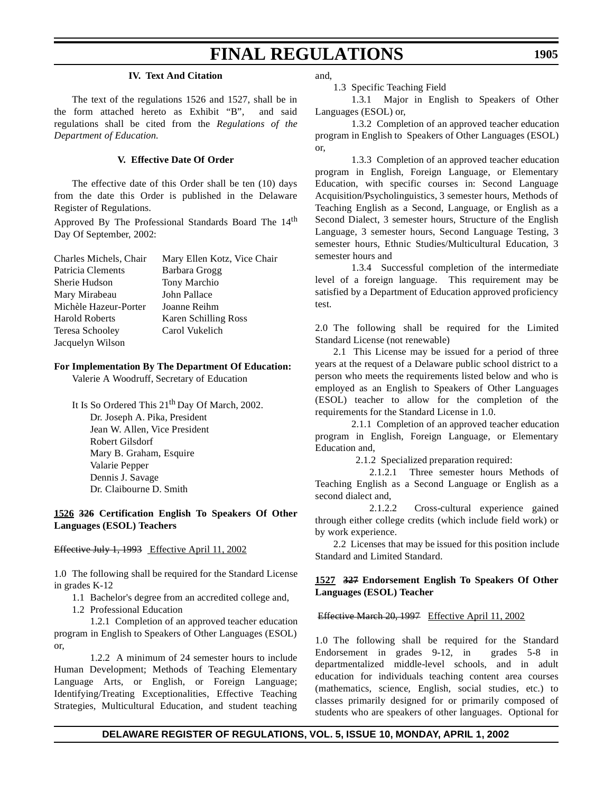#### **IV. Text And Citation**

The text of the regulations 1526 and 1527, shall be in the form attached hereto as Exhibit "B", and said regulations shall be cited from the *Regulations of the Department of Education.*

# **V. Effective Date Of Order**

The effective date of this Order shall be ten (10) days from the date this Order is published in the Delaware Register of Regulations.

Approved By The Professional Standards Board The 14<sup>th</sup> Day Of September, 2002:

| Charles Michels, Chair | Mary Ellen Kotz, Vice Chair |
|------------------------|-----------------------------|
| Patricia Clements      | Barbara Grogg               |
| Sherie Hudson          | Tony Marchio                |
| Mary Mirabeau          | John Pallace                |
| Michèle Hazeur-Porter  | Joanne Reihm                |
| <b>Harold Roberts</b>  | Karen Schilling Ross        |
| Teresa Schooley        | Carol Vukelich              |
| Jacquelyn Wilson       |                             |

#### **For Implementation By The Department Of Education:**

Valerie A Woodruff, Secretary of Education

It Is So Ordered This  $21<sup>th</sup>$  Day Of March, 2002. Dr. Joseph A. Pika, President Jean W. Allen, Vice President Robert Gilsdorf Mary B. Graham, Esquire Valarie Pepper Dennis J. Savage Dr. Claibourne D. Smith

### **1526 326 Certification English To Speakers Of Other Languages (ESOL) Teachers**

#### Effective July 1, 1993 Effective April 11, 2002

1.0 The following shall be required for the Standard License in grades K-12

- 1.1 Bachelor's degree from an accredited college and,
- 1.2 Professional Education

1.2.1 Completion of an approved teacher education program in English to Speakers of Other Languages (ESOL) or,

1.2.2 A minimum of 24 semester hours to include Human Development; Methods of Teaching Elementary Language Arts, or English, or Foreign Language; Identifying/Treating Exceptionalities, Effective Teaching Strategies, Multicultural Education, and student teaching

and,

1.3 Specific Teaching Field

1.3.1 Major in English to Speakers of Other Languages (ESOL) or,

1.3.2 Completion of an approved teacher education program in English to Speakers of Other Languages (ESOL) or,

1.3.3 Completion of an approved teacher education program in English, Foreign Language, or Elementary Education, with specific courses in: Second Language Acquisition/Psycholinguistics, 3 semester hours, Methods of Teaching English as a Second, Language, or English as a Second Dialect, 3 semester hours, Structure of the English Language, 3 semester hours, Second Language Testing, 3 semester hours, Ethnic Studies/Multicultural Education, 3 semester hours and

1.3.4 Successful completion of the intermediate level of a foreign language. This requirement may be satisfied by a Department of Education approved proficiency test.

2.0 The following shall be required for the Limited Standard License (not renewable)

2.1 This License may be issued for a period of three years at the request of a Delaware public school district to a person who meets the requirements listed below and who is employed as an English to Speakers of Other Languages (ESOL) teacher to allow for the completion of the requirements for the Standard License in 1.0.

 2.1.1 Completion of an approved teacher education program in English, Foreign Language, or Elementary Education and,

2.1.2 Specialized preparation required:

2.1.2.1 Three semester hours Methods of Teaching English as a Second Language or English as a second dialect and,

2.1.2.2 Cross-cultural experience gained through either college credits (which include field work) or by work experience.

2.2 Licenses that may be issued for this position include Standard and Limited Standard.

### **1527 327 Endorsement English To Speakers Of Other Languages (ESOL) Teacher**

Effective March 20, 1997 Effective April 11, 2002

1.0 The following shall be required for the Standard Endorsement in grades 9-12, in grades 5-8 in departmentalized middle-level schools, and in adult education for individuals teaching content area courses (mathematics, science, English, social studies, etc.) to classes primarily designed for or primarily composed of students who are speakers of other languages. Optional for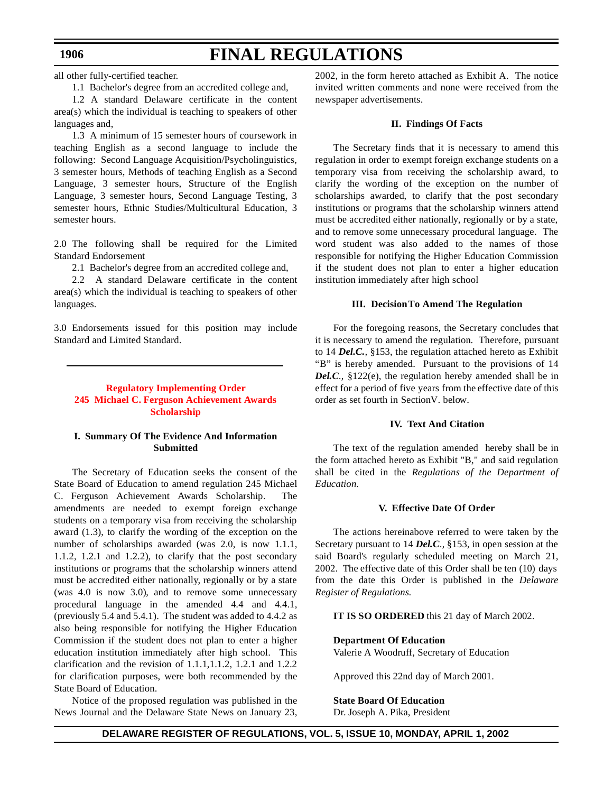all other fully-certified teacher.

1.1 Bachelor's degree from an accredited college and,

1.2 A standard Delaware certificate in the content area(s) which the individual is teaching to speakers of other languages and,

1.3 A minimum of 15 semester hours of coursework in teaching English as a second language to include the following: Second Language Acquisition/Psycholinguistics, 3 semester hours, Methods of teaching English as a Second Language, 3 semester hours, Structure of the English Language, 3 semester hours, Second Language Testing, 3 semester hours, Ethnic Studies/Multicultural Education, 3 semester hours.

2.0 The following shall be required for the Limited Standard Endorsement

2.1 Bachelor's degree from an accredited college and,

2.2 A standard Delaware certificate in the content area(s) which the individual is teaching to speakers of other languages.

3.0 Endorsements issued for this position may include Standard and Limited Standard.

### **Regulatory Implementing Order 245 Michael C. Ferguson [Achievement Awards](#page-3-0) Scholarship**

### **I. Summary Of The Evidence And Information Submitted**

The Secretary of Education seeks the consent of the State Board of Education to amend regulation 245 Michael C. Ferguson Achievement Awards Scholarship. amendments are needed to exempt foreign exchange students on a temporary visa from receiving the scholarship award (1.3), to clarify the wording of the exception on the number of scholarships awarded (was 2.0, is now 1.1.1, 1.1.2, 1.2.1 and 1.2.2), to clarify that the post secondary institutions or programs that the scholarship winners attend must be accredited either nationally, regionally or by a state (was 4.0 is now 3.0), and to remove some unnecessary procedural language in the amended 4.4 and 4.4.1, (previously 5.4 and 5.4.1). The student was added to 4.4.2 as also being responsible for notifying the Higher Education Commission if the student does not plan to enter a higher education institution immediately after high school. This clarification and the revision of 1.1.1,1.1.2, 1.2.1 and 1.2.2 for clarification purposes, were both recommended by the State Board of Education.

Notice of the proposed regulation was published in the News Journal and the Delaware State News on January 23, 2002, in the form hereto attached as Exhibit A. The notice invited written comments and none were received from the newspaper advertisements.

#### **II. Findings Of Facts**

The Secretary finds that it is necessary to amend this regulation in order to exempt foreign exchange students on a temporary visa from receiving the scholarship award, to clarify the wording of the exception on the number of scholarships awarded, to clarify that the post secondary institutions or programs that the scholarship winners attend must be accredited either nationally, regionally or by a state, and to remove some unnecessary procedural language. The word student was also added to the names of those responsible for notifying the Higher Education Commission if the student does not plan to enter a higher education institution immediately after high school

#### **III. Decision To Amend The Regulation**

For the foregoing reasons, the Secretary concludes that it is necessary to amend the regulation. Therefore, pursuant to 14 *Del.C.,* §153, the regulation attached hereto as Exhibit "B" is hereby amended. Pursuant to the provisions of 14 *Del.C.,* §122(e), the regulation hereby amended shall be in effect for a period of five years from the effective date of this order as set fourth in Section V. below.

### **IV. Text And Citation**

The text of the regulation amended hereby shall be in the form attached hereto as Exhibit "B," and said regulation shall be cited in the *Regulations of the Department of Education.*

### **V. Effective Date Of Order**

The actions hereinabove referred to were taken by the Secretary pursuant to 14 *Del.C*., §153, in open session at the said Board's regularly scheduled meeting on March 21, 2002. The effective date of this Order shall be ten (10) days from the date this Order is published in the *Delaware Register of Regulations.*

**IT IS SO ORDERED** this 21 day of March 2002.

#### **Department Of Education**

Valerie A Woodruff, Secretary of Education

Approved this 22nd day of March 2001.

**State Board Of Education**

Dr. Joseph A. Pika, President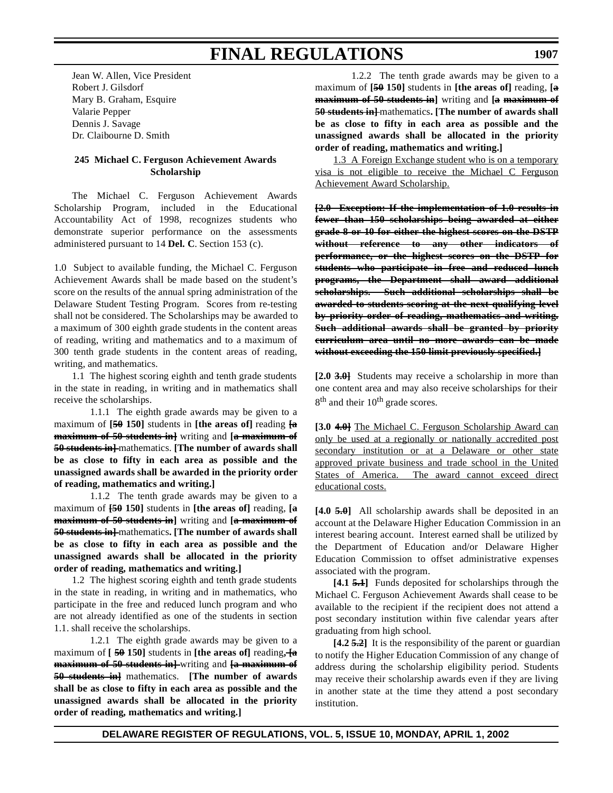Jean W. Allen, Vice President Robert J. Gilsdorf Mary B. Graham, Esquire Valarie Pepper Dennis J. Savage Dr. Claibourne D. Smith

### **245 Michael C. Ferguson Achievement Awards Scholarship**

The Michael C. Ferguson Achievement Awards Scholarship Program, included in the Educational Accountability Act of 1998, recognizes students who demonstrate superior performance on the assessments administered pursuant to 14 **Del. C**. Section 153 (c).

1.0 Subject to available funding, the Michael C. Ferguson Achievement Awards shall be made based on the student's score on the results of the annual spring administration of the Delaware Student Testing Program. Scores from re-testing shall not be considered. The Scholarships may be awarded to a maximum of 300 eighth grade students in the content areas of reading, writing and mathematics and to a maximum of 300 tenth grade students in the content areas of reading, writing, and mathematics.

1.1 The highest scoring eighth and tenth grade students in the state in reading, in writing and in mathematics shall receive the scholarships.

1.1.1 The eighth grade awards may be given to a maximum of **[50 150]** students in **[the areas of]** reading **[a maximum of 50 students in]** writing and **[a maximum of 50 students in** + mathematics. **[The number of awards shall be as close to fifty in each area as possible and the unassigned awards shall be awarded in the priority order of reading, mathematics and writing.]**

1.1.2 The tenth grade awards may be given to a maximum of **[50 150]** students in **[the areas of]** reading, **[a maximum of 50 students in]** writing and **[a maximum of 50 students in]** mathematics**. [The number of awards shall be as close to fifty in each area as possible and the unassigned awards shall be allocated in the priority order of reading, mathematics and writing.]**

1.2 The highest scoring eighth and tenth grade students in the state in reading, in writing and in mathematics, who participate in the free and reduced lunch program and who are not already identified as one of the students in section 1.1. shall receive the scholarships.

1.2.1 The eighth grade awards may be given to a maximum of **[ 50 150]** students in **[the areas of]** reading**, [a maximum of 50 students in]** writing and **[a maximum of 50 students in]** mathematics. **[The number of awards shall be as close to fifty in each area as possible and the unassigned awards shall be allocated in the priority order of reading, mathematics and writing.]**

1.2.2 The tenth grade awards may be given to a maximum of **[50 150]** students in **[the areas of]** reading, **[a maximum of 50 students in]** writing and **[a maximum of 50 students in** + mathematics. [The number of awards shall **be as close to fifty in each area as possible and the unassigned awards shall be allocated in the priority order of reading, mathematics and writing.]**

1.3 A Foreign Exchange student who is on a temporary visa is not eligible to receive the Michael C Ferguson Achievement Award Scholarship.

**[2.0 Exception: If the implementation of 1.0 results in fewer than 150 scholarships being awarded at either grade 8 or 10 for either the highest scores on the DSTP without reference to any other indicators of performance, or the highest scores on the DSTP for students who participate in free and reduced lunch programs, the Department shall award additional scholarships. Such additional scholarships shall be awarded to students scoring at the next qualifying level by priority order of reading, mathematics and writing. Such additional awards shall be granted by priority curriculum area until no more awards can be made without exceeding the 150 limit previously specified.]**

**[2.0 3.0]** Students may receive a scholarship in more than one content area and may also receive scholarships for their  $8<sup>th</sup>$  and their  $10<sup>th</sup>$  grade scores.

**[3.0 4.0]** The Michael C. Ferguson Scholarship Award can only be used at a regionally or nationally accredited post secondary institution or at a Delaware or other state approved private business and trade school in the United States of America. The award cannot exceed direct educational costs.

**[4.0 5.0]** All scholarship awards shall be deposited in an account at the Delaware Higher Education Commission in an interest bearing account. Interest earned shall be utilized by the Department of Education and/or Delaware Higher Education Commission to offset administrative expenses associated with the program.

**[4.1 5.1]** Funds deposited for scholarships through the Michael C. Ferguson Achievement Awards shall cease to be available to the recipient if the recipient does not attend a post secondary institution within five calendar years after graduating from high school.

**[4.2 5.2]** It is the responsibility of the parent or guardian to notify the Higher Education Commission of any change of address during the scholarship eligibility period. Students may receive their scholarship awards even if they are living in another state at the time they attend a post secondary institution.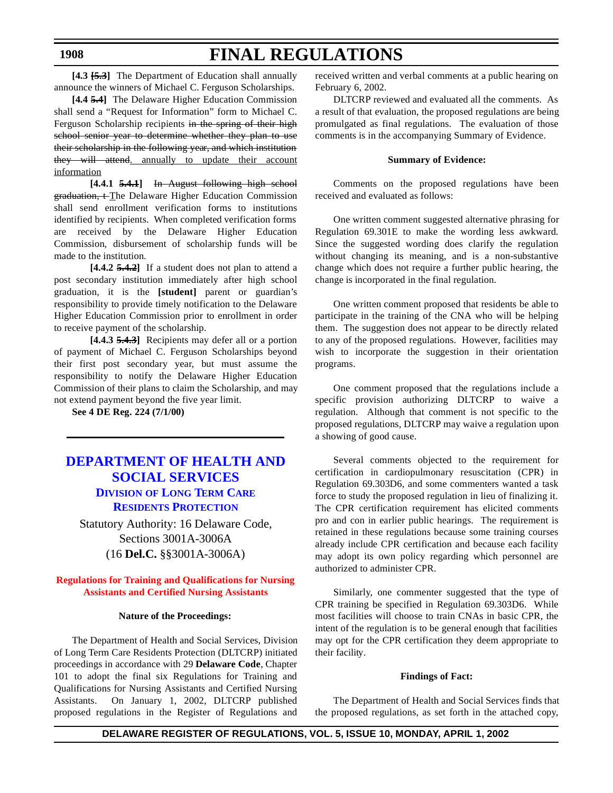**[4.3 [5.3]** The Department of Education shall annually announce the winners of Michael C. Ferguson Scholarships.

**[4.4 5.4]** The Delaware Higher Education Commission shall send a "Request for Information" form to Michael C. Ferguson Scholarship recipients in the spring of their high school senior year to determine whether they plan to use their scholarship in the following year, and which institution they will attend, annually to update their account information

**[4.4.1 5.4.1]** In August following high school graduation, t The Delaware Higher Education Commission shall send enrollment verification forms to institutions identified by recipients. When completed verification forms are received by the Delaware Higher Education Commission, disbursement of scholarship funds will be made to the institution.

**[4.4.2 5.4.2]** If a student does not plan to attend a post secondary institution immediately after high school graduation, it is the **[student]** parent or guardian's responsibility to provide timely notification to the Delaware Higher Education Commission prior to enrollment in order to receive payment of the scholarship.

**[4.4.3 5.4.3]** Recipients may defer all or a portion of payment of Michael C. Ferguson Scholarships beyond their first post secondary year, but must assume the responsibility to notify the Delaware Higher Education Commission of their plans to claim the Scholarship, and may not extend payment beyond the five year limit.

**See 4 DE Reg. 224 (7/1/00)**

# **DEPARTMENT OF HEALTH AND [SOCIAL SERVICES](http://www.state.de.us/dhss/dltc/dltchome.htm) DIVISION OF LONG TERM CARE RESIDENTS PROTECTION**

Statutory Authority: 16 Delaware Code, Sections 3001A-3006A (16 **Del.C.** §§3001A-3006A)

**Regulations for Training and Qualifications for Nursing [Assistants and Certified](#page-3-0) Nursing Assistants**

### **Nature of the Proceedings:**

The Department of Health and Social Services, Division of Long Term Care Residents Protection (DLTCRP) initiated proceedings in accordance with 29 **Delaware Code**, Chapter 101 to adopt the final six Regulations for Training and Qualifications for Nursing Assistants and Certified Nursing Assistants. On January 1, 2002, DLTCRP published proposed regulations in the Register of Regulations and received written and verbal comments at a public hearing on February 6, 2002.

DLTCRP reviewed and evaluated all the comments. As a result of that evaluation, the proposed regulations are being promulgated as final regulations. The evaluation of those comments is in the accompanying Summary of Evidence.

# **Summary of Evidence:**

Comments on the proposed regulations have been received and evaluated as follows:

One written comment suggested alternative phrasing for Regulation 69.301E to make the wording less awkward. Since the suggested wording does clarify the regulation without changing its meaning, and is a non-substantive change which does not require a further public hearing, the change is incorporated in the final regulation.

One written comment proposed that residents be able to participate in the training of the CNA who will be helping them. The suggestion does not appear to be directly related to any of the proposed regulations. However, facilities may wish to incorporate the suggestion in their orientation programs.

One comment proposed that the regulations include a specific provision authorizing DLTCRP to waive a regulation. Although that comment is not specific to the proposed regulations, DLTCRP may waive a regulation upon a showing of good cause.

Several comments objected to the requirement for certification in cardiopulmonary resuscitation (CPR) in Regulation 69.303D6, and some commenters wanted a task force to study the proposed regulation in lieu of finalizing it. The CPR certification requirement has elicited comments pro and con in earlier public hearings. The requirement is retained in these regulations because some training courses already include CPR certification and because each facility may adopt its own policy regarding which personnel are authorized to administer CPR.

Similarly, one commenter suggested that the type of CPR training be specified in Regulation 69.303D6. While most facilities will choose to train CNAs in basic CPR, the intent of the regulation is to be general enough that facilities may opt for the CPR certification they deem appropriate to their facility.

### **Findings of Fact:**

The Department of Health and Social Services finds that the proposed regulations, as set forth in the attached copy,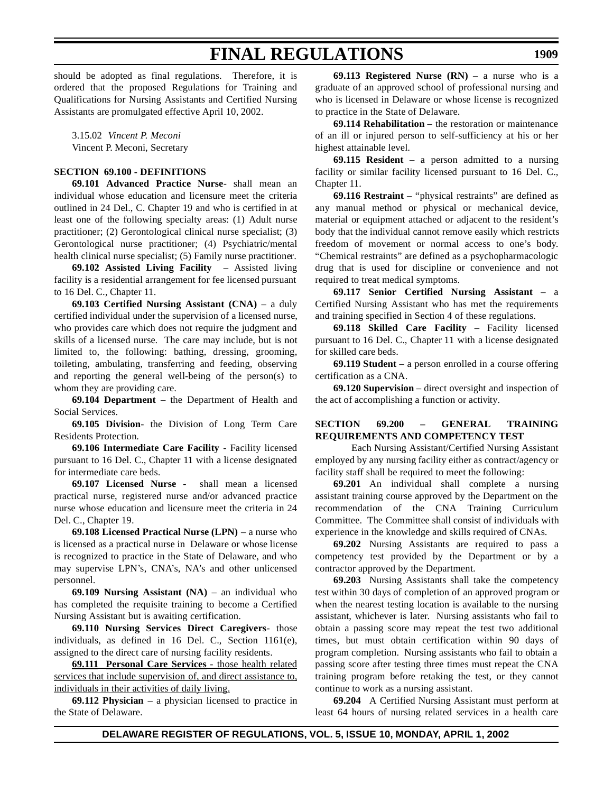should be adopted as final regulations. Therefore, it is ordered that the proposed Regulations for Training and Qualifications for Nursing Assistants and Certified Nursing Assistants are promulgated effective April 10, 2002.

3.15.02 *Vincent P. Meconi*  Vincent P. Meconi, Secretary

### **SECTION 69.100 - DEFINITIONS**

**69.101 Advanced Practice Nurse**- shall mean an individual whose education and licensure meet the criteria outlined in 24 Del., C. Chapter 19 and who is certified in at least one of the following specialty areas: (1) Adult nurse practitioner; (2) Gerontological clinical nurse specialist; (3) Gerontological nurse practitioner; (4) Psychiatric/mental health clinical nurse specialist; (5) Family nurse practitioner.

**69.102 Assisted Living Facility** – Assisted living facility is a residential arrangement for fee licensed pursuant to 16 Del. C., Chapter 11.

**69.103 Certified Nursing Assistant (CNA)** – a duly certified individual under the supervision of a licensed nurse, who provides care which does not require the judgment and skills of a licensed nurse. The care may include, but is not limited to, the following: bathing, dressing, grooming, toileting, ambulating, transferring and feeding, observing and reporting the general well-being of the person(s) to whom they are providing care.

**69.104 Department** – the Department of Health and Social Services.

**69.105 Division**- the Division of Long Term Care Residents Protection.

**69.106 Intermediate Care Facility** - Facility licensed pursuant to 16 Del. C., Chapter 11 with a license designated for intermediate care beds.

**69.107 Licensed Nurse** - shall mean a licensed practical nurse, registered nurse and/or advanced practice nurse whose education and licensure meet the criteria in 24 Del. C., Chapter 19.

**69.108 Licensed Practical Nurse (LPN)** – a nurse who is licensed as a practical nurse in Delaware or whose license is recognized to practice in the State of Delaware, and who may supervise LPN's, CNA's, NA's and other unlicensed personnel.

**69.109 Nursing Assistant (NA)** – an individual who has completed the requisite training to become a Certified Nursing Assistant but is awaiting certification.

**69.110 Nursing Services Direct Caregivers**- those individuals, as defined in 16 Del. C., Section 1161(e), assigned to the direct care of nursing facility residents.

**69.111 Personal Care Services** - those health related services that include supervision of, and direct assistance to, individuals in their activities of daily living.

**69.112 Physician** – a physician licensed to practice in the State of Delaware.

**69.113 Registered Nurse (RN)** – a nurse who is a graduate of an approved school of professional nursing and who is licensed in Delaware or whose license is recognized to practice in the State of Delaware.

**69.114 Rehabilitation** – the restoration or maintenance of an ill or injured person to self-sufficiency at his or her highest attainable level.

**69.115 Resident** – a person admitted to a nursing facility or similar facility licensed pursuant to 16 Del. C., Chapter 11.

**69.116 Restraint** – "physical restraints" are defined as any manual method or physical or mechanical device, material or equipment attached or adjacent to the resident's body that the individual cannot remove easily which restricts freedom of movement or normal access to one's body. "Chemical restraints" are defined as a psychopharmacologic drug that is used for discipline or convenience and not required to treat medical symptoms.

**69.117 Senior Certified Nursing Assistant** – a Certified Nursing Assistant who has met the requirements and training specified in Section 4 of these regulations.

**69.118 Skilled Care Facility** – Facility licensed pursuant to 16 Del. C., Chapter 11 with a license designated for skilled care beds.

**69.119 Student** – a person enrolled in a course offering certification as a CNA.

**69.120 Supervision** – direct oversight and inspection of the act of accomplishing a function or activity.

### **SECTION 69.200 – GENERAL TRAINING REQUIREMENTS AND COMPETENCY TEST**

Each Nursing Assistant/Certified Nursing Assistant employed by any nursing facility either as contract/agency or facility staff shall be required to meet the following:

**69.201** An individual shall complete a nursing assistant training course approved by the Department on the recommendation of the CNA Training Curriculum Committee. The Committee shall consist of individuals with experience in the knowledge and skills required of CNAs.

**69.202** Nursing Assistants are required to pass a competency test provided by the Department or by a contractor approved by the Department.

**69.203** Nursing Assistants shall take the competency test within 30 days of completion of an approved program or when the nearest testing location is available to the nursing assistant, whichever is later. Nursing assistants who fail to obtain a passing score may repeat the test two additional times, but must obtain certification within 90 days of program completion. Nursing assistants who fail to obtain a passing score after testing three times must repeat the CNA training program before retaking the test, or they cannot continue to work as a nursing assistant.

**69.204** A Certified Nursing Assistant must perform at least 64 hours of nursing related services in a health care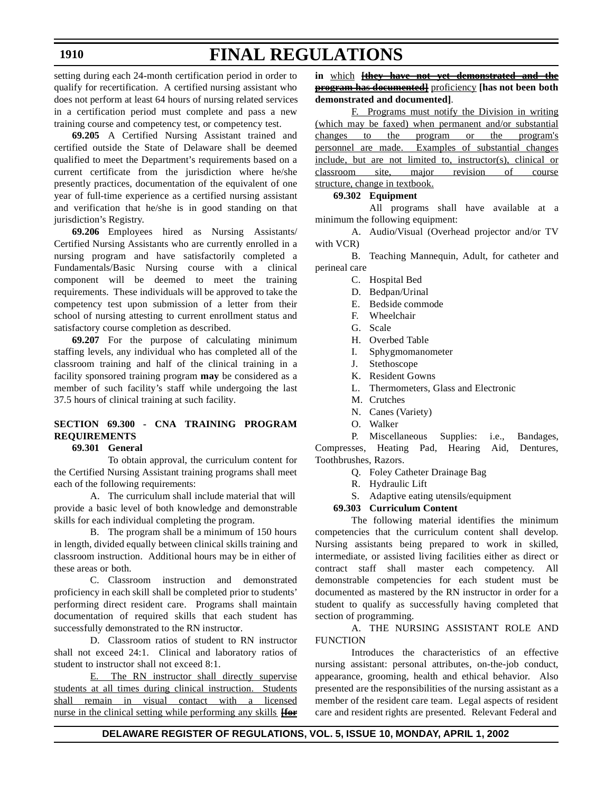### **1910**

# **FINAL REGULATIONS**

setting during each 24-month certification period in order to qualify for recertification. A certified nursing assistant who does not perform at least 64 hours of nursing related services in a certification period must complete and pass a new training course and competency test, or competency test.

**69.205** A Certified Nursing Assistant trained and certified outside the State of Delaware shall be deemed qualified to meet the Department's requirements based on a current certificate from the jurisdiction where he/she presently practices, documentation of the equivalent of one year of full-time experience as a certified nursing assistant and verification that he/she is in good standing on that jurisdiction's Registry.

**69.206** Employees hired as Nursing Assistants/ Certified Nursing Assistants who are currently enrolled in a nursing program and have satisfactorily completed a Fundamentals/Basic Nursing course with a clinical component will be deemed to meet the training requirements. These individuals will be approved to take the competency test upon submission of a letter from their school of nursing attesting to current enrollment status and satisfactory course completion as described.

**69.207** For the purpose of calculating minimum staffing levels, any individual who has completed all of the classroom training and half of the clinical training in a facility sponsored training program **may** be considered as a member of such facility's staff while undergoing the last 37.5 hours of clinical training at such facility.

# **SECTION 69.300 - CNA TRAINING PROGRAM REQUIREMENTS**

# **69.301 General**

To obtain approval, the curriculum content for the Certified Nursing Assistant training programs shall meet each of the following requirements:

A. The curriculum shall include material that will provide a basic level of both knowledge and demonstrable skills for each individual completing the program.

B. The program shall be a minimum of 150 hours in length, divided equally between clinical skills training and classroom instruction. Additional hours may be in either of these areas or both.

C. Classroom instruction and demonstrated proficiency in each skill shall be completed prior to students' performing direct resident care. Programs shall maintain documentation of required skills that each student has successfully demonstrated to the RN instructor.

D. Classroom ratios of student to RN instructor shall not exceed 24:1. Clinical and laboratory ratios of student to instructor shall not exceed 8:1.

E. The RN instructor shall directly supervise students at all times during clinical instruction. Students shall remain in visual contact with a licensed nurse in the clinical setting while performing any skills **[for**

**in** which **[they have not yet demonstrated and the program has documented]** proficiency **[has not been both demonstrated and documented]**.

F. Programs must notify the Division in writing (which may be faxed) when permanent and/or substantial changes to the program or the program's personnel are made. Examples of substantial changes include, but are not limited to, instructor(s), clinical or classroom site, major revision of course structure, change in textbook.

### **69.302 Equipment**

All programs shall have available at a minimum the following equipment:

A. Audio/Visual (Overhead projector and/or TV with VCR)

B. Teaching Mannequin, Adult, for catheter and perineal care

- C. Hospital Bed
- D. Bedpan/Urinal
- E. Bedside commode
- F. Wheelchair
- G. Scale
- H. Overbed Table
- I. Sphygmomanometer
- J. Stethoscope
- K. Resident Gowns
- L. Thermometers, Glass and Electronic
- M. Crutches
- N. Canes (Variety)
- O. Walker

P. Miscellaneous Supplies: i.e., Bandages, Compresses, Heating Pad, Hearing Aid, Dentures, Toothbrushes, Razors.

- Q. Foley Catheter Drainage Bag
- R. Hydraulic Lift
- S. Adaptive eating utensils/equipment

### **69.303 Curriculum Content**

The following material identifies the minimum competencies that the curriculum content shall develop. Nursing assistants being prepared to work in skilled, intermediate, or assisted living facilities either as direct or contract staff shall master each competency. All demonstrable competencies for each student must be documented as mastered by the RN instructor in order for a student to qualify as successfully having completed that section of programming.

A. THE NURSING ASSISTANT ROLE AND **FUNCTION** 

Introduces the characteristics of an effective nursing assistant: personal attributes, on-the-job conduct, appearance, grooming, health and ethical behavior. Also presented are the responsibilities of the nursing assistant as a member of the resident care team. Legal aspects of resident care and resident rights are presented. Relevant Federal and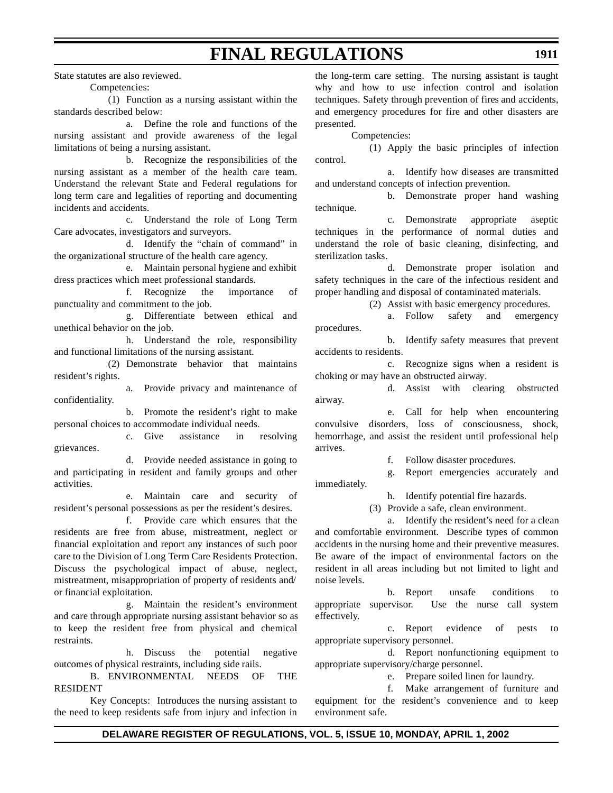State statutes are also reviewed.

Competencies:

(1) Function as a nursing assistant within the standards described below:

a. Define the role and functions of the nursing assistant and provide awareness of the legal limitations of being a nursing assistant.

b. Recognize the responsibilities of the nursing assistant as a member of the health care team. Understand the relevant State and Federal regulations for long term care and legalities of reporting and documenting incidents and accidents.

c. Understand the role of Long Term Care advocates, investigators and surveyors.

d. Identify the "chain of command" in the organizational structure of the health care agency.

e. Maintain personal hygiene and exhibit dress practices which meet professional standards.

f. Recognize the importance of punctuality and commitment to the job.

g. Differentiate between ethical and unethical behavior on the job.

h. Understand the role, responsibility and functional limitations of the nursing assistant.

(2) Demonstrate behavior that maintains resident's rights.

a. Provide privacy and maintenance of confidentiality.

b. Promote the resident's right to make personal choices to accommodate individual needs.

c. Give assistance in resolving grievances.

d. Provide needed assistance in going to and participating in resident and family groups and other activities.

e. Maintain care and security of resident's personal possessions as per the resident's desires.

f. Provide care which ensures that the residents are free from abuse, mistreatment, neglect or financial exploitation and report any instances of such poor care to the Division of Long Term Care Residents Protection. Discuss the psychological impact of abuse, neglect, mistreatment, misappropriation of property of residents and/ or financial exploitation.

g. Maintain the resident's environment and care through appropriate nursing assistant behavior so as to keep the resident free from physical and chemical restraints.

h. Discuss the potential negative outcomes of physical restraints, including side rails.

B. ENVIRONMENTAL NEEDS OF THE RESIDENT

Key Concepts: Introduces the nursing assistant to the need to keep residents safe from injury and infection in the long-term care setting. The nursing assistant is taught why and how to use infection control and isolation techniques. Safety through prevention of fires and accidents, and emergency procedures for fire and other disasters are presented.

Competencies:

(1) Apply the basic principles of infection control.

a. Identify how diseases are transmitted and understand concepts of infection prevention.

b. Demonstrate proper hand washing technique.

c. Demonstrate appropriate aseptic techniques in the performance of normal duties and understand the role of basic cleaning, disinfecting, and sterilization tasks.

d. Demonstrate proper isolation and safety techniques in the care of the infectious resident and proper handling and disposal of contaminated materials.

(2) Assist with basic emergency procedures.

a. Follow safety and emergency procedures.

b. Identify safety measures that prevent accidents to residents.

c. Recognize signs when a resident is choking or may have an obstructed airway.

d. Assist with clearing obstructed airway.

e. Call for help when encountering convulsive disorders, loss of consciousness, shock, hemorrhage, and assist the resident until professional help arrives.

f. Follow disaster procedures.

g. Report emergencies accurately and

immediately.

h. Identify potential fire hazards.

(3) Provide a safe, clean environment.

a. Identify the resident's need for a clean and comfortable environment. Describe types of common accidents in the nursing home and their preventive measures. Be aware of the impact of environmental factors on the resident in all areas including but not limited to light and noise levels.

b. Report unsafe conditions to appropriate supervisor. Use the nurse call system effectively.

c. Report evidence of pests to appropriate supervisory personnel.

d. Report nonfunctioning equipment to appropriate supervisory/charge personnel.

e. Prepare soiled linen for laundry.

f. Make arrangement of furniture and equipment for the resident's convenience and to keep environment safe.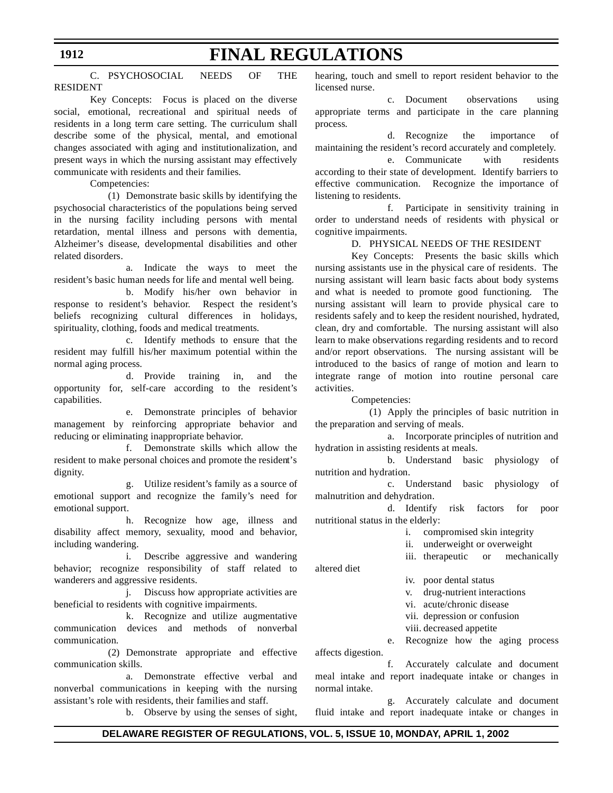### C. PSYCHOSOCIAL NEEDS OF THE RESIDENT

Key Concepts: Focus is placed on the diverse social, emotional, recreational and spiritual needs of residents in a long term care setting. The curriculum shall describe some of the physical, mental, and emotional changes associated with aging and institutionalization, and present ways in which the nursing assistant may effectively communicate with residents and their families.

Competencies:

(1) Demonstrate basic skills by identifying the psychosocial characteristics of the populations being served in the nursing facility including persons with mental retardation, mental illness and persons with dementia, Alzheimer's disease, developmental disabilities and other related disorders.

a. Indicate the ways to meet the resident's basic human needs for life and mental well being.

b. Modify his/her own behavior in response to resident's behavior. Respect the resident's beliefs recognizing cultural differences in holidays, spirituality, clothing, foods and medical treatments.

c. Identify methods to ensure that the resident may fulfill his/her maximum potential within the normal aging process.

d. Provide training in, and the opportunity for, self-care according to the resident's capabilities.

e. Demonstrate principles of behavior management by reinforcing appropriate behavior and reducing or eliminating inappropriate behavior.

f. Demonstrate skills which allow the resident to make personal choices and promote the resident's dignity.

g. Utilize resident's family as a source of emotional support and recognize the family's need for emotional support.

h. Recognize how age, illness and disability affect memory, sexuality, mood and behavior, including wandering.

i. Describe aggressive and wandering behavior; recognize responsibility of staff related to wanderers and aggressive residents.

j. Discuss how appropriate activities are beneficial to residents with cognitive impairments.

k. Recognize and utilize augmentative communication devices and methods of nonverbal communication*.*

(2) Demonstrate appropriate and effective communication skills.

a. Demonstrate effective verbal and nonverbal communications in keeping with the nursing assistant's role with residents, their families and staff*.*

b. Observe by using the senses of sight,

hearing, touch and smell to report resident behavior to the licensed nurse.

c. Document observations using appropriate terms and participate in the care planning process*.*

d. Recognize the importance of maintaining the resident's record accurately and completely.

e. Communicate with residents according to their state of development. Identify barriers to effective communication. Recognize the importance of listening to residents.

f. Participate in sensitivity training in order to understand needs of residents with physical or cognitive impairments*.*

### D. PHYSICAL NEEDS OF THE RESIDENT

Key Concepts: Presents the basic skills which nursing assistants use in the physical care of residents. The nursing assistant will learn basic facts about body systems and what is needed to promote good functioning. The nursing assistant will learn to provide physical care to residents safely and to keep the resident nourished, hydrated, clean, dry and comfortable. The nursing assistant will also learn to make observations regarding residents and to record and/or report observations. The nursing assistant will be introduced to the basics of range of motion and learn to integrate range of motion into routine personal care activities.

Competencies:

(1) Apply the principles of basic nutrition in the preparation and serving of meals.

a. Incorporate principles of nutrition and hydration in assisting residents at meals.

b. Understand basic physiology of nutrition and hydration.

c. Understand basic physiology of malnutrition and dehydration.

d. Identify risk factors for poor nutritional status in the elderly:

i. compromised skin integrity

ii. underweight or overweight

iii. therapeutic or mechanically

altered diet

iv. poor dental status

v. drug-nutrient interactions

vi. acute/chronic disease

vii. depression or confusion

viii. decreased appetite

e. Recognize how the aging process affects digestion.

f. Accurately calculate and document meal intake and report inadequate intake or changes in normal intake.

g. Accurately calculate and document fluid intake and report inadequate intake or changes in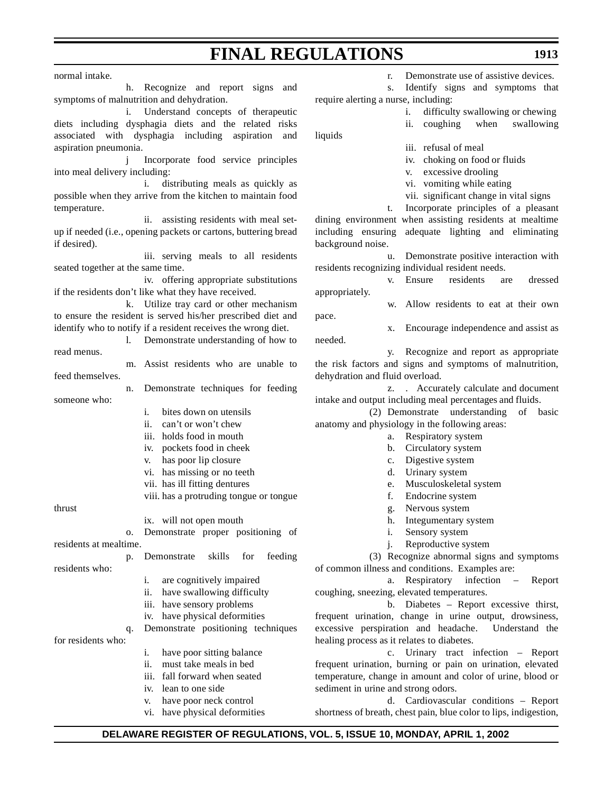normal intake.

h. Recognize and report signs and symptoms of malnutrition and dehydration.

i. Understand concepts of therapeutic diets including dysphagia diets and the related risks associated with dysphagia including aspiration and aspiration pneumonia.

j Incorporate food service principles into meal delivery including:

i. distributing meals as quickly as possible when they arrive from the kitchen to maintain food temperature.

ii. assisting residents with meal setup if needed (i.e., opening packets or cartons, buttering bread if desired).

iii. serving meals to all residents seated together at the same time.

iv. offering appropriate substitutions if the residents don't like what they have received.

k. Utilize tray card or other mechanism to ensure the resident is served his/her prescribed diet and identify who to notify if a resident receives the wrong diet.

l. Demonstrate understanding of how to read menus.

m. Assist residents who are unable to feed themselves.

n. Demonstrate techniques for feeding someone who:

- i. bites down on utensils
- ii. can't or won't chew
- iii. holds food in mouth
- iv. pockets food in cheek
- v. has poor lip closure
- vi. has missing or no teeth
- vii. has ill fitting dentures
- viii. has a protruding tongue or tongue

thrust

ix. will not open mouth

o. Demonstrate proper positioning of residents at mealtime.

p. Demonstrate skills for feeding

- i. are cognitively impaired
- ii. have swallowing difficulty
- iii. have sensory problems
- iv. have physical deformities
- q. Demonstrate positioning techniques

for residents who:

residents who:

- i. have poor sitting balance
- ii. must take meals in bed
- iii. fall forward when seated
- iv. lean to one side
- v. have poor neck control
- vi. have physical deformities

r. Demonstrate use of assistive devices.

s. Identify signs and symptoms that require alerting a nurse, including:

- i. difficulty swallowing or chewing
- ii. coughing when swallowing

liquids

needed.

- iii. refusal of meal
- iv. choking on food or fluids
- v. excessive drooling
- vi. vomiting while eating
- vii. significant change in vital signs

t. Incorporate principles of a pleasant dining environment when assisting residents at mealtime including ensuring adequate lighting and eliminating background noise.

u. Demonstrate positive interaction with residents recognizing individual resident needs.

v. Ensure residents are dressed appropriately.

w. Allow residents to eat at their own pace.

x. Encourage independence and assist as

y. Recognize and report as appropriate the risk factors and signs and symptoms of malnutrition, dehydration and fluid overload.

z. . Accurately calculate and document intake and output including meal percentages and fluids*.*

(2) Demonstrate understanding of basic anatomy and physiology in the following areas:

- a. Respiratory system
- b. Circulatory system
- c. Digestive system
- d. Urinary system
- e. Musculoskeletal system
- f. Endocrine system
- g. Nervous system
- h. Integumentary system
- i. Sensory system
- j. Reproductive system

(3) Recognize abnormal signs and symptoms of common illness and conditions. Examples are:

a. Respiratory infection – Report coughing, sneezing, elevated temperatures.

b. Diabetes – Report excessive thirst, frequent urination, change in urine output, drowsiness, excessive perspiration and headache. Understand the healing process as it relates to diabetes.

c. Urinary tract infection – Report frequent urination, burning or pain on urination, elevated temperature*,* change in amount and color of urine, blood or sediment in urine and strong odors.

d. Cardiovascular conditions – Report shortness of breath, chest pain, blue color to lips, indigestion,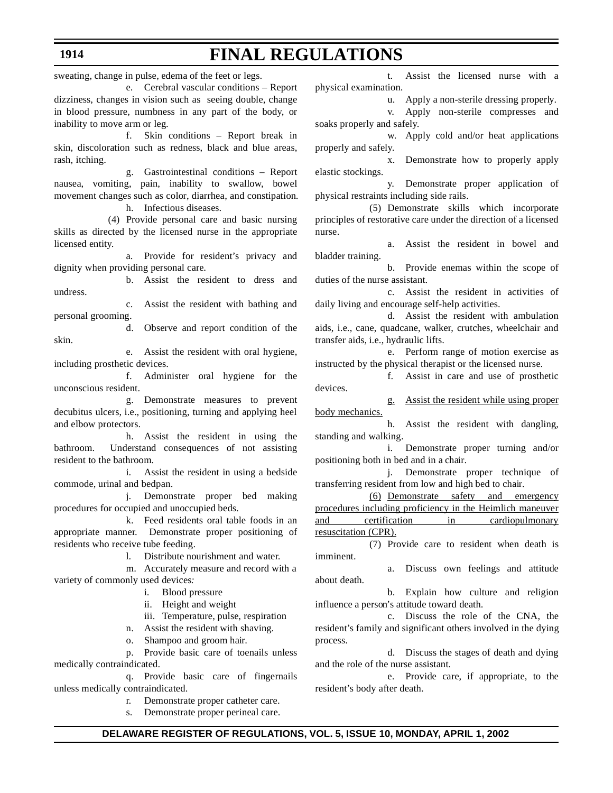sweating, change in pulse, edema of the feet or legs.

e. Cerebral vascular conditions – Report dizziness, changes in vision such as seeing double, change in blood pressure, numbness in any part of the body, or inability to move arm or leg.

f. Skin conditions – Report break in skin, discoloration such as redness, black and blue areas, rash, itching.

g. Gastrointestinal conditions – Report nausea, vomiting, pain, inability to swallow, bowel movement changes such as color, diarrhea, and constipation. h. Infectious diseases.

(4) Provide personal care and basic nursing

skills as directed by the licensed nurse in the appropriate licensed entity.

a. Provide for resident's privacy and dignity when providing personal care.

b. Assist the resident to dress and undress.

c. Assist the resident with bathing and personal grooming.

d. Observe and report condition of the skin.

e. Assist the resident with oral hygiene, including prosthetic devices.

f. Administer oral hygiene for the unconscious resident.

g. Demonstrate measures to prevent decubitus ulcers, i.e., positioning, turning and applying heel and elbow protectors.

h. Assist the resident in using the bathroom. Understand consequences of not assisting resident to the bathroom.

i. Assist the resident in using a bedside commode, urinal and bedpan.

j. Demonstrate proper bed making procedures for occupied and unoccupied beds.

k. Feed residents oral table foods in an appropriate manner. Demonstrate proper positioning of residents who receive tube feeding.

l. Distribute nourishment and water.

m. Accurately measure and record with a variety of commonly used devices*:*

i. Blood pressure

ii. Height and weight

iii. Temperature, pulse, respiration

n. Assist the resident with shaving.

o. Shampoo and groom hair.

p. Provide basic care of toenails unless medically contraindicated.

q. Provide basic care of fingernails unless medically contraindicated.

r. Demonstrate proper catheter care.

Demonstrate proper perineal care.

t. Assist the licensed nurse with a physical examination.

u. Apply a non-sterile dressing properly.

v. Apply non-sterile compresses and soaks properly and safely.

w. Apply cold and/or heat applications properly and safely.

x. Demonstrate how to properly apply elastic stockings.

y. Demonstrate proper application of physical restraints including side rails.

(5) Demonstrate skills which incorporate principles of restorative care under the direction of a licensed nurse.

a. Assist the resident in bowel and bladder training.

b. Provide enemas within the scope of duties of the nurse assistant.

c. Assist the resident in activities of daily living and encourage self-help activities.

d. Assist the resident with ambulation aids, i.e., cane, quadcane, walker, crutches, wheelchair and transfer aids, i.e., hydraulic lifts.

e. Perform range of motion exercise as instructed by the physical therapist or the licensed nurse.

f. Assist in care and use of prosthetic devices.

g. Assist the resident while using proper body mechanics.

h. Assist the resident with dangling, standing and walking.

i. Demonstrate proper turning and/or positioning both in bed and in a chair.

j. Demonstrate proper technique of transferring resident from low and high bed to chair.

(6) Demonstrate safety and emergency procedures including proficiency in the Heimlich maneuver and certification in cardiopulmonary resuscitation (CPR).

(7) Provide care to resident when death is imminent.

Discuss own feelings and attitude about death.

b. Explain how culture and religion influence a person's attitude toward death.

c. Discuss the role of the CNA, the resident's family and significant others involved in the dying process.

d. Discuss the stages of death and dying and the role of the nurse assistant.

e. Provide care, if appropriate, to the resident's body after death.

### **DELAWARE REGISTER OF REGULATIONS, VOL. 5, ISSUE 10, MONDAY, APRIL 1, 2002**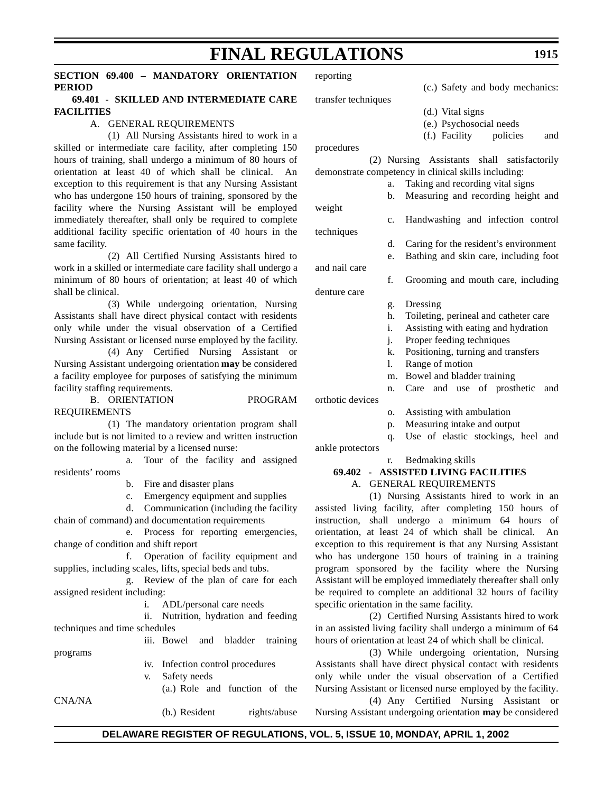# **SECTION 69.400 – MANDATORY ORIENTATION PERIOD**

### **69.401 - SKILLED AND INTERMEDIATE CARE FACILITIES**

### A. GENERAL REQUIREMENTS

(1) All Nursing Assistants hired to work in a skilled or intermediate care facility, after completing 150 hours of training, shall undergo a minimum of 80 hours of orientation at least 40 of which shall be clinical. An exception to this requirement is that any Nursing Assistant who has undergone 150 hours of training, sponsored by the facility where the Nursing Assistant will be employed immediately thereafter, shall only be required to complete additional facility specific orientation of 40 hours in the same facility.

(2) All Certified Nursing Assistants hired to work in a skilled or intermediate care facility shall undergo a minimum of 80 hours of orientation; at least 40 of which shall be clinical.

(3) While undergoing orientation, Nursing Assistants shall have direct physical contact with residents only while under the visual observation of a Certified Nursing Assistant or licensed nurse employed by the facility.

(4) Any Certified Nursing Assistant or Nursing Assistant undergoing orientation **may** be considered a facility employee for purposes of satisfying the minimum facility staffing requirements.

B. ORIENTATION PROGRAM REQUIREMENTS

(1) The mandatory orientation program shall include but is not limited to a review and written instruction on the following material by a licensed nurse:

a. Tour of the facility and assigned residents' rooms

- b. Fire and disaster plans
- c. Emergency equipment and supplies

d. Communication (including the facility chain of command) and documentation requirements

e. Process for reporting emergencies, change of condition and shift report

f. Operation of facility equipment and supplies, including scales, lifts, special beds and tubs.

g. Review of the plan of care for each assigned resident including:

i. ADL/personal care needs

ii. Nutrition, hydration and feeding techniques and time schedules

iii. Bowel and bladder training programs

CNA/NA

iv. Infection control procedures

v. Safety needs

(a.) Role and function of the

(b.) Resident rights/abuse

reporting

(c.) Safety and body mechanics:

- (d.) Vital signs
- (e.) Psychosocial needs
- (f.) Facility policies and

procedures

and nail care

denture care

transfer techniques

(2) Nursing Assistants shall satisfactorily demonstrate competency in clinical skills including:

a. Taking and recording vital signs b. Measuring and recording height and

weight c. Handwashing and infection control

- techniques
	- d. Caring for the resident's environment
		- e. Bathing and skin care, including foot

f. Grooming and mouth care, including

- g. Dressing
- h. Toileting, perineal and catheter care
- i. Assisting with eating and hydration
- j. Proper feeding techniques
- k. Positioning, turning and transfers
- l. Range of motion
- m. Bowel and bladder training
- n. Care and use of prosthetic and

orthotic devices

- o. Assisting with ambulation
- p. Measuring intake and output
- q. Use of elastic stockings, heel and ankle protectors

r. Bedmaking skills

# **69.402 - ASSISTED LIVING FACILITIES** A. GENERAL REQUIREMENTS

(1) Nursing Assistants hired to work in an assisted living facility, after completing 150 hours of instruction, shall undergo a minimum 64 hours of orientation, at least 24 of which shall be clinical. An exception to this requirement is that any Nursing Assistant who has undergone 150 hours of training in a training program sponsored by the facility where the Nursing Assistant will be employed immediately thereafter shall only be required to complete an additional 32 hours of facility specific orientation in the same facility.

(2) Certified Nursing Assistants hired to work in an assisted living facility shall undergo a minimum of 64 hours of orientation at least 24 of which shall be clinical.

(3) While undergoing orientation, Nursing Assistants shall have direct physical contact with residents only while under the visual observation of a Certified Nursing Assistant or licensed nurse employed by the facility.

(4) Any Certified Nursing Assistant or Nursing Assistant undergoing orientation **may** be considered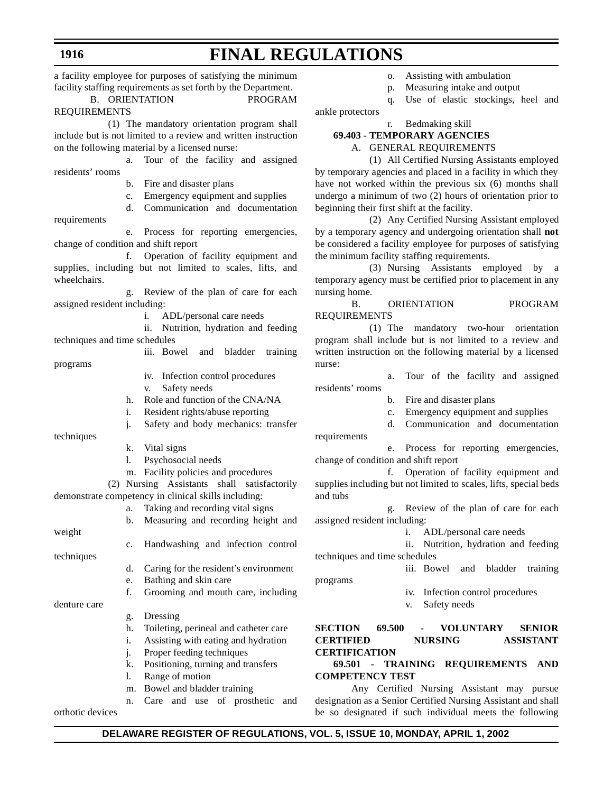a facility employee for purposes of satisfying the minimum facility staffing requirements as set forth by the Department.

B. ORIENTATION PROGRAM REQUIREMENTS

(1) The mandatory orientation program shall include but is not limited to a review and written instruction on the following material by a licensed nurse:

a. Tour of the facility and assigned residents' rooms

b. Fire and disaster plans

c. Emergency equipment and supplies

d. Communication and documentation

e. Process for reporting emergencies, change of condition and shift report

f. Operation of facility equipment and supplies, including but not limited to scales, lifts, and wheelchairs.

g. Review of the plan of care for each assigned resident including:

i. ADL/personal care needs

ii. Nutrition, hydration and feeding techniques and time schedules

programs

requirements

iv. Infection control procedures

iii. Bowel and bladder training

v. Safety needs

h. Role and function of the CNA/NA

i. Resident rights/abuse reporting

j. Safety and body mechanics: transfer

techniques

- k. Vital signs
- l. Psychosocial needs

m. Facility policies and procedures

(2) Nursing Assistants shall satisfactorily demonstrate competency in clinical skills including:

- a. Taking and recording vital signs
- b. Measuring and recording height and

weight c. Handwashing and infection control techniques

d. Caring for the resident's environment

e. Bathing and skin care

f. Grooming and mouth care, including

denture care

- g. Dressing
- h. Toileting, perineal and catheter care i. Assisting with eating and hydration
- j. Proper feeding techniques
- k. Positioning, turning and transfers
- l. Range of motion
- m. Bowel and bladder training

n. Care and use of prosthetic and

orthotic devices

- o. Assisting with ambulation
- p. Measuring intake and output
- q. Use of elastic stockings, heel and

ankle protectors

requirements

programs

#### r. Bedmaking skill **69.403 - TEMPORARY AGENCIES**

A. GENERAL REQUIREMENTS

(1) All Certified Nursing Assistants employed by temporary agencies and placed in a facility in which they have not worked within the previous six (6) months shall undergo a minimum of two (2) hours of orientation prior to beginning their first shift at the facility.

(2) Any Certified Nursing Assistant employed by a temporary agency and undergoing orientation shall **not** be considered a facility employee for purposes of satisfying the minimum facility staffing requirements.

(3) Nursing Assistants employed by a temporary agency must be certified prior to placement in any nursing home.

B. ORIENTATION PROGRAM REQUIREMENTS

(1) The mandatory two-hour orientation program shall include but is not limited to a review and written instruction on the following material by a licensed nurse:

a. Tour of the facility and assigned residents' rooms

- b. Fire and disaster plans
- c. Emergency equipment and supplies
- d. Communication and documentation

e. Process for reporting emergencies, change of condition and shift report

f. Operation of facility equipment and supplies including but not limited to scales, lifts, special beds and tubs

g. Review of the plan of care for each assigned resident including:

i. ADL/personal care needs

ii. Nutrition, hydration and feeding techniques and time schedules

iii. Bowel and bladder training

- iv. Infection control procedures
- v. Safety needs

**SECTION 69.500 - VOLUNTARY SENIOR CERTIFIED NURSING ASSISTANT CERTIFICATION**

### **69.501 - TRAINING REQUIREMENTS AND COMPETENCY TEST**

Any Certified Nursing Assistant may pursue designation as a Senior Certified Nursing Assistant and shall be so designated if such individual meets the following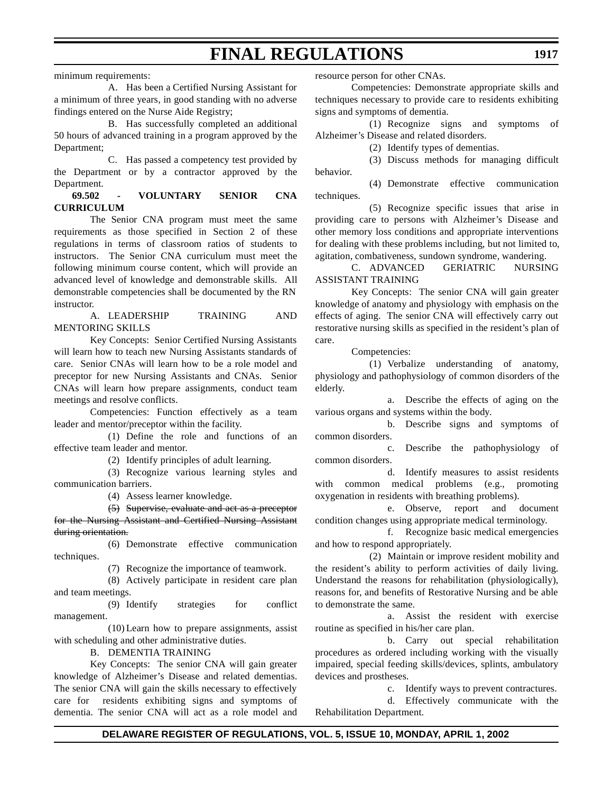minimum requirements:

A. Has been a Certified Nursing Assistant for a minimum of three years, in good standing with no adverse findings entered on the Nurse Aide Registry;

B. Has successfully completed an additional 50 hours of advanced training in a program approved by the Department;

C. Has passed a competency test provided by the Department or by a contractor approved by the Department.

### **69.502 - VOLUNTARY SENIOR CNA CURRICULUM**

The Senior CNA program must meet the same requirements as those specified in Section 2 of these regulations in terms of classroom ratios of students to instructors. The Senior CNA curriculum must meet the following minimum course content, which will provide an advanced level of knowledge and demonstrable skills. All demonstrable competencies shall be documented by the RN instructor.

A. LEADERSHIP TRAINING AND MENTORING SKILLS

Key Concepts: Senior Certified Nursing Assistants will learn how to teach new Nursing Assistants standards of care. Senior CNAs will learn how to be a role model and preceptor for new Nursing Assistants and CNAs. Senior CNAs will learn how prepare assignments, conduct team meetings and resolve conflicts.

Competencies: Function effectively as a team leader and mentor/preceptor within the facility.

(1) Define the role and functions of an effective team leader and mentor.

(2) Identify principles of adult learning.

(3) Recognize various learning styles and communication barriers.

(4) Assess learner knowledge.

(5) Supervise, evaluate and act as a preceptor for the Nursing Assistant and Certified Nursing Assistant during orientation.

(6) Demonstrate effective communication techniques.

(7) Recognize the importance of teamwork.

(8) Actively participate in resident care plan and team meetings.

(9) Identify strategies for conflict management.

(10) Learn how to prepare assignments, assist with scheduling and other administrative duties.

B. DEMENTIA TRAINING

Key Concepts: The senior CNA will gain greater knowledge of Alzheimer's Disease and related dementias. The senior CNA will gain the skills necessary to effectively care for residents exhibiting signs and symptoms of dementia. The senior CNA will act as a role model and

resource person for other CNAs.

Competencies: Demonstrate appropriate skills and techniques necessary to provide care to residents exhibiting signs and symptoms of dementia.

(1) Recognize signs and symptoms of Alzheimer's Disease and related disorders.

(2) Identify types of dementias.

(3) Discuss methods for managing difficult behavior.

(4) Demonstrate effective communication techniques.

(5) Recognize specific issues that arise in providing care to persons with Alzheimer's Disease and other memory loss conditions and appropriate interventions for dealing with these problems including, but not limited to, agitation, combativeness, sundown syndrome, wandering.

C. ADVANCED GERIATRIC NURSING ASSISTANT TRAINING

Key Concepts: The senior CNA will gain greater knowledge of anatomy and physiology with emphasis on the effects of aging. The senior CNA will effectively carry out restorative nursing skills as specified in the resident's plan of care.

Competencies:

(1) Verbalize understanding of anatomy, physiology and pathophysiology of common disorders of the elderly.

a. Describe the effects of aging on the various organs and systems within the body.

b. Describe signs and symptoms of common disorders.

c. Describe the pathophysiology of common disorders.

d. Identify measures to assist residents with common medical problems (e.g., promoting oxygenation in residents with breathing problems).

e. Observe, report and document condition changes using appropriate medical terminology.

f. Recognize basic medical emergencies and how to respond appropriately.

(2) Maintain or improve resident mobility and the resident's ability to perform activities of daily living. Understand the reasons for rehabilitation (physiologically), reasons for, and benefits of Restorative Nursing and be able to demonstrate the same.

a. Assist the resident with exercise routine as specified in his/her care plan.

b. Carry out special rehabilitation procedures as ordered including working with the visually impaired, special feeding skills/devices, splints, ambulatory devices and prostheses.

c. Identify ways to prevent contractures.

d. Effectively communicate with the Rehabilitation Department.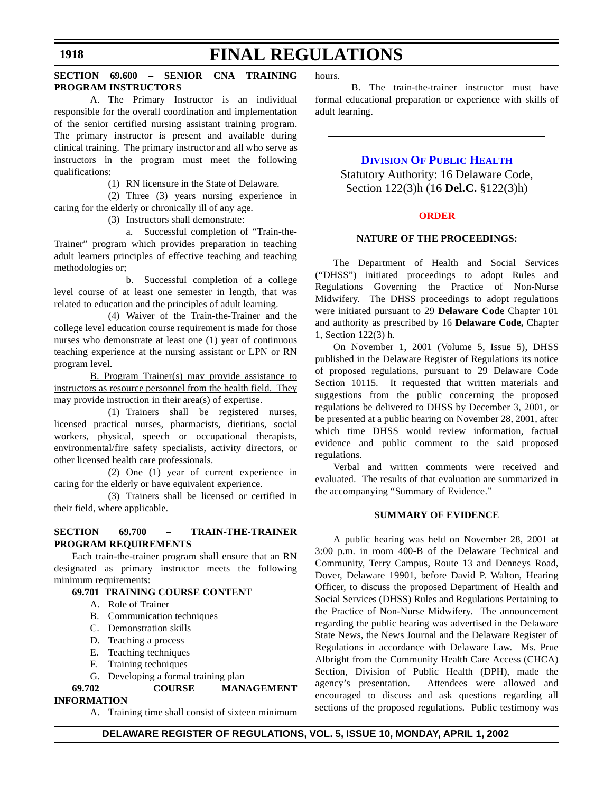#### **SECTION 69.600 – SENIOR CNA TRAINING PROGRAM INSTRUCTORS**

A. The Primary Instructor is an individual responsible for the overall coordination and implementation of the senior certified nursing assistant training program. The primary instructor is present and available during clinical training. The primary instructor and all who serve as instructors in the program must meet the following qualifications:

(1) RN licensure in the State of Delaware.

(2) Three (3) years nursing experience in caring for the elderly or chronically ill of any age.

(3) Instructors shall demonstrate:

a. Successful completion of "Train-the-Trainer" program which provides preparation in teaching adult learners principles of effective teaching and teaching methodologies or;

b. Successful completion of a college level course of at least one semester in length, that was related to education and the principles of adult learning.

(4) Waiver of the Train-the-Trainer and the college level education course requirement is made for those nurses who demonstrate at least one (1) year of continuous teaching experience at the nursing assistant or LPN or RN program level.

B. Program Trainer(s) may provide assistance to instructors as resource personnel from the health field. They may provide instruction in their area(s) of expertise.

(1) Trainers shall be registered nurses, licensed practical nurses, pharmacists, dietitians, social workers, physical, speech or occupational therapists, environmental/fire safety specialists, activity directors, or other licensed health care professionals.

(2) One (1) year of current experience in caring for the elderly or have equivalent experience.

(3) Trainers shall be licensed or certified in their field, where applicable.

#### **SECTION 69.700 – TRAIN-THE-TRAINER PROGRAM REQUIREMENTS**

Each train-the-trainer program shall ensure that an RN designated as primary instructor meets the following minimum requirements:

#### **69.701 TRAINING COURSE CONTENT**

- A. Role of Trainer
- B. Communication techniques
- C. Demonstration skills
- D. Teaching a process
- E. Teaching techniques
- F. Training techniques
- G. Developing a formal training plan

#### **69.702 COURSE MANAGEMENT INFORMATION**

A. Training time shall consist of sixteen minimum

hours.

B. The train-the-trainer instructor must have formal educational preparation or experience with skills of adult learning.

#### **[DIVISION](http://www.state.de.us/dhss/dph/index.htm) OF PUBLIC HEALTH**

Statutory Authority: 16 Delaware Code, Section 122(3)h (16 **Del.C.** §122(3)h)

#### **[ORDER](#page-3-0)**

#### **NATURE OF THE PROCEEDINGS:**

The Department of Health and Social Services ("DHSS") initiated proceedings to adopt Rules and Regulations Governing the Practice of Non-Nurse Midwifery. The DHSS proceedings to adopt regulations were initiated pursuant to 29 **Delaware Code** Chapter 101 and authority as prescribed by 16 **Delaware Code,** Chapter 1, Section 122(3) h.

On November 1, 2001 (Volume 5, Issue 5), DHSS published in the Delaware Register of Regulations its notice of proposed regulations, pursuant to 29 Delaware Code Section 10115. It requested that written materials and suggestions from the public concerning the proposed regulations be delivered to DHSS by December 3, 2001, or be presented at a public hearing on November 28, 2001, after which time DHSS would review information, factual evidence and public comment to the said proposed regulations.

Verbal and written comments were received and evaluated. The results of that evaluation are summarized in the accompanying "Summary of Evidence."

#### **SUMMARY OF EVIDENCE**

A public hearing was held on November 28, 2001 at 3:00 p.m. in room 400-B of the Delaware Technical and Community, Terry Campus, Route 13 and Denneys Road, Dover, Delaware 19901, before David P. Walton, Hearing Officer, to discuss the proposed Department of Health and Social Services (DHSS) Rules and Regulations Pertaining to the Practice of Non-Nurse Midwifery. The announcement regarding the public hearing was advertised in the Delaware State News, the News Journal and the Delaware Register of Regulations in accordance with Delaware Law. Ms. Prue Albright from the Community Health Care Access (CHCA) Section, Division of Public Health (DPH), made the agency's presentation. Attendees were allowed and encouraged to discuss and ask questions regarding all sections of the proposed regulations. Public testimony was

#### **DELAWARE REGISTER OF REGULATIONS, VOL. 5, ISSUE 10, MONDAY, APRIL 1, 2002**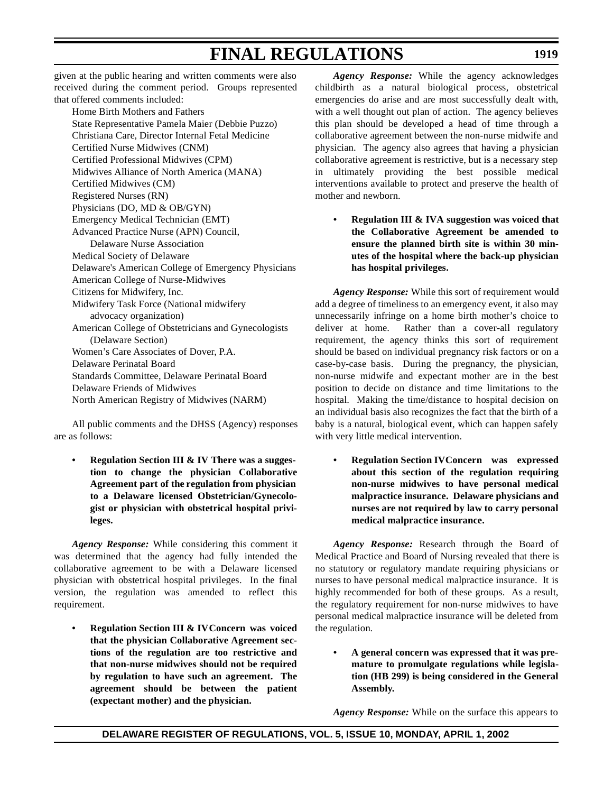given at the public hearing and written comments were also received during the comment period. Groups represented that offered comments included:

Home Birth Mothers and Fathers State Representative Pamela Maier (Debbie Puzzo) Christiana Care, Director Internal Fetal Medicine Certified Nurse Midwives (CNM) Certified Professional Midwives (CPM) Midwives Alliance of North America (MANA) Certified Midwives (CM) Registered Nurses (RN) Physicians (DO, MD & OB/GYN) Emergency Medical Technician (EMT) Advanced Practice Nurse (APN) Council, Delaware Nurse Association Medical Society of Delaware Delaware's American College of Emergency Physicians American College of Nurse-Midwives Citizens for Midwifery, Inc. Midwifery Task Force (National midwifery advocacy organization) American College of Obstetricians and Gynecologists (Delaware Section) Women's Care Associates of Dover, P.A. Delaware Perinatal Board Standards Committee, Delaware Perinatal Board Delaware Friends of Midwives North American Registry of Midwives (NARM)

All public comments and the DHSS (Agency) responses are as follows:

**• Regulation Section III & IV There was a suggestion to change the physician Collaborative Agreement part of the regulation from physician to a Delaware licensed Obstetrician/Gynecologist or physician with obstetrical hospital privileges.**

*Agency Response:* While considering this comment it was determined that the agency had fully intended the collaborative agreement to be with a Delaware licensed physician with obstetrical hospital privileges. In the final version, the regulation was amended to reflect this requirement.

**• Regulation Section III & IVConcern was voiced that the physician Collaborative Agreement sections of the regulation are too restrictive and that non-nurse midwives should not be required by regulation to have such an agreement. The agreement should be between the patient (expectant mother) and the physician.**

*Agency Response:* While the agency acknowledges childbirth as a natural biological process, obstetrical emergencies do arise and are most successfully dealt with, with a well thought out plan of action. The agency believes this plan should be developed a head of time through a collaborative agreement between the non-nurse midwife and physician. The agency also agrees that having a physician collaborative agreement is restrictive, but is a necessary step in ultimately providing the best possible medical interventions available to protect and preserve the health of mother and newborn.

**• Regulation III & IVA suggestion was voiced that the Collaborative Agreement be amended to ensure the planned birth site is within 30 minutes of the hospital where the back-up physician has hospital privileges.**

*Agency Response:* While this sort of requirement would add a degree of timeliness to an emergency event, it also may unnecessarily infringe on a home birth mother's choice to deliver at home. Rather than a cover-all regulatory requirement, the agency thinks this sort of requirement should be based on individual pregnancy risk factors or on a case-by-case basis. During the pregnancy, the physician, non-nurse midwife and expectant mother are in the best position to decide on distance and time limitations to the hospital. Making the time/distance to hospital decision on an individual basis also recognizes the fact that the birth of a baby is a natural, biological event, which can happen safely with very little medical intervention.

**• Regulation Section IVConcern was expressed about this section of the regulation requiring non-nurse midwives to have personal medical malpractice insurance. Delaware physicians and nurses are not required by law to carry personal medical malpractice insurance.**

*Agency Response:* Research through the Board of Medical Practice and Board of Nursing revealed that there is no statutory or regulatory mandate requiring physicians or nurses to have personal medical malpractice insurance. It is highly recommended for both of these groups. As a result, the regulatory requirement for non-nurse midwives to have personal medical malpractice insurance will be deleted from the regulation.

**• A general concern was expressed that it was premature to promulgate regulations while legislation (HB 299) is being considered in the General Assembly.**

*Agency Response:* While on the surface this appears to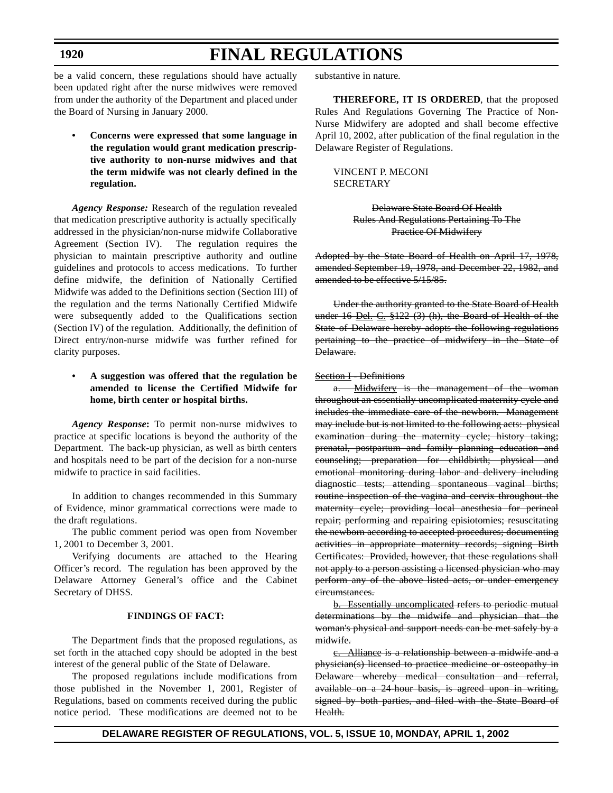#### **1920**

## **FINAL REGULATIONS**

be a valid concern, these regulations should have actually been updated right after the nurse midwives were removed from under the authority of the Department and placed under the Board of Nursing in January 2000.

**• Concerns were expressed that some language in the regulation would grant medication prescriptive authority to non-nurse midwives and that the term midwife was not clearly defined in the regulation.**

*Agency Response:* Research of the regulation revealed that medication prescriptive authority is actually specifically addressed in the physician/non-nurse midwife Collaborative Agreement (Section IV). The regulation requires the physician to maintain prescriptive authority and outline guidelines and protocols to access medications. To further define midwife, the definition of Nationally Certified Midwife was added to the Definitions section (Section III) of the regulation and the terms Nationally Certified Midwife were subsequently added to the Qualifications section (Section IV) of the regulation. Additionally, the definition of Direct entry/non-nurse midwife was further refined for clarity purposes.

#### **• A suggestion was offered that the regulation be amended to license the Certified Midwife for home, birth center or hospital births.**

*Agency Response***:** To permit non-nurse midwives to practice at specific locations is beyond the authority of the Department. The back-up physician, as well as birth centers and hospitals need to be part of the decision for a non-nurse midwife to practice in said facilities.

In addition to changes recommended in this Summary of Evidence, minor grammatical corrections were made to the draft regulations.

The public comment period was open from November 1, 2001 to December 3, 2001.

Verifying documents are attached to the Hearing Officer's record. The regulation has been approved by the Delaware Attorney General's office and the Cabinet Secretary of DHSS.

#### **FINDINGS OF FACT:**

The Department finds that the proposed regulations, as set forth in the attached copy should be adopted in the best interest of the general public of the State of Delaware.

The proposed regulations include modifications from those published in the November 1, 2001, Register of Regulations, based on comments received during the public notice period. These modifications are deemed not to be substantive in nature.

**THEREFORE, IT IS ORDERED**, that the proposed Rules And Regulations Governing The Practice of Non-Nurse Midwifery are adopted and shall become effective April 10, 2002, after publication of the final regulation in the Delaware Register of Regulations.

VINCENT P. MECONI **SECRETARY** 

> Delaware State Board Of Health Rules And Regulations Pertaining To The Practice Of Midwifery

Adopted by the State Board of Health on April 17, 1978, amended September 19, 1978, and December 22, 1982, and amended to be effective 5/15/85.

Under the authority granted to the State Board of Health under 16 Del. C. §122 (3) (h), the Board of Health of the State of Delaware hereby adopts the following regulations pertaining to the practice of midwifery in the State of Delaware.

#### Section I - Definitions

a. Midwifery is the management of the woman throughout an essentially uncomplicated maternity cycle and includes the immediate care of the newborn. Management may include but is not limited to the following acts: physical examination during the maternity cycle; history taking; prenatal, postpartum and family planning education and counseling; preparation for childbirth; physical and emotional monitoring during labor and delivery including diagnostic tests; attending spontaneous vaginal births; routine inspection of the vagina and cervix throughout the maternity cycle; providing local anesthesia for perineal repair; performing and repairing episiotomies; resuscitating the newborn according to accepted procedures; documenting activities in appropriate maternity records; signing Birth Certificates: Provided, however, that these regulations shall not apply to a person assisting a licensed physician who may perform any of the above listed acts, or under emergency circumstances.

b. Essentially uncomplicated refers to periodic mutual determinations by the midwife and physician that the woman's physical and support needs can be met safely by a midwife.

c. Alliance is a relationship between a midwife and a physician(s) licensed to practice medicine or osteopathy in Delaware whereby medical consultation and referral, available on a 24-hour basis, is agreed upon in writing, signed by both parties, and filed with the State Board of Health.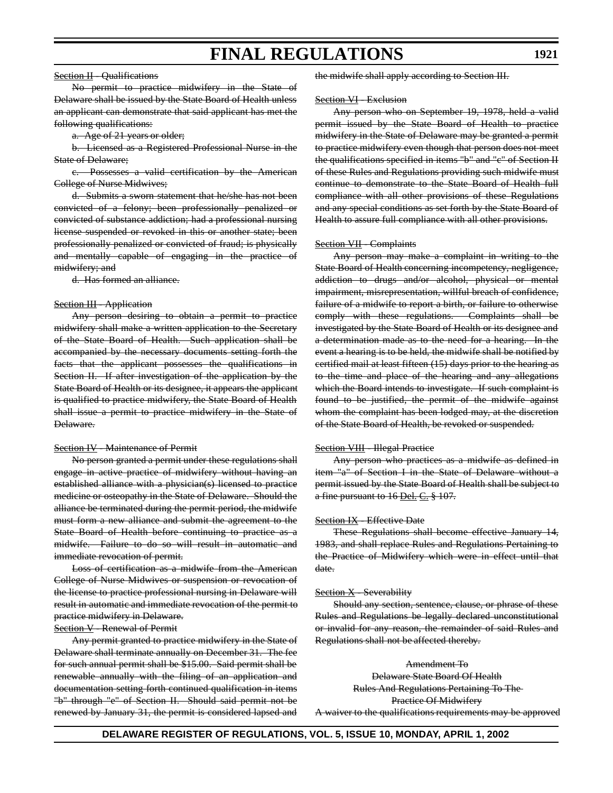#### Section II - Qualifications

No permit to practice midwifery in the State of Delaware shall be issued by the State Board of Health unless an applicant can demonstrate that said applicant has met the following qualifications:

a. Age of 21 years or older;

b. Licensed as a Registered Professional Nurse in the State of Delaware;

c. Possesses a valid certification by the American College of Nurse Midwives;

d. Submits a sworn statement that he/she has not been convicted of a felony; been professionally penalized or convicted of substance addiction; had a professional nursing license suspended or revoked in this or another state; been professionally penalized or convicted of fraud; is physically and mentally capable of engaging in the practice of midwifery; and

d. Has formed an alliance.

#### Section III - Application

Any person desiring to obtain a permit to practice midwifery shall make a written application to the Secretary of the State Board of Health. Such application shall be accompanied by the necessary documents setting forth the facts that the applicant possesses the qualifications in Section II. If after investigation of the application by the State Board of Health or its designee, it appears the applicant is qualified to practice midwifery, the State Board of Health shall issue a permit to practice midwifery in the State of Delaware.

#### Section IV - Maintenance of Permit

No person granted a permit under these regulations shall engage in active practice of midwifery without having an established alliance with a physician(s) licensed to practice medicine or osteopathy in the State of Delaware. Should the alliance be terminated during the permit period, the midwife must form a new alliance and submit the agreement to the State Board of Health before continuing to practice as a midwife. Failure to do so will result in automatic and immediate revocation of permit.

Loss of certification as a midwife from the American College of Nurse Midwives or suspension or revocation of the license to practice professional nursing in Delaware will result in automatic and immediate revocation of the permit to practice midwifery in Delaware.

#### Section V - Renewal of Permit

Any permit granted to practice midwifery in the State of Delaware shall terminate annually on December 31. The fee for such annual permit shall be \$15.00. Said permit shall be renewable annually with the filing of an application and documentation setting forth continued qualification in items "b" through "e" of Section II. Should said permit not be renewed by January 31, the permit is considered lapsed and the midwife shall apply according to Section III.

#### **Section VI - Exclusion**

Any person who on September 19, 1978, held a valid permit issued by the State Board of Health to practice midwifery in the State of Delaware may be granted a permit to practice midwifery even though that person does not meet the qualifications specified in items "b" and "c" of Section II of these Rules and Regulations providing such midwife must continue to demonstrate to the State Board of Health full compliance with all other provisions of these Regulations and any special conditions as set forth by the State Board of Health to assure full compliance with all other provisions.

#### **Section VII - Complaints**

Any person may make a complaint in writing to the State Board of Health concerning incompetency, negligence, addiction to drugs and/or alcohol, physical or mental impairment, misrepresentation, willful breach of confidence, failure of a midwife to report a birth, or failure to otherwise comply with these regulations. Complaints shall be investigated by the State Board of Health or its designee and a determination made as to the need for a hearing. In the event a hearing is to be held, the midwife shall be notified by certified mail at least fifteen (15) days prior to the hearing as to the time and place of the hearing and any allegations which the Board intends to investigate. If such complaint is found to be justified, the permit of the midwife against whom the complaint has been lodged may, at the discretion of the State Board of Health, be revoked or suspended.

#### Section VIII - Illegal Practice

Any person who practices as a midwife as defined in item "a" of Section I in the State of Delaware without a permit issued by the State Board of Health shall be subject to a fine pursuant to 16 Del. C. § 107.

#### Section IX - Effective Date

These Regulations shall become effective January 14, 1983, and shall replace Rules and Regulations Pertaining to the Practice of Midwifery which were in effect until that date.

#### **Section X - Severability**

Should any section, sentence, clause, or phrase of these Rules and Regulations be legally declared unconstitutional or invalid for any reason, the remainder of said Rules and Regulations shall not be affected thereby.

Amendment To Delaware State Board Of Health Rules And Regulations Pertaining To The Practice Of Midwifery A waiver to the qualifications requirements may be approved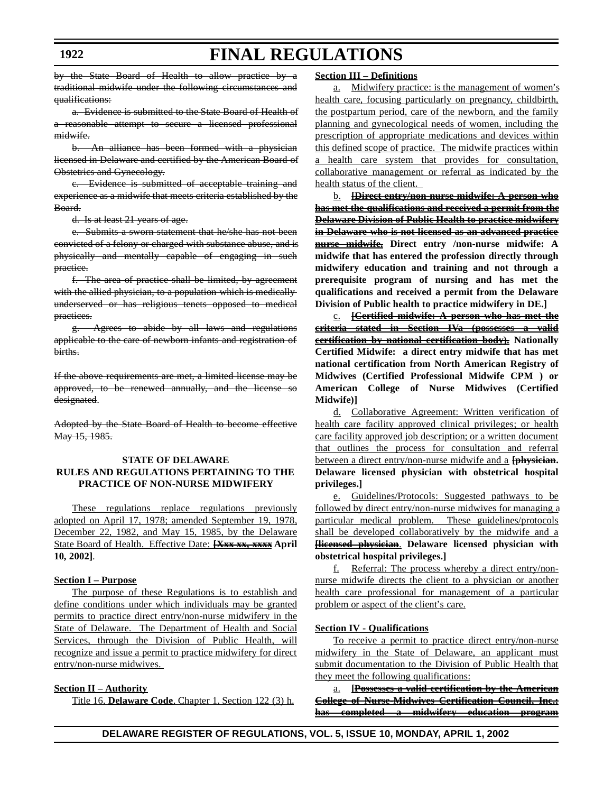by the State Board of Health to allow practice by a traditional midwife under the following circumstances and qualifications:

a. Evidence is submitted to the State Board of Health of a reasonable attempt to secure a licensed professional midwife.

b. An alliance has been formed with a physician licensed in Delaware and certified by the American Board of Obstetrics and Gynecology.

c. Evidence is submitted of acceptable training and experience as a midwife that meets criteria established by the Board.

d. Is at least 21 years of age.

e. Submits a sworn statement that he/she has not been convicted of a felony or charged with substance abuse, and is physically and mentally capable of engaging in such practice.

f. The area of practice shall be limited, by agreement with the allied physician, to a population which is medicallyunderserved or has religious tenets opposed to medical practices.

g. Agrees to abide by all laws and regulations applicable to the care of newborn infants and registration of births.

If the above requirements are met, a limited license may be approved, to be renewed annually, and the license so designated.

Adopted by the State Board of Health to become effective May 15, 1985.

#### **STATE OF DELAWARE RULES AND REGULATIONS PERTAINING TO THE PRACTICE OF NON-NURSE MIDWIFERY**

These regulations replace regulations previously adopted on April 17, 1978; amended September 19, 1978, December 22, 1982, and May 15, 1985, by the Delaware State Board of Health. Effective Date: **[Xxx xx, xxxx April 10, 2002]**.

#### **Section I – Purpose**

The purpose of these Regulations is to establish and define conditions under which individuals may be granted permits to practice direct entry/non-nurse midwifery in the State of Delaware. The Department of Health and Social Services, through the Division of Public Health, will recognize and issue a permit to practice midwifery for direct entry/non-nurse midwives.

#### **Section II – Authority**

Title 16, **Delaware Code**, Chapter 1, Section 122 (3) h.

#### **Section III – Definitions**

a. Midwifery practice: is the management of women's health care, focusing particularly on pregnancy, childbirth, the postpartum period, care of the newborn, and the family planning and gynecological needs of women, including the prescription of appropriate medications and devices within this defined scope of practice. The midwife practices within a health care system that provides for consultation, collaborative management or referral as indicated by the health status of the client.

b. **[Direct entry/non-nurse midwife: A person who has met the qualifications and received a permit from the Delaware Division of Public Health to practice midwifery in Delaware who is not licensed as an advanced practice nurse midwife. Direct entry /non-nurse midwife: A midwife that has entered the profession directly through midwifery education and training and not through a prerequisite program of nursing and has met the qualifications and received a permit from the Delaware Division of Public health to practice midwifery in DE.]**

c. **[Certified midwife: A person who has met the criteria stated in Section IVa (possesses a valid certification by national certification body). Nationally Certified Midwife: a direct entry midwife that has met national certification from North American Registry of Midwives (Certified Professional Midwife CPM ) or American College of Nurse Midwives (Certified Midwife)]**

d. Collaborative Agreement: Written verification of health care facility approved clinical privileges; or health care facility approved job description; or a written document that outlines the process for consultation and referral between a direct entry/non-nurse midwife and a **[physician. Delaware licensed physician with obstetrical hospital privileges.]**

e. Guidelines/Protocols: Suggested pathways to be followed by direct entry/non-nurse midwives for managing a particular medical problem. These guidelines/protocols shall be developed collaboratively by the midwife and a **[licensed physician**. **Delaware licensed physician with obstetrical hospital privileges.]**

Referral: The process whereby a direct entry/nonnurse midwife directs the client to a physician or another health care professional for management of a particular problem or aspect of the client's care.

#### **Section IV - Qualifications**

To receive a permit to practice direct entry/non-nurse midwifery in the State of Delaware, an applicant must submit documentation to the Division of Public Health that they meet the following qualifications:

a. **[Possesses a valid certification by the American College of Nurse-Midwives Certification Council, Inc.; has completed a midwifery education program**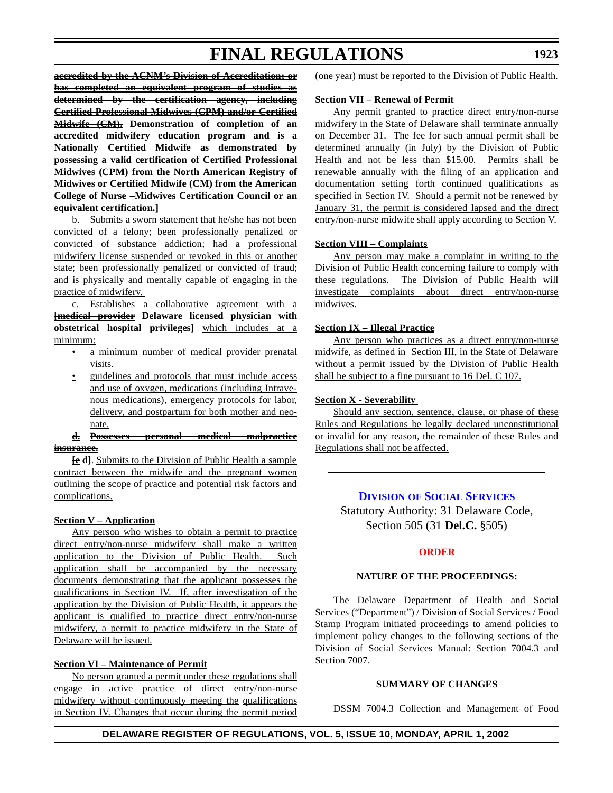**accredited by the ACNM's Division of Accreditation; or has completed an equivalent program of studies as determined by the certification agency, including**

**Certified Professional Midwives (CPM) and/or Certified Midwife (CM). Demonstration of completion of an accredited midwifery education program and is a Nationally Certified Midwife as demonstrated by possessing a valid certification of Certified Professional Midwives (CPM) from the North American Registry of Midwives or Certified Midwife (CM) from the American College of Nurse –Midwives Certification Council or an equivalent certification.]**

b. Submits a sworn statement that he/she has not been convicted of a felony; been professionally penalized or convicted of substance addiction; had a professional midwifery license suspended or revoked in this or another state; been professionally penalized or convicted of fraud; and is physically and mentally capable of engaging in the practice of midwifery.

c. Establishes a collaborative agreement with a **[medical provider Delaware licensed physician with obstetrical hospital privileges]** which includes at a minimum:

- a minimum number of medical provider prenatal visits.
- guidelines and protocols that must include access and use of oxygen, medications (including Intravenous medications), emergency protocols for labor, delivery, and postpartum for both mother and neonate.

#### **d. Possesses personal medical malpractice insurance.**

**[e d]**. Submits to the Division of Public Health a sample contract between the midwife and the pregnant women outlining the scope of practice and potential risk factors and complications.

#### **Section V – Application**

Any person who wishes to obtain a permit to practice direct entry/non-nurse midwifery shall make a written application to the Division of Public Health. Such application shall be accompanied by the necessary documents demonstrating that the applicant possesses the qualifications in Section IV. If, after investigation of the application by the Division of Public Health, it appears the applicant is qualified to practice direct entry/non-nurse midwifery, a permit to practice midwifery in the State of Delaware will be issued.

#### **Section VI – Maintenance of Permit**

No person granted a permit under these regulations shall engage in active practice of direct entry/non-nurse midwifery without continuously meeting the qualifications in Section IV. Changes that occur during the permit period (one year) must be reported to the Division of Public Health.

#### **Section VII – Renewal of Permit**

Any permit granted to practice direct entry/non-nurse midwifery in the State of Delaware shall terminate annually on December 31. The fee for such annual permit shall be determined annually (in July) by the Division of Public Health and not be less than \$15.00. Permits shall be renewable annually with the filing of an application and documentation setting forth continued qualifications as specified in Section IV. Should a permit not be renewed by January 31, the permit is considered lapsed and the direct entry/non-nurse midwife shall apply according to Section V.

#### **Section VIII – Complaints**

Any person may make a complaint in writing to the Division of Public Health concerning failure to comply with these regulations. The Division of Public Health will investigate complaints about direct entry/non-nurse midwives.

#### **Section IX – Illegal Practice**

Any person who practices as a direct entry/non-nurse midwife, as defined in Section III, in the State of Delaware without a permit issued by the Division of Public Health shall be subject to a fine pursuant to 16 Del. C 107.

#### **Section X - Severability**

Should any section, sentence, clause, or phase of these Rules and Regulations be legally declared unconstitutional or invalid for any reason, the remainder of these Rules and Regulations shall not be affected.

#### **DIVISION OF SOCIAL [SERVICES](http://www.state.de.us/dhss/dss/dsshome.html)**

Statutory Authority: 31 Delaware Code, Section 505 (31 **Del.C.** §505)

#### **[ORDER](#page-3-0)**

#### **NATURE OF THE PROCEEDINGS:**

The Delaware Department of Health and Social Services ("Department") / Division of Social Services / Food Stamp Program initiated proceedings to amend policies to implement policy changes to the following sections of the Division of Social Services Manual: Section 7004.3 and Section 7007.

#### **SUMMARY OF CHANGES**

DSSM 7004.3 Collection and Management of Food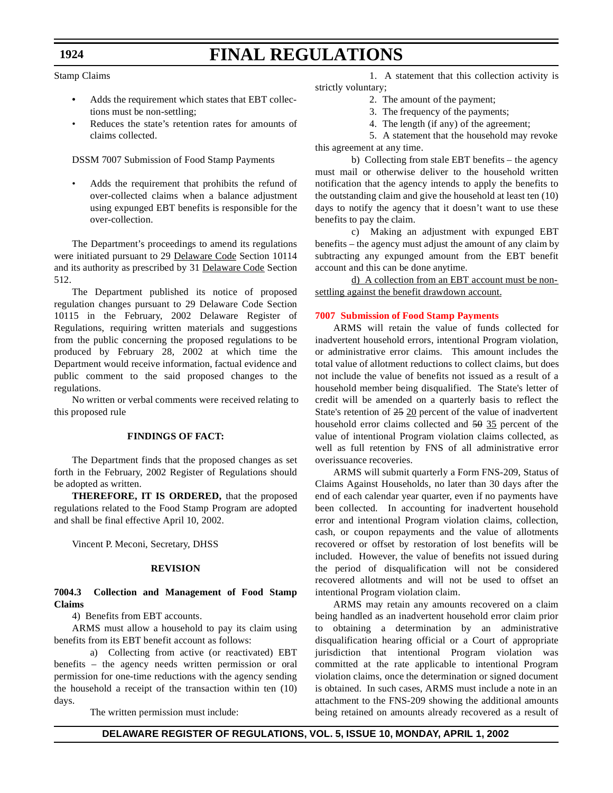#### Stamp Claims

- **•** Adds the requirement which states that EBT collections must be non-settling;
- Reduces the state's retention rates for amounts of claims collected.

#### DSSM 7007 Submission of Food Stamp Payments

• Adds the requirement that prohibits the refund of over-collected claims when a balance adjustment using expunged EBT benefits is responsible for the over-collection.

The Department's proceedings to amend its regulations were initiated pursuant to 29 Delaware Code Section 10114 and its authority as prescribed by 31 Delaware Code Section 512.

The Department published its notice of proposed regulation changes pursuant to 29 Delaware Code Section 10115 in the February, 2002 Delaware Register of Regulations, requiring written materials and suggestions from the public concerning the proposed regulations to be produced by February 28, 2002 at which time the Department would receive information, factual evidence and public comment to the said proposed changes to the regulations.

No written or verbal comments were received relating to this proposed rule

#### **FINDINGS OF FACT:**

The Department finds that the proposed changes as set forth in the February, 2002 Register of Regulations should be adopted as written.

**THEREFORE, IT IS ORDERED,** that the proposed regulations related to the Food Stamp Program are adopted and shall be final effective April 10, 2002.

Vincent P. Meconi, Secretary, DHSS

#### **REVISION**

#### **7004.3 Collection and Management of Food Stamp Claims**

4) Benefits from EBT accounts.

ARMS must allow a household to pay its claim using benefits from its EBT benefit account as follows:

a) Collecting from active (or reactivated) EBT benefits – the agency needs written permission or oral permission for one-time reductions with the agency sending the household a receipt of the transaction within ten (10) days.

The written permission must include:

1. A statement that this collection activity is strictly voluntary;

- 2. The amount of the payment;
- 3. The frequency of the payments;
- 4. The length (if any) of the agreement;

5. A statement that the household may revoke this agreement at any time.

b) Collecting from stale EBT benefits – the agency must mail or otherwise deliver to the household written notification that the agency intends to apply the benefits to the outstanding claim and give the household at least ten (10) days to notify the agency that it doesn't want to use these benefits to pay the claim.

c) Making an adjustment with expunged EBT benefits – the agency must adjust the amount of any claim by subtracting any expunged amount from the EBT benefit account and this can be done anytime.

d) A collection from an EBT account must be nonsettling against the benefit drawdown account.

#### **[7007 Submission](#page-3-0) of Food Stamp Payments**

ARMS will retain the value of funds collected for inadvertent household errors, intentional Program violation, or administrative error claims. This amount includes the total value of allotment reductions to collect claims, but does not include the value of benefits not issued as a result of a household member being disqualified. The State's letter of credit will be amended on a quarterly basis to reflect the State's retention of 25 20 percent of the value of inadvertent household error claims collected and 50 35 percent of the value of intentional Program violation claims collected, as well as full retention by FNS of all administrative error overissuance recoveries.

ARMS will submit quarterly a Form FNS-209, Status of Claims Against Households, no later than 30 days after the end of each calendar year quarter, even if no payments have been collected. In accounting for inadvertent household error and intentional Program violation claims, collection, cash, or coupon repayments and the value of allotments recovered or offset by restoration of lost benefits will be included. However, the value of benefits not issued during the period of disqualification will not be considered recovered allotments and will not be used to offset an intentional Program violation claim.

ARMS may retain any amounts recovered on a claim being handled as an inadvertent household error claim prior to obtaining a determination by an administrative disqualification hearing official or a Court of appropriate jurisdiction that intentional Program violation was committed at the rate applicable to intentional Program violation claims, once the determination or signed document is obtained. In such cases, ARMS must include a note in an attachment to the FNS-209 showing the additional amounts being retained on amounts already recovered as a result of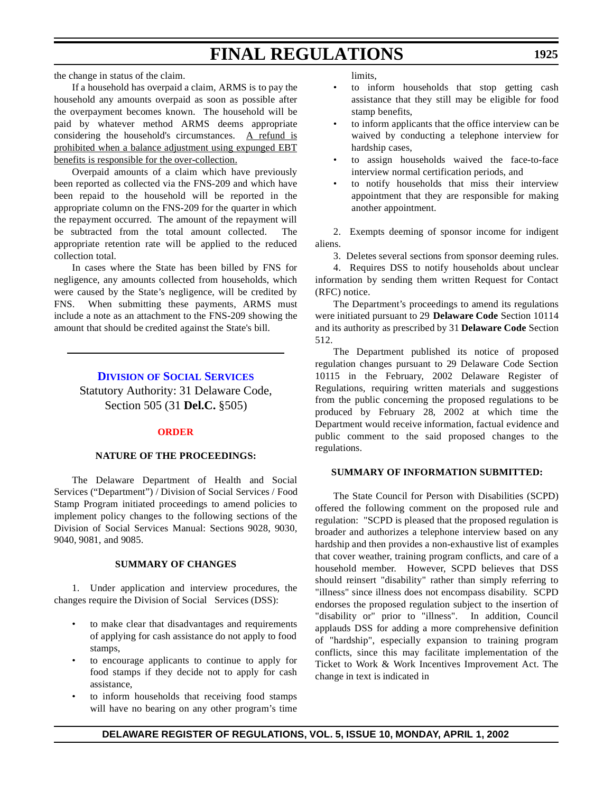If a household has overpaid a claim, ARMS is to pay the household any amounts overpaid as soon as possible after the overpayment becomes known. The household will be paid by whatever method ARMS deems appropriate considering the household's circumstances. A refund is prohibited when a balance adjustment using expunged EBT benefits is responsible for the over-collection.

Overpaid amounts of a claim which have previously been reported as collected via the FNS-209 and which have been repaid to the household will be reported in the appropriate column on the FNS-209 for the quarter in which the repayment occurred. The amount of the repayment will be subtracted from the total amount collected. The appropriate retention rate will be applied to the reduced collection total.

In cases where the State has been billed by FNS for negligence, any amounts collected from households, which were caused by the State's negligence, will be credited by FNS. When submitting these payments, ARMS must include a note as an attachment to the FNS-209 showing the amount that should be credited against the State's bill.

#### **DIVISION OF SOCIAL [SERVICES](http://www.state.de.us/dhss/dss/dsshome.html)**

Statutory Authority: 31 Delaware Code, Section 505 (31 **Del.C.** §505)

#### **[ORDER](#page-3-0)**

#### **NATURE OF THE PROCEEDINGS:**

The Delaware Department of Health and Social Services ("Department") / Division of Social Services / Food Stamp Program initiated proceedings to amend policies to implement policy changes to the following sections of the Division of Social Services Manual: Sections 9028, 9030, 9040, 9081, and 9085.

#### **SUMMARY OF CHANGES**

1. Under application and interview procedures, the changes require the Division of Social Services (DSS):

- to make clear that disadvantages and requirements of applying for cash assistance do not apply to food stamps,
- to encourage applicants to continue to apply for food stamps if they decide not to apply for cash assistance,
- to inform households that receiving food stamps will have no bearing on any other program's time

limits,

- to inform households that stop getting cash assistance that they still may be eligible for food stamp benefits,
- to inform applicants that the office interview can be waived by conducting a telephone interview for hardship cases,
- to assign households waived the face-to-face interview normal certification periods, and
- to notify households that miss their interview appointment that they are responsible for making another appointment.

2. Exempts deeming of sponsor income for indigent aliens.

3. Deletes several sections from sponsor deeming rules.

4. Requires DSS to notify households about unclear information by sending them written Request for Contact (RFC) notice.

The Department's proceedings to amend its regulations were initiated pursuant to 29 **Delaware Code** Section 10114 and its authority as prescribed by 31 **Delaware Code** Section 512.

The Department published its notice of proposed regulation changes pursuant to 29 Delaware Code Section 10115 in the February, 2002 Delaware Register of Regulations, requiring written materials and suggestions from the public concerning the proposed regulations to be produced by February 28, 2002 at which time the Department would receive information, factual evidence and public comment to the said proposed changes to the regulations.

#### **SUMMARY OF INFORMATION SUBMITTED:**

The State Council for Person with Disabilities (SCPD) offered the following comment on the proposed rule and regulation: "SCPD is pleased that the proposed regulation is broader and authorizes a telephone interview based on any hardship and then provides a non-exhaustive list of examples that cover weather, training program conflicts, and care of a household member. However, SCPD believes that DSS should reinsert "disability" rather than simply referring to "illness" since illness does not encompass disability. SCPD endorses the proposed regulation subject to the insertion of "disability or" prior to "illness". In addition, Council applauds DSS for adding a more comprehensive definition of "hardship", especially expansion to training program conflicts, since this may facilitate implementation of the Ticket to Work & Work Incentives Improvement Act. The change in text is indicated in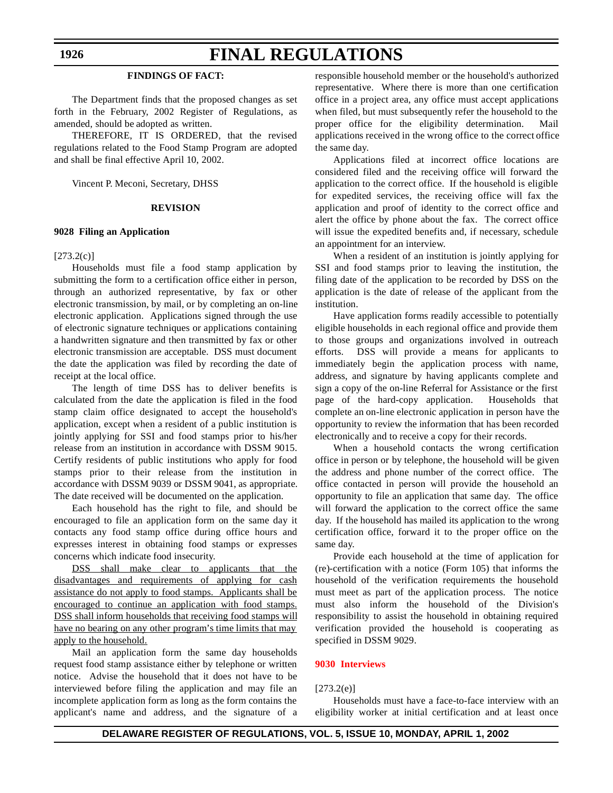#### **FINDINGS OF FACT:**

The Department finds that the proposed changes as set forth in the February, 2002 Register of Regulations, as amended, should be adopted as written.

THEREFORE, IT IS ORDERED, that the revised regulations related to the Food Stamp Program are adopted and shall be final effective April 10, 2002.

Vincent P. Meconi, Secretary, DHSS

#### **REVISION**

#### **9028 Filing an Application**

#### $[273.2(c)]$

Households must file a food stamp application by submitting the form to a certification office either in person, through an authorized representative, by fax or other electronic transmission, by mail, or by completing an on-line electronic application. Applications signed through the use of electronic signature techniques or applications containing a handwritten signature and then transmitted by fax or other electronic transmission are acceptable. DSS must document the date the application was filed by recording the date of receipt at the local office.

The length of time DSS has to deliver benefits is calculated from the date the application is filed in the food stamp claim office designated to accept the household's application, except when a resident of a public institution is jointly applying for SSI and food stamps prior to his/her release from an institution in accordance with DSSM 9015. Certify residents of public institutions who apply for food stamps prior to their release from the institution in accordance with DSSM 9039 or DSSM 9041, as appropriate. The date received will be documented on the application.

Each household has the right to file, and should be encouraged to file an application form on the same day it contacts any food stamp office during office hours and expresses interest in obtaining food stamps or expresses concerns which indicate food insecurity.

DSS shall make clear to applicants that the disadvantages and requirements of applying for cash assistance do not apply to food stamps. Applicants shall be encouraged to continue an application with food stamps. DSS shall inform households that receiving food stamps will have no bearing on any other program's time limits that may apply to the household.

Mail an application form the same day households request food stamp assistance either by telephone or written notice. Advise the household that it does not have to be interviewed before filing the application and may file an incomplete application form as long as the form contains the applicant's name and address, and the signature of a responsible household member or the household's authorized representative. Where there is more than one certification office in a project area, any office must accept applications when filed, but must subsequently refer the household to the proper office for the eligibility determination. Mail applications received in the wrong office to the correct office the same day.

Applications filed at incorrect office locations are considered filed and the receiving office will forward the application to the correct office. If the household is eligible for expedited services, the receiving office will fax the application and proof of identity to the correct office and alert the office by phone about the fax. The correct office will issue the expedited benefits and, if necessary, schedule an appointment for an interview.

When a resident of an institution is jointly applying for SSI and food stamps prior to leaving the institution, the filing date of the application to be recorded by DSS on the application is the date of release of the applicant from the institution.

Have application forms readily accessible to potentially eligible households in each regional office and provide them to those groups and organizations involved in outreach efforts. DSS will provide a means for applicants to immediately begin the application process with name, address, and signature by having applicants complete and sign a copy of the on-line Referral for Assistance or the first page of the hard-copy application. Households that complete an on-line electronic application in person have the opportunity to review the information that has been recorded electronically and to receive a copy for their records.

When a household contacts the wrong certification office in person or by telephone, the household will be given the address and phone number of the correct office. The office contacted in person will provide the household an opportunity to file an application that same day. The office will forward the application to the correct office the same day. If the household has mailed its application to the wrong certification office, forward it to the proper office on the same day.

Provide each household at the time of application for (re)-certification with a notice (Form 105) that informs the household of the verification requirements the household must meet as part of the application process. The notice must also inform the household of the Division's responsibility to assist the household in obtaining required verification provided the household is cooperating as specified in DSSM 9029.

#### **[9030 Interviews](#page-3-0)**

#### $[273.2(e)]$

Households must have a face-to-face interview with an eligibility worker at initial certification and at least once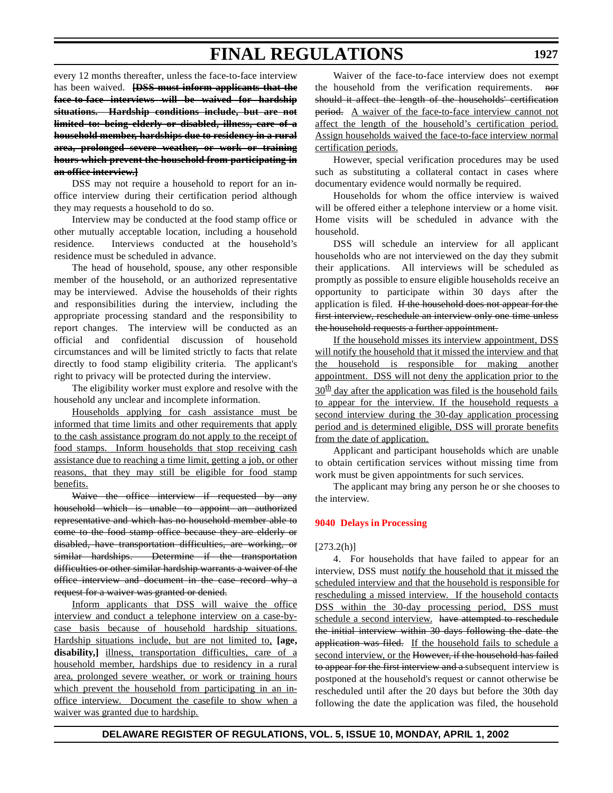every 12 months thereafter, unless the face-to-face interview has been waived. **[DSS must inform applicants that the face-to-face interviews will be waived for hardship situations. Hardship conditions include, but are not limited to: being elderly or disabled, illness, care of a household member, hardships due to residency in a rural area, prolonged severe weather, or work or training hours which prevent the household from participating in an office interview.]**

DSS may not require a household to report for an inoffice interview during their certification period although they may requests a household to do so.

Interview may be conducted at the food stamp office or other mutually acceptable location, including a household residence. Interviews conducted at the household's residence must be scheduled in advance.

The head of household, spouse, any other responsible member of the household, or an authorized representative may be interviewed. Advise the households of their rights and responsibilities during the interview, including the appropriate processing standard and the responsibility to report changes. The interview will be conducted as an official and confidential discussion of household circumstances and will be limited strictly to facts that relate directly to food stamp eligibility criteria. The applicant's right to privacy will be protected during the interview.

The eligibility worker must explore and resolve with the household any unclear and incomplete information.

Households applying for cash assistance must be informed that time limits and other requirements that apply to the cash assistance program do not apply to the receipt of food stamps. Inform households that stop receiving cash assistance due to reaching a time limit, getting a job, or other reasons, that they may still be eligible for food stamp benefits.

Waive the office interview if requested by any household which is unable to appoint an authorized representative and which has no household member able to come to the food stamp office because they are elderly or disabled, have transportation difficulties, are working, or similar hardships. Determine if the transportation difficulties or other similar hardship warrants a waiver of the office interview and document in the case record why a request for a waiver was granted or denied.

Inform applicants that DSS will waive the office interview and conduct a telephone interview on a case-bycase basis because of household hardship situations. Hardship situations include, but are not limited to, **[age,** disability,] illness, transportation difficulties, care of a household member, hardships due to residency in a rural area, prolonged severe weather, or work or training hours which prevent the household from participating in an inoffice interview. Document the casefile to show when a waiver was granted due to hardship.

Waiver of the face-to-face interview does not exempt the household from the verification requirements. nor should it affect the length of the households' certification period. A waiver of the face-to-face interview cannot not affect the length of the household's certification period. Assign households waived the face-to-face interview normal certification periods.

However, special verification procedures may be used such as substituting a collateral contact in cases where documentary evidence would normally be required.

Households for whom the office interview is waived will be offered either a telephone interview or a home visit. Home visits will be scheduled in advance with the household.

DSS will schedule an interview for all applicant households who are not interviewed on the day they submit their applications. All interviews will be scheduled as promptly as possible to ensure eligible households receive an opportunity to participate within 30 days after the application is filed. If the household does not appear for the first interview, reschedule an interview only one time unless the household requests a further appointment.

If the household misses its interview appointment, DSS will notify the household that it missed the interview and that the household is responsible for making another appointment. DSS will not deny the application prior to the  $30<sup>th</sup>$  day after the application was filed is the household fails to appear for the interview. If the household requests a second interview during the 30-day application processing period and is determined eligible, DSS will prorate benefits from the date of application.

Applicant and participant households which are unable to obtain certification services without missing time from work must be given appointments for such services.

The applicant may bring any person he or she chooses to the interview.

#### **[9040 Delays](#page-3-0) in Processing**

#### $[273.2(h)]$

4. For households that have failed to appear for an interview, DSS must notify the household that it missed the scheduled interview and that the household is responsible for rescheduling a missed interview. If the household contacts DSS within the 30-day processing period, DSS must schedule a second interview. have attempted to reschedule the initial interview within 30 days following the date the application was filed. If the household fails to schedule a second interview, or the However, if the household has failed to appear for the first interview and a subsequent interview is postponed at the household's request or cannot otherwise be rescheduled until after the 20 days but before the 30th day following the date the application was filed, the household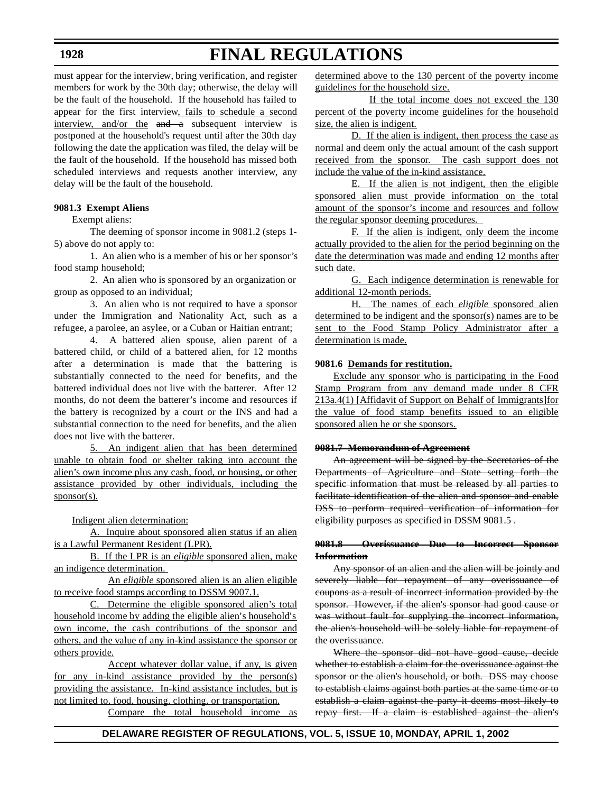#### **1928**

## **FINAL REGULATIONS**

must appear for the interview, bring verification, and register members for work by the 30th day; otherwise, the delay will be the fault of the household. If the household has failed to appear for the first interview, fails to schedule a second interview, and/or the  $\theta$  and  $\theta$  subsequent interview is postponed at the household's request until after the 30th day following the date the application was filed, the delay will be the fault of the household. If the household has missed both scheduled interviews and requests another interview, any delay will be the fault of the household.

#### **9081.3 Exempt Aliens**

Exempt aliens:

The deeming of sponsor income in 9081.2 (steps 1- 5) above do not apply to:

1. An alien who is a member of his or her sponsor's food stamp household;

2. An alien who is sponsored by an organization or group as opposed to an individual;

3. An alien who is not required to have a sponsor under the Immigration and Nationality Act, such as a refugee, a parolee, an asylee, or a Cuban or Haitian entrant;

4. A battered alien spouse, alien parent of a battered child, or child of a battered alien, for 12 months after a determination is made that the battering is substantially connected to the need for benefits, and the battered individual does not live with the batterer. After 12 months, do not deem the batterer's income and resources if the battery is recognized by a court or the INS and had a substantial connection to the need for benefits, and the alien does not live with the batterer.

5. An indigent alien that has been determined unable to obtain food or shelter taking into account the alien's own income plus any cash, food, or housing, or other assistance provided by other individuals, including the sponsor(s).

Indigent alien determination:

A. Inquire about sponsored alien status if an alien is a Lawful Permanent Resident (LPR).

B. If the LPR is an *eligible* sponsored alien, make an indigence determination.

An *eligible* sponsored alien is an alien eligible to receive food stamps according to DSSM 9007.1.

C. Determine the eligible sponsored alien's total household income by adding the eligible alien's household's own income, the cash contributions of the sponsor and others, and the value of any in-kind assistance the sponsor or others provide.

Accept whatever dollar value, if any, is given for any in-kind assistance provided by the person(s) providing the assistance. In-kind assistance includes, but is not limited to, food, housing, clothing, or transportation.

Compare the total household income as

determined above to the 130 percent of the poverty income guidelines for the household size.

If the total income does not exceed the 130 percent of the poverty income guidelines for the household size, the alien is indigent.

D. If the alien is indigent, then process the case as normal and deem only the actual amount of the cash support received from the sponsor. The cash support does not include the value of the in-kind assistance.

E. If the alien is not indigent, then the eligible sponsored alien must provide information on the total amount of the sponsor's income and resources and follow the regular sponsor deeming procedures.

F. If the alien is indigent, only deem the income actually provided to the alien for the period beginning on the date the determination was made and ending 12 months after such date.

G. Each indigence determination is renewable for additional 12-month periods.

H. The names of each *eligible* sponsored alien determined to be indigent and the sponsor(s) names are to be sent to the Food Stamp Policy Administrator after a determination is made.

#### **9081.6 Demands for restitution.**

Exclude any sponsor who is participating in the Food Stamp Program from any demand made under 8 CFR 213a.4(1) [Affidavit of Support on Behalf of Immigrants]for the value of food stamp benefits issued to an eligible sponsored alien he or she sponsors.

#### **9081.7 Memorandum of Agreement**

An agreement will be signed by the Secretaries of the Departments of Agriculture and State setting forth the specific information that must be released by all parties to facilitate identification of the alien and sponsor and enable DSS to perform required verification of information for eligibility purposes as specified in DSSM 9081.5.

#### **9081.8 Overissuance Due to Incorrect Sponsor Information**

Any sponsor of an alien and the alien will be jointly and severely liable for repayment of any overissuance of coupons as a result of incorrect information provided by the sponsor. However, if the alien's sponsor had good cause or was without fault for supplying the incorrect information, the alien's household will be solely liable for repayment of the overissuance.

Where the sponsor did not have good cause, decide whether to establish a claim for the overissuance against the sponsor or the alien's household, or both. DSS may choose to establish claims against both parties at the same time or to establish a claim against the party it deems most likely to repay first. If a claim is established against the alien's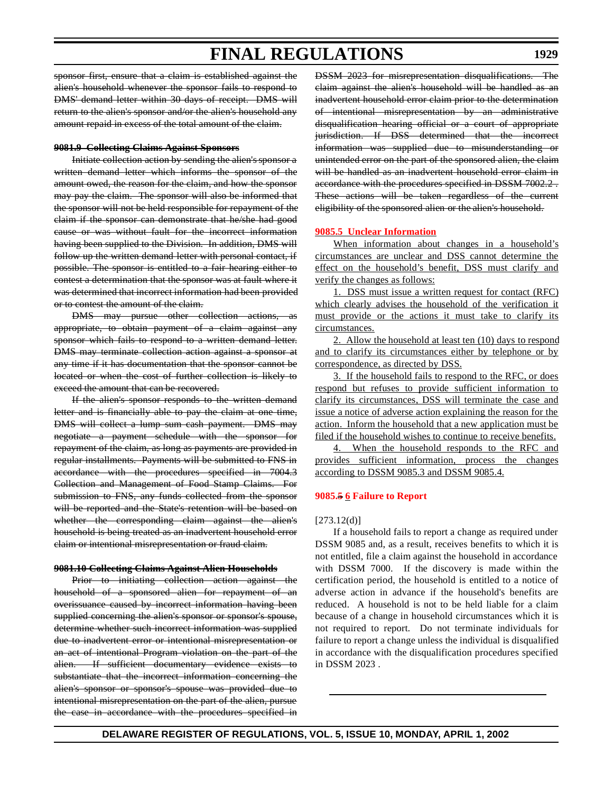sponsor first, ensure that a claim is established against the alien's household whenever the sponsor fails to respond to DMS' demand letter within 30 days of receipt. DMS will return to the alien's sponsor and/or the alien's household any amount repaid in excess of the total amount of the claim.

#### **9081.9 Collecting Claims Against Sponsors**

Initiate collection action by sending the alien's sponsor a written demand letter which informs the sponsor of the amount owed, the reason for the claim, and how the sponsor may pay the claim. The sponsor will also be informed that the sponsor will not be held responsible for repayment of the claim if the sponsor can demonstrate that he/she had good cause or was without fault for the incorrect information having been supplied to the Division. In addition, DMS will follow up the written demand letter with personal contact, if possible. The sponsor is entitled to a fair hearing either to contest a determination that the sponsor was at fault where it was determined that incorrect information had been provided or to contest the amount of the claim.

DMS may pursue other collection actions, as appropriate, to obtain payment of a claim against any sponsor which fails to respond to a written demand letter. DMS may terminate collection action against a sponsor at any time if it has documentation that the sponsor cannot be located or when the cost of further collection is likely to exceed the amount that can be recovered.

If the alien's sponsor responds to the written demand letter and is financially able to pay the claim at one time, DMS will collect a lump sum cash payment. DMS may negotiate a payment schedule with the sponsor for repayment of the claim, as long as payments are provided in regular installments. Payments will be submitted to FNS in accordance with the procedures specified in 7004.3 Collection and Management of Food Stamp Claims. For submission to FNS, any funds collected from the sponsor will be reported and the State's retention will be based on whether the corresponding claim against the alien's household is being treated as an inadvertent household error claim or intentional misrepresentation or fraud claim.

#### **9081.10 Collecting Claims Against Alien Households**

Prior to initiating collection action against the household of a sponsored alien for repayment of an overissuance caused by incorrect information having been supplied concerning the alien's sponsor or sponsor's spouse, determine whether such incorrect information was supplied due to inadvertent error or intentional misrepresentation or an act of intentional Program violation on the part of the alien. If sufficient documentary evidence exists to substantiate that the incorrect information concerning the alien's sponsor or sponsor's spouse was provided due to intentional misrepresentation on the part of the alien, pursue the case in accordance with the procedures specified in DSSM 2023 for misrepresentation disqualifications. The claim against the alien's household will be handled as an inadvertent household error claim prior to the determination of intentional misrepresentation by an administrative disqualification hearing official or a court of appropriate jurisdiction. If DSS determined that the incorrect information was supplied due to misunderstanding or unintended error on the part of the sponsored alien, the claim will be handled as an inadvertent household error claim in accordance with the procedures specified in DSSM 7002.2. These actions will be taken regardless of the current eligibility of the sponsored alien or the alien's household.

#### **[9085.5 Unclear](#page-3-0) Information**

When information about changes in a household's circumstances are unclear and DSS cannot determine the effect on the household's benefit, DSS must clarify and verify the changes as follows:

1. DSS must issue a written request for contact (RFC) which clearly advises the household of the verification it must provide or the actions it must take to clarify its circumstances.

2. Allow the household at least ten (10) days to respond and to clarify its circumstances either by telephone or by correspondence, as directed by DSS.

3. If the household fails to respond to the RFC, or does respond but refuses to provide sufficient information to clarify its circumstances, DSS will terminate the case and issue a notice of adverse action explaining the reason for the action. Inform the household that a new application must be filed if the household wishes to continue to receive benefits.

4. When the household responds to the RFC and provides sufficient information, process the changes according to DSSM 9085.3 and DSSM 9085.4.

#### **9085.5 6 [Failure to](#page-3-0) Report**

#### $[273.12(d)]$

If a household fails to report a change as required under DSSM 9085 and, as a result, receives benefits to which it is not entitled, file a claim against the household in accordance with DSSM 7000. If the discovery is made within the certification period, the household is entitled to a notice of adverse action in advance if the household's benefits are reduced. A household is not to be held liable for a claim because of a change in household circumstances which it is not required to report. Do not terminate individuals for failure to report a change unless the individual is disqualified in accordance with the disqualification procedures specified in DSSM 2023 .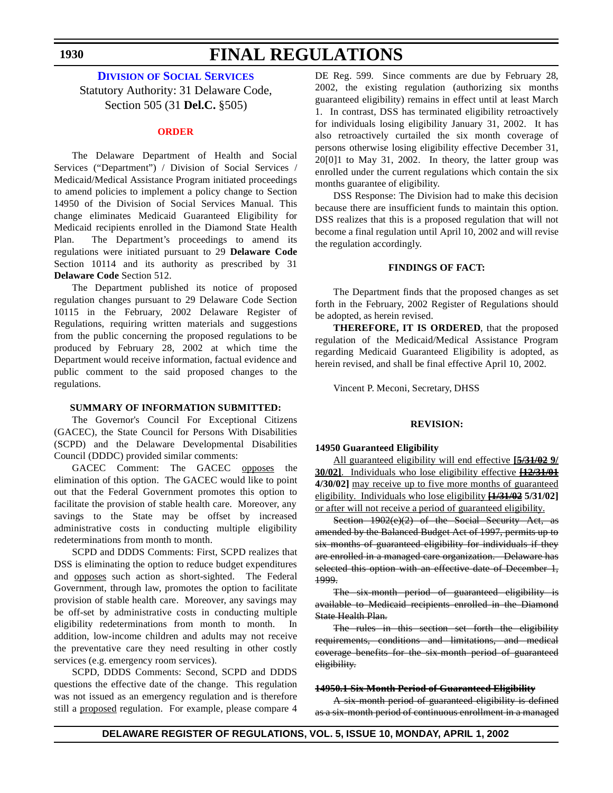#### **DIVISION OF SOCIAL [SERVICES](http://www.state.de.us/dhss/dss/dsshome.html)**

Statutory Authority: 31 Delaware Code, Section 505 (31 **Del.C.** §505)

#### **[ORDER](#page-3-0)**

The Delaware Department of Health and Social Services ("Department") / Division of Social Services / Medicaid/Medical Assistance Program initiated proceedings to amend policies to implement a policy change to Section 14950 of the Division of Social Services Manual. This change eliminates Medicaid Guaranteed Eligibility for Medicaid recipients enrolled in the Diamond State Health Plan. The Department's proceedings to amend its regulations were initiated pursuant to 29 **Delaware Code** Section 10114 and its authority as prescribed by 31 **Delaware Code** Section 512.

The Department published its notice of proposed regulation changes pursuant to 29 Delaware Code Section 10115 in the February, 2002 Delaware Register of Regulations, requiring written materials and suggestions from the public concerning the proposed regulations to be produced by February 28, 2002 at which time the Department would receive information, factual evidence and public comment to the said proposed changes to the regulations.

#### **SUMMARY OF INFORMATION SUBMITTED:**

The Governor's Council For Exceptional Citizens (GACEC), the State Council for Persons With Disabilities (SCPD) and the Delaware Developmental Disabilities Council (DDDC) provided similar comments:

GACEC Comment: The GACEC opposes the elimination of this option. The GACEC would like to point out that the Federal Government promotes this option to facilitate the provision of stable health care. Moreover, any savings to the State may be offset by increased administrative costs in conducting multiple eligibility redeterminations from month to month.

SCPD and DDDS Comments: First, SCPD realizes that DSS is eliminating the option to reduce budget expenditures and opposes such action as short-sighted. The Federal Government, through law, promotes the option to facilitate provision of stable health care. Moreover, any savings may be off-set by administrative costs in conducting multiple eligibility redeterminations from month to month. In addition, low-income children and adults may not receive the preventative care they need resulting in other costly services (e.g. emergency room services).

SCPD, DDDS Comments: Second, SCPD and DDDS questions the effective date of the change. This regulation was not issued as an emergency regulation and is therefore still a proposed regulation. For example, please compare 4 DE Reg. 599. Since comments are due by February 28, 2002, the existing regulation (authorizing six months guaranteed eligibility) remains in effect until at least March 1. In contrast, DSS has terminated eligibility retroactively for individuals losing eligibility January 31, 2002. It has also retroactively curtailed the six month coverage of persons otherwise losing eligibility effective December 31, 20[0]1 to May 31, 2002. In theory, the latter group was enrolled under the current regulations which contain the six months guarantee of eligibility.

DSS Response: The Division had to make this decision because there are insufficient funds to maintain this option. DSS realizes that this is a proposed regulation that will not become a final regulation until April 10, 2002 and will revise the regulation accordingly.

#### **FINDINGS OF FACT:**

The Department finds that the proposed changes as set forth in the February, 2002 Register of Regulations should be adopted, as herein revised.

**THEREFORE, IT IS ORDERED**, that the proposed regulation of the Medicaid/Medical Assistance Program regarding Medicaid Guaranteed Eligibility is adopted, as herein revised, and shall be final effective April 10, 2002.

Vincent P. Meconi, Secretary, DHSS

#### **REVISION:**

#### **14950 Guaranteed Eligibility**

All guaranteed eligibility will end effective **[5/31/02 9/ 30/02]**. Individuals who lose eligibility effective **[12/31/01 4/30/02]** may receive up to five more months of guaranteed eligibility. Individuals who lose eligibility **[1/31/02 5/31/02]** or after will not receive a period of guaranteed eligibility.

Section 1902(e)(2) of the Social Security Act, as amended by the Balanced Budget Act of 1997, permits up to six months of guaranteed eligibility for individuals if they are enrolled in a managed care organization. Delaware has selected this option with an effective date of December 1, 1999.

The six-month period of guaranteed eligibility is available to Medicaid recipients enrolled in the Diamond State Health Plan.

The rules in this section set forth the eligibility requirements, conditions and limitations, and medical coverage benefits for the six-month period of guaranteed eligibility.

#### **14950.1 Six Month Period of Guaranteed Eligibility**

A six-month period of guaranteed eligibility is defined as a six-month period of continuous enrollment in a managed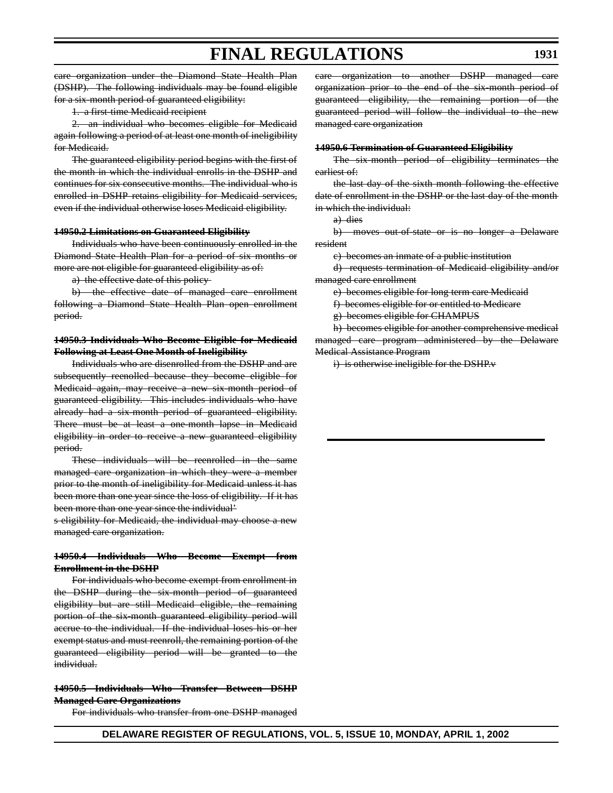care organization under the Diamond State Health Plan (DSHP). The following individuals may be found eligible for a six-month period of guaranteed eligibility:

1. a first-time Medicaid recipient

2. an individual who becomes eligible for Medicaid again following a period of at least one month of ineligibility for Medicaid.

The guaranteed eligibility period begins with the first of the month in which the individual enrolls in the DSHP and continues for six consecutive months. The individual who is enrolled in DSHP retains eligibility for Medicaid services, even if the individual otherwise loses Medicaid eligibility.

#### **14950.2 Limitations on Guaranteed Eligibility**

Individuals who have been continuously enrolled in the Diamond State Health Plan for a period of six months or more are not eligible for guaranteed eligibility as of:

a) the effective date of this policy

b) the effective date of managed care enrollment following a Diamond State Health Plan open enrollment period.

#### **14950.3 Individuals Who Become Eligible for Medicaid Following at Least One Month of Ineligibility**

Individuals who are disenrolled from the DSHP and are subsequently reenolled because they become eligible for Medicaid again, may receive a new six-month period of guaranteed eligibility. This includes individuals who have already had a six-month period of guaranteed eligibility. There must be at least a one-month lapse in Medicaid eligibility in order to receive a new guaranteed eligibility period.

These individuals will be reenrolled in the same managed care organization in which they were a member prior to the month of ineligibility for Medicaid unless it has been more than one year since the loss of eligibility. If it has been more than one year since the individual'

s eligibility for Medicaid, the individual may choose a new managed care organization.

#### **14950.4 Individuals Who Become Exempt from Enrollment in the DSHP**

For individuals who become exempt from enrollment in the DSHP during the six-month period of guaranteed eligibility but are still Medicaid eligible, the remaining portion of the six-month guaranteed eligibility period will accrue to the individual. If the individual loses his or her exempt status and must reenroll, the remaining portion of the guaranteed eligibility period will be granted to the individual.

#### **14950.5 Individuals Who Transfer Between DSHP Managed Care Organizations**

For individuals who transfer from one DSHP managed

organization to another DSHP managed care organization prior to the end of the six-month period of guaranteed eligibility, the remaining portion of the guaranteed period will follow the individual to the new managed care organization

#### **14950.6 Termination of Guaranteed Eligibility**

The six-month period of eligibility terminates the earliest of:

the last day of the sixth month following the effective date of enrollment in the DSHP or the last day of the month in which the individual:

a) dies

b) moves out-of-state or is no longer a Delaware resident

c) becomes an inmate of a public institution

d) requests termination of Medicaid eligibility and/or managed care enrollment

e) becomes eligible for long term care Medicaid

f) becomes eligible for or entitled to Medicare

g) becomes eligible for CHAMPUS

h) becomes eligible for another comprehensive medical managed care program administered by the Delaware Medical Assistance Program

i) is otherwise ineligible for the DSHP.v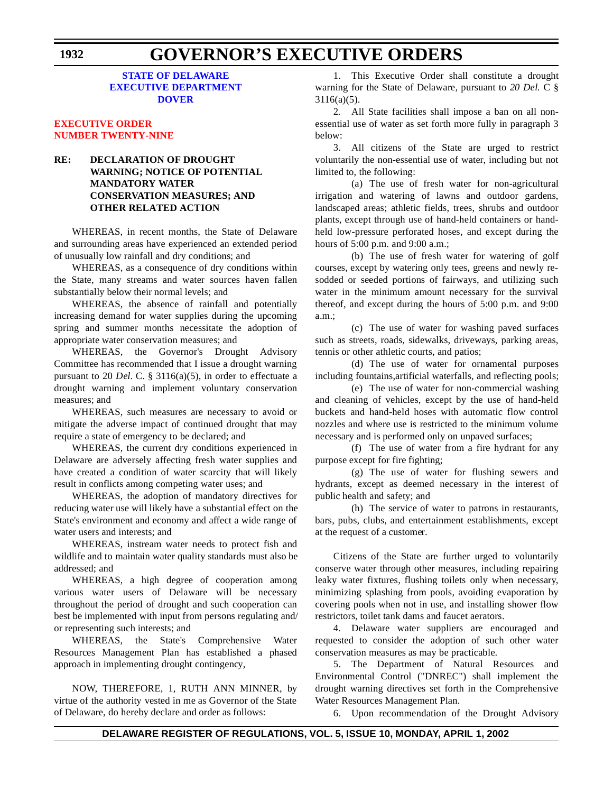#### **STATE OF DELAWARE EXECUTIVE [DEPARTMENT](http://www.state.de.us/governor/index.htm) DOVER**

#### **[EXECUTIVE ORDER](#page-3-0) NUMBER TWENTY-NINE**

#### **RE: DECLARATION OF DROUGHT WARNING; NOTICE OF POTENTIAL MANDATORY WATER CONSERVATION MEASURES; AND OTHER RELATED ACTION**

WHEREAS, in recent months, the State of Delaware and surrounding areas have experienced an extended period of unusually low rainfall and dry conditions; and

WHEREAS, as a consequence of dry conditions within the State, many streams and water sources haven fallen substantially below their normal levels; and

WHEREAS, the absence of rainfall and potentially increasing demand for water supplies during the upcoming spring and summer months necessitate the adoption of appropriate water conservation measures; and

WHEREAS, the Governor's Drought Advisory Committee has recommended that I issue a drought warning pursuant to 20 *Del.* C. § 3116(a)(5), in order to effectuate a drought warning and implement voluntary conservation measures; and

WHEREAS, such measures are necessary to avoid or mitigate the adverse impact of continued drought that may require a state of emergency to be declared; and

WHEREAS, the current dry conditions experienced in Delaware are adversely affecting fresh water supplies and have created a condition of water scarcity that will likely result in conflicts among competing water uses; and

WHEREAS, the adoption of mandatory directives for reducing water use will likely have a substantial effect on the State's environment and economy and affect a wide range of water users and interests; and

WHEREAS, instream water needs to protect fish and wildlife and to maintain water quality standards must also be addressed; and

WHEREAS, a high degree of cooperation among various water users of Delaware will be necessary throughout the period of drought and such cooperation can best be implemented with input from persons regulating and/ or representing such interests; and

WHEREAS, the State's Comprehensive Water Resources Management Plan has established a phased approach in implementing drought contingency,

NOW, THEREFORE, 1, RUTH ANN MINNER, by virtue of the authority vested in me as Governor of the State of Delaware, do hereby declare and order as follows:

1. This Executive Order shall constitute a drought warning for the State of Delaware, pursuant to *20 Del.* C § 3116(a)(5).

2*.* All State facilities shall impose a ban on all nonessential use of water as set forth more fully in paragraph 3 below:

3. All citizens of the State are urged to restrict voluntarily the non-essential use of water, including but not limited to, the following:

(a) The use of fresh water for non-agricultural irrigation and watering of lawns and outdoor gardens, landscaped areas; athletic fields, trees, shrubs and outdoor plants, except through use of hand-held containers or handheld low-pressure perforated hoses, and except during the hours of 5:00 p.m. and 9:00 a.m.;

(b) The use of fresh water for watering of golf courses, except by watering only tees, greens and newly resodded or seeded portions of fairways, and utilizing such water in the minimum amount necessary for the survival thereof, and except during the hours of 5:00 p.m. and 9:00 a.m.;

(c) The use of water for washing paved surfaces such as streets, roads, sidewalks, driveways, parking areas, tennis or other athletic courts, and patios;

(d) The use of water for ornamental purposes including fountains,artificial waterfalls, and reflecting pools;

(e) The use of water for non-commercial washing and cleaning of vehicles, except by the use of hand-held buckets and hand-held hoses with automatic flow control nozzles and where use is restricted to the minimum volume necessary and is performed only on unpaved surfaces;

(f) The use of water from a fire hydrant for any purpose except for fire fighting;

(g) The use of water for flushing sewers and hydrants, except as deemed necessary in the interest of public health and safety; and

(h) The service of water to patrons in restaurants, bars, pubs, clubs, and entertainment establishments, except at the request of a customer.

Citizens of the State are further urged to voluntarily conserve water through other measures, including repairing leaky water fixtures, flushing toilets only when necessary, minimizing splashing from pools, avoiding evaporation by covering pools when not in use, and installing shower flow restrictors, toilet tank dams and faucet aerators.

4. Delaware water suppliers are encouraged and requested to consider the adoption of such other water conservation measures as may be practicable.

5. The Department of Natural Resources and Environmental Control ("DNREC") shall implement the drought warning directives set forth in the Comprehensive Water Resources Management Plan.

6. Upon recommendation of the Drought Advisory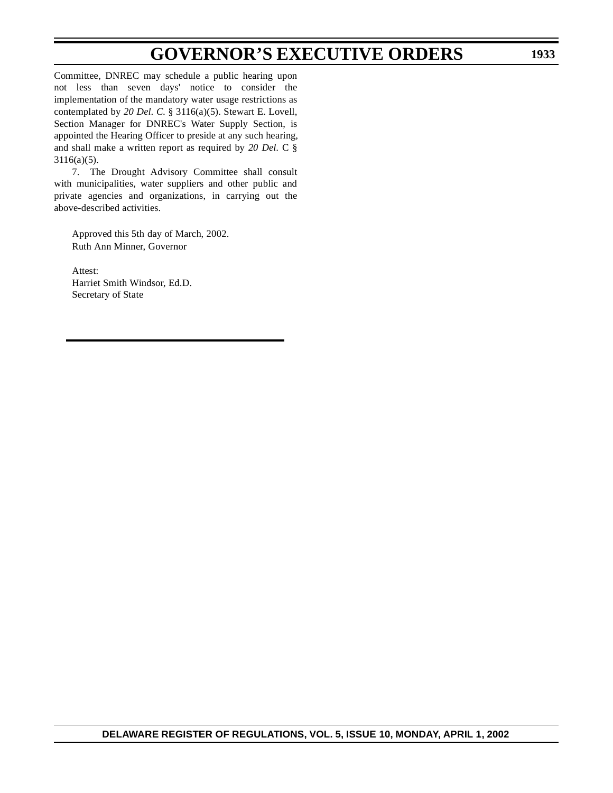## **GOVERNOR'S EXECUTIVE ORDERS**

Committee, DNREC may schedule a public hearing upon not less than seven days' notice to consider the implementation of the mandatory water usage restrictions as contemplated by *20 Del. C.* § 3116(a)(5). Stewart E. Lovell, Section Manager for DNREC's Water Supply Section, is appointed the Hearing Officer to preside at any such hearing, and shall make a written report as required by *20 Del.* C § 3116(a)(5).

7. The Drought Advisory Committee shall consult with municipalities, water suppliers and other public and private agencies and organizations, in carrying out the above-described activities.

Approved this 5th day of March, 2002. Ruth Ann Minner, Governor

Attest: Harriet Smith Windsor, Ed.D. Secretary of State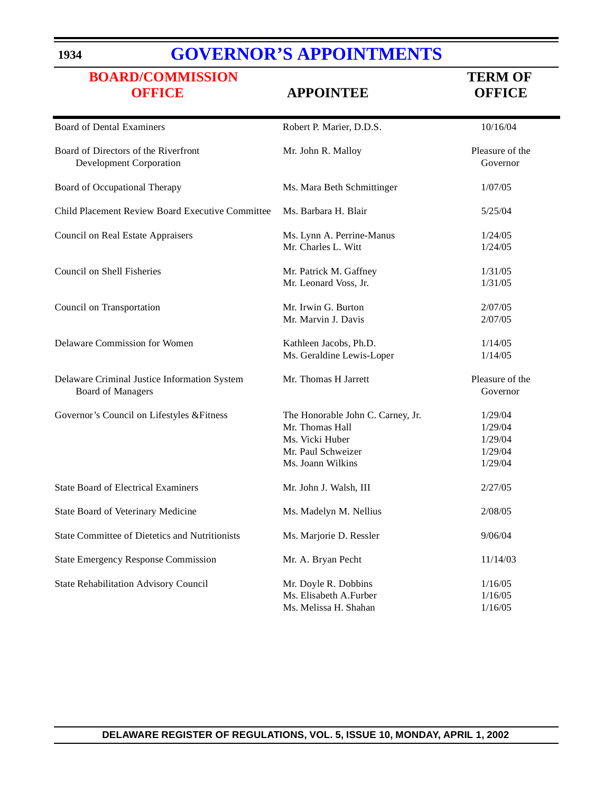#### **1934**

## **GOVERNOR'S [APPOINTMENTS](http://www.state.de.us/governor/index.htm)**

## **[BOARD/COMMISSION](#page-3-0) TERM** OF  **OFFICE APPOINTEE OFFICE**

| <b>Board of Dental Examiners</b>                                         | Robert P. Marier, D.D.S.                                                                                           | 10/16/04                                            |
|--------------------------------------------------------------------------|--------------------------------------------------------------------------------------------------------------------|-----------------------------------------------------|
| Board of Directors of the Riverfront<br>Development Corporation          | Mr. John R. Malloy                                                                                                 | Pleasure of the<br>Governor                         |
| Board of Occupational Therapy                                            | Ms. Mara Beth Schmittinger                                                                                         | 1/07/05                                             |
| Child Placement Review Board Executive Committee                         | Ms. Barbara H. Blair                                                                                               | 5/25/04                                             |
| <b>Council on Real Estate Appraisers</b>                                 | Ms. Lynn A. Perrine-Manus<br>Mr. Charles L. Witt                                                                   | 1/24/05<br>1/24/05                                  |
| Council on Shell Fisheries                                               | Mr. Patrick M. Gaffney<br>Mr. Leonard Voss, Jr.                                                                    | 1/31/05<br>1/31/05                                  |
| Council on Transportation                                                | Mr. Irwin G. Burton<br>Mr. Marvin J. Davis                                                                         | 2/07/05<br>2/07/05                                  |
| Delaware Commission for Women                                            | Kathleen Jacobs, Ph.D.<br>Ms. Geraldine Lewis-Loper                                                                | 1/14/05<br>1/14/05                                  |
| Delaware Criminal Justice Information System<br><b>Board of Managers</b> | Mr. Thomas H Jarrett                                                                                               | Pleasure of the<br>Governor                         |
| Governor's Council on Lifestyles & Fitness                               | The Honorable John C. Carney, Jr.<br>Mr. Thomas Hall<br>Ms. Vicki Huber<br>Mr. Paul Schweizer<br>Ms. Joann Wilkins | 1/29/04<br>1/29/04<br>1/29/04<br>1/29/04<br>1/29/04 |
| <b>State Board of Electrical Examiners</b>                               | Mr. John J. Walsh, III                                                                                             | 2/27/05                                             |
| State Board of Veterinary Medicine                                       | Ms. Madelyn M. Nellius                                                                                             | 2/08/05                                             |
| <b>State Committee of Dietetics and Nutritionists</b>                    | Ms. Marjorie D. Ressler                                                                                            | 9/06/04                                             |
| <b>State Emergency Response Commission</b>                               | Mr. A. Bryan Pecht                                                                                                 | 11/14/03                                            |
| State Rehabilitation Advisory Council                                    | Mr. Doyle R. Dobbins<br>Ms. Elisabeth A.Furber<br>Ms. Melissa H. Shahan                                            | 1/16/05<br>1/16/05<br>1/16/05                       |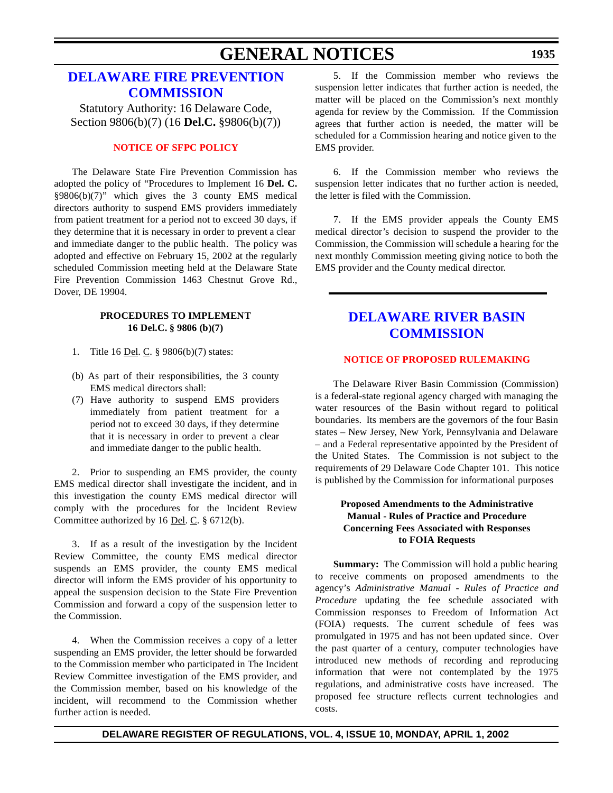## **GENERAL NOTICES**

#### **[DELAWARE FIRE](http://www.state.de.us/sfmo/commis.htm) PREVENTION COMMISSION**

Statutory Authority: 16 Delaware Code, Section 9806(b)(7) (16 **Del.C.** §9806(b)(7))

#### **[NOTICE](#page-3-0) OF SFPC POLICY**

The Delaware State Fire Prevention Commission has adopted the policy of "Procedures to Implement 16 **Del. C.**  $§9806(b)(7)$ " which gives the 3 county EMS medical directors authority to suspend EMS providers immediately from patient treatment for a period not to exceed 30 days, if they determine that it is necessary in order to prevent a clear and immediate danger to the public health. The policy was adopted and effective on February 15, 2002 at the regularly scheduled Commission meeting held at the Delaware State Fire Prevention Commission 1463 Chestnut Grove Rd., Dover, DE 19904.

#### **PROCEDURES TO IMPLEMENT 16 Del.C. § 9806 (b)(7)**

- 1. Title 16 <u>Del</u>. C. § 9806(b)(7) states:
- (b) As part of their responsibilities, the 3 county EMS medical directors shall:
- (7) Have authority to suspend EMS providers immediately from patient treatment for a period not to exceed 30 days, if they determine that it is necessary in order to prevent a clear and immediate danger to the public health.

2. Prior to suspending an EMS provider, the county EMS medical director shall investigate the incident, and in this investigation the county EMS medical director will comply with the procedures for the Incident Review Committee authorized by 16 Del. C. § 6712(b).

3. If as a result of the investigation by the Incident Review Committee, the county EMS medical director suspends an EMS provider, the county EMS medical director will inform the EMS provider of his opportunity to appeal the suspension decision to the State Fire Prevention Commission and forward a copy of the suspension letter to the Commission.

4. When the Commission receives a copy of a letter suspending an EMS provider, the letter should be forwarded to the Commission member who participated in The Incident Review Committee investigation of the EMS provider, and the Commission member, based on his knowledge of the incident, will recommend to the Commission whether further action is needed.

5. If the Commission member who reviews the suspension letter indicates that further action is needed, the matter will be placed on the Commission's next monthly agenda for review by the Commission. If the Commission agrees that further action is needed, the matter will be scheduled for a Commission hearing and notice given to the EMS provider.

6. If the Commission member who reviews the suspension letter indicates that no further action is needed, the letter is filed with the Commission.

7. If the EMS provider appeals the County EMS medical director's decision to suspend the provider to the Commission, the Commission will schedule a hearing for the next monthly Commission meeting giving notice to both the EMS provider and the County medical director.

## **DELAWARE RIVER BASIN [COMMISSION](http://www.state.nj.us/drbc/drbc.htm)**

#### **NOTICE OF PROPOSED [RULEMAKING](#page-4-0)**

The Delaware River Basin Commission (Commission) is a federal-state regional agency charged with managing the water resources of the Basin without regard to political boundaries. Its members are the governors of the four Basin states – New Jersey, New York, Pennsylvania and Delaware – and a Federal representative appointed by the President of the United States. The Commission is not subject to the requirements of 29 Delaware Code Chapter 101. This notice is published by the Commission for informational purposes

#### **Proposed Amendments to the Administrative Manual - Rules of Practice and Procedure Concerning Fees Associated with Responses to FOIA Requests**

**Summary:** The Commission will hold a public hearing to receive comments on proposed amendments to the agency's *Administrative Manual - Rules of Practice and Procedure* updating the fee schedule associated with Commission responses to Freedom of Information Act (FOIA) requests. The current schedule of fees was promulgated in 1975 and has not been updated since. Over the past quarter of a century, computer technologies have introduced new methods of recording and reproducing information that were not contemplated by the 1975 regulations, and administrative costs have increased. The proposed fee structure reflects current technologies and costs.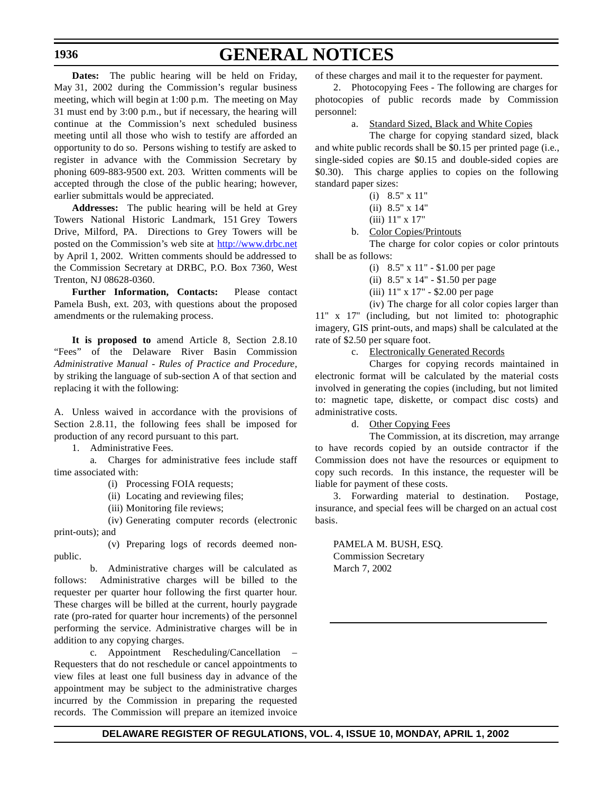## **GENERAL NOTICES**

**Dates:** The public hearing will be held on Friday, May 31, 2002 during the Commission's regular business meeting, which will begin at 1:00 p.m. The meeting on May 31 must end by 3:00 p.m., but if necessary, the hearing will continue at the Commission's next scheduled business meeting until all those who wish to testify are afforded an opportunity to do so. Persons wishing to testify are asked to register in advance with the Commission Secretary by phoning 609-883-9500 ext. 203. Written comments will be accepted through the close of the public hearing; however, earlier submittals would be appreciated.

**Addresses:** The public hearing will be held at Grey Towers National Historic Landmark, 151 Grey Towers Drive, Milford, PA. Directions to Grey Towers will be posted on the Commission's web site at http://www.drbc.net by April 1, 2002. Written comments should be addressed to the Commission Secretary at DRBC, P.O. Box 7360, West Trenton, NJ 08628-0360.

**Further Information, Contacts:** Please contact Pamela Bush, ext. 203, with questions about the proposed amendments or the rulemaking process.

**It is proposed to** amend Article 8, Section 2.8.10 "Fees" of the Delaware River Basin Commission *Administrative Manual - Rules of Practice and Procedure,* by striking the language of sub-section A of that section and replacing it with the following:

A. Unless waived in accordance with the provisions of Section 2.8.11, the following fees shall be imposed for production of any record pursuant to this part.

1. Administrative Fees.

a. Charges for administrative fees include staff time associated with:

(i) Processing FOIA requests;

(ii) Locating and reviewing files;

(iii) Monitoring file reviews;

(iv) Generating computer records (electronic print-outs); and

(v) Preparing logs of records deemed nonpublic.

b. Administrative charges will be calculated as follows: Administrative charges will be billed to the requester per quarter hour following the first quarter hour. These charges will be billed at the current, hourly paygrade rate (pro-rated for quarter hour increments) of the personnel performing the service. Administrative charges will be in addition to any copying charges.

c. Appointment Rescheduling/Cancellation – Requesters that do not reschedule or cancel appointments to view files at least one full business day in advance of the appointment may be subject to the administrative charges incurred by the Commission in preparing the requested records. The Commission will prepare an itemized invoice of these charges and mail it to the requester for payment.

2. Photocopying Fees - The following are charges for photocopies of public records made by Commission personnel:

a. Standard Sized, Black and White Copies

The charge for copying standard sized, black and white public records shall be \$0.15 per printed page (i.e., single-sided copies are \$0.15 and double-sided copies are \$0.30). This charge applies to copies on the following standard paper sizes:

- (i) 8.5" x 11"
- (ii) 8.5" x 14"
- (iii) 11" x 17"
- b. Color Copies/Printouts

The charge for color copies or color printouts shall be as follows:

- (i) 8.5" x 11" \$1.00 per page
- (ii) 8.5" x 14" \$1.50 per page
- (iii) 11" x 17" \$2.00 per page

(iv) The charge for all color copies larger than 11" x 17" (including, but not limited to: photographic imagery, GIS print-outs, and maps) shall be calculated at the rate of \$2.50 per square foot.

c. Electronically Generated Records

Charges for copying records maintained in electronic format will be calculated by the material costs involved in generating the copies (including, but not limited to: magnetic tape, diskette, or compact disc costs) and administrative costs.

d. Other Copying Fees

The Commission, at its discretion, may arrange to have records copied by an outside contractor if the Commission does not have the resources or equipment to copy such records. In this instance, the requester will be liable for payment of these costs.

3. Forwarding material to destination. Postage, insurance, and special fees will be charged on an actual cost basis.

PAMELA M. BUSH, ESQ. Commission Secretary March 7, 2002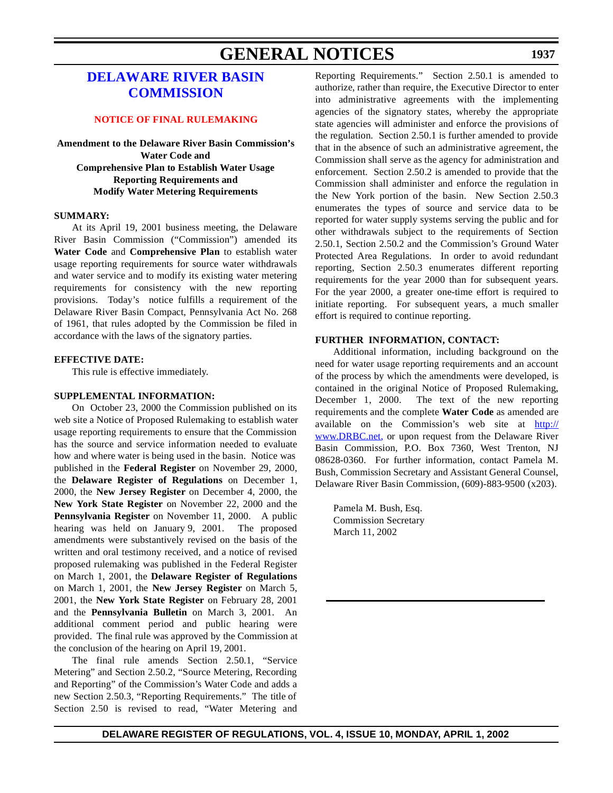## **GENERAL NOTICES**

#### **1937**

### **DELAWARE RIVER BASIN [COMMISSION](http://www.state.nj.us/drbc/drbc.htm)**

#### **NOTICE OF FINAL [RULEMAKING](#page-4-0)**

**Amendment to the Delaware River Basin Commission's Water Code and Comprehensive Plan to Establish Water Usage Reporting Requirements and Modify Water Metering Requirements**

#### **SUMMARY:**

At its April 19, 2001 business meeting, the Delaware River Basin Commission ("Commission") amended its **Water Code** and **Comprehensive Plan** to establish water usage reporting requirements for source water withdrawals and water service and to modify its existing water metering requirements for consistency with the new reporting provisions. Today's notice fulfills a requirement of the Delaware River Basin Compact, Pennsylvania Act No. 268 of 1961, that rules adopted by the Commission be filed in accordance with the laws of the signatory parties.

#### **EFFECTIVE DATE:**

This rule is effective immediately.

#### **SUPPLEMENTAL INFORMATION:**

On October 23, 2000 the Commission published on its web site a Notice of Proposed Rulemaking to establish water usage reporting requirements to ensure that the Commission has the source and service information needed to evaluate how and where water is being used in the basin. Notice was published in the **Federal Register** on November 29, 2000, the **Delaware Register of Regulations** on December 1, 2000, the **New Jersey Register** on December 4, 2000, the **New York State Register** on November 22, 2000 and the **Pennsylvania Register** on November 11, 2000. A public hearing was held on January 9, 2001. The proposed amendments were substantively revised on the basis of the written and oral testimony received, and a notice of revised proposed rulemaking was published in the Federal Register on March 1, 2001, the **Delaware Register of Regulations** on March 1, 2001, the **New Jersey Register** on March 5, 2001, the **New York State Register** on February 28, 2001 and the **Pennsylvania Bulletin** on March 3, 2001. An additional comment period and public hearing were provided. The final rule was approved by the Commission at the conclusion of the hearing on April 19, 2001.

The final rule amends Section 2.50.1, "Service Metering" and Section 2.50.2, "Source Metering, Recording and Reporting" of the Commission's Water Code and adds a new Section 2.50.3, "Reporting Requirements." The title of Section 2.50 is revised to read, "Water Metering and Reporting Requirements." Section 2.50.1 is amended to authorize, rather than require, the Executive Director to enter into administrative agreements with the implementing agencies of the signatory states, whereby the appropriate state agencies will administer and enforce the provisions of the regulation. Section 2.50.1 is further amended to provide that in the absence of such an administrative agreement, the Commission shall serve as the agency for administration and enforcement. Section 2.50.2 is amended to provide that the Commission shall administer and enforce the regulation in the New York portion of the basin. New Section 2.50.3 enumerates the types of source and service data to be reported for water supply systems serving the public and for other withdrawals subject to the requirements of Section 2.50.1, Section 2.50.2 and the Commission's Ground Water Protected Area Regulations. In order to avoid redundant reporting, Section 2.50.3 enumerates different reporting requirements for the year 2000 than for subsequent years. For the year 2000, a greater one-time effort is required to initiate reporting. For subsequent years, a much smaller effort is required to continue reporting.

#### **FURTHER INFORMATION, CONTACT:**

Additional information, including background on the need for water usage reporting requirements and an account of the process by which the amendments were developed, is contained in the original Notice of Proposed Rulemaking, December 1, 2000. The text of the new reporting requirements and the complete **Water Code** as amended are available on the Commission's web site at http:// www.DRBC.net, or upon request from the Delaware River Basin Commission, P.O. Box 7360, West Trenton, NJ 08628-0360. For further information, contact Pamela M. Bush, Commission Secretary and Assistant General Counsel, Delaware River Basin Commission, (609)-883-9500 (x203).

Pamela M. Bush, Esq. Commission Secretary March 11, 2002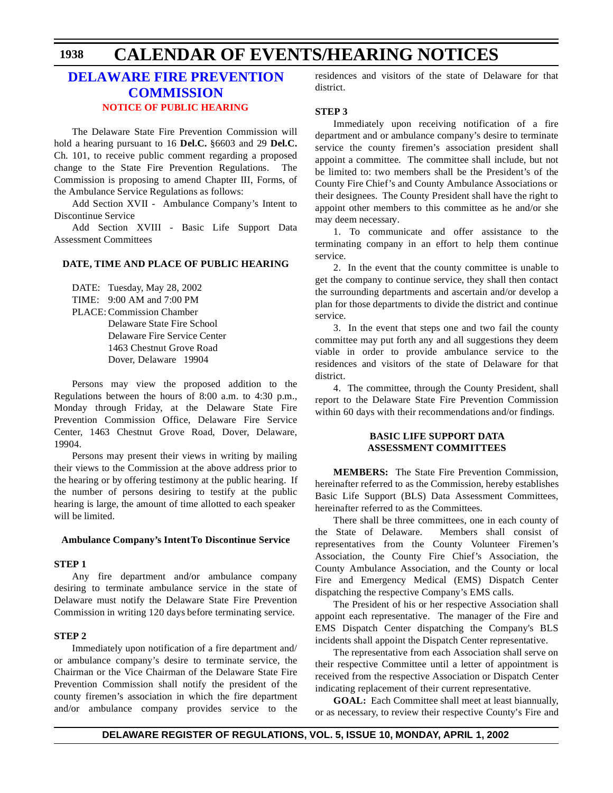### **[DELAWARE FIRE](http://www.state.de.us/sfmo/commis.htm) PREVENTION COMMISSION NOTICE OF PUBLIC [HEARING](#page-4-0)**

The Delaware State Fire Prevention Commission will hold a hearing pursuant to 16 **Del.C.** §6603 and 29 **Del.C.** Ch. 101, to receive public comment regarding a proposed change to the State Fire Prevention Regulations. The Commission is proposing to amend Chapter III, Forms, of the Ambulance Service Regulations as follows:

Add Section XVII - Ambulance Company's Intent to Discontinue Service

Add Section XVIII - Basic Life Support Data Assessment Committees

#### **DATE, TIME AND PLACE OF PUBLIC HEARING**

DATE: Tuesday, May 28, 2002 TIME: 9:00 AM and 7:00 PM PLACE: Commission Chamber Delaware State Fire School Delaware Fire Service Center 1463 Chestnut Grove Road Dover, Delaware 19904

Persons may view the proposed addition to the Regulations between the hours of 8:00 a.m. to 4:30 p.m., Monday through Friday, at the Delaware State Fire Prevention Commission Office, Delaware Fire Service Center, 1463 Chestnut Grove Road, Dover, Delaware, 19904.

Persons may present their views in writing by mailing their views to the Commission at the above address prior to the hearing or by offering testimony at the public hearing. If the number of persons desiring to testify at the public hearing is large, the amount of time allotted to each speaker will be limited.

#### **Ambulance Company's Intent To Discontinue Service**

#### **STEP 1**

Any fire department and/or ambulance company desiring to terminate ambulance service in the state of Delaware must notify the Delaware State Fire Prevention Commission in writing 120 days before terminating service.

#### **STEP 2**

Immediately upon notification of a fire department and/ or ambulance company's desire to terminate service, the Chairman or the Vice Chairman of the Delaware State Fire Prevention Commission shall notify the president of the county firemen's association in which the fire department and/or ambulance company provides service to the residences and visitors of the state of Delaware for that district.

#### **STEP 3**

Immediately upon receiving notification of a fire department and or ambulance company's desire to terminate service the county firemen's association president shall appoint a committee. The committee shall include, but not be limited to: two members shall be the President's of the County Fire Chief's and County Ambulance Associations or their designees. The County President shall have the right to appoint other members to this committee as he and/or she may deem necessary.

1. To communicate and offer assistance to the terminating company in an effort to help them continue service.

2. In the event that the county committee is unable to get the company to continue service, they shall then contact the surrounding departments and ascertain and/or develop a plan for those departments to divide the district and continue service.

 3. In the event that steps one and two fail the county committee may put forth any and all suggestions they deem viable in order to provide ambulance service to the residences and visitors of the state of Delaware for that district.

4. The committee, through the County President, shall report to the Delaware State Fire Prevention Commission within 60 days with their recommendations and/or findings.

#### **BASIC LIFE SUPPORT DATA ASSESSMENT COMMITTEES**

**MEMBERS:** The State Fire Prevention Commission, hereinafter referred to as the Commission, hereby establishes Basic Life Support (BLS) Data Assessment Committees, hereinafter referred to as the Committees.

There shall be three committees, one in each county of the State of Delaware. Members shall consist of representatives from the County Volunteer Firemen's Association, the County Fire Chief's Association, the County Ambulance Association, and the County or local Fire and Emergency Medical (EMS) Dispatch Center dispatching the respective Company's EMS calls.

The President of his or her respective Association shall appoint each representative. The manager of the Fire and EMS Dispatch Center dispatching the Company's BLS incidents shall appoint the Dispatch Center representative.

The representative from each Association shall serve on their respective Committee until a letter of appointment is received from the respective Association or Dispatch Center indicating replacement of their current representative.

**GOAL:** Each Committee shall meet at least biannually, or as necessary, to review their respective County's Fire and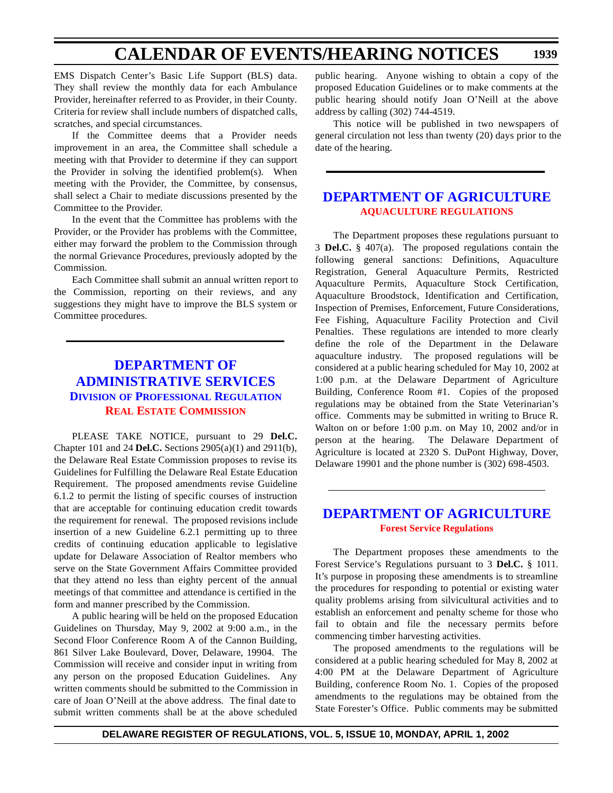EMS Dispatch Center's Basic Life Support (BLS) data. They shall review the monthly data for each Ambulance Provider, hereinafter referred to as Provider, in their County. Criteria for review shall include numbers of dispatched calls, scratches, and special circumstances.

If the Committee deems that a Provider needs improvement in an area, the Committee shall schedule a meeting with that Provider to determine if they can support the Provider in solving the identified problem(s). When meeting with the Provider, the Committee, by consensus, shall select a Chair to mediate discussions presented by the Committee to the Provider.

In the event that the Committee has problems with the Provider, or the Provider has problems with the Committee, either may forward the problem to the Commission through the normal Grievance Procedures, previously adopted by the Commission.

Each Committee shall submit an annual written report to the Commission, reporting on their reviews, and any suggestions they might have to improve the BLS system or Committee procedures.

## **DEPARTMENT OF [ADMINISTRATIVE SERVICES](http://professionallicensing.state.de.us/index.shtml) DIVISION OF PROFESSIONAL REGULATION REAL ESTATE [COMMISSION](#page-4-0)**

PLEASE TAKE NOTICE, pursuant to 29 **Del.C.** Chapter 101 and 24 **Del.C.** Sections 2905(a)(1) and 2911(b), the Delaware Real Estate Commission proposes to revise its Guidelines for Fulfilling the Delaware Real Estate Education Requirement. The proposed amendments revise Guideline 6.1.2 to permit the listing of specific courses of instruction that are acceptable for continuing education credit towards the requirement for renewal. The proposed revisions include insertion of a new Guideline 6.2.1 permitting up to three credits of continuing education applicable to legislative update for Delaware Association of Realtor members who serve on the State Government Affairs Committee provided that they attend no less than eighty percent of the annual meetings of that committee and attendance is certified in the form and manner prescribed by the Commission.

A public hearing will be held on the proposed Education Guidelines on Thursday, May 9, 2002 at 9:00 a.m., in the Second Floor Conference Room A of the Cannon Building, 861 Silver Lake Boulevard, Dover, Delaware, 19904. The Commission will receive and consider input in writing from any person on the proposed Education Guidelines. Any written comments should be submitted to the Commission in care of Joan O'Neill at the above address. The final date to submit written comments shall be at the above scheduled public hearing. Anyone wishing to obtain a copy of the proposed Education Guidelines or to make comments at the public hearing should notify Joan O'Neill at the above address by calling (302) 744-4519.

This notice will be published in two newspapers of general circulation not less than twenty (20) days prior to the date of the hearing.

#### **[DEPARTMENT OF](http://www.state.de.us/deptagri/index.htm) AGRICULTURE [AQUACULTURE](#page-4-0) REGULATIONS**

The Department proposes these regulations pursuant to 3 **Del.C.** § 407(a). The proposed regulations contain the following general sanctions: Definitions, Aquaculture Registration, General Aquaculture Permits, Restricted Aquaculture Permits, Aquaculture Stock Certification, Aquaculture Broodstock, Identification and Certification, Inspection of Premises, Enforcement, Future Considerations, Fee Fishing, Aquaculture Facility Protection and Civil Penalties. These regulations are intended to more clearly define the role of the Department in the Delaware aquaculture industry. The proposed regulations will be considered at a public hearing scheduled for May 10, 2002 at 1:00 p.m. at the Delaware Department of Agriculture Building, Conference Room #1. Copies of the proposed regulations may be obtained from the State Veterinarian's office. Comments may be submitted in writing to Bruce R. Walton on or before 1:00 p.m. on May 10, 2002 and/or in person at the hearing. The Delaware Department of Agriculture is located at 2320 S. DuPont Highway, Dover, Delaware 19901 and the phone number is (302) 698-4503.

#### **[DEPARTMENT OF](http://www.state.de.us/deptagri/index.htm) AGRICULTURE Forest [Service Regulations](#page-4-0)**

The Department proposes these amendments to the Forest Service's Regulations pursuant to 3 **Del.C.** § 1011. It's purpose in proposing these amendments is to streamline the procedures for responding to potential or existing water quality problems arising from silvicultural activities and to establish an enforcement and penalty scheme for those who fail to obtain and file the necessary permits before commencing timber harvesting activities.

The proposed amendments to the regulations will be considered at a public hearing scheduled for May 8, 2002 at 4:00 PM at the Delaware Department of Agriculture Building, conference Room No. 1. Copies of the proposed amendments to the regulations may be obtained from the State Forester's Office. Public comments may be submitted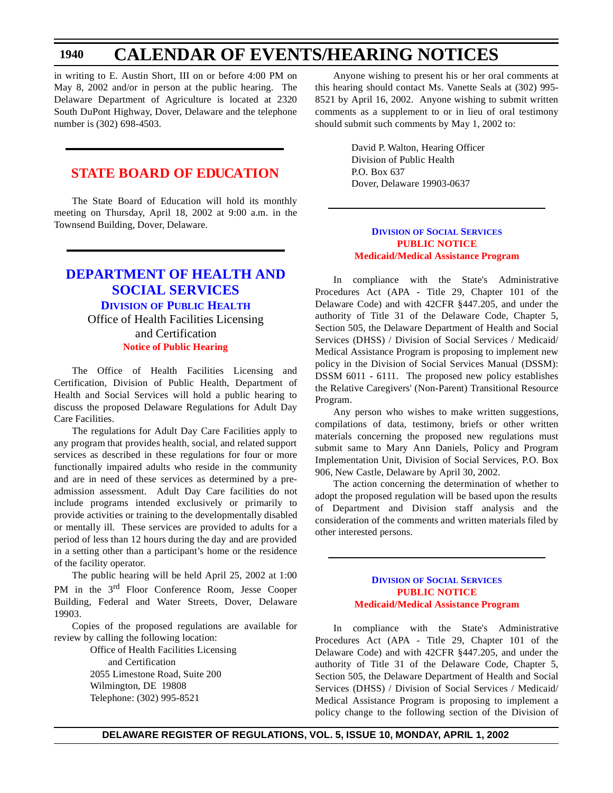in writing to E. Austin Short, III on or before 4:00 PM on May 8, 2002 and/or in person at the public hearing. The Delaware Department of Agriculture is located at 2320 South DuPont Highway, Dover, Delaware and the telephone number is (302) 698-4503.

#### **STATE BOARD OF [EDUCATION](#page-4-0)**

The State Board of Education will hold its monthly meeting on Thursday, April 18, 2002 at 9:00 a.m. in the Townsend Building, Dover, Delaware.

#### **DEPARTMENT OF HEALTH AND [SOCIAL SERVICES](http://www.state.de.us/dhss/dph/index.htm) DIVISION OF PUBLIC HEALTH** Office of Health Facilities Licensing

and Certification **Notice of Public [Hearing](#page-4-0)**

The Office of Health Facilities Licensing and Certification, Division of Public Health, Department of Health and Social Services will hold a public hearing to discuss the proposed Delaware Regulations for Adult Day Care Facilities.

The regulations for Adult Day Care Facilities apply to any program that provides health, social, and related support services as described in these regulations for four or more functionally impaired adults who reside in the community and are in need of these services as determined by a preadmission assessment. Adult Day Care facilities do not include programs intended exclusively or primarily to provide activities or training to the developmentally disabled or mentally ill. These services are provided to adults for a period of less than 12 hours during the day and are provided in a setting other than a participant's home or the residence of the facility operator.

The public hearing will be held April 25, 2002 at 1:00 PM in the 3<sup>rd</sup> Floor Conference Room, Jesse Cooper Building, Federal and Water Streets, Dover, Delaware 19903.

Copies of the proposed regulations are available for review by calling the following location:

> Office of Health Facilities Licensing and Certification 2055 Limestone Road, Suite 200 Wilmington, DE 19808 Telephone: (302) 995-8521

Anyone wishing to present his or her oral comments at this hearing should contact Ms. Vanette Seals at (302) 995- 8521 by April 16, 2002. Anyone wishing to submit written comments as a supplement to or in lieu of oral testimony should submit such comments by May 1, 2002 to:

> David P. Walton, Hearing Officer Division of Public Health P.O. Box 637 Dover, Delaware 19903-0637

#### **DIVISION OF SOCIAL [SERVICES](http://www.state.de.us/dhss/dss/dsshome.html) PUBLIC NOTICE Medicaid/Medical [Assistance Program](#page-4-0)**

In compliance with the State's Administrative Procedures Act (APA - Title 29, Chapter 101 of the Delaware Code) and with 42CFR §447.205, and under the authority of Title 31 of the Delaware Code, Chapter 5, Section 505, the Delaware Department of Health and Social Services (DHSS) / Division of Social Services / Medicaid/ Medical Assistance Program is proposing to implement new policy in the Division of Social Services Manual (DSSM): DSSM 6011 - 6111. The proposed new policy establishes the Relative Caregivers' (Non-Parent) Transitional Resource Program.

Any person who wishes to make written suggestions, compilations of data, testimony, briefs or other written materials concerning the proposed new regulations must submit same to Mary Ann Daniels, Policy and Program Implementation Unit, Division of Social Services, P.O. Box 906, New Castle, Delaware by April 30, 2002.

The action concerning the determination of whether to adopt the proposed regulation will be based upon the results of Department and Division staff analysis and the consideration of the comments and written materials filed by other interested persons.

#### **DIVISION OF SOCIAL [SERVICES](http://www.state.de.us/dhss/dss/dsshome.html) PUBLIC NOTICE Medicaid/Medical [Assistance Program](#page-4-0)**

In compliance with the State's Administrative Procedures Act (APA - Title 29, Chapter 101 of the Delaware Code) and with 42CFR §447.205, and under the authority of Title 31 of the Delaware Code, Chapter 5, Section 505, the Delaware Department of Health and Social Services (DHSS) / Division of Social Services / Medicaid/ Medical Assistance Program is proposing to implement a policy change to the following section of the Division of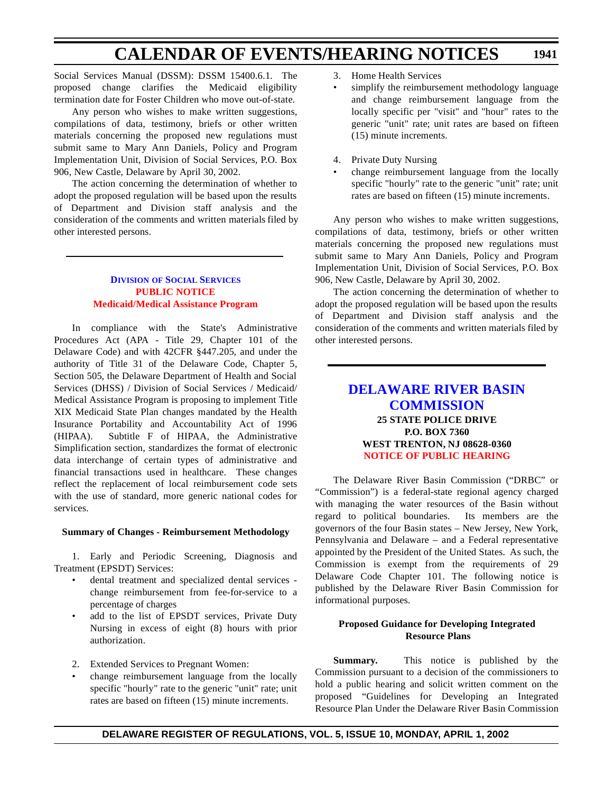Social Services Manual (DSSM): DSSM 15400.6.1. The proposed change clarifies the Medicaid eligibility termination date for Foster Children who move out-of-state.

Any person who wishes to make written suggestions, compilations of data, testimony, briefs or other written materials concerning the proposed new regulations must submit same to Mary Ann Daniels, Policy and Program Implementation Unit, Division of Social Services, P.O. Box 906, New Castle, Delaware by April 30, 2002.

The action concerning the determination of whether to adopt the proposed regulation will be based upon the results of Department and Division staff analysis and the consideration of the comments and written materials filed by other interested persons.

#### **DIVISION OF SOCIAL [SERVICES](http://www.state.de.us/dhss/dss/dsshome.html) PUBLIC NOTICE [Medicaid/Medical](#page-4-0) Assistance Program**

In compliance with the State's Administrative Procedures Act (APA - Title 29, Chapter 101 of the Delaware Code) and with 42CFR §447.205, and under the authority of Title 31 of the Delaware Code, Chapter 5, Section 505, the Delaware Department of Health and Social Services (DHSS) / Division of Social Services / Medicaid/ Medical Assistance Program is proposing to implement Title XIX Medicaid State Plan changes mandated by the Health Insurance Portability and Accountability Act of 1996 (HIPAA). Subtitle F of HIPAA, the Administrative Simplification section, standardizes the format of electronic data interchange of certain types of administrative and financial transactions used in healthcare.These changes reflect the replacement of local reimbursement code sets with the use of standard, more generic national codes for services.

#### **Summary of Changes - Reimbursement Methodology**

1. Early and Periodic Screening, Diagnosis and Treatment (EPSDT) Services:

- dental treatment and specialized dental services change reimbursement from fee-for-service to a percentage of charges
- add to the list of EPSDT services, Private Duty Nursing in excess of eight (8) hours with prior authorization.
- 2. Extended Services to Pregnant Women:
- change reimbursement language from the locally specific "hourly" rate to the generic "unit" rate; unit rates are based on fifteen (15) minute increments.
- 3. Home Health Services
- simplify the reimbursement methodology language and change reimbursement language from the locally specific per "visit" and "hour" rates to the generic "unit" rate; unit rates are based on fifteen (15) minute increments.
- 4. Private Duty Nursing
- change reimbursement language from the locally specific "hourly" rate to the generic "unit" rate; unit rates are based on fifteen (15) minute increments.

Any person who wishes to make written suggestions, compilations of data, testimony, briefs or other written materials concerning the proposed new regulations must submit same to Mary Ann Daniels, Policy and Program Implementation Unit, Division of Social Services, P.O. Box 906, New Castle, Delaware by April 30, 2002.

The action concerning the determination of whether to adopt the proposed regulation will be based upon the results of Department and Division staff analysis and the consideration of the comments and written materials filed by other interested persons.

#### **DELAWARE RIVER BASIN [COMMISSION](http://www.state.nj.us/drbc/drbc.htm) 25 STATE POLICE DRIVE P.O. BOX 7360 WEST TRENTON, NJ 08628-0360 NOTICE OF PUBLIC [HEARING](#page-4-0)**

The Delaware River Basin Commission ("DRBC" or "Commission") is a federal-state regional agency charged with managing the water resources of the Basin without regard to political boundaries. Its members are the governors of the four Basin states – New Jersey, New York, Pennsylvania and Delaware – and a Federal representative appointed by the President of the United States. As such, the Commission is exempt from the requirements of 29 Delaware Code Chapter 101. The following notice is published by the Delaware River Basin Commission for informational purposes.

#### **Proposed Guidance for Developing Integrated Resource Plans**

**Summary.** This notice is published by the Commission pursuant to a decision of the commissioners to hold a public hearing and solicit written comment on the proposed "Guidelines for Developing an Integrated Resource Plan Under the Delaware River Basin Commission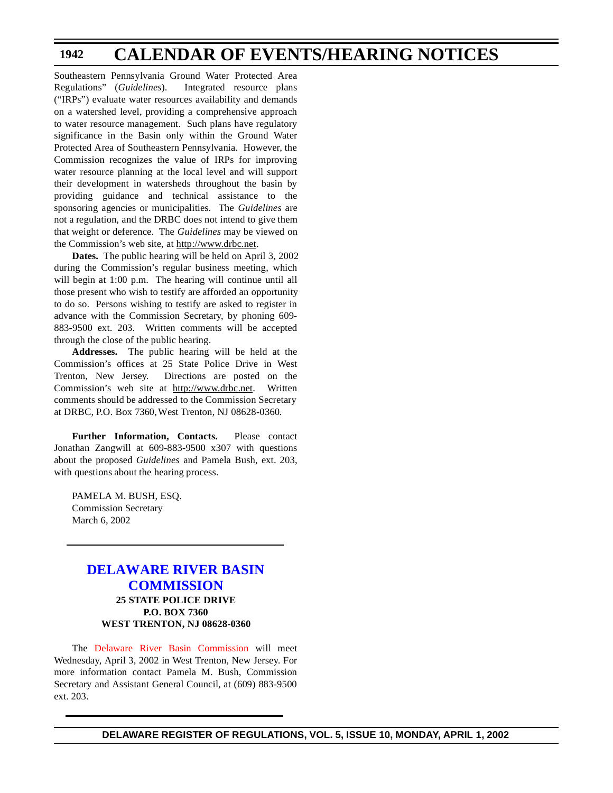Southeastern Pennsylvania Ground Water Protected Area Regulations" (*Guidelines*). Integrated resource plans ("IRPs") evaluate water resources availability and demands on a watershed level, providing a comprehensive approach to water resource management. Such plans have regulatory significance in the Basin only within the Ground Water Protected Area of Southeastern Pennsylvania. However, the Commission recognizes the value of IRPs for improving water resource planning at the local level and will support their development in watersheds throughout the basin by providing guidance and technical assistance to the sponsoring agencies or municipalities. The *Guidelines* are not a regulation, and the DRBC does not intend to give them that weight or deference. The *Guidelines* may be viewed on the Commission's web site, at http://www.drbc.net.

**Dates.** The public hearing will be held on April 3, 2002 during the Commission's regular business meeting, which will begin at 1:00 p.m. The hearing will continue until all those present who wish to testify are afforded an opportunity to do so. Persons wishing to testify are asked to register in advance with the Commission Secretary, by phoning 609- 883-9500 ext. 203. Written comments will be accepted through the close of the public hearing.

**Addresses.** The public hearing will be held at the Commission's offices at 25 State Police Drive in West Trenton, New Jersey. Directions are posted on the Commission's web site at http://www.drbc.net. Written comments should be addressed to the Commission Secretary at DRBC, P.O. Box 7360, West Trenton, NJ 08628-0360.

**Further Information, Contacts.** Please contact Jonathan Zangwill at 609-883-9500 x307 with questions about the proposed *Guidelines* and Pamela Bush, ext. 203, with questions about the hearing process.

PAMELA M. BUSH, ESQ. Commission Secretary March 6, 2002

#### **DELAWARE [RIVER BASIN](http://www.state.nj.us/drbc/drbc.htm)  COMMISSION 25 STATE POLICE DRIVE P.O. BOX 7360 WEST TRENTON, NJ 08628-0360**

The Delaware [River Basin Commission](#page-4-0) will meet Wednesday, April 3, 2002 in West Trenton, New Jersey. For more information contact Pamela M. Bush, Commission Secretary and Assistant General Council, at (609) 883-9500 ext. 203.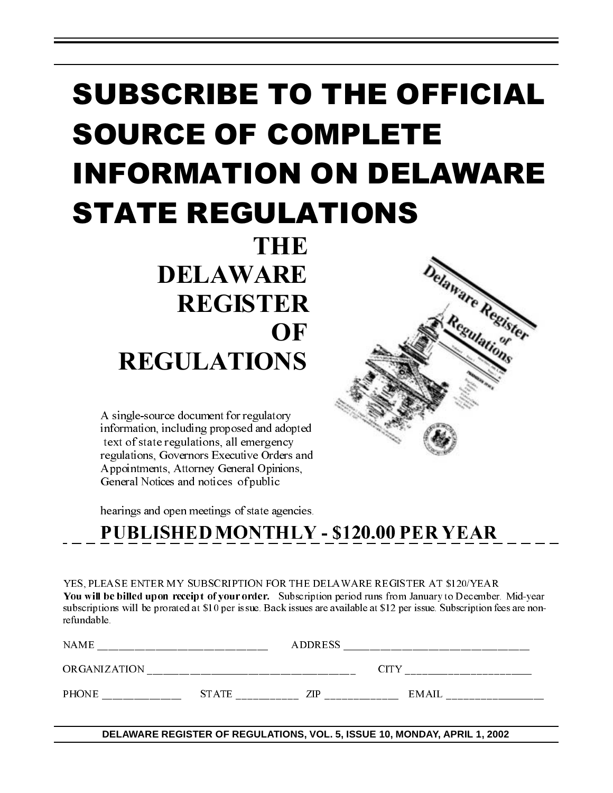# SUBSCRIBE TO THE OFFICIAL SOURCE OF COMPLETE INFORMATION ON DELAWARE STATE REGULATIONS

**THE**  DELAWARE REGISTER **OF** REGULATIONS

A single-source document for regulatory information, including proposed and adopted text of state regulations, all emergency regulations, Governors Executive Orders and Appointments, Attorney General Opinions, General Notices and notices of public

hearings and open meetings of state agencies.

| YES, PLEASE ENTER MY SUBSCRIPTION FOR THE DELAWARE REGISTER AT \$1 20/YEAR                                                |
|---------------------------------------------------------------------------------------------------------------------------|
| You will be billed upon receipt of your order. Subscription period runs from January to December. Mid-year                |
| subscriptions will be prorated at \$10 per issue. Back issues are available at \$12 per issue. Subscription fees are non- |
| refundable.                                                                                                               |

| YES, PLEASE ENTER MY SUBSCRIPTION FOR THE DELAWARE REGISTER AT \$1 20/YEAR<br>You will be billed upon receipt of your order. Subscription period runs from January to December. Mid-year<br>subscriptions will be prorated at \$10 per issue. Back issues are available at \$12 per issue. Subscription fees are non-<br>refundable. |  |  |                                                                                                                     |  |  |
|--------------------------------------------------------------------------------------------------------------------------------------------------------------------------------------------------------------------------------------------------------------------------------------------------------------------------------------|--|--|---------------------------------------------------------------------------------------------------------------------|--|--|
|                                                                                                                                                                                                                                                                                                                                      |  |  |                                                                                                                     |  |  |
|                                                                                                                                                                                                                                                                                                                                      |  |  |                                                                                                                     |  |  |
|                                                                                                                                                                                                                                                                                                                                      |  |  | $\begin{tabular}{c} 2.1cm & 2.1cm & 2.1cm & 2.1cm & 2.1cm \\ 2.1cm & 2.1cm & 2.1cm & 2.1cm \\ \hline \end{tabular}$ |  |  |
|                                                                                                                                                                                                                                                                                                                                      |  |  |                                                                                                                     |  |  |
|                                                                                                                                                                                                                                                                                                                                      |  |  | DELAWARE REGISTER OF REGULATIONS, VOL. 5, ISSUE 10, MONDAY, APRIL 1, 2002                                           |  |  |
|                                                                                                                                                                                                                                                                                                                                      |  |  |                                                                                                                     |  |  |
|                                                                                                                                                                                                                                                                                                                                      |  |  |                                                                                                                     |  |  |
|                                                                                                                                                                                                                                                                                                                                      |  |  |                                                                                                                     |  |  |
|                                                                                                                                                                                                                                                                                                                                      |  |  |                                                                                                                     |  |  |
|                                                                                                                                                                                                                                                                                                                                      |  |  |                                                                                                                     |  |  |
|                                                                                                                                                                                                                                                                                                                                      |  |  |                                                                                                                     |  |  |
|                                                                                                                                                                                                                                                                                                                                      |  |  |                                                                                                                     |  |  |
|                                                                                                                                                                                                                                                                                                                                      |  |  |                                                                                                                     |  |  |
|                                                                                                                                                                                                                                                                                                                                      |  |  |                                                                                                                     |  |  |
|                                                                                                                                                                                                                                                                                                                                      |  |  |                                                                                                                     |  |  |
|                                                                                                                                                                                                                                                                                                                                      |  |  |                                                                                                                     |  |  |
|                                                                                                                                                                                                                                                                                                                                      |  |  |                                                                                                                     |  |  |
|                                                                                                                                                                                                                                                                                                                                      |  |  |                                                                                                                     |  |  |
|                                                                                                                                                                                                                                                                                                                                      |  |  |                                                                                                                     |  |  |
|                                                                                                                                                                                                                                                                                                                                      |  |  |                                                                                                                     |  |  |
|                                                                                                                                                                                                                                                                                                                                      |  |  |                                                                                                                     |  |  |
|                                                                                                                                                                                                                                                                                                                                      |  |  |                                                                                                                     |  |  |
|                                                                                                                                                                                                                                                                                                                                      |  |  |                                                                                                                     |  |  |
|                                                                                                                                                                                                                                                                                                                                      |  |  |                                                                                                                     |  |  |
|                                                                                                                                                                                                                                                                                                                                      |  |  |                                                                                                                     |  |  |
|                                                                                                                                                                                                                                                                                                                                      |  |  |                                                                                                                     |  |  |
|                                                                                                                                                                                                                                                                                                                                      |  |  |                                                                                                                     |  |  |
|                                                                                                                                                                                                                                                                                                                                      |  |  |                                                                                                                     |  |  |
|                                                                                                                                                                                                                                                                                                                                      |  |  |                                                                                                                     |  |  |
|                                                                                                                                                                                                                                                                                                                                      |  |  |                                                                                                                     |  |  |
|                                                                                                                                                                                                                                                                                                                                      |  |  |                                                                                                                     |  |  |
|                                                                                                                                                                                                                                                                                                                                      |  |  |                                                                                                                     |  |  |
|                                                                                                                                                                                                                                                                                                                                      |  |  |                                                                                                                     |  |  |
|                                                                                                                                                                                                                                                                                                                                      |  |  |                                                                                                                     |  |  |
|                                                                                                                                                                                                                                                                                                                                      |  |  |                                                                                                                     |  |  |
|                                                                                                                                                                                                                                                                                                                                      |  |  |                                                                                                                     |  |  |
|                                                                                                                                                                                                                                                                                                                                      |  |  |                                                                                                                     |  |  |
|                                                                                                                                                                                                                                                                                                                                      |  |  |                                                                                                                     |  |  |
|                                                                                                                                                                                                                                                                                                                                      |  |  |                                                                                                                     |  |  |
|                                                                                                                                                                                                                                                                                                                                      |  |  |                                                                                                                     |  |  |

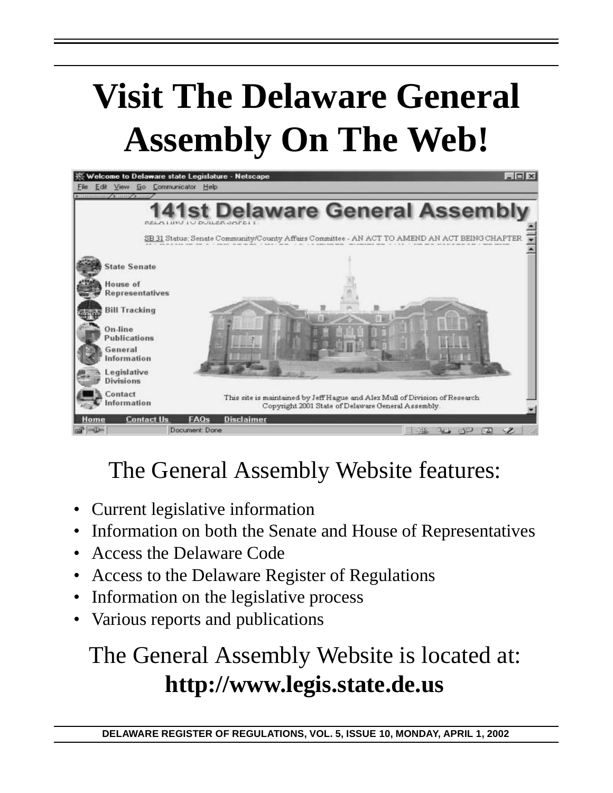# **Visit The Delaware General Assembly On The Web!**



## The General Assembly Website features:

- Current legislative information
- Information on both the Senate and House of Representatives
- Access the Delaware Code
- Access to the Delaware Register of Regulations
- Information on the legislative process
- Various reports and publications

# The General Assembly Website is located at: **http://www.legis.state.de.us**